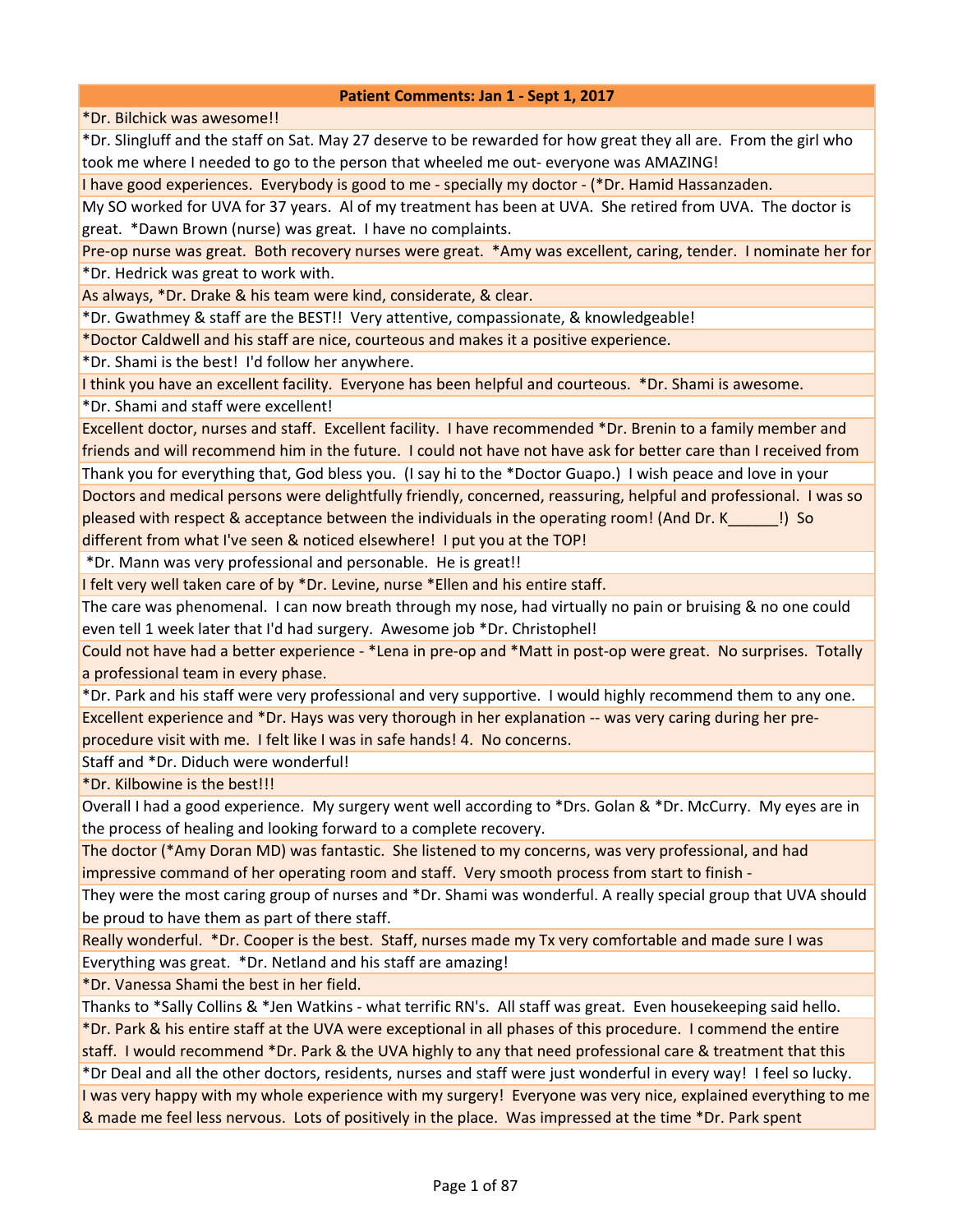\*Dr. Bilchick was awesome!!

\*Dr. Slingluff and the staff on Sat. May 27 deserve to be rewarded for how great they all are. From the girl who took me where I needed to go to the person that wheeled me out- everyone was AMAZING!

I have good experiences. Everybody is good to me - specially my doctor - (\*Dr. Hamid Hassanzaden.

My SO worked for UVA for 37 years. Al of my treatment has been at UVA. She retired from UVA. The doctor is great. \*Dawn Brown (nurse) was great. I have no complaints.

Pre-op nurse was great. Both recovery nurses were great. \*Amy was excellent, caring, tender. I nominate her for \*Dr. Hedrick was great to work with.

As always, \*Dr. Drake & his team were kind, considerate, & clear.

\*Dr. Gwathmey & staff are the BEST!! Very attentive, compassionate, & knowledgeable!

\*Doctor Caldwell and his staff are nice, courteous and makes it a positive experience.

\*Dr. Shami is the best! I'd follow her anywhere.

I think you have an excellent facility. Everyone has been helpful and courteous. \*Dr. Shami is awesome.

\*Dr. Shami and staff were excellent!

Excellent doctor, nurses and staff. Excellent facility. I have recommended \*Dr. Brenin to a family member and friends and will recommend him in the future. I could not have not have ask for better care than I received from

Thank you for everything that, God bless you. (I say hi to the \*Doctor Guapo.) I wish peace and love in your Doctors and medical persons were delightfully friendly, concerned, reassuring, helpful and professional. I was so pleased with respect & acceptance between the individuals in the operating room! (And Dr. K\_\_\_\_\_\_!) So different from what I've seen & noticed elsewhere! I put you at the TOP!

\*Dr. Mann was very professional and personable. He is great!!

I felt very well taken care of by \*Dr. Levine, nurse \*Ellen and his entire staff.

The care was phenomenal. I can now breath through my nose, had virtually no pain or bruising & no one could even tell 1 week later that I'd had surgery. Awesome job \*Dr. Christophel!

Could not have had a better experience - \*Lena in pre-op and \*Matt in post-op were great. No surprises. Totally a professional team in every phase.

\*Dr. Park and his staff were very professional and very supportive. I would highly recommend them to any one. Excellent experience and \*Dr. Hays was very thorough in her explanation -- was very caring during her pre-

procedure visit with me. I felt like I was in safe hands! 4. No concerns.

Staff and \*Dr. Diduch were wonderful!

\*Dr. Kilbowine is the best!!!

Overall I had a good experience. My surgery went well according to \*Drs. Golan & \*Dr. McCurry. My eyes are in the process of healing and looking forward to a complete recovery.

The doctor (\*Amy Doran MD) was fantastic. She listened to my concerns, was very professional, and had impressive command of her operating room and staff. Very smooth process from start to finish -

They were the most caring group of nurses and \*Dr. Shami was wonderful. A really special group that UVA should be proud to have them as part of there staff.

Really wonderful. \*Dr. Cooper is the best. Staff, nurses made my Tx very comfortable and made sure I was Everything was great. \*Dr. Netland and his staff are amazing!

\*Dr. Vanessa Shami the best in her field.

Thanks to \*Sally Collins & \*Jen Watkins - what terrific RN's. All staff was great. Even housekeeping said hello. \*Dr. Park & his entire staff at the UVA were exceptional in all phases of this procedure. I commend the entire staff. I would recommend \*Dr. Park & the UVA highly to any that need professional care & treatment that this

\*Dr Deal and all the other doctors, residents, nurses and staff were just wonderful in every way! I feel so lucky. I was very happy with my whole experience with my surgery! Everyone was very nice, explained everything to me & made me feel less nervous. Lots of positively in the place. Was impressed at the time \*Dr. Park spent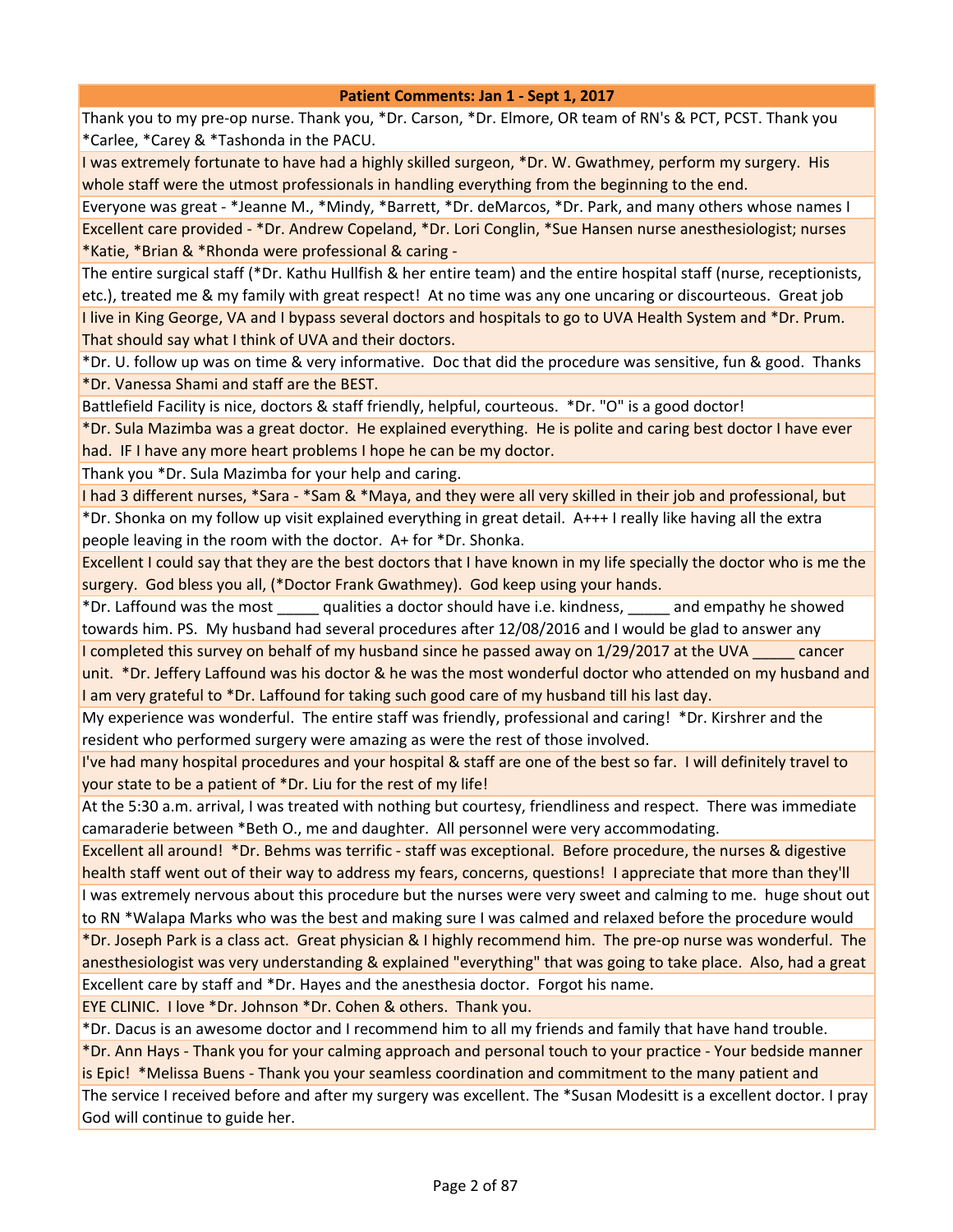Thank you to my pre-op nurse. Thank you, \*Dr. Carson, \*Dr. Elmore, OR team of RN's & PCT, PCST. Thank you \*Carlee, \*Carey & \*Tashonda in the PACU.

I was extremely fortunate to have had a highly skilled surgeon, \*Dr. W. Gwathmey, perform my surgery. His whole staff were the utmost professionals in handling everything from the beginning to the end.

Everyone was great - \*Jeanne M., \*Mindy, \*Barrett, \*Dr. deMarcos, \*Dr. Park, and many others whose names I Excellent care provided - \*Dr. Andrew Copeland, \*Dr. Lori Conglin, \*Sue Hansen nurse anesthesiologist; nurses \*Katie, \*Brian & \*Rhonda were professional & caring -

The entire surgical staff (\*Dr. Kathu Hullfish & her entire team) and the entire hospital staff (nurse, receptionists, etc.), treated me & my family with great respect! At no time was any one uncaring or discourteous. Great job I live in King George, VA and I bypass several doctors and hospitals to go to UVA Health System and \*Dr. Prum. That should say what I think of UVA and their doctors.

\*Dr. U. follow up was on time & very informative. Doc that did the procedure was sensitive, fun & good. Thanks \*Dr. Vanessa Shami and staff are the BEST.

Battlefield Facility is nice, doctors & staff friendly, helpful, courteous. \*Dr. "O" is a good doctor!

\*Dr. Sula Mazimba was a great doctor. He explained everything. He is polite and caring best doctor I have ever had. IF I have any more heart problems I hope he can be my doctor.

Thank you \*Dr. Sula Mazimba for your help and caring.

I had 3 different nurses, \*Sara - \*Sam & \*Maya, and they were all very skilled in their job and professional, but \*Dr. Shonka on my follow up visit explained everything in great detail. A+++ I really like having all the extra people leaving in the room with the doctor. A+ for \*Dr. Shonka.

Excellent I could say that they are the best doctors that I have known in my life specially the doctor who is me the surgery. God bless you all, (\*Doctor Frank Gwathmey). God keep using your hands.

\*Dr. Laffound was the most \_\_\_\_\_ qualities a doctor should have i.e. kindness, \_\_\_\_\_ and empathy he showed towards him. PS. My husband had several procedures after 12/08/2016 and I would be glad to answer any

I completed this survey on behalf of my husband since he passed away on 1/29/2017 at the UVA cancer

unit. \*Dr. Jeffery Laffound was his doctor & he was the most wonderful doctor who attended on my husband and I am very grateful to \*Dr. Laffound for taking such good care of my husband till his last day.

My experience was wonderful. The entire staff was friendly, professional and caring! \*Dr. Kirshrer and the resident who performed surgery were amazing as were the rest of those involved.

I've had many hospital procedures and your hospital & staff are one of the best so far. I will definitely travel to your state to be a patient of \*Dr. Liu for the rest of my life!

At the 5:30 a.m. arrival, I was treated with nothing but courtesy, friendliness and respect. There was immediate camaraderie between \*Beth O., me and daughter. All personnel were very accommodating.

Excellent all around! \*Dr. Behms was terrific - staff was exceptional. Before procedure, the nurses & digestive health staff went out of their way to address my fears, concerns, questions! I appreciate that more than they'll I was extremely nervous about this procedure but the nurses were very sweet and calming to me. huge shout out to RN \*Walapa Marks who was the best and making sure I was calmed and relaxed before the procedure would \*Dr. Joseph Park is a class act. Great physician & I highly recommend him. The pre-op nurse was wonderful. The anesthesiologist was very understanding & explained "everything" that was going to take place. Also, had a great

Excellent care by staff and \*Dr. Hayes and the anesthesia doctor. Forgot his name.

EYE CLINIC. I love \*Dr. Johnson \*Dr. Cohen & others. Thank you.

\*Dr. Dacus is an awesome doctor and I recommend him to all my friends and family that have hand trouble.

\*Dr. Ann Hays - Thank you for your calming approach and personal touch to your practice - Your bedside manner is Epic! \*Melissa Buens - Thank you your seamless coordination and commitment to the many patient and

The service I received before and after my surgery was excellent. The \*Susan Modesitt is a excellent doctor. I pray God will continue to guide her.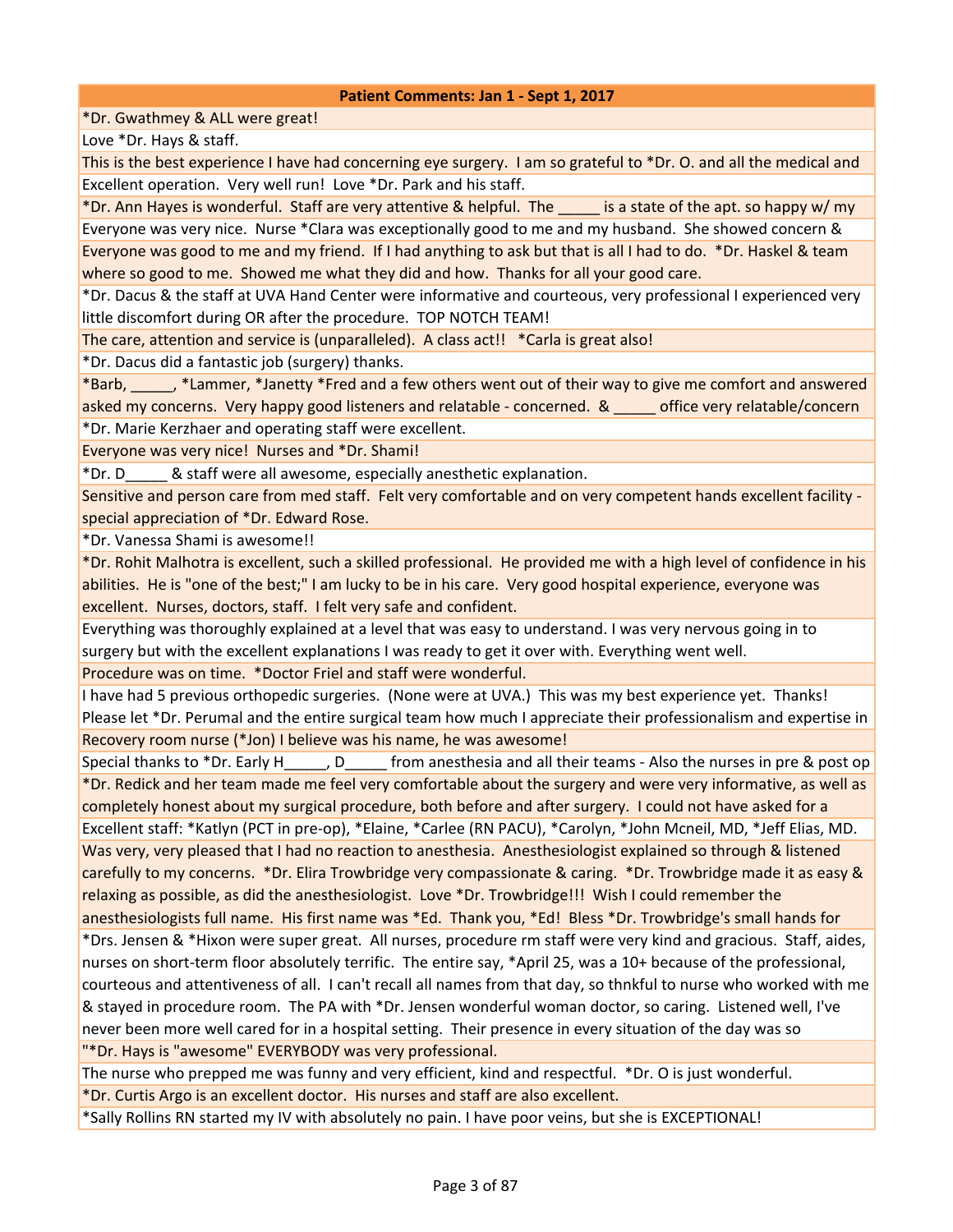\*Dr. Gwathmey & ALL were great!

Love \*Dr. Hays & staff.

This is the best experience I have had concerning eye surgery. I am so grateful to \*Dr. O. and all the medical and Excellent operation. Very well run! Love \*Dr. Park and his staff.

\*Dr. Ann Hayes is wonderful. Staff are very attentive & helpful. The \_\_\_\_\_ is a state of the apt. so happy w/ my Everyone was very nice. Nurse \*Clara was exceptionally good to me and my husband. She showed concern & Everyone was good to me and my friend. If I had anything to ask but that is all I had to do. \*Dr. Haskel & team where so good to me. Showed me what they did and how. Thanks for all your good care.

\*Dr. Dacus & the staff at UVA Hand Center were informative and courteous, very professional I experienced very little discomfort during OR after the procedure. TOP NOTCH TEAM!

The care, attention and service is (unparalleled). A class act!! \*Carla is great also!

\*Dr. Dacus did a fantastic job (surgery) thanks.

\*Barb, \_\_\_\_\_, \*Lammer, \*Janetty \*Fred and a few others went out of their way to give me comfort and answered asked my concerns. Very happy good listeners and relatable - concerned. & \_\_\_\_\_ office very relatable/concern \*Dr. Marie Kerzhaer and operating staff were excellent.

Everyone was very nice! Nurses and \*Dr. Shami!

\*Dr. D\_\_\_\_\_ & staff were all awesome, especially anesthetic explanation.

Sensitive and person care from med staff. Felt very comfortable and on very competent hands excellent facility special appreciation of \*Dr. Edward Rose.

\*Dr. Vanessa Shami is awesome!!

\*Dr. Rohit Malhotra is excellent, such a skilled professional. He provided me with a high level of confidence in his abilities. He is "one of the best;" I am lucky to be in his care. Very good hospital experience, everyone was excellent. Nurses, doctors, staff. I felt very safe and confident.

Everything was thoroughly explained at a level that was easy to understand. I was very nervous going in to surgery but with the excellent explanations I was ready to get it over with. Everything went well.

Procedure was on time. \*Doctor Friel and staff were wonderful.

I have had 5 previous orthopedic surgeries. (None were at UVA.) This was my best experience yet. Thanks! Please let \*Dr. Perumal and the entire surgical team how much I appreciate their professionalism and expertise in Recovery room nurse (\*Jon) I believe was his name, he was awesome!

Special thanks to \*Dr. Early H<sub>per</sub>, D<sub>per</sub> from anesthesia and all their teams - Also the nurses in pre & post op \*Dr. Redick and her team made me feel very comfortable about the surgery and were very informative, as well as completely honest about my surgical procedure, both before and after surgery. I could not have asked for a Excellent staff: \*Katlyn (PCT in pre-op), \*Elaine, \*Carlee (RN PACU), \*Carolyn, \*John Mcneil, MD, \*Jeff Elias, MD. Was very, very pleased that I had no reaction to anesthesia. Anesthesiologist explained so through & listened carefully to my concerns. \*Dr. Elira Trowbridge very compassionate & caring. \*Dr. Trowbridge made it as easy & relaxing as possible, as did the anesthesiologist. Love \*Dr. Trowbridge!!! Wish I could remember the anesthesiologists full name. His first name was \*Ed. Thank you, \*Ed! Bless \*Dr. Trowbridge's small hands for \*Drs. Jensen & \*Hixon were super great. All nurses, procedure rm staff were very kind and gracious. Staff, aides, nurses on short-term floor absolutely terrific. The entire say, \*April 25, was a 10+ because of the professional, courteous and attentiveness of all. I can't recall all names from that day, so thnkful to nurse who worked with me & stayed in procedure room. The PA with \*Dr. Jensen wonderful woman doctor, so caring. Listened well, I've never been more well cared for in a hospital setting. Their presence in every situation of the day was so "\*Dr. Hays is "awesome" EVERYBODY was very professional.

The nurse who prepped me was funny and very efficient, kind and respectful. \*Dr. O is just wonderful.

\*Dr. Curtis Argo is an excellent doctor. His nurses and staff are also excellent.

\*Sally Rollins RN started my IV with absolutely no pain. I have poor veins, but she is EXCEPTIONAL!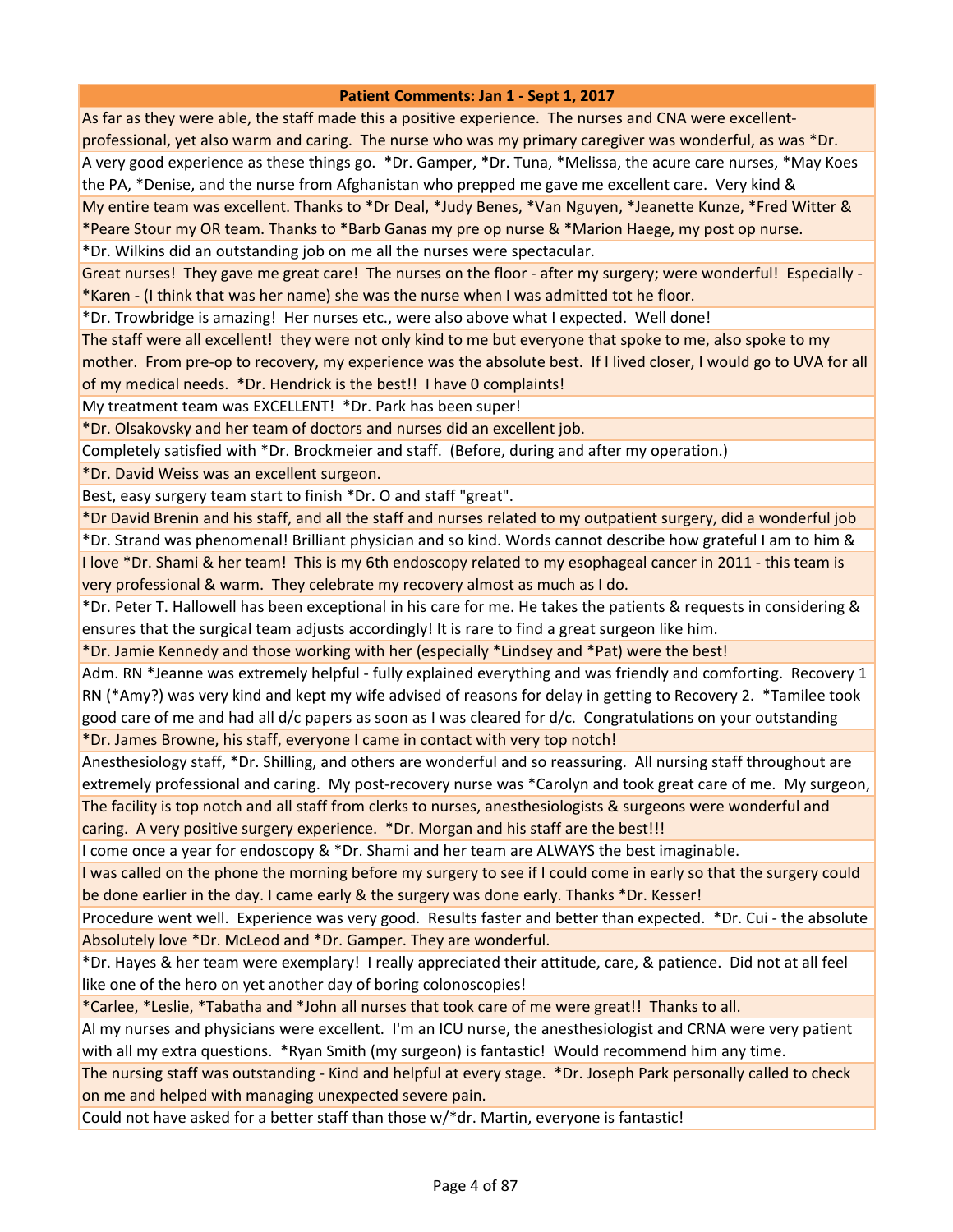As far as they were able, the staff made this a positive experience. The nurses and CNA were excellentprofessional, yet also warm and caring. The nurse who was my primary caregiver was wonderful, as was \*Dr. A very good experience as these things go. \*Dr. Gamper, \*Dr. Tuna, \*Melissa, the acure care nurses, \*May Koes the PA, \*Denise, and the nurse from Afghanistan who prepped me gave me excellent care. Very kind & My entire team was excellent. Thanks to \*Dr Deal, \*Judy Benes, \*Van Nguyen, \*Jeanette Kunze, \*Fred Witter & \*Peare Stour my OR team. Thanks to \*Barb Ganas my pre op nurse & \*Marion Haege, my post op nurse.

\*Dr. Wilkins did an outstanding job on me all the nurses were spectacular.

Great nurses! They gave me great care! The nurses on the floor - after my surgery; were wonderful! Especially -\*Karen - (I think that was her name) she was the nurse when I was admitted tot he floor.

\*Dr. Trowbridge is amazing! Her nurses etc., were also above what I expected. Well done!

The staff were all excellent! they were not only kind to me but everyone that spoke to me, also spoke to my

mother. From pre-op to recovery, my experience was the absolute best. If I lived closer, I would go to UVA for all of my medical needs. \*Dr. Hendrick is the best!! I have 0 complaints!

My treatment team was EXCELLENT! \*Dr. Park has been super!

\*Dr. Olsakovsky and her team of doctors and nurses did an excellent job.

Completely satisfied with \*Dr. Brockmeier and staff. (Before, during and after my operation.)

\*Dr. David Weiss was an excellent surgeon.

Best, easy surgery team start to finish \*Dr. O and staff "great".

\*Dr David Brenin and his staff, and all the staff and nurses related to my outpatient surgery, did a wonderful job

\*Dr. Strand was phenomenal! Brilliant physician and so kind. Words cannot describe how grateful I am to him & I love \*Dr. Shami & her team! This is my 6th endoscopy related to my esophageal cancer in 2011 - this team is very professional & warm. They celebrate my recovery almost as much as I do.

\*Dr. Peter T. Hallowell has been exceptional in his care for me. He takes the patients & requests in considering & ensures that the surgical team adjusts accordingly! It is rare to find a great surgeon like him.

\*Dr. Jamie Kennedy and those working with her (especially \*Lindsey and \*Pat) were the best!

Adm. RN \*Jeanne was extremely helpful - fully explained everything and was friendly and comforting. Recovery 1 RN (\*Amy?) was very kind and kept my wife advised of reasons for delay in getting to Recovery 2. \*Tamilee took good care of me and had all d/c papers as soon as I was cleared for d/c. Congratulations on your outstanding

\*Dr. James Browne, his staff, everyone I came in contact with very top notch!

Anesthesiology staff, \*Dr. Shilling, and others are wonderful and so reassuring. All nursing staff throughout are extremely professional and caring. My post-recovery nurse was \*Carolyn and took great care of me. My surgeon, The facility is top notch and all staff from clerks to nurses, anesthesiologists & surgeons were wonderful and

caring. A very positive surgery experience. \*Dr. Morgan and his staff are the best!!!

I come once a year for endoscopy & \*Dr. Shami and her team are ALWAYS the best imaginable.

I was called on the phone the morning before my surgery to see if I could come in early so that the surgery could be done earlier in the day. I came early & the surgery was done early. Thanks \*Dr. Kesser!

Procedure went well. Experience was very good. Results faster and better than expected. \*Dr. Cui - the absolute Absolutely love \*Dr. McLeod and \*Dr. Gamper. They are wonderful.

\*Dr. Hayes & her team were exemplary! I really appreciated their attitude, care, & patience. Did not at all feel like one of the hero on yet another day of boring colonoscopies!

\*Carlee, \*Leslie, \*Tabatha and \*John all nurses that took care of me were great!! Thanks to all.

Al my nurses and physicians were excellent. I'm an ICU nurse, the anesthesiologist and CRNA were very patient with all my extra questions. \*Ryan Smith (my surgeon) is fantastic! Would recommend him any time.

The nursing staff was outstanding - Kind and helpful at every stage. \*Dr. Joseph Park personally called to check on me and helped with managing unexpected severe pain.

Could not have asked for a better staff than those w/\*dr. Martin, everyone is fantastic!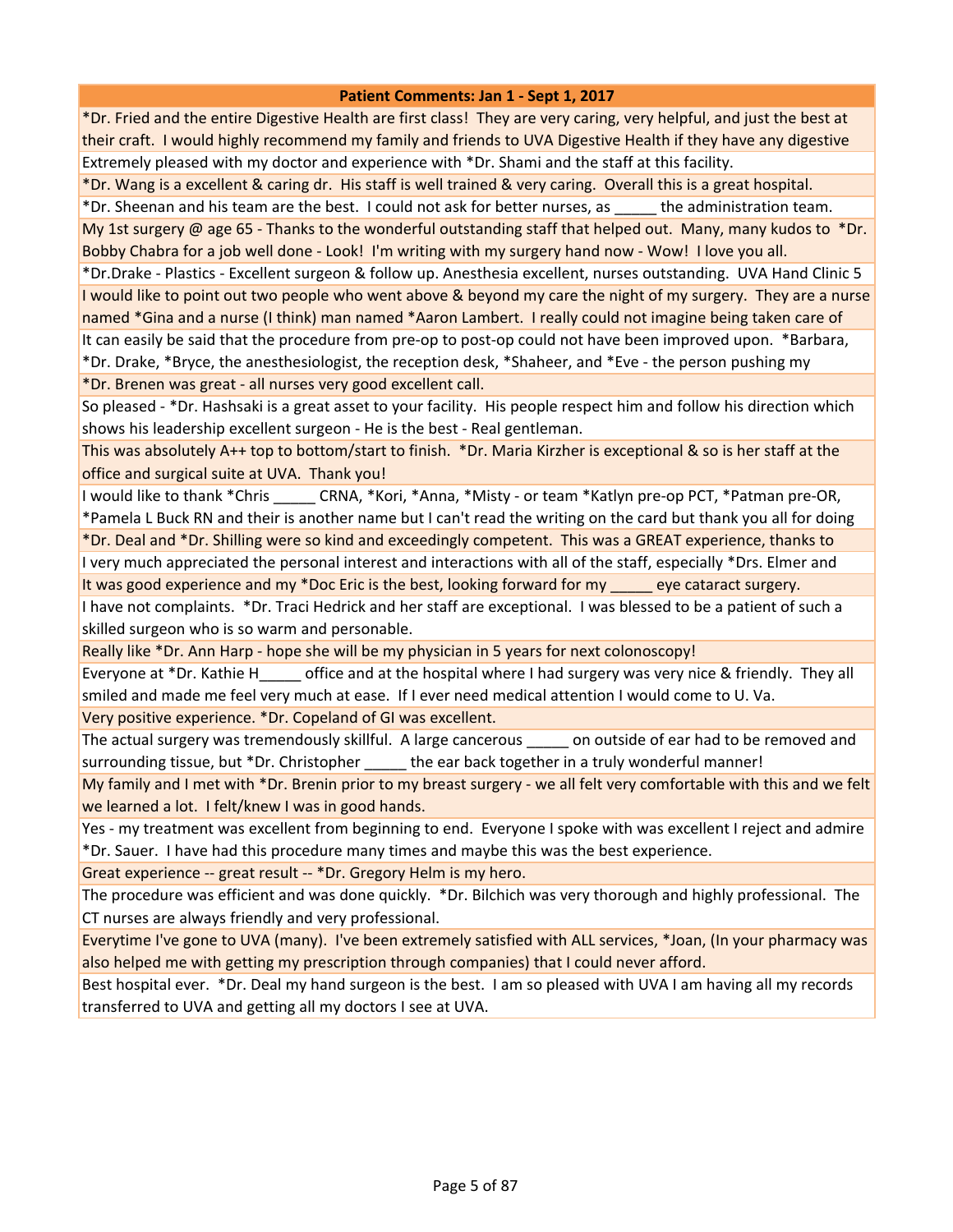\*Dr. Fried and the entire Digestive Health are first class! They are very caring, very helpful, and just the best at their craft. I would highly recommend my family and friends to UVA Digestive Health if they have any digestive Extremely pleased with my doctor and experience with \*Dr. Shami and the staff at this facility.

\*Dr. Wang is a excellent & caring dr. His staff is well trained & very caring. Overall this is a great hospital.

\*Dr. Sheenan and his team are the best. I could not ask for better nurses, as \_\_\_\_\_ the administration team.

My 1st surgery @ age 65 - Thanks to the wonderful outstanding staff that helped out. Many, many kudos to \*Dr. Bobby Chabra for a job well done - Look! I'm writing with my surgery hand now - Wow! I love you all.

\*Dr.Drake - Plastics - Excellent surgeon & follow up. Anesthesia excellent, nurses outstanding. UVA Hand Clinic 5 I would like to point out two people who went above & beyond my care the night of my surgery. They are a nurse named \*Gina and a nurse (I think) man named \*Aaron Lambert. I really could not imagine being taken care of It can easily be said that the procedure from pre-op to post-op could not have been improved upon. \*Barbara,

\*Dr. Drake, \*Bryce, the anesthesiologist, the reception desk, \*Shaheer, and \*Eve - the person pushing my \*Dr. Brenen was great - all nurses very good excellent call.

So pleased - \*Dr. Hashsaki is a great asset to your facility. His people respect him and follow his direction which shows his leadership excellent surgeon - He is the best - Real gentleman.

This was absolutely A++ top to bottom/start to finish. \*Dr. Maria Kirzher is exceptional & so is her staff at the office and surgical suite at UVA. Thank you!

I would like to thank \*Chris \_\_\_\_\_ CRNA, \*Kori, \*Anna, \*Misty - or team \*Katlyn pre-op PCT, \*Patman pre-OR, \*Pamela L Buck RN and their is another name but I can't read the writing on the card but thank you all for doing

\*Dr. Deal and \*Dr. Shilling were so kind and exceedingly competent. This was a GREAT experience, thanks to

I very much appreciated the personal interest and interactions with all of the staff, especially \*Drs. Elmer and It was good experience and my \*Doc Eric is the best, looking forward for my \_\_\_\_\_ eye cataract surgery.

I have not complaints. \*Dr. Traci Hedrick and her staff are exceptional. I was blessed to be a patient of such a skilled surgeon who is so warm and personable.

Really like \*Dr. Ann Harp - hope she will be my physician in 5 years for next colonoscopy!

Everyone at \*Dr. Kathie H\_\_\_\_\_ office and at the hospital where I had surgery was very nice & friendly. They all smiled and made me feel very much at ease. If I ever need medical attention I would come to U. Va.

Very positive experience. \*Dr. Copeland of GI was excellent.

The actual surgery was tremendously skillful. A large cancerous \_\_\_\_\_ on outside of ear had to be removed and surrounding tissue, but \*Dr. Christopher the ear back together in a truly wonderful manner!

My family and I met with \*Dr. Brenin prior to my breast surgery - we all felt very comfortable with this and we felt we learned a lot. I felt/knew I was in good hands.

Yes - my treatment was excellent from beginning to end. Everyone I spoke with was excellent I reject and admire \*Dr. Sauer. I have had this procedure many times and maybe this was the best experience.

Great experience -- great result -- \*Dr. Gregory Helm is my hero.

The procedure was efficient and was done quickly. \*Dr. Bilchich was very thorough and highly professional. The CT nurses are always friendly and very professional.

Everytime I've gone to UVA (many). I've been extremely satisfied with ALL services, \*Joan, (In your pharmacy was also helped me with getting my prescription through companies) that I could never afford.

Best hospital ever. \*Dr. Deal my hand surgeon is the best. I am so pleased with UVA I am having all my records transferred to UVA and getting all my doctors I see at UVA.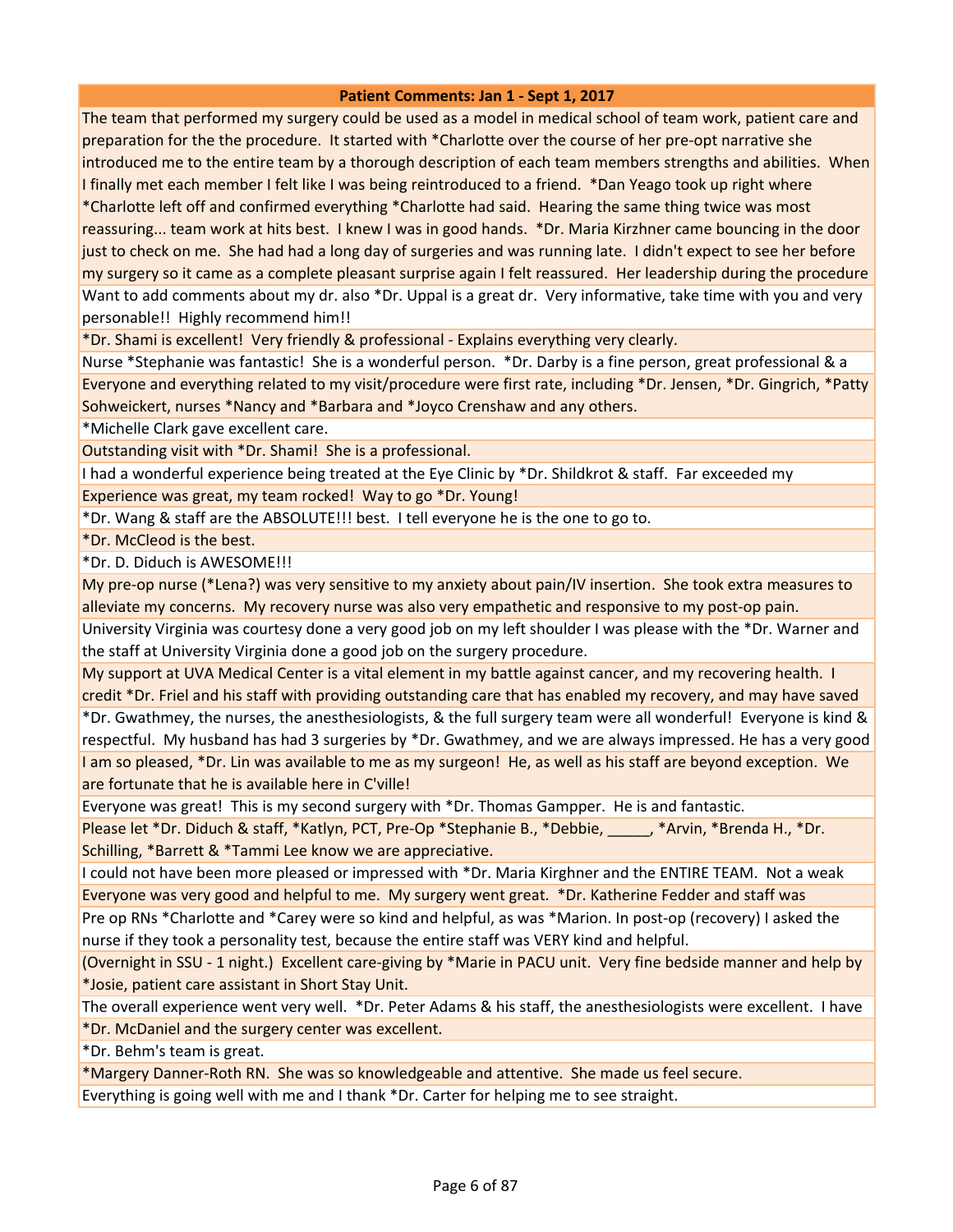The team that performed my surgery could be used as a model in medical school of team work, patient care and preparation for the the procedure. It started with \*Charlotte over the course of her pre-opt narrative she introduced me to the entire team by a thorough description of each team members strengths and abilities. When I finally met each member I felt like I was being reintroduced to a friend. \*Dan Yeago took up right where \*Charlotte left off and confirmed everything \*Charlotte had said. Hearing the same thing twice was most reassuring... team work at hits best. I knew I was in good hands. \*Dr. Maria Kirzhner came bouncing in the door just to check on me. She had had a long day of surgeries and was running late. I didn't expect to see her before my surgery so it came as a complete pleasant surprise again I felt reassured. Her leadership during the procedure Want to add comments about my dr. also \*Dr. Uppal is a great dr. Very informative, take time with you and very personable!! Highly recommend him!!

\*Dr. Shami is excellent! Very friendly & professional - Explains everything very clearly.

Nurse \*Stephanie was fantastic! She is a wonderful person. \*Dr. Darby is a fine person, great professional & a Everyone and everything related to my visit/procedure were first rate, including \*Dr. Jensen, \*Dr. Gingrich, \*Patty Sohweickert, nurses \*Nancy and \*Barbara and \*Joyco Crenshaw and any others.

\*Michelle Clark gave excellent care.

Outstanding visit with \*Dr. Shami! She is a professional.

I had a wonderful experience being treated at the Eye Clinic by \*Dr. Shildkrot & staff. Far exceeded my Experience was great, my team rocked! Way to go \*Dr. Young!

\*Dr. Wang & staff are the ABSOLUTE!!! best. I tell everyone he is the one to go to.

\*Dr. McCleod is the best.

\*Dr. D. Diduch is AWESOME!!!

My pre-op nurse (\*Lena?) was very sensitive to my anxiety about pain/IV insertion. She took extra measures to alleviate my concerns. My recovery nurse was also very empathetic and responsive to my post-op pain.

University Virginia was courtesy done a very good job on my left shoulder I was please with the \*Dr. Warner and the staff at University Virginia done a good job on the surgery procedure.

My support at UVA Medical Center is a vital element in my battle against cancer, and my recovering health. I credit \*Dr. Friel and his staff with providing outstanding care that has enabled my recovery, and may have saved \*Dr. Gwathmey, the nurses, the anesthesiologists, & the full surgery team were all wonderful! Everyone is kind & respectful. My husband has had 3 surgeries by \*Dr. Gwathmey, and we are always impressed. He has a very good I am so pleased, \*Dr. Lin was available to me as my surgeon! He, as well as his staff are beyond exception. We are fortunate that he is available here in C'ville!

Everyone was great! This is my second surgery with \*Dr. Thomas Gampper. He is and fantastic.

Please let \*Dr. Diduch & staff, \*Katlyn, PCT, Pre-Op \*Stephanie B., \*Debbie, \_\_\_\_\_, \*Arvin, \*Brenda H., \*Dr. Schilling, \*Barrett & \*Tammi Lee know we are appreciative.

I could not have been more pleased or impressed with \*Dr. Maria Kirghner and the ENTIRE TEAM. Not a weak Everyone was very good and helpful to me. My surgery went great. \*Dr. Katherine Fedder and staff was

Pre op RNs \*Charlotte and \*Carey were so kind and helpful, as was \*Marion. In post-op (recovery) I asked the nurse if they took a personality test, because the entire staff was VERY kind and helpful.

(Overnight in SSU - 1 night.) Excellent care-giving by \*Marie in PACU unit. Very fine bedside manner and help by \*Josie, patient care assistant in Short Stay Unit.

The overall experience went very well. \*Dr. Peter Adams & his staff, the anesthesiologists were excellent. I have

\*Dr. McDaniel and the surgery center was excellent.

\*Dr. Behm's team is great.

\*Margery Danner-Roth RN. She was so knowledgeable and attentive. She made us feel secure.

Everything is going well with me and I thank \*Dr. Carter for helping me to see straight.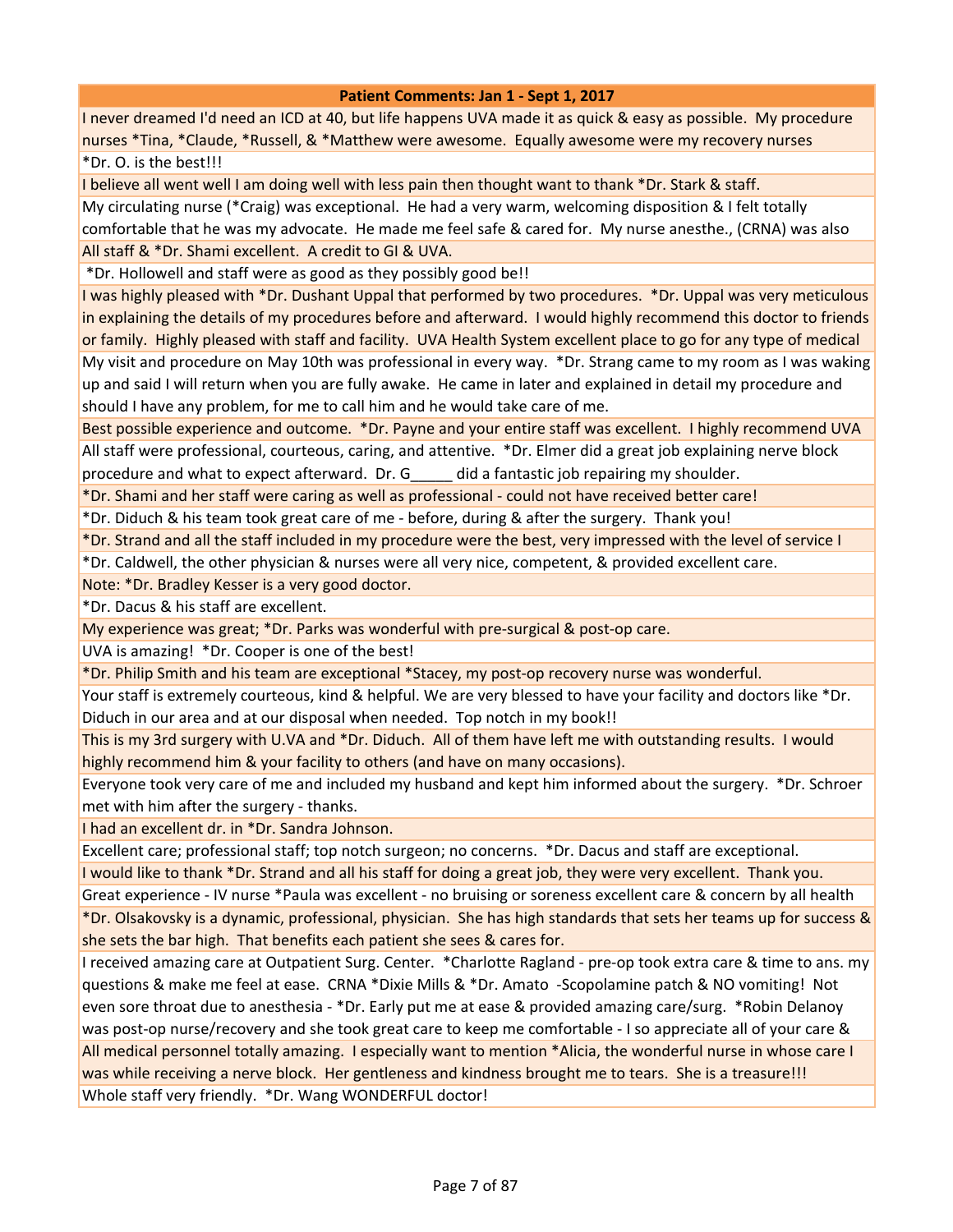I never dreamed I'd need an ICD at 40, but life happens UVA made it as quick & easy as possible. My procedure nurses \*Tina, \*Claude, \*Russell, & \*Matthew were awesome. Equally awesome were my recovery nurses \*Dr. O. is the best!!!

I believe all went well I am doing well with less pain then thought want to thank \*Dr. Stark & staff.

My circulating nurse (\*Craig) was exceptional. He had a very warm, welcoming disposition & I felt totally comfortable that he was my advocate. He made me feel safe & cared for. My nurse anesthe., (CRNA) was also All staff & \*Dr. Shami excellent. A credit to GI & UVA.

\*Dr. Hollowell and staff were as good as they possibly good be!!

I was highly pleased with \*Dr. Dushant Uppal that performed by two procedures. \*Dr. Uppal was very meticulous in explaining the details of my procedures before and afterward. I would highly recommend this doctor to friends or family. Highly pleased with staff and facility. UVA Health System excellent place to go for any type of medical

My visit and procedure on May 10th was professional in every way. \*Dr. Strang came to my room as I was waking up and said I will return when you are fully awake. He came in later and explained in detail my procedure and should I have any problem, for me to call him and he would take care of me.

Best possible experience and outcome. \*Dr. Payne and your entire staff was excellent. I highly recommend UVA All staff were professional, courteous, caring, and attentive. \*Dr. Elmer did a great job explaining nerve block

procedure and what to expect afterward. Dr. G\_\_\_\_\_ did a fantastic job repairing my shoulder.

\*Dr. Shami and her staff were caring as well as professional - could not have received better care!

\*Dr. Diduch & his team took great care of me - before, during & after the surgery. Thank you!

\*Dr. Strand and all the staff included in my procedure were the best, very impressed with the level of service I

\*Dr. Caldwell, the other physician & nurses were all very nice, competent, & provided excellent care.

Note: \*Dr. Bradley Kesser is a very good doctor.

\*Dr. Dacus & his staff are excellent.

My experience was great; \*Dr. Parks was wonderful with pre-surgical & post-op care.

UVA is amazing! \*Dr. Cooper is one of the best!

\*Dr. Philip Smith and his team are exceptional \*Stacey, my post-op recovery nurse was wonderful.

Your staff is extremely courteous, kind & helpful. We are very blessed to have your facility and doctors like \*Dr. Diduch in our area and at our disposal when needed. Top notch in my book!!

This is my 3rd surgery with U.VA and \*Dr. Diduch. All of them have left me with outstanding results. I would highly recommend him & your facility to others (and have on many occasions).

Everyone took very care of me and included my husband and kept him informed about the surgery. \*Dr. Schroer met with him after the surgery - thanks.

I had an excellent dr. in \*Dr. Sandra Johnson.

Excellent care; professional staff; top notch surgeon; no concerns. \*Dr. Dacus and staff are exceptional.

I would like to thank \*Dr. Strand and all his staff for doing a great job, they were very excellent. Thank you.

Great experience - IV nurse \*Paula was excellent - no bruising or soreness excellent care & concern by all health \*Dr. Olsakovsky is a dynamic, professional, physician. She has high standards that sets her teams up for success & she sets the bar high. That benefits each patient she sees & cares for.

I received amazing care at Outpatient Surg. Center. \*Charlotte Ragland - pre-op took extra care & time to ans. my questions & make me feel at ease. CRNA \*Dixie Mills & \*Dr. Amato -Scopolamine patch & NO vomiting! Not even sore throat due to anesthesia - \*Dr. Early put me at ease & provided amazing care/surg. \*Robin Delanoy was post-op nurse/recovery and she took great care to keep me comfortable - I so appreciate all of your care & All medical personnel totally amazing. I especially want to mention \*Alicia, the wonderful nurse in whose care I was while receiving a nerve block. Her gentleness and kindness brought me to tears. She is a treasure!!! Whole staff very friendly. \*Dr. Wang WONDERFUL doctor!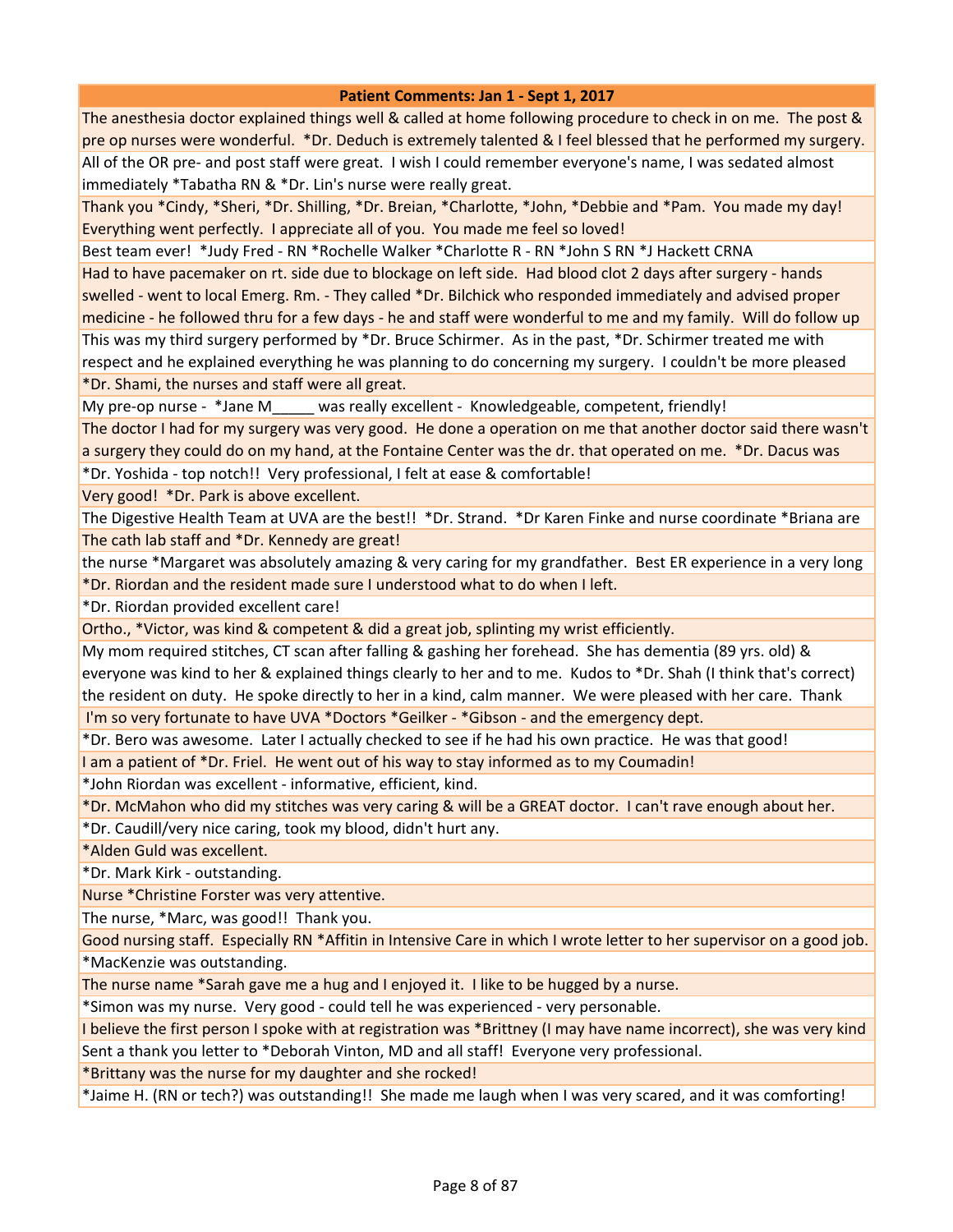The anesthesia doctor explained things well & called at home following procedure to check in on me. The post & pre op nurses were wonderful. \*Dr. Deduch is extremely talented & I feel blessed that he performed my surgery. All of the OR pre- and post staff were great. I wish I could remember everyone's name, I was sedated almost immediately \*Tabatha RN & \*Dr. Lin's nurse were really great.

Thank you \*Cindy, \*Sheri, \*Dr. Shilling, \*Dr. Breian, \*Charlotte, \*John, \*Debbie and \*Pam. You made my day! Everything went perfectly. I appreciate all of you. You made me feel so loved!

Best team ever! \*Judy Fred - RN \*Rochelle Walker \*Charlotte R - RN \*John S RN \*J Hackett CRNA

Had to have pacemaker on rt. side due to blockage on left side. Had blood clot 2 days after surgery - hands swelled - went to local Emerg. Rm. - They called \*Dr. Bilchick who responded immediately and advised proper medicine - he followed thru for a few days - he and staff were wonderful to me and my family. Will do follow up This was my third surgery performed by \*Dr. Bruce Schirmer. As in the past, \*Dr. Schirmer treated me with respect and he explained everything he was planning to do concerning my surgery. I couldn't be more pleased \*Dr. Shami, the nurses and staff were all great.

My pre-op nurse - \*Jane M\_\_\_\_\_ was really excellent - Knowledgeable, competent, friendly!

The doctor I had for my surgery was very good. He done a operation on me that another doctor said there wasn't a surgery they could do on my hand, at the Fontaine Center was the dr. that operated on me. \*Dr. Dacus was

\*Dr. Yoshida - top notch!! Very professional, I felt at ease & comfortable!

Very good! \*Dr. Park is above excellent.

The Digestive Health Team at UVA are the best!! \*Dr. Strand. \*Dr Karen Finke and nurse coordinate \*Briana are The cath lab staff and \*Dr. Kennedy are great!

the nurse \*Margaret was absolutely amazing & very caring for my grandfather. Best ER experience in a very long \*Dr. Riordan and the resident made sure I understood what to do when I left.

\*Dr. Riordan provided excellent care!

Ortho., \*Victor, was kind & competent & did a great job, splinting my wrist efficiently.

My mom required stitches, CT scan after falling & gashing her forehead. She has dementia (89 yrs. old) & everyone was kind to her & explained things clearly to her and to me. Kudos to \*Dr. Shah (I think that's correct) the resident on duty. He spoke directly to her in a kind, calm manner. We were pleased with her care. Thank I'm so very fortunate to have UVA \*Doctors \*Geilker - \*Gibson - and the emergency dept.

\*Dr. Bero was awesome. Later I actually checked to see if he had his own practice. He was that good!

I am a patient of \*Dr. Friel. He went out of his way to stay informed as to my Coumadin!

\*John Riordan was excellent - informative, efficient, kind.

\*Dr. McMahon who did my stitches was very caring & will be a GREAT doctor. I can't rave enough about her.

\*Dr. Caudill/very nice caring, took my blood, didn't hurt any.

\*Alden Guld was excellent.

\*Dr. Mark Kirk - outstanding.

Nurse \*Christine Forster was very attentive.

The nurse, \*Marc, was good!! Thank you.

Good nursing staff. Especially RN \*Affitin in Intensive Care in which I wrote letter to her supervisor on a good job. \*MacKenzie was outstanding.

The nurse name \*Sarah gave me a hug and I enjoyed it. I like to be hugged by a nurse.

\*Simon was my nurse. Very good - could tell he was experienced - very personable.

I believe the first person I spoke with at registration was \*Brittney (I may have name incorrect), she was very kind Sent a thank you letter to \*Deborah Vinton, MD and all staff! Everyone very professional.

\*Brittany was the nurse for my daughter and she rocked!

\*Jaime H. (RN or tech?) was outstanding!! She made me laugh when I was very scared, and it was comforting!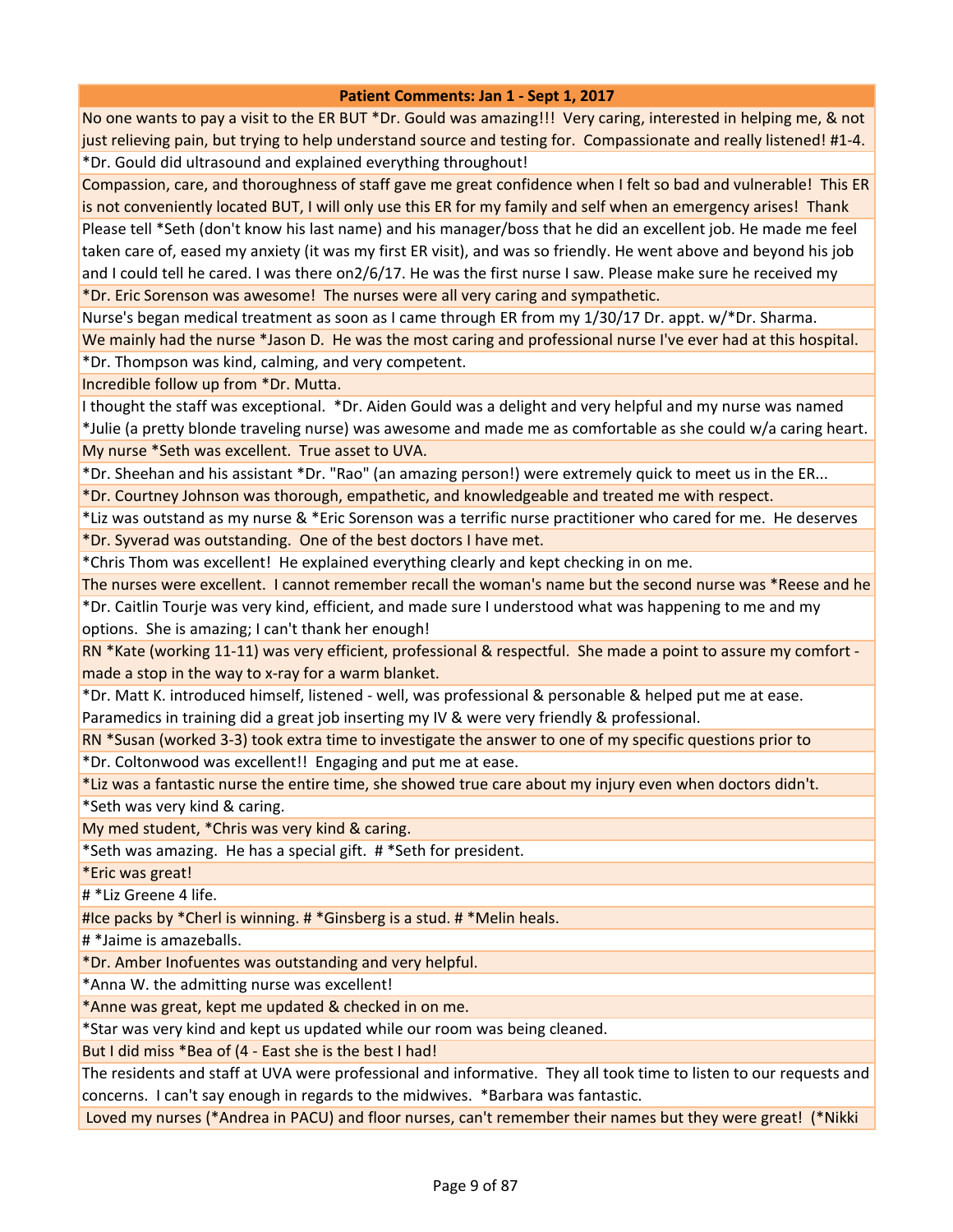No one wants to pay a visit to the ER BUT \*Dr. Gould was amazing!!! Very caring, interested in helping me, & not just relieving pain, but trying to help understand source and testing for. Compassionate and really listened! #1-4. \*Dr. Gould did ultrasound and explained everything throughout!

Compassion, care, and thoroughness of staff gave me great confidence when I felt so bad and vulnerable! This ER is not conveniently located BUT, I will only use this ER for my family and self when an emergency arises! Thank Please tell \*Seth (don't know his last name) and his manager/boss that he did an excellent job. He made me feel taken care of, eased my anxiety (it was my first ER visit), and was so friendly. He went above and beyond his job and I could tell he cared. I was there on2/6/17. He was the first nurse I saw. Please make sure he received my \*Dr. Eric Sorenson was awesome! The nurses were all very caring and sympathetic.

Nurse's began medical treatment as soon as I came through ER from my 1/30/17 Dr. appt. w/\*Dr. Sharma. We mainly had the nurse \*Jason D. He was the most caring and professional nurse I've ever had at this hospital.

\*Dr. Thompson was kind, calming, and very competent.

Incredible follow up from \*Dr. Mutta.

I thought the staff was exceptional. \*Dr. Aiden Gould was a delight and very helpful and my nurse was named \*Julie (a pretty blonde traveling nurse) was awesome and made me as comfortable as she could w/a caring heart. My nurse \*Seth was excellent. True asset to UVA.

\*Dr. Sheehan and his assistant \*Dr. "Rao" (an amazing person!) were extremely quick to meet us in the ER... \*Dr. Courtney Johnson was thorough, empathetic, and knowledgeable and treated me with respect.

\*Liz was outstand as my nurse & \*Eric Sorenson was a terrific nurse practitioner who cared for me. He deserves \*Dr. Syverad was outstanding. One of the best doctors I have met.

\*Chris Thom was excellent! He explained everything clearly and kept checking in on me.

The nurses were excellent. I cannot remember recall the woman's name but the second nurse was \*Reese and he \*Dr. Caitlin Tourje was very kind, efficient, and made sure I understood what was happening to me and my options. She is amazing; I can't thank her enough!

RN \*Kate (working 11-11) was very efficient, professional & respectful. She made a point to assure my comfort made a stop in the way to x-ray for a warm blanket.

\*Dr. Matt K. introduced himself, listened - well, was professional & personable & helped put me at ease. Paramedics in training did a great job inserting my IV & were very friendly & professional.

RN \*Susan (worked 3-3) took extra time to investigate the answer to one of my specific questions prior to

\*Dr. Coltonwood was excellent!! Engaging and put me at ease.

\*Liz was a fantastic nurse the entire time, she showed true care about my injury even when doctors didn't. \*Seth was very kind & caring.

My med student, \*Chris was very kind & caring.

\*Seth was amazing. He has a special gift. # \*Seth for president.

\*Eric was great!

# \*Liz Greene 4 life.

#Ice packs by \*Cherl is winning. # \*Ginsberg is a stud. # \*Melin heals.

# \*Jaime is amazeballs.

\*Dr. Amber Inofuentes was outstanding and very helpful.

\*Anna W. the admitting nurse was excellent!

\*Anne was great, kept me updated & checked in on me.

\*Star was very kind and kept us updated while our room was being cleaned.

But I did miss \*Bea of (4 - East she is the best I had!

The residents and staff at UVA were professional and informative. They all took time to listen to our requests and concerns. I can't say enough in regards to the midwives. \*Barbara was fantastic.

Loved my nurses (\*Andrea in PACU) and floor nurses, can't remember their names but they were great! (\*Nikki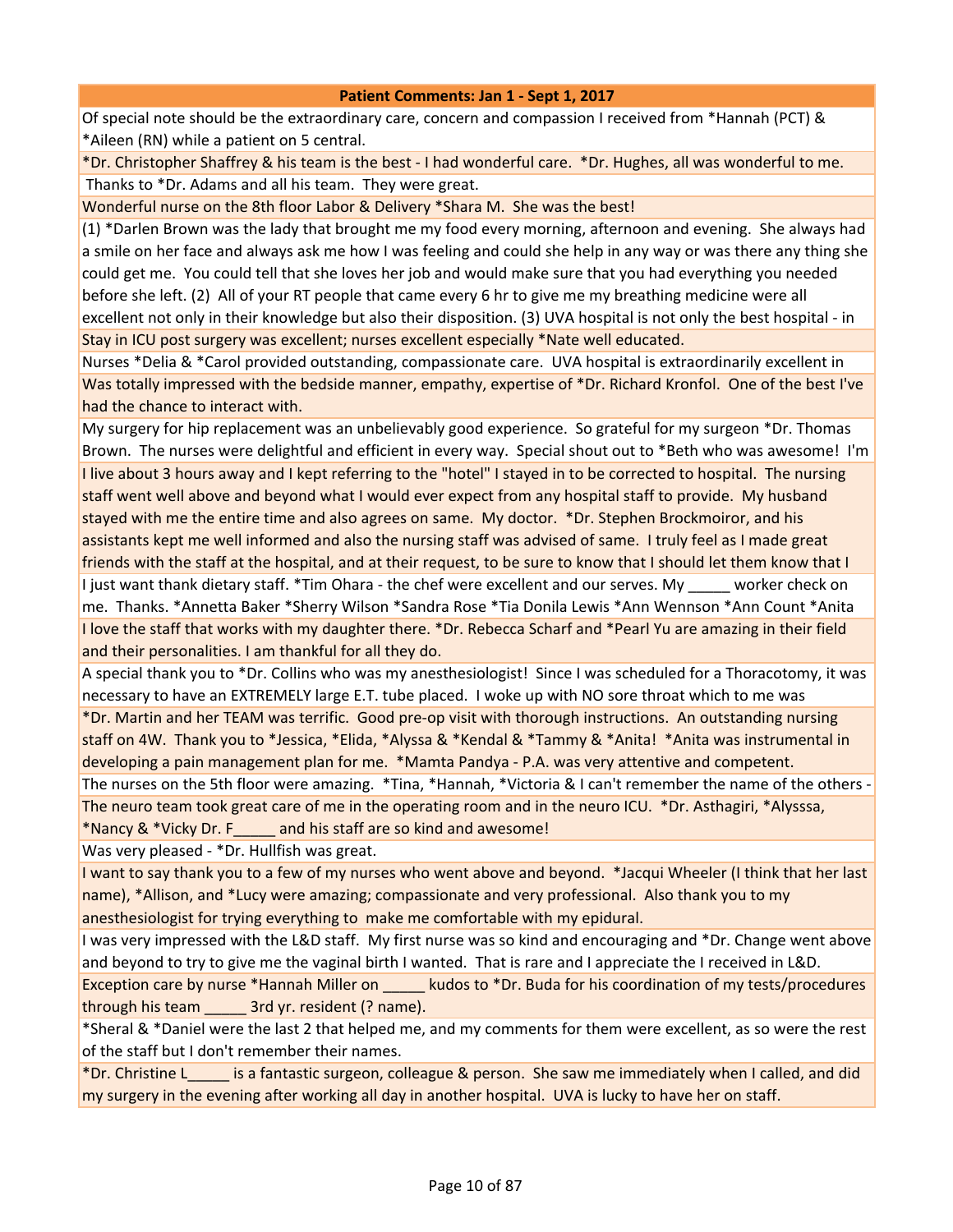Of special note should be the extraordinary care, concern and compassion I received from \*Hannah (PCT) & \*Aileen (RN) while a patient on 5 central.

\*Dr. Christopher Shaffrey & his team is the best - I had wonderful care. \*Dr. Hughes, all was wonderful to me. Thanks to \*Dr. Adams and all his team. They were great.

Wonderful nurse on the 8th floor Labor & Delivery \*Shara M. She was the best!

(1) \*Darlen Brown was the lady that brought me my food every morning, afternoon and evening. She always had a smile on her face and always ask me how I was feeling and could she help in any way or was there any thing she could get me. You could tell that she loves her job and would make sure that you had everything you needed before she left. (2) All of your RT people that came every 6 hr to give me my breathing medicine were all excellent not only in their knowledge but also their disposition. (3) UVA hospital is not only the best hospital - in Stay in ICU post surgery was excellent; nurses excellent especially \*Nate well educated.

Nurses \*Delia & \*Carol provided outstanding, compassionate care. UVA hospital is extraordinarily excellent in Was totally impressed with the bedside manner, empathy, expertise of \*Dr. Richard Kronfol. One of the best I've had the chance to interact with.

My surgery for hip replacement was an unbelievably good experience. So grateful for my surgeon \*Dr. Thomas Brown. The nurses were delightful and efficient in every way. Special shout out to \*Beth who was awesome! I'm I live about 3 hours away and I kept referring to the "hotel" I stayed in to be corrected to hospital. The nursing staff went well above and beyond what I would ever expect from any hospital staff to provide. My husband stayed with me the entire time and also agrees on same. My doctor. \*Dr. Stephen Brockmoiror, and his assistants kept me well informed and also the nursing staff was advised of same. I truly feel as I made great friends with the staff at the hospital, and at their request, to be sure to know that I should let them know that I I just want thank dietary staff. \*Tim Ohara - the chef were excellent and our serves. My \_\_\_\_\_ worker check on me. Thanks. \*Annetta Baker \*Sherry Wilson \*Sandra Rose \*Tia Donila Lewis \*Ann Wennson \*Ann Count \*Anita I love the staff that works with my daughter there. \*Dr. Rebecca Scharf and \*Pearl Yu are amazing in their field and their personalities. I am thankful for all they do.

A special thank you to \*Dr. Collins who was my anesthesiologist! Since I was scheduled for a Thoracotomy, it was necessary to have an EXTREMELY large E.T. tube placed. I woke up with NO sore throat which to me was

\*Dr. Martin and her TEAM was terrific. Good pre-op visit with thorough instructions. An outstanding nursing staff on 4W. Thank you to \*Jessica, \*Elida, \*Alyssa & \*Kendal & \*Tammy & \*Anita! \*Anita was instrumental in developing a pain management plan for me. \*Mamta Pandya - P.A. was very attentive and competent.

The nurses on the 5th floor were amazing. \*Tina, \*Hannah, \*Victoria & I can't remember the name of the others - The neuro team took great care of me in the operating room and in the neuro ICU. \*Dr. Asthagiri, \*Alysssa, \*Nancy & \*Vicky Dr. F\_\_\_\_\_ and his staff are so kind and awesome!

Was very pleased - \*Dr. Hullfish was great.

I want to say thank you to a few of my nurses who went above and beyond. \*Jacqui Wheeler (I think that her last name), \*Allison, and \*Lucy were amazing; compassionate and very professional. Also thank you to my anesthesiologist for trying everything to make me comfortable with my epidural.

I was very impressed with the L&D staff. My first nurse was so kind and encouraging and \*Dr. Change went above and beyond to try to give me the vaginal birth I wanted. That is rare and I appreciate the I received in L&D.

Exception care by nurse \*Hannah Miller on kudos to \*Dr. Buda for his coordination of my tests/procedures through his team \_\_\_\_\_ 3rd yr. resident (? name).

\*Sheral & \*Daniel were the last 2 that helped me, and my comments for them were excellent, as so were the rest of the staff but I don't remember their names.

\*Dr. Christine L\_\_\_\_\_ is a fantastic surgeon, colleague & person. She saw me immediately when I called, and did my surgery in the evening after working all day in another hospital. UVA is lucky to have her on staff.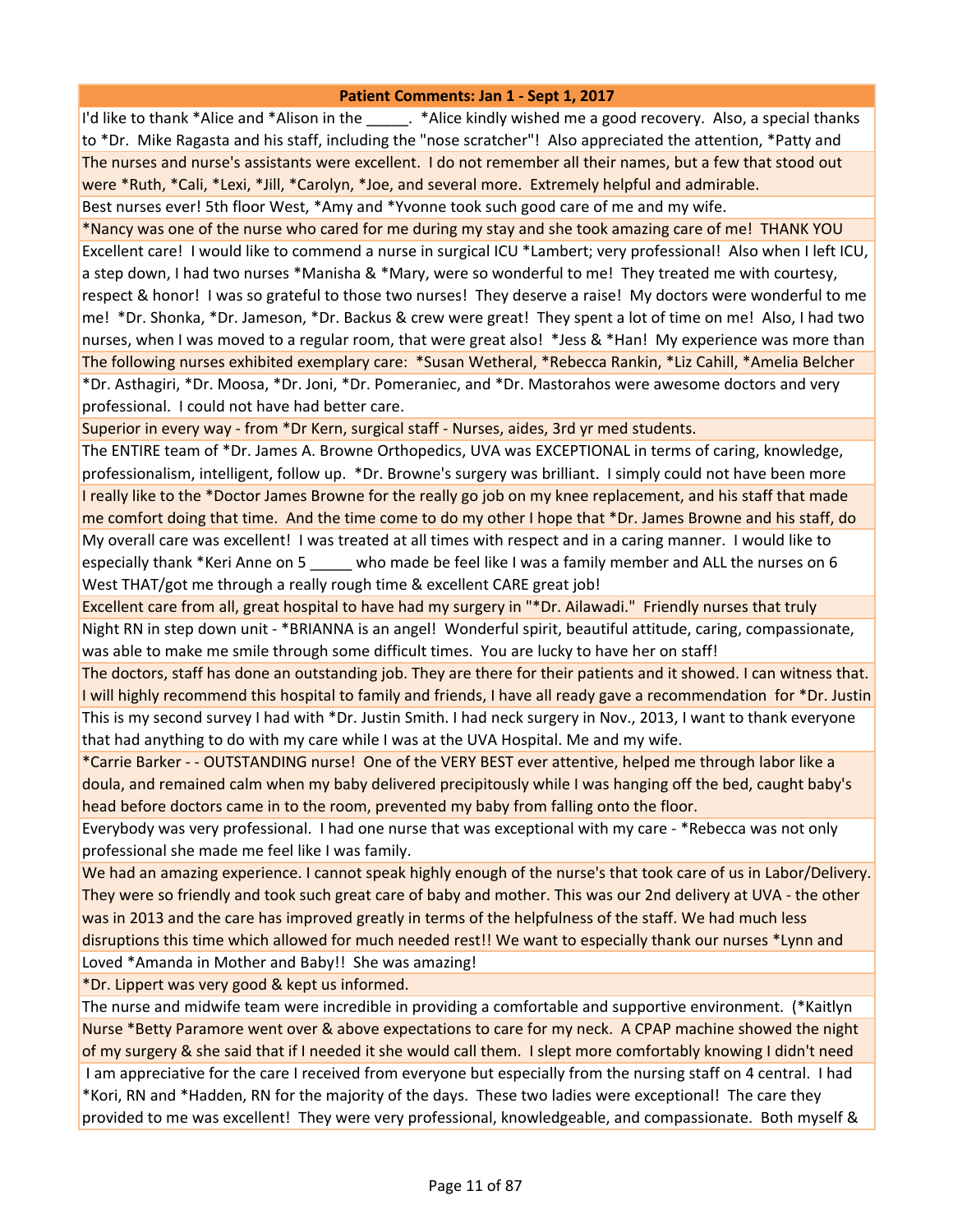I'd like to thank \*Alice and \*Alison in the  $\cdot$  . \*Alice kindly wished me a good recovery. Also, a special thanks to \*Dr. Mike Ragasta and his staff, including the "nose scratcher"! Also appreciated the attention, \*Patty and The nurses and nurse's assistants were excellent. I do not remember all their names, but a few that stood out were \*Ruth, \*Cali, \*Lexi, \*Jill, \*Carolyn, \*Joe, and several more. Extremely helpful and admirable. Best nurses ever! 5th floor West, \*Amy and \*Yvonne took such good care of me and my wife.

\*Nancy was one of the nurse who cared for me during my stay and she took amazing care of me! THANK YOU Excellent care! I would like to commend a nurse in surgical ICU \*Lambert; very professional! Also when I left ICU, a step down, I had two nurses \*Manisha & \*Mary, were so wonderful to me! They treated me with courtesy, respect & honor! I was so grateful to those two nurses! They deserve a raise! My doctors were wonderful to me me! \*Dr. Shonka, \*Dr. Jameson, \*Dr. Backus & crew were great! They spent a lot of time on me! Also, I had two nurses, when I was moved to a regular room, that were great also! \*Jess & \*Han! My experience was more than The following nurses exhibited exemplary care: \*Susan Wetheral, \*Rebecca Rankin, \*Liz Cahill, \*Amelia Belcher \*Dr. Asthagiri, \*Dr. Moosa, \*Dr. Joni, \*Dr. Pomeraniec, and \*Dr. Mastorahos were awesome doctors and very professional. I could not have had better care.

Superior in every way - from \*Dr Kern, surgical staff - Nurses, aides, 3rd yr med students.

The ENTIRE team of \*Dr. James A. Browne Orthopedics, UVA was EXCEPTIONAL in terms of caring, knowledge, professionalism, intelligent, follow up. \*Dr. Browne's surgery was brilliant. I simply could not have been more I really like to the \*Doctor James Browne for the really go job on my knee replacement, and his staff that made me comfort doing that time. And the time come to do my other I hope that \*Dr. James Browne and his staff, do My overall care was excellent! I was treated at all times with respect and in a caring manner. I would like to especially thank \*Keri Anne on 5 who made be feel like I was a family member and ALL the nurses on 6 West THAT/got me through a really rough time & excellent CARE great job!

Excellent care from all, great hospital to have had my surgery in "\*Dr. Ailawadi." Friendly nurses that truly Night RN in step down unit - \*BRIANNA is an angel! Wonderful spirit, beautiful attitude, caring, compassionate, was able to make me smile through some difficult times. You are lucky to have her on staff!

The doctors, staff has done an outstanding job. They are there for their patients and it showed. I can witness that. I will highly recommend this hospital to family and friends, I have all ready gave a recommendation for \*Dr. Justin This is my second survey I had with \*Dr. Justin Smith. I had neck surgery in Nov., 2013, I want to thank everyone that had anything to do with my care while I was at the UVA Hospital. Me and my wife.

\*Carrie Barker - - OUTSTANDING nurse! One of the VERY BEST ever attentive, helped me through labor like a doula, and remained calm when my baby delivered precipitously while I was hanging off the bed, caught baby's head before doctors came in to the room, prevented my baby from falling onto the floor.

Everybody was very professional. I had one nurse that was exceptional with my care - \*Rebecca was not only professional she made me feel like I was family.

We had an amazing experience. I cannot speak highly enough of the nurse's that took care of us in Labor/Delivery. They were so friendly and took such great care of baby and mother. This was our 2nd delivery at UVA - the other was in 2013 and the care has improved greatly in terms of the helpfulness of the staff. We had much less disruptions this time which allowed for much needed rest!! We want to especially thank our nurses \*Lynn and Loved \*Amanda in Mother and Baby!! She was amazing!

\*Dr. Lippert was very good & kept us informed.

The nurse and midwife team were incredible in providing a comfortable and supportive environment. (\*Kaitlyn Nurse \*Betty Paramore went over & above expectations to care for my neck. A CPAP machine showed the night of my surgery & she said that if I needed it she would call them. I slept more comfortably knowing I didn't need I am appreciative for the care I received from everyone but especially from the nursing staff on 4 central. I had \*Kori, RN and \*Hadden, RN for the majority of the days. These two ladies were exceptional! The care they provided to me was excellent! They were very professional, knowledgeable, and compassionate. Both myself &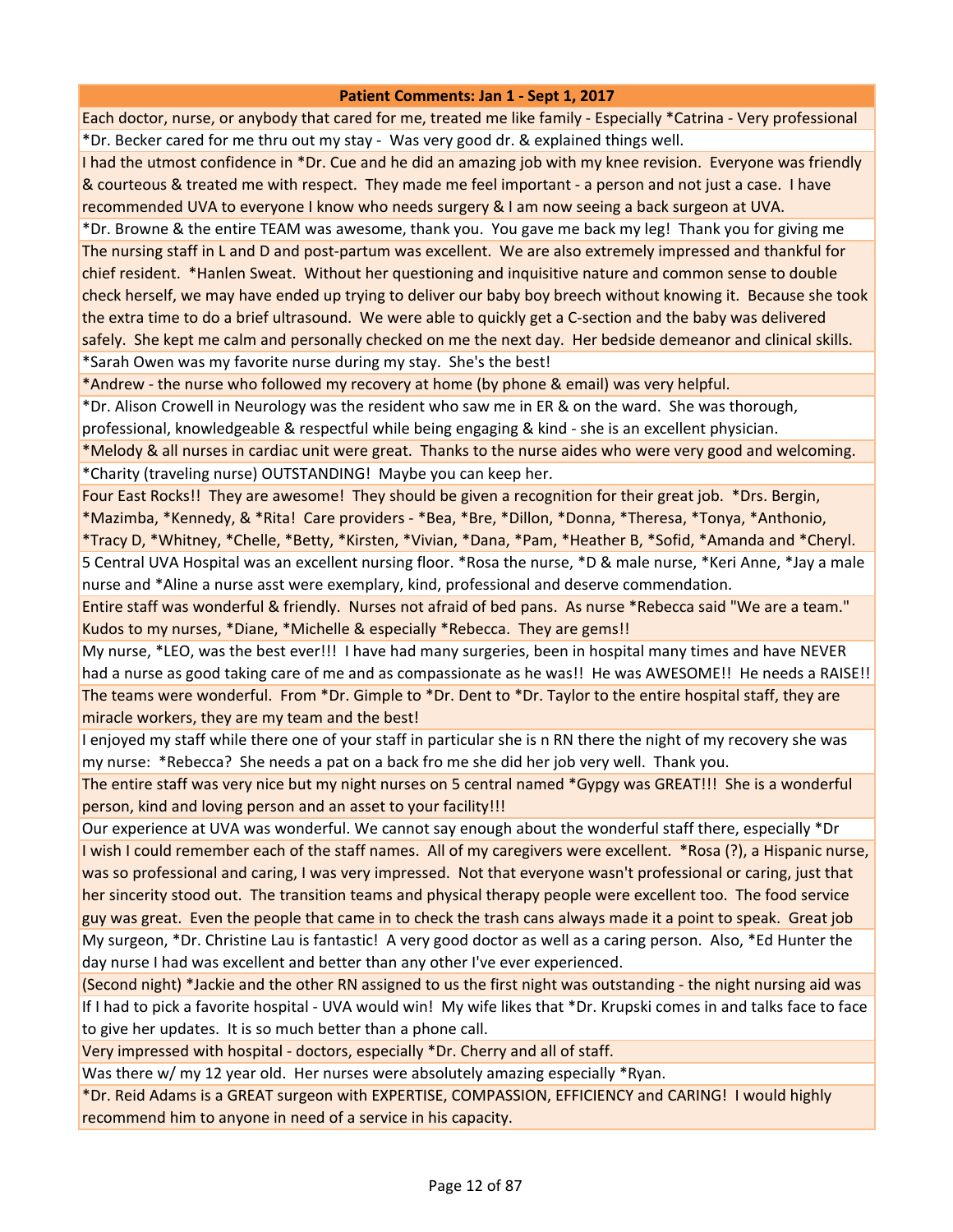Each doctor, nurse, or anybody that cared for me, treated me like family - Especially \*Catrina - Very professional \*Dr. Becker cared for me thru out my stay - Was very good dr. & explained things well.

I had the utmost confidence in \*Dr. Cue and he did an amazing job with my knee revision. Everyone was friendly & courteous & treated me with respect. They made me feel important - a person and not just a case. I have recommended UVA to everyone I know who needs surgery & I am now seeing a back surgeon at UVA.

\*Dr. Browne & the entire TEAM was awesome, thank you. You gave me back my leg! Thank you for giving me The nursing staff in L and D and post-partum was excellent. We are also extremely impressed and thankful for chief resident. \*Hanlen Sweat. Without her questioning and inquisitive nature and common sense to double check herself, we may have ended up trying to deliver our baby boy breech without knowing it. Because she took the extra time to do a brief ultrasound. We were able to quickly get a C-section and the baby was delivered safely. She kept me calm and personally checked on me the next day. Her bedside demeanor and clinical skills. \*Sarah Owen was my favorite nurse during my stay. She's the best!

\*Andrew - the nurse who followed my recovery at home (by phone & email) was very helpful.

\*Dr. Alison Crowell in Neurology was the resident who saw me in ER & on the ward. She was thorough,

professional, knowledgeable & respectful while being engaging & kind - she is an excellent physician.

\*Melody & all nurses in cardiac unit were great. Thanks to the nurse aides who were very good and welcoming. \*Charity (traveling nurse) OUTSTANDING! Maybe you can keep her.

Four East Rocks!! They are awesome! They should be given a recognition for their great job. \*Drs. Bergin, \*Mazimba, \*Kennedy, & \*Rita! Care providers - \*Bea, \*Bre, \*Dillon, \*Donna, \*Theresa, \*Tonya, \*Anthonio,

\*Tracy D, \*Whitney, \*Chelle, \*Betty, \*Kirsten, \*Vivian, \*Dana, \*Pam, \*Heather B, \*Sofid, \*Amanda and \*Cheryl. 5 Central UVA Hospital was an excellent nursing floor. \*Rosa the nurse, \*D & male nurse, \*Keri Anne, \*Jay a male nurse and \*Aline a nurse asst were exemplary, kind, professional and deserve commendation.

Entire staff was wonderful & friendly. Nurses not afraid of bed pans. As nurse \*Rebecca said "We are a team." Kudos to my nurses, \*Diane, \*Michelle & especially \*Rebecca. They are gems!!

My nurse, \*LEO, was the best ever!!! I have had many surgeries, been in hospital many times and have NEVER had a nurse as good taking care of me and as compassionate as he was!! He was AWESOME!! He needs a RAISE!! The teams were wonderful. From \*Dr. Gimple to \*Dr. Dent to \*Dr. Taylor to the entire hospital staff, they are miracle workers, they are my team and the best!

I enjoyed my staff while there one of your staff in particular she is n RN there the night of my recovery she was my nurse: \*Rebecca? She needs a pat on a back fro me she did her job very well. Thank you.

The entire staff was very nice but my night nurses on 5 central named \*Gypgy was GREAT!!! She is a wonderful person, kind and loving person and an asset to your facility!!!

Our experience at UVA was wonderful. We cannot say enough about the wonderful staff there, especially \*Dr I wish I could remember each of the staff names. All of my caregivers were excellent. \*Rosa (?), a Hispanic nurse, was so professional and caring, I was very impressed. Not that everyone wasn't professional or caring, just that her sincerity stood out. The transition teams and physical therapy people were excellent too. The food service guy was great. Even the people that came in to check the trash cans always made it a point to speak. Great job My surgeon, \*Dr. Christine Lau is fantastic! A very good doctor as well as a caring person. Also, \*Ed Hunter the day nurse I had was excellent and better than any other I've ever experienced.

(Second night) \*Jackie and the other RN assigned to us the first night was outstanding - the night nursing aid was If I had to pick a favorite hospital - UVA would win! My wife likes that \*Dr. Krupski comes in and talks face to face to give her updates. It is so much better than a phone call.

Very impressed with hospital - doctors, especially \*Dr. Cherry and all of staff.

Was there w/ my 12 year old. Her nurses were absolutely amazing especially \*Ryan.

\*Dr. Reid Adams is a GREAT surgeon with EXPERTISE, COMPASSION, EFFICIENCY and CARING! I would highly recommend him to anyone in need of a service in his capacity.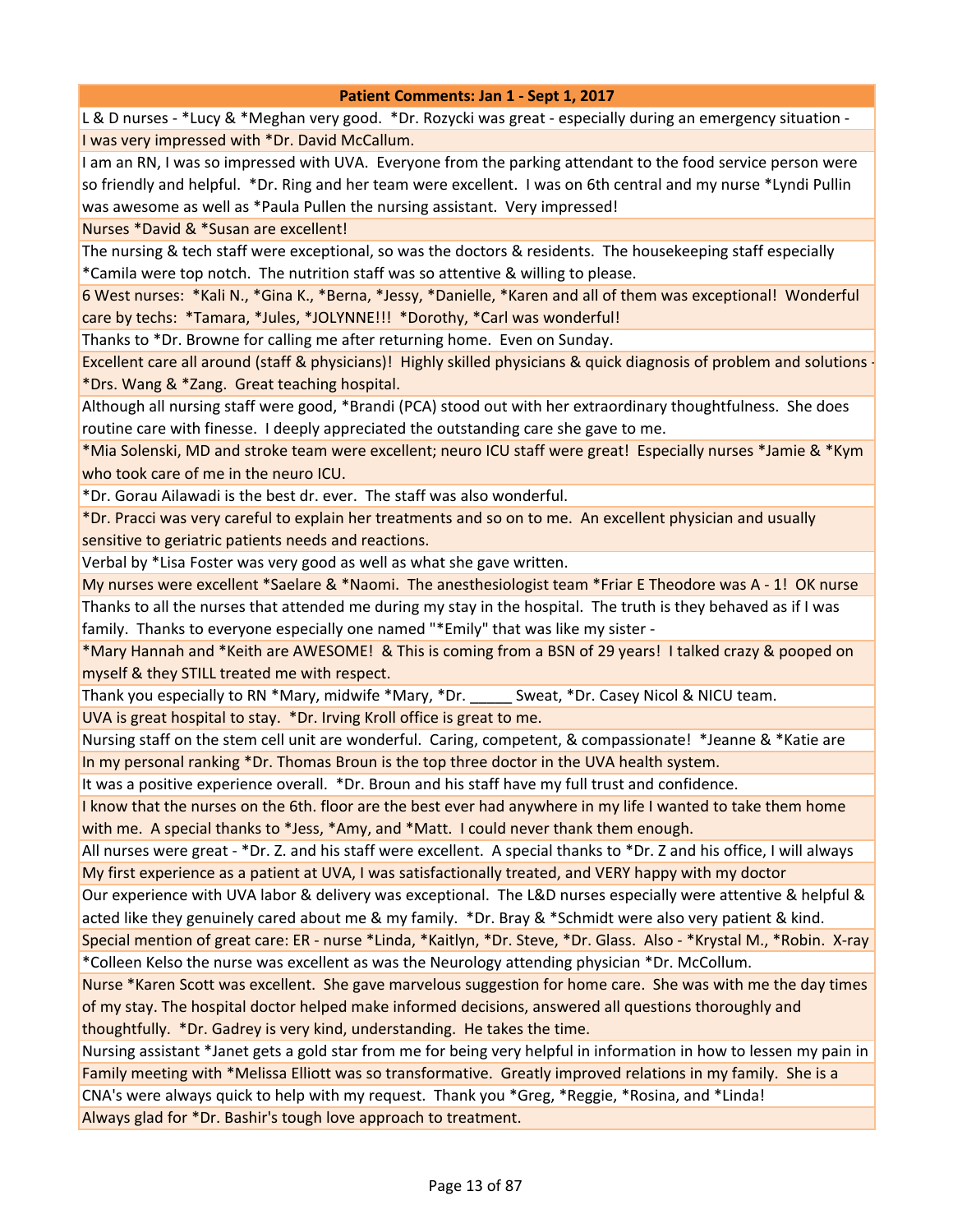L & D nurses - \*Lucy & \*Meghan very good. \*Dr. Rozycki was great - especially during an emergency situation - I was very impressed with \*Dr. David McCallum.

I am an RN, I was so impressed with UVA. Everyone from the parking attendant to the food service person were so friendly and helpful. \*Dr. Ring and her team were excellent. I was on 6th central and my nurse \*Lyndi Pullin was awesome as well as \*Paula Pullen the nursing assistant. Very impressed!

Nurses \*David & \*Susan are excellent!

The nursing & tech staff were exceptional, so was the doctors & residents. The housekeeping staff especially \*Camila were top notch. The nutrition staff was so attentive & willing to please.

6 West nurses: \*Kali N., \*Gina K., \*Berna, \*Jessy, \*Danielle, \*Karen and all of them was exceptional! Wonderful care by techs: \*Tamara, \*Jules, \*JOLYNNE!!! \*Dorothy, \*Carl was wonderful!

Thanks to \*Dr. Browne for calling me after returning home. Even on Sunday.

Excellent care all around (staff & physicians)! Highly skilled physicians & quick diagnosis of problem and solutions - \*Drs. Wang & \*Zang. Great teaching hospital.

Although all nursing staff were good, \*Brandi (PCA) stood out with her extraordinary thoughtfulness. She does routine care with finesse. I deeply appreciated the outstanding care she gave to me.

\*Mia Solenski, MD and stroke team were excellent; neuro ICU staff were great! Especially nurses \*Jamie & \*Kym who took care of me in the neuro ICU.

\*Dr. Gorau Ailawadi is the best dr. ever. The staff was also wonderful.

\*Dr. Pracci was very careful to explain her treatments and so on to me. An excellent physician and usually sensitive to geriatric patients needs and reactions.

Verbal by \*Lisa Foster was very good as well as what she gave written.

My nurses were excellent \*Saelare & \*Naomi. The anesthesiologist team \*Friar E Theodore was A - 1! OK nurse Thanks to all the nurses that attended me during my stay in the hospital. The truth is they behaved as if I was

family. Thanks to everyone especially one named "\*Emily" that was like my sister -

\*Mary Hannah and \*Keith are AWESOME! & This is coming from a BSN of 29 years! I talked crazy & pooped on myself & they STILL treated me with respect.

Thank you especially to RN \*Mary, midwife \*Mary, \*Dr. \_\_\_\_\_ Sweat, \*Dr. Casey Nicol & NICU team.

UVA is great hospital to stay. \*Dr. Irving Kroll office is great to me.

Nursing staff on the stem cell unit are wonderful. Caring, competent, & compassionate! \*Jeanne & \*Katie are In my personal ranking \*Dr. Thomas Broun is the top three doctor in the UVA health system.

It was a positive experience overall. \*Dr. Broun and his staff have my full trust and confidence.

I know that the nurses on the 6th. floor are the best ever had anywhere in my life I wanted to take them home with me. A special thanks to \*Jess, \*Amy, and \*Matt. I could never thank them enough.

All nurses were great - \*Dr. Z. and his staff were excellent. A special thanks to \*Dr. Z and his office, I will always My first experience as a patient at UVA, I was satisfactionally treated, and VERY happy with my doctor

Our experience with UVA labor & delivery was exceptional. The L&D nurses especially were attentive & helpful & acted like they genuinely cared about me & my family. \*Dr. Bray & \*Schmidt were also very patient & kind.

Special mention of great care: ER - nurse \*Linda, \*Kaitlyn, \*Dr. Steve, \*Dr. Glass. Also - \*Krystal M., \*Robin. X-ray \*Colleen Kelso the nurse was excellent as was the Neurology attending physician \*Dr. McCollum.

Nurse \*Karen Scott was excellent. She gave marvelous suggestion for home care. She was with me the day times of my stay. The hospital doctor helped make informed decisions, answered all questions thoroughly and thoughtfully. \*Dr. Gadrey is very kind, understanding. He takes the time.

Nursing assistant \*Janet gets a gold star from me for being very helpful in information in how to lessen my pain in Family meeting with \*Melissa Elliott was so transformative. Greatly improved relations in my family. She is a CNA's were always quick to help with my request. Thank you \*Greg, \*Reggie, \*Rosina, and \*Linda! Always glad for \*Dr. Bashir's tough love approach to treatment.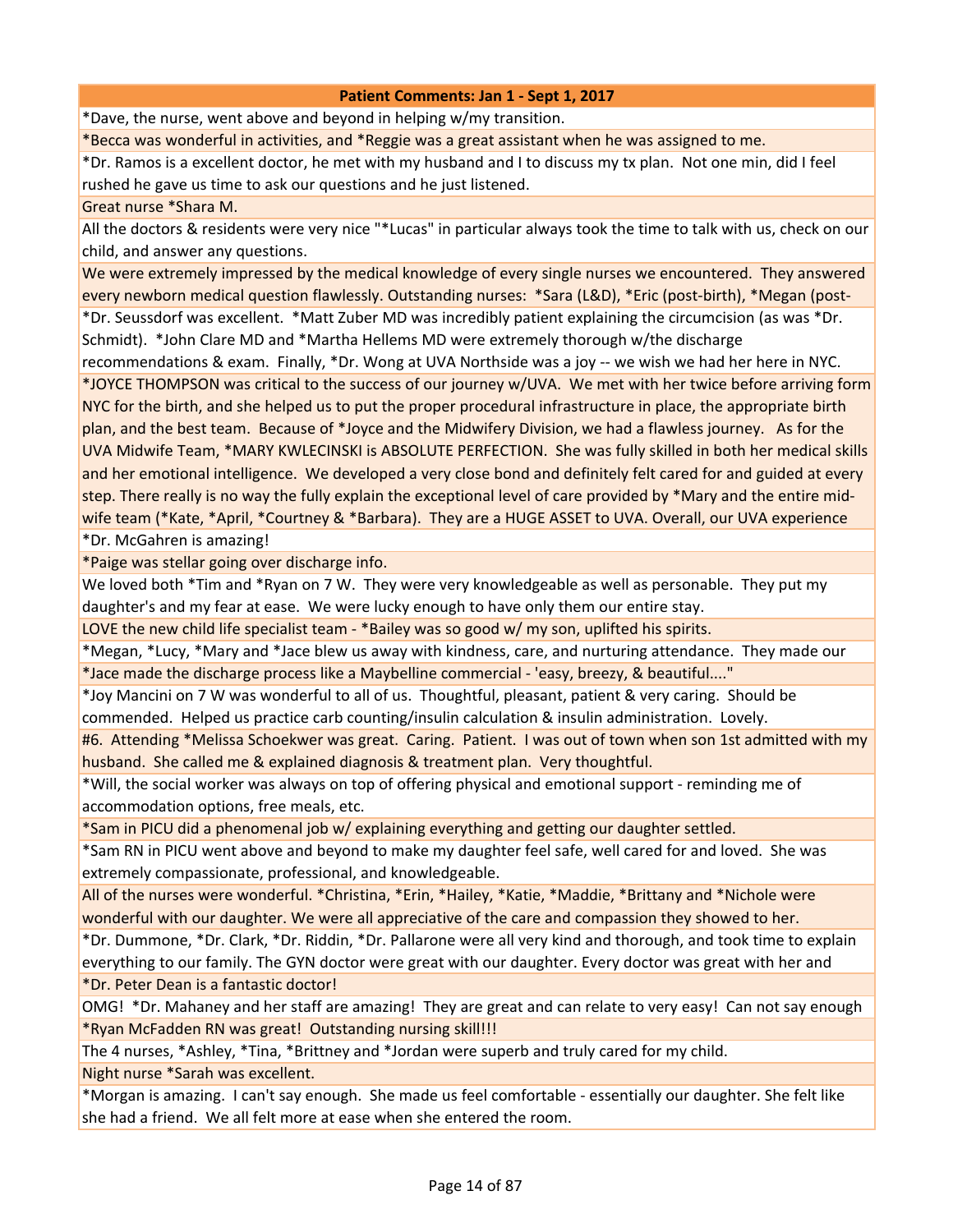\*Dave, the nurse, went above and beyond in helping w/my transition.

\*Becca was wonderful in activities, and \*Reggie was a great assistant when he was assigned to me.

\*Dr. Ramos is a excellent doctor, he met with my husband and I to discuss my tx plan. Not one min, did I feel rushed he gave us time to ask our questions and he just listened.

#### Great nurse \*Shara M.

All the doctors & residents were very nice "\*Lucas" in particular always took the time to talk with us, check on our child, and answer any questions.

We were extremely impressed by the medical knowledge of every single nurses we encountered. They answered every newborn medical question flawlessly. Outstanding nurses: \*Sara (L&D), \*Eric (post-birth), \*Megan (post- \*Dr. Seussdorf was excellent. \*Matt Zuber MD was incredibly patient explaining the circumcision (as was \*Dr. Schmidt). \*John Clare MD and \*Martha Hellems MD were extremely thorough w/the discharge

recommendations & exam. Finally, \*Dr. Wong at UVA Northside was a joy -- we wish we had her here in NYC.

\*JOYCE THOMPSON was critical to the success of our journey w/UVA. We met with her twice before arriving form NYC for the birth, and she helped us to put the proper procedural infrastructure in place, the appropriate birth plan, and the best team. Because of \*Joyce and the Midwifery Division, we had a flawless journey. As for the UVA Midwife Team, \*MARY KWLECINSKI is ABSOLUTE PERFECTION. She was fully skilled in both her medical skills and her emotional intelligence. We developed a very close bond and definitely felt cared for and guided at every step. There really is no way the fully explain the exceptional level of care provided by \*Mary and the entire midwife team (\*Kate, \*April, \*Courtney & \*Barbara). They are a HUGE ASSET to UVA. Overall, our UVA experience \*Dr. McGahren is amazing!

\*Paige was stellar going over discharge info.

We loved both \*Tim and \*Ryan on 7 W. They were very knowledgeable as well as personable. They put my daughter's and my fear at ease. We were lucky enough to have only them our entire stay.

LOVE the new child life specialist team - \*Bailey was so good w/ my son, uplifted his spirits.

\*Megan, \*Lucy, \*Mary and \*Jace blew us away with kindness, care, and nurturing attendance. They made our \*Jace made the discharge process like a Maybelline commercial - 'easy, breezy, & beautiful...."

\*Joy Mancini on 7 W was wonderful to all of us. Thoughtful, pleasant, patient & very caring. Should be commended. Helped us practice carb counting/insulin calculation & insulin administration. Lovely.

#6. Attending \*Melissa Schoekwer was great. Caring. Patient. I was out of town when son 1st admitted with my husband. She called me & explained diagnosis & treatment plan. Very thoughtful.

\*Will, the social worker was always on top of offering physical and emotional support - reminding me of accommodation options, free meals, etc.

\*Sam in PICU did a phenomenal job w/ explaining everything and getting our daughter settled.

\*Sam RN in PICU went above and beyond to make my daughter feel safe, well cared for and loved. She was extremely compassionate, professional, and knowledgeable.

All of the nurses were wonderful. \*Christina, \*Erin, \*Hailey, \*Katie, \*Maddie, \*Brittany and \*Nichole were wonderful with our daughter. We were all appreciative of the care and compassion they showed to her.

\*Dr. Dummone, \*Dr. Clark, \*Dr. Riddin, \*Dr. Pallarone were all very kind and thorough, and took time to explain everything to our family. The GYN doctor were great with our daughter. Every doctor was great with her and \*Dr. Peter Dean is a fantastic doctor!

OMG! \*Dr. Mahaney and her staff are amazing! They are great and can relate to very easy! Can not say enough \*Ryan McFadden RN was great! Outstanding nursing skill!!!

The 4 nurses, \*Ashley, \*Tina, \*Brittney and \*Jordan were superb and truly cared for my child. Night nurse \*Sarah was excellent.

\*Morgan is amazing. I can't say enough. She made us feel comfortable - essentially our daughter. She felt like she had a friend. We all felt more at ease when she entered the room.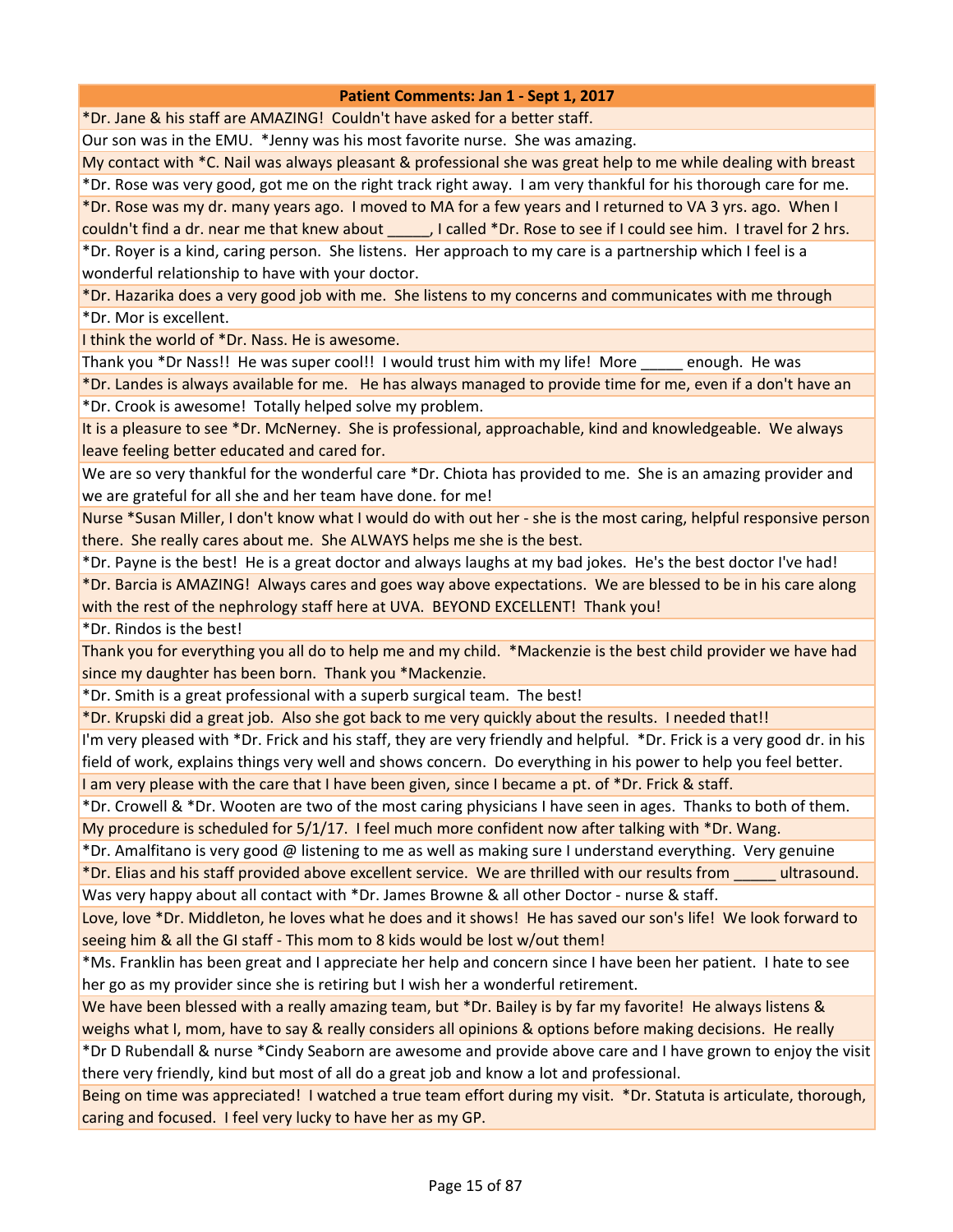\*Dr. Jane & his staff are AMAZING! Couldn't have asked for a better staff.

Our son was in the EMU. \*Jenny was his most favorite nurse. She was amazing.

My contact with \*C. Nail was always pleasant & professional she was great help to me while dealing with breast

\*Dr. Rose was very good, got me on the right track right away. I am very thankful for his thorough care for me.

\*Dr. Rose was my dr. many years ago. I moved to MA for a few years and I returned to VA 3 yrs. ago. When I

couldn't find a dr. near me that knew about \_\_\_\_\_, I called \*Dr. Rose to see if I could see him. I travel for 2 hrs. \*Dr. Royer is a kind, caring person. She listens. Her approach to my care is a partnership which I feel is a wonderful relationship to have with your doctor.

\*Dr. Hazarika does a very good job with me. She listens to my concerns and communicates with me through \*Dr. Mor is excellent.

I think the world of \*Dr. Nass. He is awesome.

Thank you \*Dr Nass!! He was super cool!! I would trust him with my life! More \_\_\_\_\_ enough. He was

\*Dr. Landes is always available for me. He has always managed to provide time for me, even if a don't have an \*Dr. Crook is awesome! Totally helped solve my problem.

It is a pleasure to see \*Dr. McNerney. She is professional, approachable, kind and knowledgeable. We always leave feeling better educated and cared for.

We are so very thankful for the wonderful care \*Dr. Chiota has provided to me. She is an amazing provider and we are grateful for all she and her team have done. for me!

Nurse \*Susan Miller, I don't know what I would do with out her - she is the most caring, helpful responsive person there. She really cares about me. She ALWAYS helps me she is the best.

\*Dr. Payne is the best! He is a great doctor and always laughs at my bad jokes. He's the best doctor I've had!

\*Dr. Barcia is AMAZING! Always cares and goes way above expectations. We are blessed to be in his care along with the rest of the nephrology staff here at UVA. BEYOND EXCELLENT! Thank you!

\*Dr. Rindos is the best!

Thank you for everything you all do to help me and my child. \*Mackenzie is the best child provider we have had since my daughter has been born. Thank you \*Mackenzie.

\*Dr. Smith is a great professional with a superb surgical team. The best!

\*Dr. Krupski did a great job. Also she got back to me very quickly about the results. I needed that!!

I'm very pleased with \*Dr. Frick and his staff, they are very friendly and helpful. \*Dr. Frick is a very good dr. in his field of work, explains things very well and shows concern. Do everything in his power to help you feel better.

I am very please with the care that I have been given, since I became a pt. of \*Dr. Frick & staff.

\*Dr. Crowell & \*Dr. Wooten are two of the most caring physicians I have seen in ages. Thanks to both of them. My procedure is scheduled for 5/1/17. I feel much more confident now after talking with \*Dr. Wang.

\*Dr. Amalfitano is very good @ listening to me as well as making sure I understand everything. Very genuine

\*Dr. Elias and his staff provided above excellent service. We are thrilled with our results from \_\_\_\_\_ ultrasound. Was very happy about all contact with \*Dr. James Browne & all other Doctor - nurse & staff.

Love, love \*Dr. Middleton, he loves what he does and it shows! He has saved our son's life! We look forward to seeing him & all the GI staff - This mom to 8 kids would be lost w/out them!

\*Ms. Franklin has been great and I appreciate her help and concern since I have been her patient. I hate to see her go as my provider since she is retiring but I wish her a wonderful retirement.

We have been blessed with a really amazing team, but \*Dr. Bailey is by far my favorite! He always listens & weighs what I, mom, have to say & really considers all opinions & options before making decisions. He really

\*Dr D Rubendall & nurse \*Cindy Seaborn are awesome and provide above care and I have grown to enjoy the visit there very friendly, kind but most of all do a great job and know a lot and professional.

Being on time was appreciated! I watched a true team effort during my visit. \*Dr. Statuta is articulate, thorough, caring and focused. I feel very lucky to have her as my GP.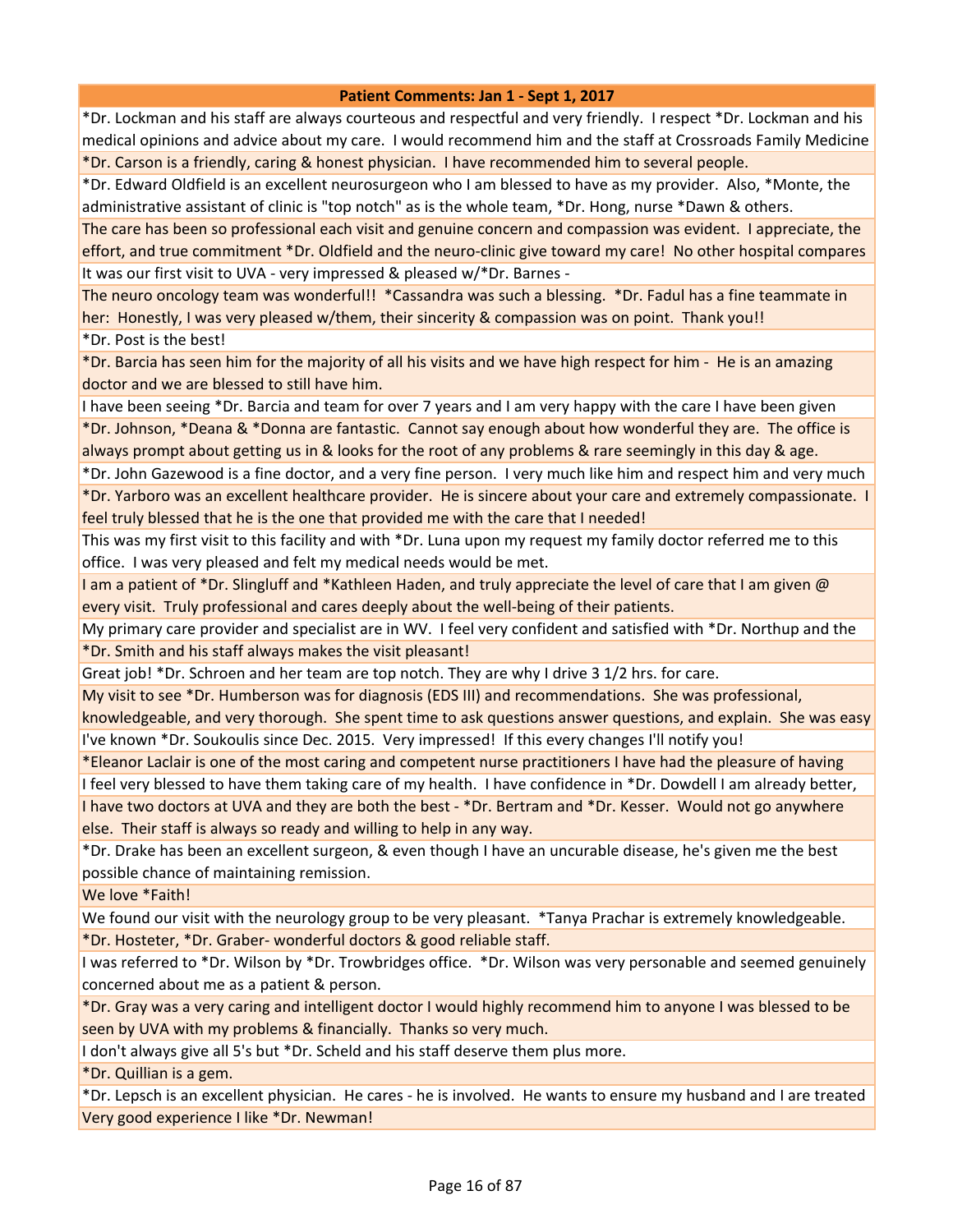\*Dr. Lockman and his staff are always courteous and respectful and very friendly. I respect \*Dr. Lockman and his medical opinions and advice about my care. I would recommend him and the staff at Crossroads Family Medicine \*Dr. Carson is a friendly, caring & honest physician. I have recommended him to several people.

\*Dr. Edward Oldfield is an excellent neurosurgeon who I am blessed to have as my provider. Also, \*Monte, the administrative assistant of clinic is "top notch" as is the whole team, \*Dr. Hong, nurse \*Dawn & others.

The care has been so professional each visit and genuine concern and compassion was evident. I appreciate, the effort, and true commitment \*Dr. Oldfield and the neuro-clinic give toward my care! No other hospital compares It was our first visit to UVA - very impressed & pleased w/\*Dr. Barnes -

The neuro oncology team was wonderful!! \*Cassandra was such a blessing. \*Dr. Fadul has a fine teammate in her: Honestly, I was very pleased w/them, their sincerity & compassion was on point. Thank you!!

\*Dr. Post is the best!

\*Dr. Barcia has seen him for the majority of all his visits and we have high respect for him - He is an amazing doctor and we are blessed to still have him.

I have been seeing \*Dr. Barcia and team for over 7 years and I am very happy with the care I have been given \*Dr. Johnson, \*Deana & \*Donna are fantastic. Cannot say enough about how wonderful they are. The office is always prompt about getting us in & looks for the root of any problems & rare seemingly in this day & age.

\*Dr. John Gazewood is a fine doctor, and a very fine person. I very much like him and respect him and very much \*Dr. Yarboro was an excellent healthcare provider. He is sincere about your care and extremely compassionate. I feel truly blessed that he is the one that provided me with the care that I needed!

This was my first visit to this facility and with \*Dr. Luna upon my request my family doctor referred me to this office. I was very pleased and felt my medical needs would be met.

I am a patient of \*Dr. Slingluff and \*Kathleen Haden, and truly appreciate the level of care that I am given @ every visit. Truly professional and cares deeply about the well-being of their patients.

My primary care provider and specialist are in WV. I feel very confident and satisfied with \*Dr. Northup and the \*Dr. Smith and his staff always makes the visit pleasant!

Great job! \*Dr. Schroen and her team are top notch. They are why I drive 3 1/2 hrs. for care.

My visit to see \*Dr. Humberson was for diagnosis (EDS III) and recommendations. She was professional,

knowledgeable, and very thorough. She spent time to ask questions answer questions, and explain. She was easy I've known \*Dr. Soukoulis since Dec. 2015. Very impressed! If this every changes I'll notify you!

\*Eleanor Laclair is one of the most caring and competent nurse practitioners I have had the pleasure of having

I feel very blessed to have them taking care of my health. I have confidence in \*Dr. Dowdell I am already better, I have two doctors at UVA and they are both the best - \*Dr. Bertram and \*Dr. Kesser. Would not go anywhere else. Their staff is always so ready and willing to help in any way.

\*Dr. Drake has been an excellent surgeon, & even though I have an uncurable disease, he's given me the best possible chance of maintaining remission.

We love \*Faith!

We found our visit with the neurology group to be very pleasant. \*Tanya Prachar is extremely knowledgeable. \*Dr. Hosteter, \*Dr. Graber- wonderful doctors & good reliable staff.

I was referred to \*Dr. Wilson by \*Dr. Trowbridges office. \*Dr. Wilson was very personable and seemed genuinely concerned about me as a patient & person.

\*Dr. Gray was a very caring and intelligent doctor I would highly recommend him to anyone I was blessed to be seen by UVA with my problems & financially. Thanks so very much.

I don't always give all 5's but \*Dr. Scheld and his staff deserve them plus more.

\*Dr. Quillian is a gem.

\*Dr. Lepsch is an excellent physician. He cares - he is involved. He wants to ensure my husband and I are treated Very good experience I like \*Dr. Newman!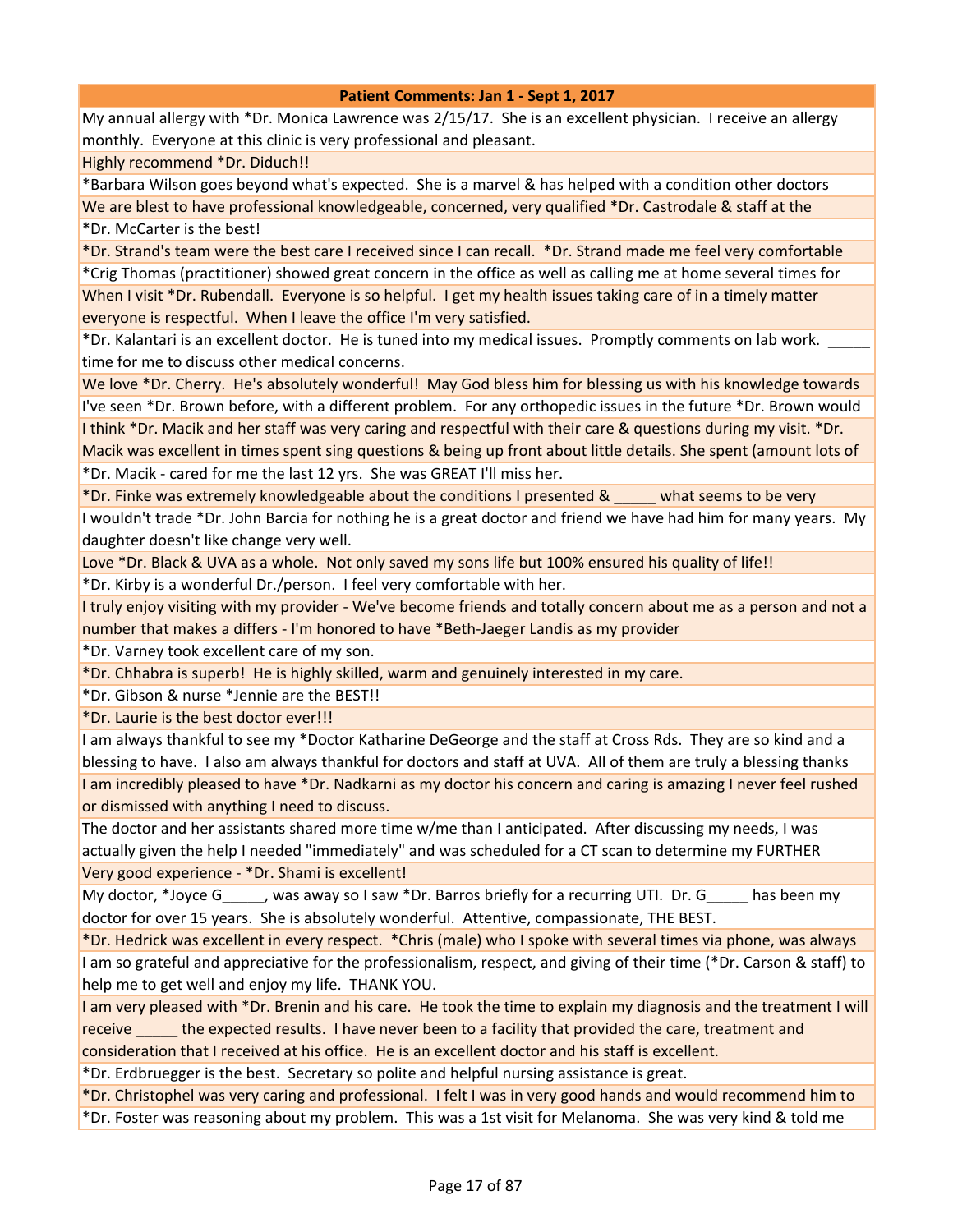My annual allergy with \*Dr. Monica Lawrence was 2/15/17. She is an excellent physician. I receive an allergy monthly. Everyone at this clinic is very professional and pleasant.

Highly recommend \*Dr. Diduch!!

\*Barbara Wilson goes beyond what's expected. She is a marvel & has helped with a condition other doctors We are blest to have professional knowledgeable, concerned, very qualified \*Dr. Castrodale & staff at the \*Dr. McCarter is the best!

\*Dr. Strand's team were the best care I received since I can recall. \*Dr. Strand made me feel very comfortable

\*Crig Thomas (practitioner) showed great concern in the office as well as calling me at home several times for When I visit \*Dr. Rubendall. Everyone is so helpful. I get my health issues taking care of in a timely matter everyone is respectful. When I leave the office I'm very satisfied.

\*Dr. Kalantari is an excellent doctor. He is tuned into my medical issues. Promptly comments on lab work. \_\_\_\_\_ time for me to discuss other medical concerns.

We love \*Dr. Cherry. He's absolutely wonderful! May God bless him for blessing us with his knowledge towards I've seen \*Dr. Brown before, with a different problem. For any orthopedic issues in the future \*Dr. Brown would I think \*Dr. Macik and her staff was very caring and respectful with their care & questions during my visit. \*Dr.

Macik was excellent in times spent sing questions & being up front about little details. She spent (amount lots of \*Dr. Macik - cared for me the last 12 yrs. She was GREAT I'll miss her.

\*Dr. Finke was extremely knowledgeable about the conditions I presented & \_\_\_\_\_ what seems to be very

I wouldn't trade \*Dr. John Barcia for nothing he is a great doctor and friend we have had him for many years. My daughter doesn't like change very well.

Love \*Dr. Black & UVA as a whole. Not only saved my sons life but 100% ensured his quality of life!!

\*Dr. Kirby is a wonderful Dr./person. I feel very comfortable with her.

I truly enjoy visiting with my provider - We've become friends and totally concern about me as a person and not a number that makes a differs - I'm honored to have \*Beth-Jaeger Landis as my provider

\*Dr. Varney took excellent care of my son.

\*Dr. Chhabra is superb! He is highly skilled, warm and genuinely interested in my care.

\*Dr. Gibson & nurse \*Jennie are the BEST!!

\*Dr. Laurie is the best doctor ever!!!

I am always thankful to see my \*Doctor Katharine DeGeorge and the staff at Cross Rds. They are so kind and a blessing to have. I also am always thankful for doctors and staff at UVA. All of them are truly a blessing thanks I am incredibly pleased to have \*Dr. Nadkarni as my doctor his concern and caring is amazing I never feel rushed or dismissed with anything I need to discuss.

The doctor and her assistants shared more time w/me than I anticipated. After discussing my needs, I was actually given the help I needed "immediately" and was scheduled for a CT scan to determine my FURTHER Very good experience - \*Dr. Shami is excellent!

My doctor, \*Joyce G equals away so I saw \*Dr. Barros briefly for a recurring UTI. Dr. G has been my doctor for over 15 years. She is absolutely wonderful. Attentive, compassionate, THE BEST.

\*Dr. Hedrick was excellent in every respect. \*Chris (male) who I spoke with several times via phone, was always I am so grateful and appreciative for the professionalism, respect, and giving of their time (\*Dr. Carson & staff) to help me to get well and enjoy my life. THANK YOU.

I am very pleased with \*Dr. Brenin and his care. He took the time to explain my diagnosis and the treatment I will receive \_\_\_\_\_ the expected results. I have never been to a facility that provided the care, treatment and

consideration that I received at his office. He is an excellent doctor and his staff is excellent. \*Dr. Erdbruegger is the best. Secretary so polite and helpful nursing assistance is great.

\*Dr. Christophel was very caring and professional. I felt I was in very good hands and would recommend him to

\*Dr. Foster was reasoning about my problem. This was a 1st visit for Melanoma. She was very kind & told me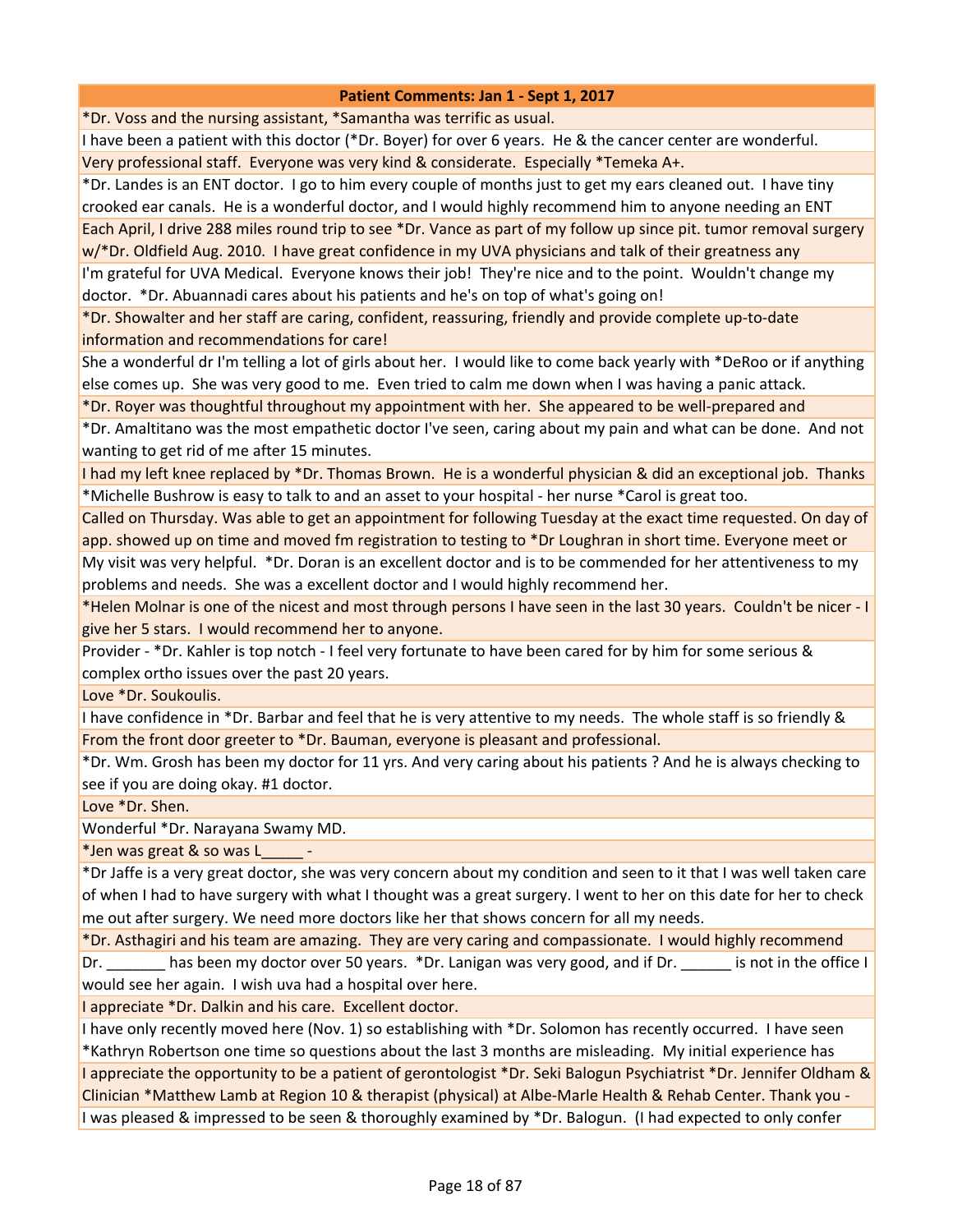\*Dr. Voss and the nursing assistant, \*Samantha was terrific as usual.

I have been a patient with this doctor (\*Dr. Boyer) for over 6 years. He & the cancer center are wonderful. Very professional staff. Everyone was very kind & considerate. Especially \*Temeka A+.

\*Dr. Landes is an ENT doctor. I go to him every couple of months just to get my ears cleaned out. I have tiny crooked ear canals. He is a wonderful doctor, and I would highly recommend him to anyone needing an ENT Each April, I drive 288 miles round trip to see \*Dr. Vance as part of my follow up since pit. tumor removal surgery w/\*Dr. Oldfield Aug. 2010. I have great confidence in my UVA physicians and talk of their greatness any

I'm grateful for UVA Medical. Everyone knows their job! They're nice and to the point. Wouldn't change my doctor. \*Dr. Abuannadi cares about his patients and he's on top of what's going on!

\*Dr. Showalter and her staff are caring, confident, reassuring, friendly and provide complete up-to-date information and recommendations for care!

She a wonderful dr I'm telling a lot of girls about her. I would like to come back yearly with \*DeRoo or if anything else comes up. She was very good to me. Even tried to calm me down when I was having a panic attack.

\*Dr. Royer was thoughtful throughout my appointment with her. She appeared to be well-prepared and

\*Dr. Amaltitano was the most empathetic doctor I've seen, caring about my pain and what can be done. And not wanting to get rid of me after 15 minutes.

I had my left knee replaced by \*Dr. Thomas Brown. He is a wonderful physician & did an exceptional job. Thanks \*Michelle Bushrow is easy to talk to and an asset to your hospital - her nurse \*Carol is great too.

Called on Thursday. Was able to get an appointment for following Tuesday at the exact time requested. On day of app. showed up on time and moved fm registration to testing to \*Dr Loughran in short time. Everyone meet or

My visit was very helpful. \*Dr. Doran is an excellent doctor and is to be commended for her attentiveness to my problems and needs. She was a excellent doctor and I would highly recommend her.

\*Helen Molnar is one of the nicest and most through persons I have seen in the last 30 years. Couldn't be nicer - I give her 5 stars. I would recommend her to anyone.

Provider - \*Dr. Kahler is top notch - I feel very fortunate to have been cared for by him for some serious & complex ortho issues over the past 20 years.

Love \*Dr. Soukoulis.

I have confidence in \*Dr. Barbar and feel that he is very attentive to my needs. The whole staff is so friendly & From the front door greeter to \*Dr. Bauman, everyone is pleasant and professional.

\*Dr. Wm. Grosh has been my doctor for 11 yrs. And very caring about his patients ? And he is always checking to see if you are doing okay. #1 doctor.

Love \*Dr. Shen.

Wonderful \*Dr. Narayana Swamy MD.

\*Jen was great & so was L\_\_\_\_\_ -

\*Dr Jaffe is a very great doctor, she was very concern about my condition and seen to it that I was well taken care of when I had to have surgery with what I thought was a great surgery. I went to her on this date for her to check me out after surgery. We need more doctors like her that shows concern for all my needs.

\*Dr. Asthagiri and his team are amazing. They are very caring and compassionate. I would highly recommend

Dr. \_\_\_\_\_\_\_\_ has been my doctor over 50 years. \*Dr. Lanigan was very good, and if Dr. \_\_\_\_\_\_\_ is not in the office I would see her again. I wish uva had a hospital over here.

I appreciate \*Dr. Dalkin and his care. Excellent doctor.

I have only recently moved here (Nov. 1) so establishing with \*Dr. Solomon has recently occurred. I have seen \*Kathryn Robertson one time so questions about the last 3 months are misleading. My initial experience has I appreciate the opportunity to be a patient of gerontologist \*Dr. Seki Balogun Psychiatrist \*Dr. Jennifer Oldham & Clinician \*Matthew Lamb at Region 10 & therapist (physical) at Albe-Marle Health & Rehab Center. Thank you - I was pleased & impressed to be seen & thoroughly examined by \*Dr. Balogun. (I had expected to only confer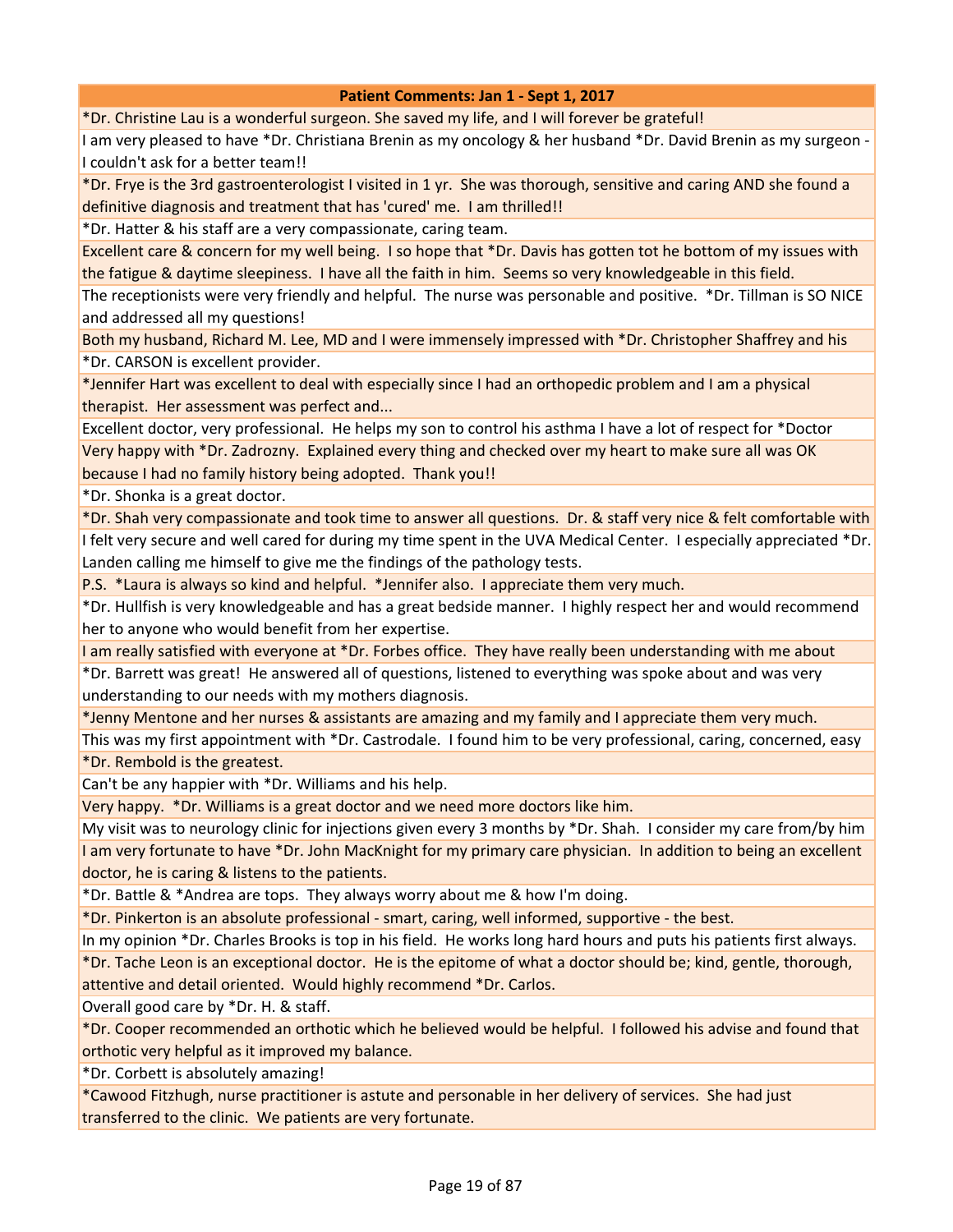\*Dr. Christine Lau is a wonderful surgeon. She saved my life, and I will forever be grateful!

I am very pleased to have \*Dr. Christiana Brenin as my oncology & her husband \*Dr. David Brenin as my surgeon - I couldn't ask for a better team!!

\*Dr. Frye is the 3rd gastroenterologist I visited in 1 yr. She was thorough, sensitive and caring AND she found a definitive diagnosis and treatment that has 'cured' me. I am thrilled!!

\*Dr. Hatter & his staff are a very compassionate, caring team.

Excellent care & concern for my well being. I so hope that \*Dr. Davis has gotten tot he bottom of my issues with the fatigue & daytime sleepiness. I have all the faith in him. Seems so very knowledgeable in this field.

The receptionists were very friendly and helpful. The nurse was personable and positive. \*Dr. Tillman is SO NICE and addressed all my questions!

Both my husband, Richard M. Lee, MD and I were immensely impressed with \*Dr. Christopher Shaffrey and his \*Dr. CARSON is excellent provider.

\*Jennifer Hart was excellent to deal with especially since I had an orthopedic problem and I am a physical therapist. Her assessment was perfect and...

Excellent doctor, very professional. He helps my son to control his asthma I have a lot of respect for \*Doctor Very happy with \*Dr. Zadrozny. Explained every thing and checked over my heart to make sure all was OK because I had no family history being adopted. Thank you!!

\*Dr. Shonka is a great doctor.

\*Dr. Shah very compassionate and took time to answer all questions. Dr. & staff very nice & felt comfortable with I felt very secure and well cared for during my time spent in the UVA Medical Center. I especially appreciated \*Dr. Landen calling me himself to give me the findings of the pathology tests.

P.S. \*Laura is always so kind and helpful. \*Jennifer also. I appreciate them very much.

\*Dr. Hullfish is very knowledgeable and has a great bedside manner. I highly respect her and would recommend her to anyone who would benefit from her expertise.

I am really satisfied with everyone at \*Dr. Forbes office. They have really been understanding with me about

\*Dr. Barrett was great! He answered all of questions, listened to everything was spoke about and was very understanding to our needs with my mothers diagnosis.

\*Jenny Mentone and her nurses & assistants are amazing and my family and I appreciate them very much.

This was my first appointment with \*Dr. Castrodale. I found him to be very professional, caring, concerned, easy \*Dr. Rembold is the greatest.

Can't be any happier with \*Dr. Williams and his help.

Very happy. \*Dr. Williams is a great doctor and we need more doctors like him.

My visit was to neurology clinic for injections given every 3 months by \*Dr. Shah. I consider my care from/by him I am very fortunate to have \*Dr. John MacKnight for my primary care physician. In addition to being an excellent doctor, he is caring & listens to the patients.

\*Dr. Battle & \*Andrea are tops. They always worry about me & how I'm doing.

\*Dr. Pinkerton is an absolute professional - smart, caring, well informed, supportive - the best.

In my opinion \*Dr. Charles Brooks is top in his field. He works long hard hours and puts his patients first always.

\*Dr. Tache Leon is an exceptional doctor. He is the epitome of what a doctor should be; kind, gentle, thorough,

attentive and detail oriented. Would highly recommend \*Dr. Carlos.

Overall good care by \*Dr. H. & staff.

\*Dr. Cooper recommended an orthotic which he believed would be helpful. I followed his advise and found that orthotic very helpful as it improved my balance.

\*Dr. Corbett is absolutely amazing!

\*Cawood Fitzhugh, nurse practitioner is astute and personable in her delivery of services. She had just transferred to the clinic. We patients are very fortunate.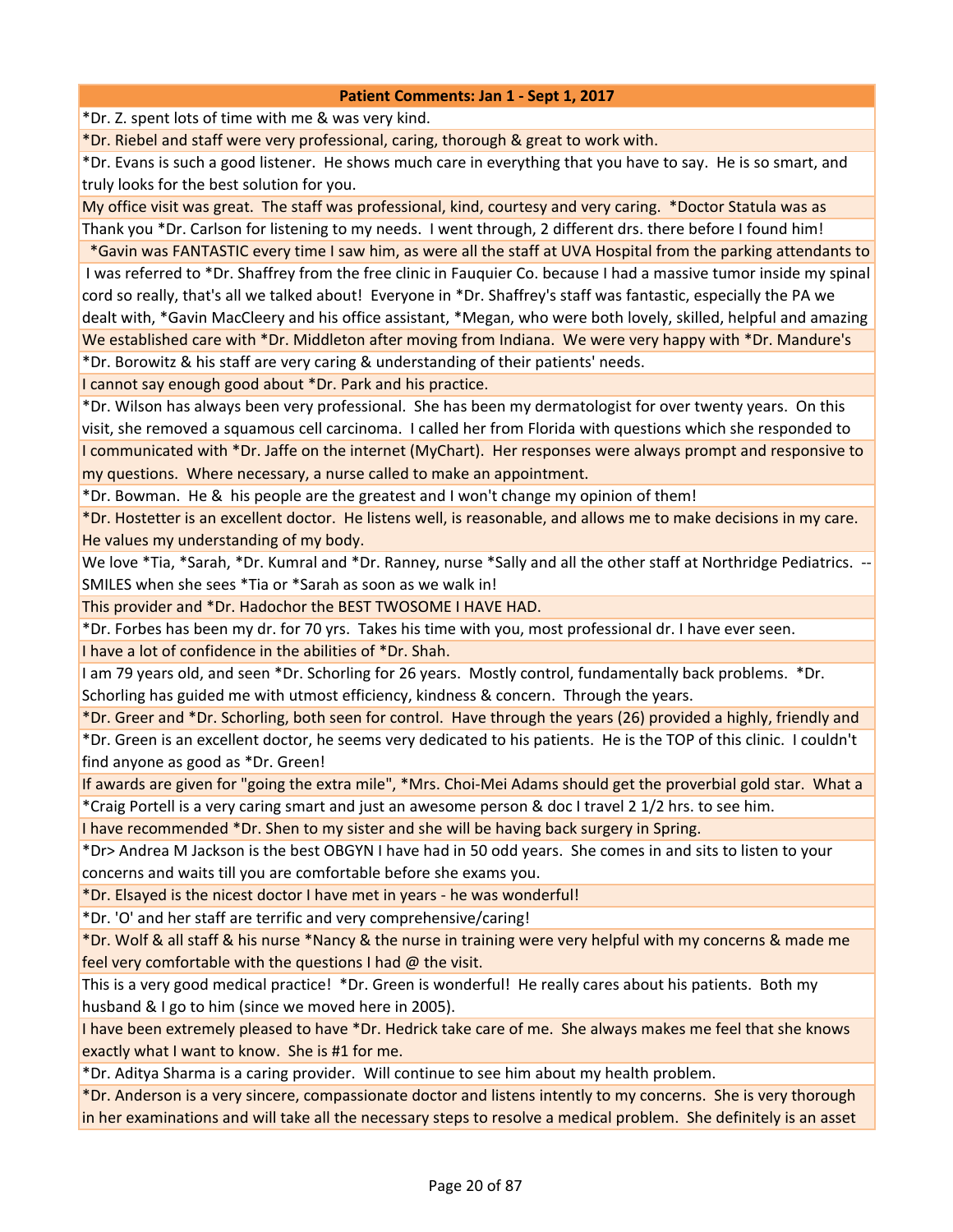\*Dr. Z. spent lots of time with me & was very kind.

\*Dr. Riebel and staff were very professional, caring, thorough & great to work with.

\*Dr. Evans is such a good listener. He shows much care in everything that you have to say. He is so smart, and truly looks for the best solution for you.

My office visit was great. The staff was professional, kind, courtesy and very caring. \*Doctor Statula was as Thank you \*Dr. Carlson for listening to my needs. I went through, 2 different drs. there before I found him!

 \*Gavin was FANTASTIC every time I saw him, as were all the staff at UVA Hospital from the parking attendants to I was referred to \*Dr. Shaffrey from the free clinic in Fauquier Co. because I had a massive tumor inside my spinal cord so really, that's all we talked about! Everyone in \*Dr. Shaffrey's staff was fantastic, especially the PA we dealt with, \*Gavin MacCleery and his office assistant, \*Megan, who were both lovely, skilled, helpful and amazing We established care with \*Dr. Middleton after moving from Indiana. We were very happy with \*Dr. Mandure's

\*Dr. Borowitz & his staff are very caring & understanding of their patients' needs.

I cannot say enough good about \*Dr. Park and his practice.

\*Dr. Wilson has always been very professional. She has been my dermatologist for over twenty years. On this visit, she removed a squamous cell carcinoma. I called her from Florida with questions which she responded to I communicated with \*Dr. Jaffe on the internet (MyChart). Her responses were always prompt and responsive to my questions. Where necessary, a nurse called to make an appointment.

\*Dr. Bowman. He & his people are the greatest and I won't change my opinion of them!

\*Dr. Hostetter is an excellent doctor. He listens well, is reasonable, and allows me to make decisions in my care. He values my understanding of my body.

We love \*Tia, \*Sarah, \*Dr. Kumral and \*Dr. Ranney, nurse \*Sally and all the other staff at Northridge Pediatrics. --SMILES when she sees \*Tia or \*Sarah as soon as we walk in!

This provider and \*Dr. Hadochor the BEST TWOSOME I HAVE HAD.

\*Dr. Forbes has been my dr. for 70 yrs. Takes his time with you, most professional dr. I have ever seen. I have a lot of confidence in the abilities of \*Dr. Shah.

I am 79 years old, and seen \*Dr. Schorling for 26 years. Mostly control, fundamentally back problems. \*Dr. Schorling has guided me with utmost efficiency, kindness & concern. Through the years.

\*Dr. Greer and \*Dr. Schorling, both seen for control. Have through the years (26) provided a highly, friendly and

\*Dr. Green is an excellent doctor, he seems very dedicated to his patients. He is the TOP of this clinic. I couldn't find anyone as good as \*Dr. Green!

If awards are given for "going the extra mile", \*Mrs. Choi-Mei Adams should get the proverbial gold star. What a \*Craig Portell is a very caring smart and just an awesome person & doc I travel 2 1/2 hrs. to see him.

I have recommended \*Dr. Shen to my sister and she will be having back surgery in Spring.

\*Dr> Andrea M Jackson is the best OBGYN I have had in 50 odd years. She comes in and sits to listen to your concerns and waits till you are comfortable before she exams you.

\*Dr. Elsayed is the nicest doctor I have met in years - he was wonderful!

\*Dr. 'O' and her staff are terrific and very comprehensive/caring!

\*Dr. Wolf & all staff & his nurse \*Nancy & the nurse in training were very helpful with my concerns & made me feel very comfortable with the questions I had @ the visit.

This is a very good medical practice! \*Dr. Green is wonderful! He really cares about his patients. Both my husband & I go to him (since we moved here in 2005).

I have been extremely pleased to have \*Dr. Hedrick take care of me. She always makes me feel that she knows exactly what I want to know. She is #1 for me.

\*Dr. Aditya Sharma is a caring provider. Will continue to see him about my health problem.

\*Dr. Anderson is a very sincere, compassionate doctor and listens intently to my concerns. She is very thorough in her examinations and will take all the necessary steps to resolve a medical problem. She definitely is an asset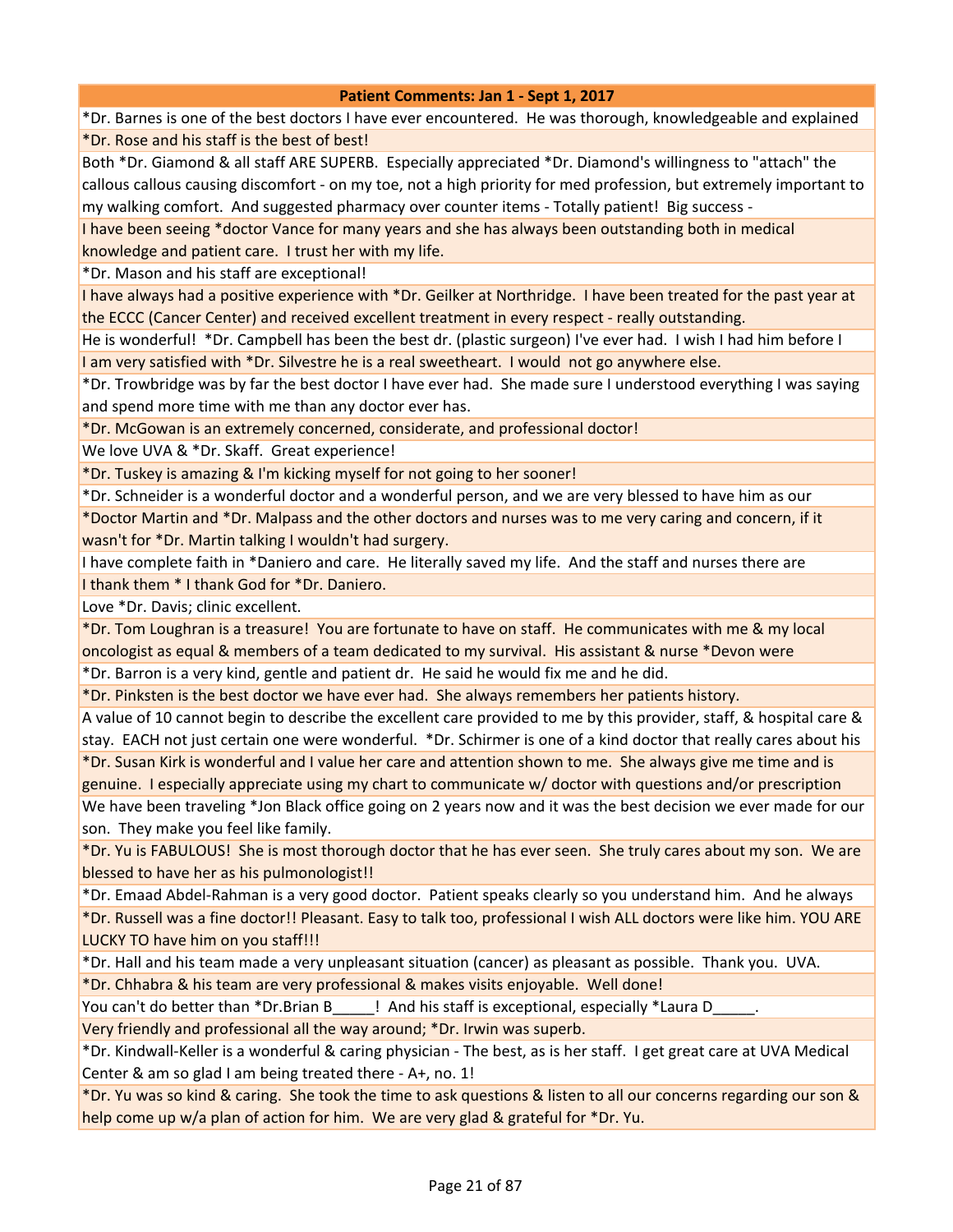\*Dr. Barnes is one of the best doctors I have ever encountered. He was thorough, knowledgeable and explained \*Dr. Rose and his staff is the best of best!

Both \*Dr. Giamond & all staff ARE SUPERB. Especially appreciated \*Dr. Diamond's willingness to "attach" the callous callous causing discomfort - on my toe, not a high priority for med profession, but extremely important to my walking comfort. And suggested pharmacy over counter items - Totally patient! Big success -

I have been seeing \*doctor Vance for many years and she has always been outstanding both in medical knowledge and patient care. I trust her with my life.

\*Dr. Mason and his staff are exceptional!

I have always had a positive experience with \*Dr. Geilker at Northridge. I have been treated for the past year at the ECCC (Cancer Center) and received excellent treatment in every respect - really outstanding.

He is wonderful! \*Dr. Campbell has been the best dr. (plastic surgeon) I've ever had. I wish I had him before I I am very satisfied with \*Dr. Silvestre he is a real sweetheart. I would not go anywhere else.

\*Dr. Trowbridge was by far the best doctor I have ever had. She made sure I understood everything I was saying and spend more time with me than any doctor ever has.

\*Dr. McGowan is an extremely concerned, considerate, and professional doctor!

We love UVA & \*Dr. Skaff. Great experience!

\*Dr. Tuskey is amazing & I'm kicking myself for not going to her sooner!

\*Dr. Schneider is a wonderful doctor and a wonderful person, and we are very blessed to have him as our \*Doctor Martin and \*Dr. Malpass and the other doctors and nurses was to me very caring and concern, if it wasn't for \*Dr. Martin talking I wouldn't had surgery.

I have complete faith in \*Daniero and care. He literally saved my life. And the staff and nurses there are

I thank them \* I thank God for \*Dr. Daniero.

Love \*Dr. Davis; clinic excellent.

\*Dr. Tom Loughran is a treasure! You are fortunate to have on staff. He communicates with me & my local oncologist as equal & members of a team dedicated to my survival. His assistant & nurse \*Devon were

\*Dr. Barron is a very kind, gentle and patient dr. He said he would fix me and he did.

\*Dr. Pinksten is the best doctor we have ever had. She always remembers her patients history.

A value of 10 cannot begin to describe the excellent care provided to me by this provider, staff, & hospital care & stay. EACH not just certain one were wonderful. \*Dr. Schirmer is one of a kind doctor that really cares about his \*Dr. Susan Kirk is wonderful and I value her care and attention shown to me. She always give me time and is

genuine. I especially appreciate using my chart to communicate w/ doctor with questions and/or prescription

We have been traveling \*Jon Black office going on 2 years now and it was the best decision we ever made for our son. They make you feel like family.

\*Dr. Yu is FABULOUS! She is most thorough doctor that he has ever seen. She truly cares about my son. We are blessed to have her as his pulmonologist!!

\*Dr. Emaad Abdel-Rahman is a very good doctor. Patient speaks clearly so you understand him. And he always

\*Dr. Russell was a fine doctor!! Pleasant. Easy to talk too, professional I wish ALL doctors were like him. YOU ARE LUCKY TO have him on you staff!!!

\*Dr. Hall and his team made a very unpleasant situation (cancer) as pleasant as possible. Thank you. UVA. \*Dr. Chhabra & his team are very professional & makes visits enjoyable. Well done!

You can't do better than \*Dr.Brian B Fig. 2.1 And his staff is exceptional, especially \*Laura D

Very friendly and professional all the way around; \*Dr. Irwin was superb.

\*Dr. Kindwall-Keller is a wonderful & caring physician - The best, as is her staff. I get great care at UVA Medical Center & am so glad I am being treated there - A+, no. 1!

\*Dr. Yu was so kind & caring. She took the time to ask questions & listen to all our concerns regarding our son & help come up w/a plan of action for him. We are very glad & grateful for \*Dr. Yu.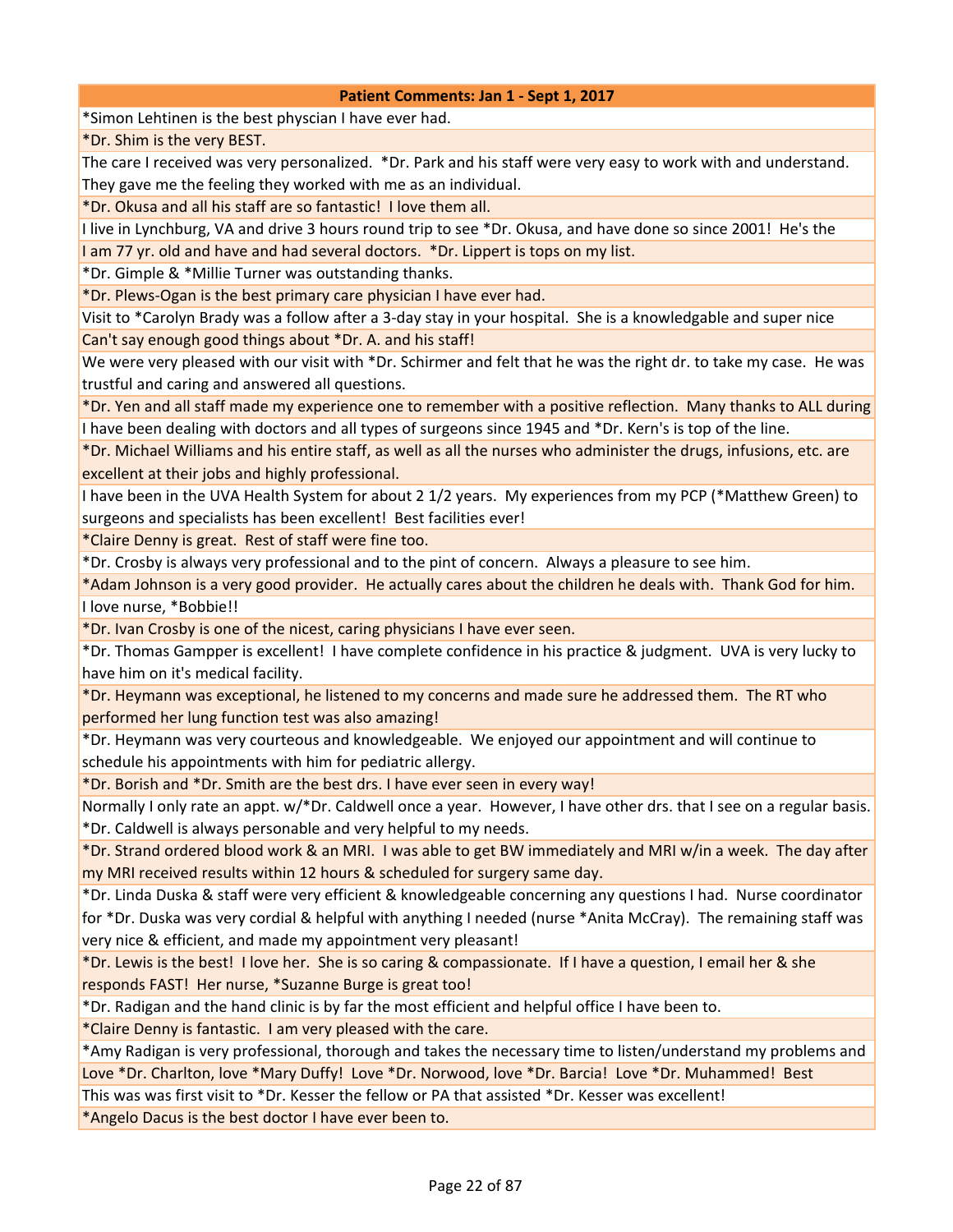\*Simon Lehtinen is the best physcian I have ever had.

\*Dr. Shim is the very BEST.

The care I received was very personalized. \*Dr. Park and his staff were very easy to work with and understand. They gave me the feeling they worked with me as an individual.

\*Dr. Okusa and all his staff are so fantastic! I love them all.

I live in Lynchburg, VA and drive 3 hours round trip to see \*Dr. Okusa, and have done so since 2001! He's the

I am 77 yr. old and have and had several doctors. \*Dr. Lippert is tops on my list.

\*Dr. Gimple & \*Millie Turner was outstanding thanks.

\*Dr. Plews-Ogan is the best primary care physician I have ever had.

Visit to \*Carolyn Brady was a follow after a 3-day stay in your hospital. She is a knowledgable and super nice Can't say enough good things about \*Dr. A. and his staff!

We were very pleased with our visit with \*Dr. Schirmer and felt that he was the right dr. to take my case. He was trustful and caring and answered all questions.

\*Dr. Yen and all staff made my experience one to remember with a positive reflection. Many thanks to ALL during I have been dealing with doctors and all types of surgeons since 1945 and \*Dr. Kern's is top of the line.

\*Dr. Michael Williams and his entire staff, as well as all the nurses who administer the drugs, infusions, etc. are excellent at their jobs and highly professional.

I have been in the UVA Health System for about 2 1/2 years. My experiences from my PCP (\*Matthew Green) to surgeons and specialists has been excellent! Best facilities ever!

\*Claire Denny is great. Rest of staff were fine too.

\*Dr. Crosby is always very professional and to the pint of concern. Always a pleasure to see him.

\*Adam Johnson is a very good provider. He actually cares about the children he deals with. Thank God for him. I love nurse, \*Bobbie!!

\*Dr. Ivan Crosby is one of the nicest, caring physicians I have ever seen.

\*Dr. Thomas Gampper is excellent! I have complete confidence in his practice & judgment. UVA is very lucky to have him on it's medical facility.

\*Dr. Heymann was exceptional, he listened to my concerns and made sure he addressed them. The RT who performed her lung function test was also amazing!

\*Dr. Heymann was very courteous and knowledgeable. We enjoyed our appointment and will continue to schedule his appointments with him for pediatric allergy.

\*Dr. Borish and \*Dr. Smith are the best drs. I have ever seen in every way!

Normally I only rate an appt. w/\*Dr. Caldwell once a year. However, I have other drs. that I see on a regular basis. \*Dr. Caldwell is always personable and very helpful to my needs.

\*Dr. Strand ordered blood work & an MRI. I was able to get BW immediately and MRI w/in a week. The day after my MRI received results within 12 hours & scheduled for surgery same day.

\*Dr. Linda Duska & staff were very efficient & knowledgeable concerning any questions I had. Nurse coordinator for \*Dr. Duska was very cordial & helpful with anything I needed (nurse \*Anita McCray). The remaining staff was very nice & efficient, and made my appointment very pleasant!

\*Dr. Lewis is the best! I love her. She is so caring & compassionate. If I have a question, I email her & she responds FAST! Her nurse, \*Suzanne Burge is great too!

\*Dr. Radigan and the hand clinic is by far the most efficient and helpful office I have been to.

\*Claire Denny is fantastic. I am very pleased with the care.

\*Amy Radigan is very professional, thorough and takes the necessary time to listen/understand my problems and Love \*Dr. Charlton, love \*Mary Duffy! Love \*Dr. Norwood, love \*Dr. Barcia! Love \*Dr. Muhammed! Best

This was was first visit to \*Dr. Kesser the fellow or PA that assisted \*Dr. Kesser was excellent!

\*Angelo Dacus is the best doctor I have ever been to.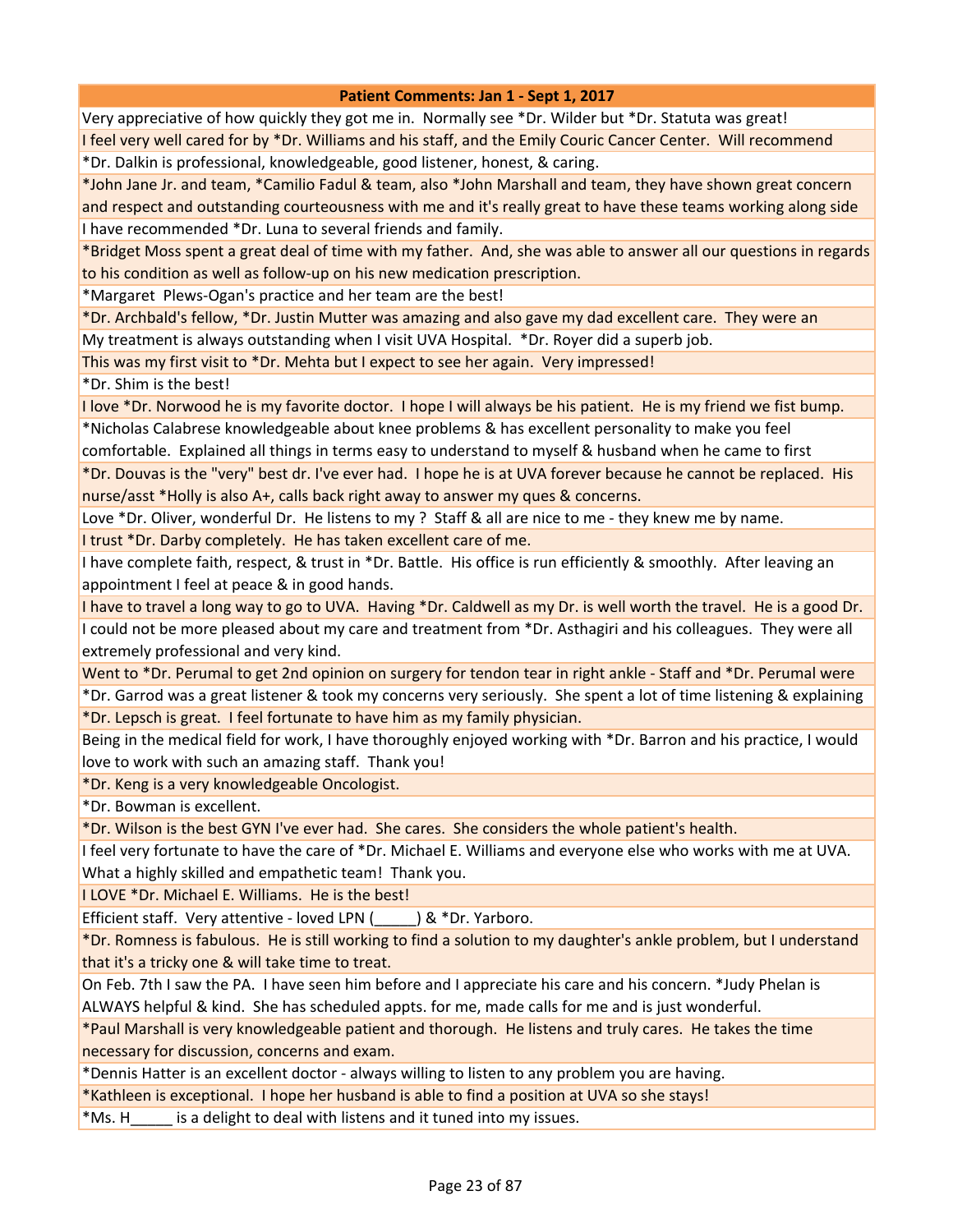Very appreciative of how quickly they got me in. Normally see \*Dr. Wilder but \*Dr. Statuta was great! I feel very well cared for by \*Dr. Williams and his staff, and the Emily Couric Cancer Center. Will recommend

\*Dr. Dalkin is professional, knowledgeable, good listener, honest, & caring.

\*John Jane Jr. and team, \*Camilio Fadul & team, also \*John Marshall and team, they have shown great concern and respect and outstanding courteousness with me and it's really great to have these teams working along side I have recommended \*Dr. Luna to several friends and family.

\*Bridget Moss spent a great deal of time with my father. And, she was able to answer all our questions in regards to his condition as well as follow-up on his new medication prescription.

\*Margaret Plews-Ogan's practice and her team are the best!

\*Dr. Archbald's fellow, \*Dr. Justin Mutter was amazing and also gave my dad excellent care. They were an My treatment is always outstanding when I visit UVA Hospital. \*Dr. Royer did a superb job.

This was my first visit to \*Dr. Mehta but I expect to see her again. Very impressed!

\*Dr. Shim is the best!

I love \*Dr. Norwood he is my favorite doctor. I hope I will always be his patient. He is my friend we fist bump. \*Nicholas Calabrese knowledgeable about knee problems & has excellent personality to make you feel comfortable. Explained all things in terms easy to understand to myself & husband when he came to first

\*Dr. Douvas is the "very" best dr. I've ever had. I hope he is at UVA forever because he cannot be replaced. His nurse/asst \*Holly is also A+, calls back right away to answer my ques & concerns.

Love \*Dr. Oliver, wonderful Dr. He listens to my ? Staff & all are nice to me - they knew me by name.

I trust \*Dr. Darby completely. He has taken excellent care of me.

I have complete faith, respect, & trust in \*Dr. Battle. His office is run efficiently & smoothly. After leaving an appointment I feel at peace & in good hands.

I have to travel a long way to go to UVA. Having \*Dr. Caldwell as my Dr. is well worth the travel. He is a good Dr. I could not be more pleased about my care and treatment from \*Dr. Asthagiri and his colleagues. They were all extremely professional and very kind.

Went to \*Dr. Perumal to get 2nd opinion on surgery for tendon tear in right ankle - Staff and \*Dr. Perumal were

\*Dr. Garrod was a great listener & took my concerns very seriously. She spent a lot of time listening & explaining \*Dr. Lepsch is great. I feel fortunate to have him as my family physician.

Being in the medical field for work, I have thoroughly enjoyed working with \*Dr. Barron and his practice, I would love to work with such an amazing staff. Thank you!

\*Dr. Keng is a very knowledgeable Oncologist.

\*Dr. Bowman is excellent.

\*Dr. Wilson is the best GYN I've ever had. She cares. She considers the whole patient's health.

I feel very fortunate to have the care of \*Dr. Michael E. Williams and everyone else who works with me at UVA. What a highly skilled and empathetic team! Thank you.

I LOVE \*Dr. Michael E. Williams. He is the best!

Efficient staff. Very attentive - loved LPN (\_\_\_\_\_) & \*Dr. Yarboro.

\*Dr. Romness is fabulous. He is still working to find a solution to my daughter's ankle problem, but I understand that it's a tricky one & will take time to treat.

On Feb. 7th I saw the PA. I have seen him before and I appreciate his care and his concern. \*Judy Phelan is ALWAYS helpful & kind. She has scheduled appts. for me, made calls for me and is just wonderful.

\*Paul Marshall is very knowledgeable patient and thorough. He listens and truly cares. He takes the time necessary for discussion, concerns and exam.

\*Dennis Hatter is an excellent doctor - always willing to listen to any problem you are having.

\*Kathleen is exceptional. I hope her husband is able to find a position at UVA so she stays!

\*Ms. H\_\_\_\_\_ is a delight to deal with listens and it tuned into my issues.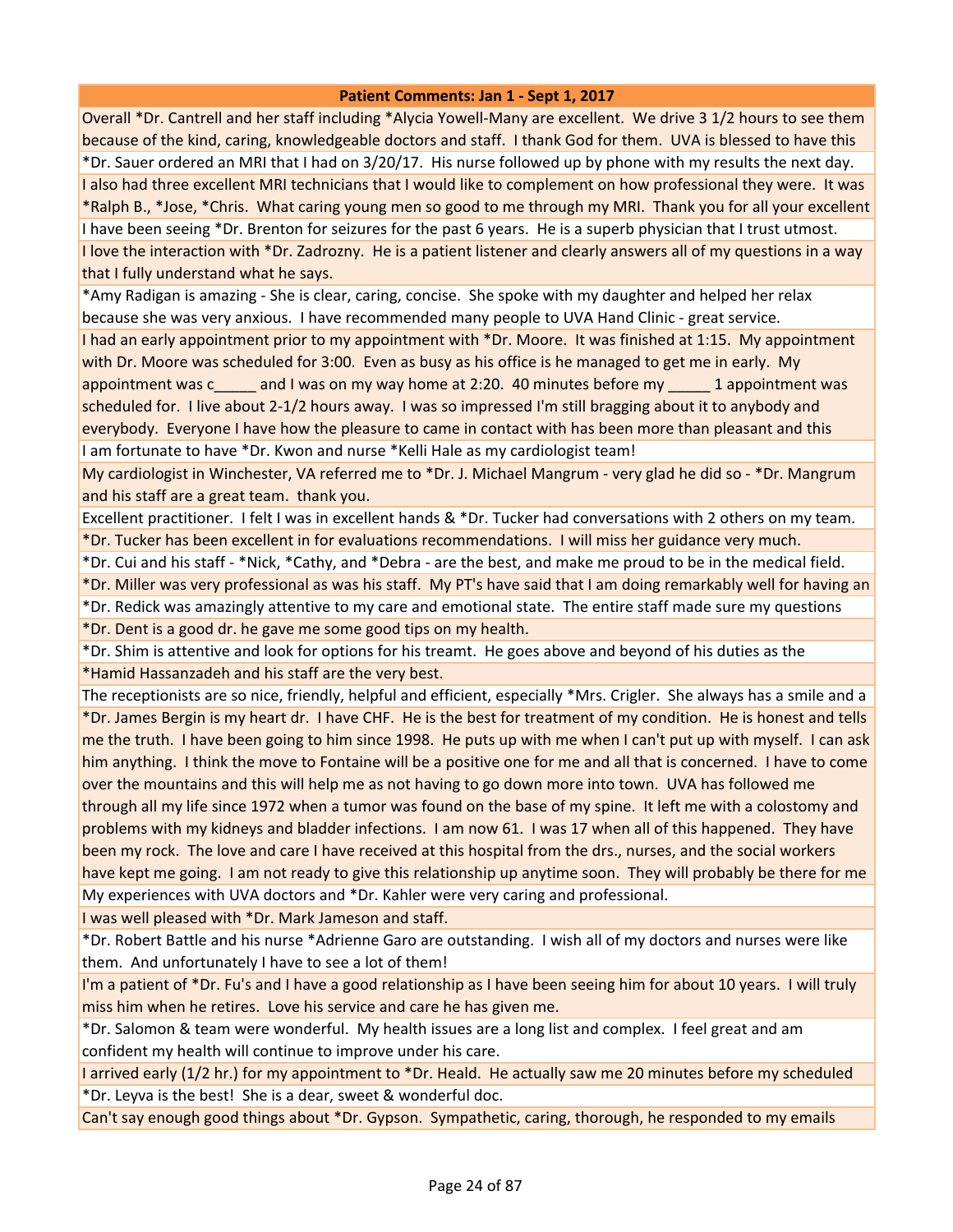Overall \*Dr. Cantrell and her staff including \*Alycia Yowell-Many are excellent. We drive 3 1/2 hours to see them because of the kind, caring, knowledgeable doctors and staff. I thank God for them. UVA is blessed to have this \*Dr. Sauer ordered an MRI that I had on 3/20/17. His nurse followed up by phone with my results the next day. I also had three excellent MRI technicians that I would like to complement on how professional they were. It was \*Ralph B., \*Jose, \*Chris. What caring young men so good to me through my MRI. Thank you for all your excellent I have been seeing \*Dr. Brenton for seizures for the past 6 years. He is a superb physician that I trust utmost. I love the interaction with \*Dr. Zadrozny. He is a patient listener and clearly answers all of my questions in a way that I fully understand what he says.

\*Amy Radigan is amazing - She is clear, caring, concise. She spoke with my daughter and helped her relax because she was very anxious. I have recommended many people to UVA Hand Clinic - great service.

I had an early appointment prior to my appointment with \*Dr. Moore. It was finished at 1:15. My appointment with Dr. Moore was scheduled for 3:00. Even as busy as his office is he managed to get me in early. My appointment was c\_\_\_\_\_ and I was on my way home at 2:20. 40 minutes before my \_\_\_\_\_ 1 appointment was scheduled for. I live about 2-1/2 hours away. I was so impressed I'm still bragging about it to anybody and everybody. Everyone I have how the pleasure to came in contact with has been more than pleasant and this I am fortunate to have \*Dr. Kwon and nurse \*Kelli Hale as my cardiologist team!

My cardiologist in Winchester, VA referred me to \*Dr. J. Michael Mangrum - very glad he did so - \*Dr. Mangrum and his staff are a great team. thank you.

Excellent practitioner. I felt I was in excellent hands & \*Dr. Tucker had conversations with 2 others on my team. \*Dr. Tucker has been excellent in for evaluations recommendations. I will miss her guidance very much.

\*Dr. Cui and his staff - \*Nick, \*Cathy, and \*Debra - are the best, and make me proud to be in the medical field.

\*Dr. Miller was very professional as was his staff. My PT's have said that I am doing remarkably well for having an \*Dr. Redick was amazingly attentive to my care and emotional state. The entire staff made sure my questions

\*Dr. Dent is a good dr. he gave me some good tips on my health.

\*Dr. Shim is attentive and look for options for his treamt. He goes above and beyond of his duties as the \*Hamid Hassanzadeh and his staff are the very best.

The receptionists are so nice, friendly, helpful and efficient, especially \*Mrs. Crigler. She always has a smile and a \*Dr. James Bergin is my heart dr. I have CHF. He is the best for treatment of my condition. He is honest and tells me the truth. I have been going to him since 1998. He puts up with me when I can't put up with myself. I can ask him anything. I think the move to Fontaine will be a positive one for me and all that is concerned. I have to come over the mountains and this will help me as not having to go down more into town. UVA has followed me through all my life since 1972 when a tumor was found on the base of my spine. It left me with a colostomy and problems with my kidneys and bladder infections. I am now 61. I was 17 when all of this happened. They have been my rock. The love and care I have received at this hospital from the drs., nurses, and the social workers have kept me going. I am not ready to give this relationship up anytime soon. They will probably be there for me My experiences with UVA doctors and \*Dr. Kahler were very caring and professional.

I was well pleased with \*Dr. Mark Jameson and staff.

\*Dr. Robert Battle and his nurse \*Adrienne Garo are outstanding. I wish all of my doctors and nurses were like them. And unfortunately I have to see a lot of them!

I'm a patient of \*Dr. Fu's and I have a good relationship as I have been seeing him for about 10 years. I will truly miss him when he retires. Love his service and care he has given me.

\*Dr. Salomon & team were wonderful. My health issues are a long list and complex. I feel great and am confident my health will continue to improve under his care.

I arrived early (1/2 hr.) for my appointment to \*Dr. Heald. He actually saw me 20 minutes before my scheduled \*Dr. Leyva is the best! She is a dear, sweet & wonderful doc.

Can't say enough good things about \*Dr. Gypson. Sympathetic, caring, thorough, he responded to my emails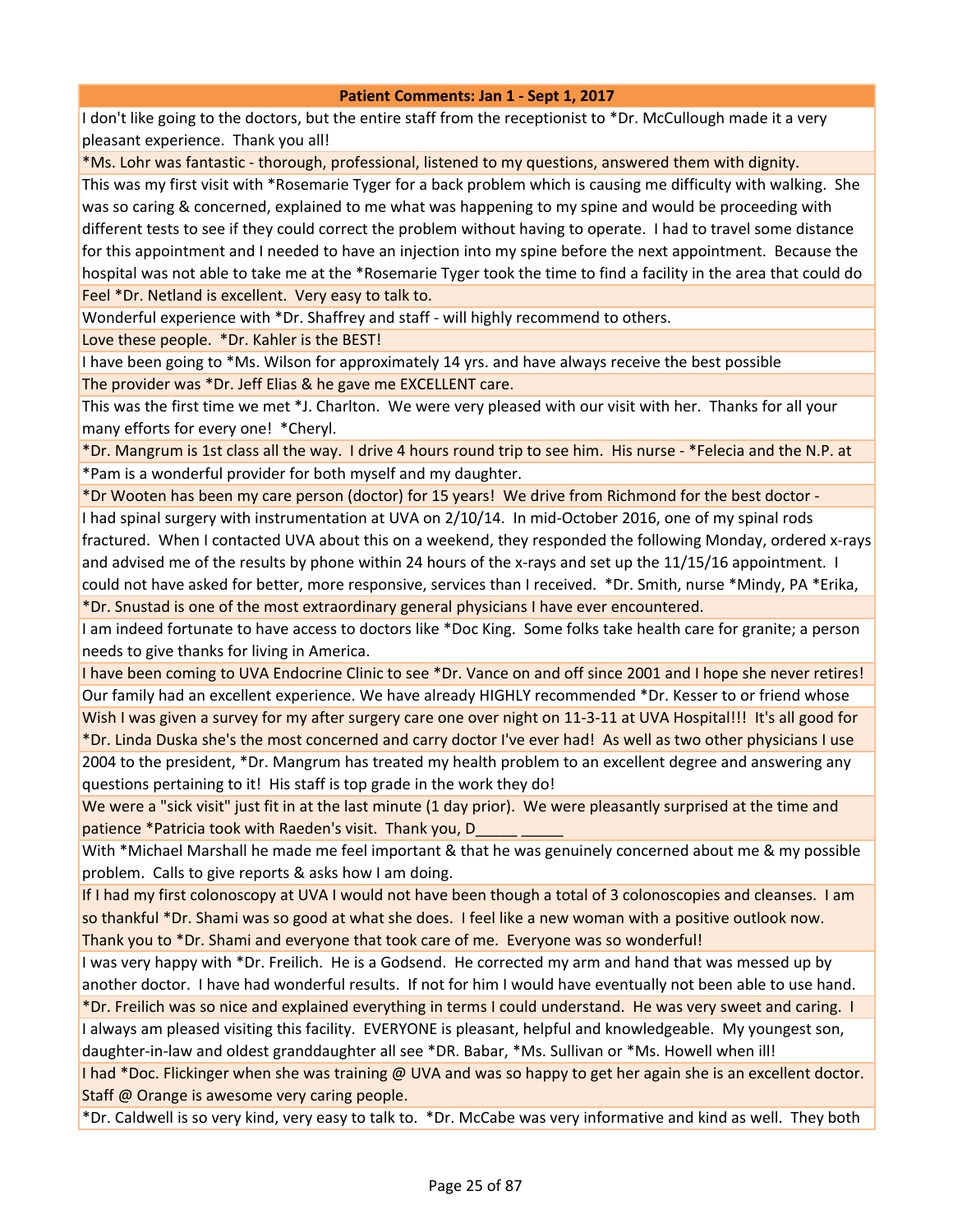I don't like going to the doctors, but the entire staff from the receptionist to \*Dr. McCullough made it a very pleasant experience. Thank you all!

\*Ms. Lohr was fantastic - thorough, professional, listened to my questions, answered them with dignity.

This was my first visit with \*Rosemarie Tyger for a back problem which is causing me difficulty with walking. She was so caring & concerned, explained to me what was happening to my spine and would be proceeding with different tests to see if they could correct the problem without having to operate. I had to travel some distance for this appointment and I needed to have an injection into my spine before the next appointment. Because the hospital was not able to take me at the \*Rosemarie Tyger took the time to find a facility in the area that could do Feel \*Dr. Netland is excellent. Very easy to talk to.

Wonderful experience with \*Dr. Shaffrey and staff - will highly recommend to others.

Love these people. \*Dr. Kahler is the BEST!

I have been going to \*Ms. Wilson for approximately 14 yrs. and have always receive the best possible The provider was \*Dr. Jeff Elias & he gave me EXCELLENT care.

This was the first time we met \*J. Charlton. We were very pleased with our visit with her. Thanks for all your many efforts for every one! \*Cheryl.

\*Dr. Mangrum is 1st class all the way. I drive 4 hours round trip to see him. His nurse - \*Felecia and the N.P. at \*Pam is a wonderful provider for both myself and my daughter.

\*Dr Wooten has been my care person (doctor) for 15 years! We drive from Richmond for the best doctor - I had spinal surgery with instrumentation at UVA on 2/10/14. In mid-October 2016, one of my spinal rods fractured. When I contacted UVA about this on a weekend, they responded the following Monday, ordered x-rays and advised me of the results by phone within 24 hours of the x-rays and set up the 11/15/16 appointment. I could not have asked for better, more responsive, services than I received. \*Dr. Smith, nurse \*Mindy, PA \*Erika, \*Dr. Snustad is one of the most extraordinary general physicians I have ever encountered.

I am indeed fortunate to have access to doctors like \*Doc King. Some folks take health care for granite; a person needs to give thanks for living in America.

I have been coming to UVA Endocrine Clinic to see \*Dr. Vance on and off since 2001 and I hope she never retires! Our family had an excellent experience. We have already HIGHLY recommended \*Dr. Kesser to or friend whose Wish I was given a survey for my after surgery care one over night on 11-3-11 at UVA Hospital!!! It's all good for \*Dr. Linda Duska she's the most concerned and carry doctor I've ever had! As well as two other physicians I use 2004 to the president, \*Dr. Mangrum has treated my health problem to an excellent degree and answering any questions pertaining to it! His staff is top grade in the work they do!

We were a "sick visit" just fit in at the last minute (1 day prior). We were pleasantly surprised at the time and patience \*Patricia took with Raeden's visit. Thank you, D\_\_\_\_\_ \_\_\_\_\_

With \*Michael Marshall he made me feel important & that he was genuinely concerned about me & my possible problem. Calls to give reports & asks how I am doing.

If I had my first colonoscopy at UVA I would not have been though a total of 3 colonoscopies and cleanses. I am so thankful \*Dr. Shami was so good at what she does. I feel like a new woman with a positive outlook now. Thank you to \*Dr. Shami and everyone that took care of me. Everyone was so wonderful!

I was very happy with \*Dr. Freilich. He is a Godsend. He corrected my arm and hand that was messed up by another doctor. I have had wonderful results. If not for him I would have eventually not been able to use hand.

\*Dr. Freilich was so nice and explained everything in terms I could understand. He was very sweet and caring. I

I always am pleased visiting this facility. EVERYONE is pleasant, helpful and knowledgeable. My youngest son, daughter-in-law and oldest granddaughter all see \*DR. Babar, \*Ms. Sullivan or \*Ms. Howell when ill!

I had \*Doc. Flickinger when she was training @ UVA and was so happy to get her again she is an excellent doctor. Staff @ Orange is awesome very caring people.

\*Dr. Caldwell is so very kind, very easy to talk to. \*Dr. McCabe was very informative and kind as well. They both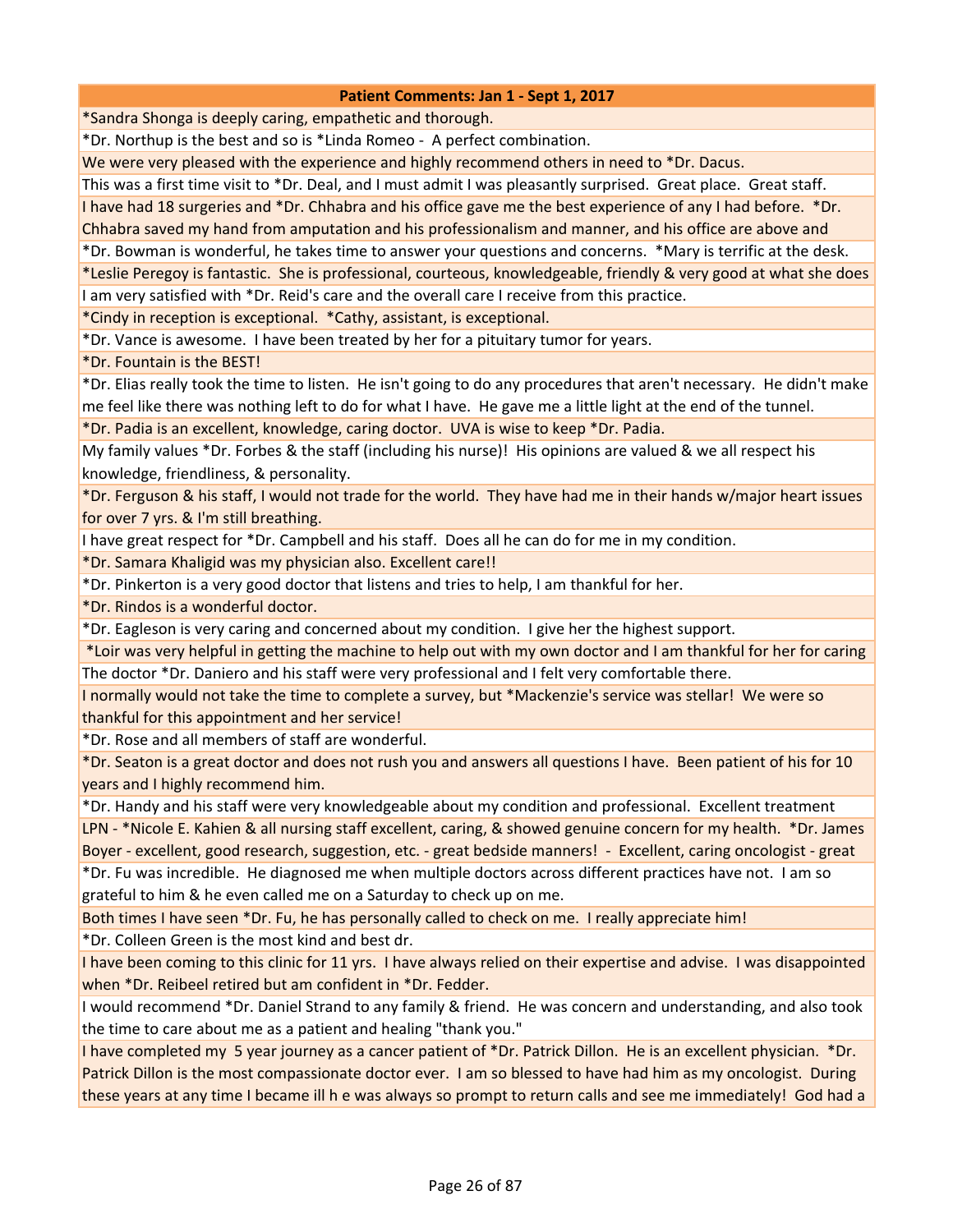\*Sandra Shonga is deeply caring, empathetic and thorough.

\*Dr. Northup is the best and so is \*Linda Romeo - A perfect combination.

We were very pleased with the experience and highly recommend others in need to \*Dr. Dacus.

This was a first time visit to \*Dr. Deal, and I must admit I was pleasantly surprised. Great place. Great staff.

I have had 18 surgeries and \*Dr. Chhabra and his office gave me the best experience of any I had before. \*Dr. Chhabra saved my hand from amputation and his professionalism and manner, and his office are above and

\*Dr. Bowman is wonderful, he takes time to answer your questions and concerns. \*Mary is terrific at the desk.

\*Leslie Peregoy is fantastic. She is professional, courteous, knowledgeable, friendly & very good at what she does

I am very satisfied with \*Dr. Reid's care and the overall care I receive from this practice.

\*Cindy in reception is exceptional. \*Cathy, assistant, is exceptional.

\*Dr. Vance is awesome. I have been treated by her for a pituitary tumor for years.

\*Dr. Fountain is the BEST!

\*Dr. Elias really took the time to listen. He isn't going to do any procedures that aren't necessary. He didn't make me feel like there was nothing left to do for what I have. He gave me a little light at the end of the tunnel.

\*Dr. Padia is an excellent, knowledge, caring doctor. UVA is wise to keep \*Dr. Padia.

My family values \*Dr. Forbes & the staff (including his nurse)! His opinions are valued & we all respect his knowledge, friendliness, & personality.

\*Dr. Ferguson & his staff, I would not trade for the world. They have had me in their hands w/major heart issues for over 7 yrs. & I'm still breathing.

I have great respect for \*Dr. Campbell and his staff. Does all he can do for me in my condition.

\*Dr. Samara Khaligid was my physician also. Excellent care!!

\*Dr. Pinkerton is a very good doctor that listens and tries to help, I am thankful for her.

\*Dr. Rindos is a wonderful doctor.

\*Dr. Eagleson is very caring and concerned about my condition. I give her the highest support.

 \*Loir was very helpful in getting the machine to help out with my own doctor and I am thankful for her for caring The doctor \*Dr. Daniero and his staff were very professional and I felt very comfortable there.

I normally would not take the time to complete a survey, but \*Mackenzie's service was stellar! We were so thankful for this appointment and her service!

\*Dr. Rose and all members of staff are wonderful.

\*Dr. Seaton is a great doctor and does not rush you and answers all questions I have. Been patient of his for 10 years and I highly recommend him.

\*Dr. Handy and his staff were very knowledgeable about my condition and professional. Excellent treatment

LPN - \*Nicole E. Kahien & all nursing staff excellent, caring, & showed genuine concern for my health. \*Dr. James Boyer - excellent, good research, suggestion, etc. - great bedside manners! - Excellent, caring oncologist - great

\*Dr. Fu was incredible. He diagnosed me when multiple doctors across different practices have not. I am so grateful to him & he even called me on a Saturday to check up on me.

Both times I have seen \*Dr. Fu, he has personally called to check on me. I really appreciate him!

\*Dr. Colleen Green is the most kind and best dr.

I have been coming to this clinic for 11 yrs. I have always relied on their expertise and advise. I was disappointed when \*Dr. Reibeel retired but am confident in \*Dr. Fedder.

I would recommend \*Dr. Daniel Strand to any family & friend. He was concern and understanding, and also took the time to care about me as a patient and healing "thank you."

I have completed my 5 year journey as a cancer patient of \*Dr. Patrick Dillon. He is an excellent physician. \*Dr. Patrick Dillon is the most compassionate doctor ever. I am so blessed to have had him as my oncologist. During these years at any time I became ill h e was always so prompt to return calls and see me immediately! God had a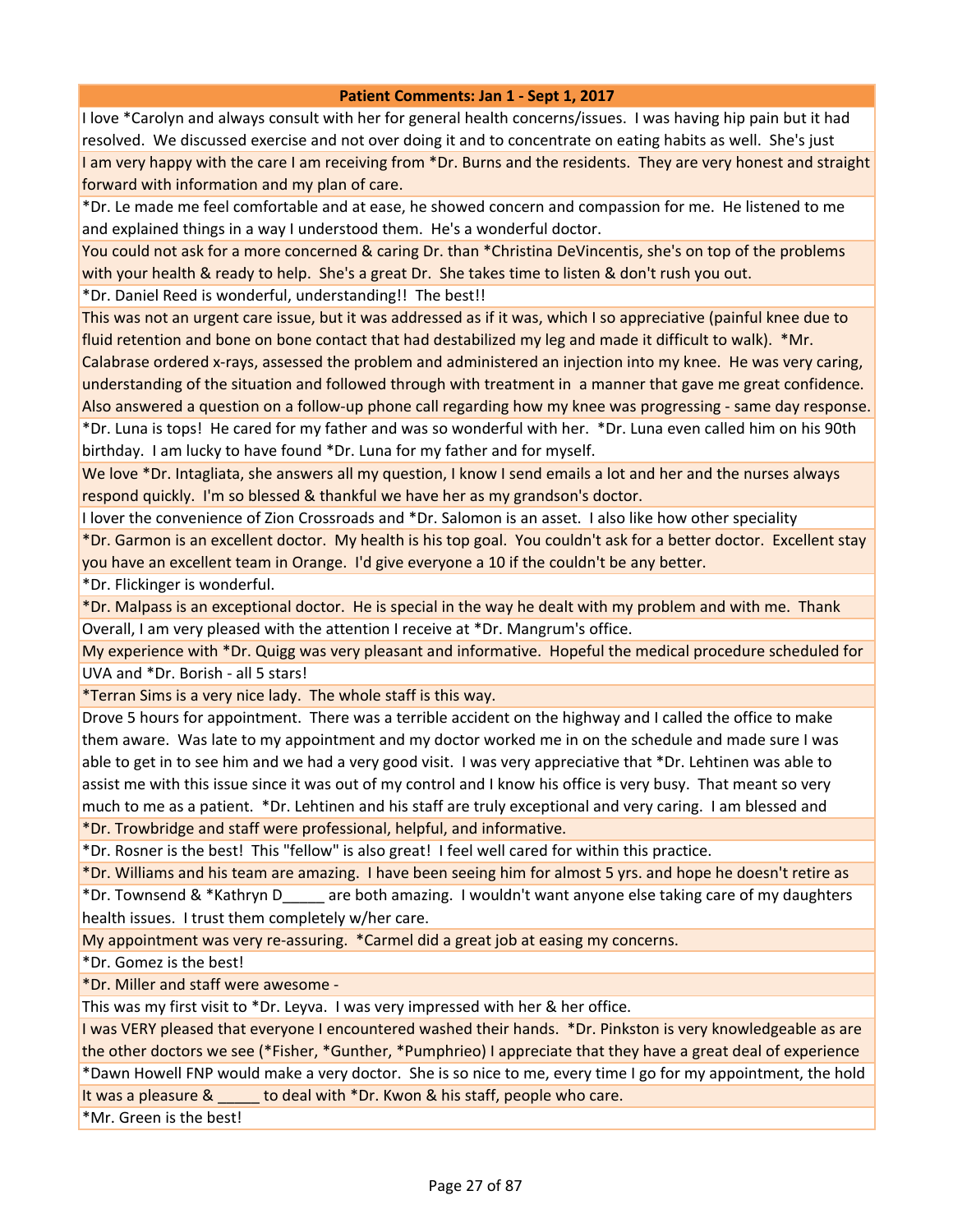I love \*Carolyn and always consult with her for general health concerns/issues. I was having hip pain but it had resolved. We discussed exercise and not over doing it and to concentrate on eating habits as well. She's just I am very happy with the care I am receiving from \*Dr. Burns and the residents. They are very honest and straight forward with information and my plan of care.

\*Dr. Le made me feel comfortable and at ease, he showed concern and compassion for me. He listened to me and explained things in a way I understood them. He's a wonderful doctor.

You could not ask for a more concerned & caring Dr. than \*Christina DeVincentis, she's on top of the problems with your health & ready to help. She's a great Dr. She takes time to listen & don't rush you out.

\*Dr. Daniel Reed is wonderful, understanding!! The best!!

This was not an urgent care issue, but it was addressed as if it was, which I so appreciative (painful knee due to fluid retention and bone on bone contact that had destabilized my leg and made it difficult to walk). \*Mr.

Calabrase ordered x-rays, assessed the problem and administered an injection into my knee. He was very caring, understanding of the situation and followed through with treatment in a manner that gave me great confidence.

Also answered a question on a follow-up phone call regarding how my knee was progressing - same day response. \*Dr. Luna is tops! He cared for my father and was so wonderful with her. \*Dr. Luna even called him on his 90th birthday. I am lucky to have found \*Dr. Luna for my father and for myself.

We love \*Dr. Intagliata, she answers all my question, I know I send emails a lot and her and the nurses always respond quickly. I'm so blessed & thankful we have her as my grandson's doctor.

I lover the convenience of Zion Crossroads and \*Dr. Salomon is an asset. I also like how other speciality

\*Dr. Garmon is an excellent doctor. My health is his top goal. You couldn't ask for a better doctor. Excellent stay you have an excellent team in Orange. I'd give everyone a 10 if the couldn't be any better.

\*Dr. Flickinger is wonderful.

\*Dr. Malpass is an exceptional doctor. He is special in the way he dealt with my problem and with me. Thank Overall, I am very pleased with the attention I receive at \*Dr. Mangrum's office.

My experience with \*Dr. Quigg was very pleasant and informative. Hopeful the medical procedure scheduled for UVA and \*Dr. Borish - all 5 stars!

\*Terran Sims is a very nice lady. The whole staff is this way.

Drove 5 hours for appointment. There was a terrible accident on the highway and I called the office to make them aware. Was late to my appointment and my doctor worked me in on the schedule and made sure I was able to get in to see him and we had a very good visit. I was very appreciative that \*Dr. Lehtinen was able to assist me with this issue since it was out of my control and I know his office is very busy. That meant so very much to me as a patient. \*Dr. Lehtinen and his staff are truly exceptional and very caring. I am blessed and \*Dr. Trowbridge and staff were professional, helpful, and informative.

\*Dr. Rosner is the best! This "fellow" is also great! I feel well cared for within this practice.

\*Dr. Williams and his team are amazing. I have been seeing him for almost 5 yrs. and hope he doesn't retire as \*Dr. Townsend & \*Kathryn D\_\_\_\_\_ are both amazing. I wouldn't want anyone else taking care of my daughters health issues. I trust them completely w/her care.

My appointment was very re-assuring. \*Carmel did a great job at easing my concerns.

\*Dr. Gomez is the best!

\*Dr. Miller and staff were awesome -

This was my first visit to \*Dr. Leyva. I was very impressed with her & her office.

I was VERY pleased that everyone I encountered washed their hands. \*Dr. Pinkston is very knowledgeable as are the other doctors we see (\*Fisher, \*Gunther, \*Pumphrieo) I appreciate that they have a great deal of experience \*Dawn Howell FNP would make a very doctor. She is so nice to me, every time I go for my appointment, the hold It was a pleasure & to deal with \*Dr. Kwon & his staff, people who care.

\*Mr. Green is the best!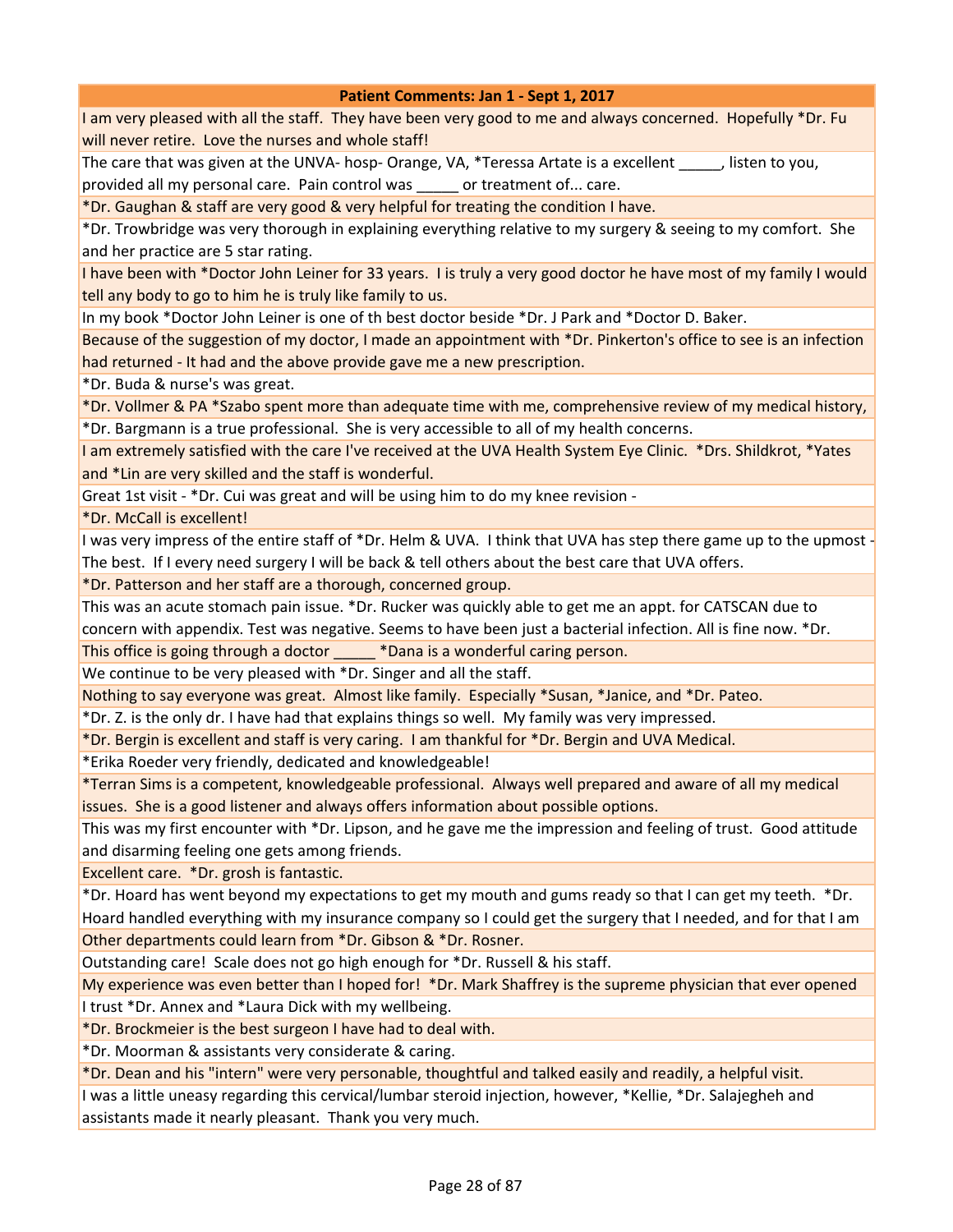I am very pleased with all the staff. They have been very good to me and always concerned. Hopefully \*Dr. Fu will never retire. Love the nurses and whole staff!

The care that was given at the UNVA- hosp- Orange, VA, \*Teressa Artate is a excellent \_\_\_\_\_, listen to you, provided all my personal care. Pain control was \_\_\_\_\_ or treatment of... care.

\*Dr. Gaughan & staff are very good & very helpful for treating the condition I have.

\*Dr. Trowbridge was very thorough in explaining everything relative to my surgery & seeing to my comfort. She and her practice are 5 star rating.

I have been with \*Doctor John Leiner for 33 years. I is truly a very good doctor he have most of my family I would tell any body to go to him he is truly like family to us.

In my book \*Doctor John Leiner is one of th best doctor beside \*Dr. J Park and \*Doctor D. Baker.

Because of the suggestion of my doctor, I made an appointment with \*Dr. Pinkerton's office to see is an infection had returned - It had and the above provide gave me a new prescription.

\*Dr. Buda & nurse's was great.

\*Dr. Vollmer & PA \*Szabo spent more than adequate time with me, comprehensive review of my medical history, \*Dr. Bargmann is a true professional. She is very accessible to all of my health concerns.

I am extremely satisfied with the care I've received at the UVA Health System Eye Clinic. \*Drs. Shildkrot, \*Yates and \*Lin are very skilled and the staff is wonderful.

Great 1st visit - \*Dr. Cui was great and will be using him to do my knee revision -

\*Dr. McCall is excellent!

I was very impress of the entire staff of \*Dr. Helm & UVA. I think that UVA has step there game up to the upmost - The best. If I every need surgery I will be back & tell others about the best care that UVA offers.

\*Dr. Patterson and her staff are a thorough, concerned group.

This was an acute stomach pain issue. \*Dr. Rucker was quickly able to get me an appt. for CATSCAN due to

concern with appendix. Test was negative. Seems to have been just a bacterial infection. All is fine now. \*Dr.

This office is going through a doctor  $\blacksquare$  \*Dana is a wonderful caring person.

We continue to be very pleased with \*Dr. Singer and all the staff.

Nothing to say everyone was great. Almost like family. Especially \*Susan, \*Janice, and \*Dr. Pateo.

\*Dr. Z. is the only dr. I have had that explains things so well. My family was very impressed.

\*Dr. Bergin is excellent and staff is very caring. I am thankful for \*Dr. Bergin and UVA Medical.

\*Erika Roeder very friendly, dedicated and knowledgeable!

\*Terran Sims is a competent, knowledgeable professional. Always well prepared and aware of all my medical issues. She is a good listener and always offers information about possible options.

This was my first encounter with \*Dr. Lipson, and he gave me the impression and feeling of trust. Good attitude and disarming feeling one gets among friends.

Excellent care. \*Dr. grosh is fantastic.

\*Dr. Hoard has went beyond my expectations to get my mouth and gums ready so that I can get my teeth. \*Dr. Hoard handled everything with my insurance company so I could get the surgery that I needed, and for that I am Other departments could learn from \*Dr. Gibson & \*Dr. Rosner.

Outstanding care! Scale does not go high enough for \*Dr. Russell & his staff.

My experience was even better than I hoped for! \*Dr. Mark Shaffrey is the supreme physician that ever opened I trust \*Dr. Annex and \*Laura Dick with my wellbeing.

\*Dr. Brockmeier is the best surgeon I have had to deal with.

\*Dr. Moorman & assistants very considerate & caring.

\*Dr. Dean and his "intern" were very personable, thoughtful and talked easily and readily, a helpful visit.

I was a little uneasy regarding this cervical/lumbar steroid injection, however, \*Kellie, \*Dr. Salajegheh and assistants made it nearly pleasant. Thank you very much.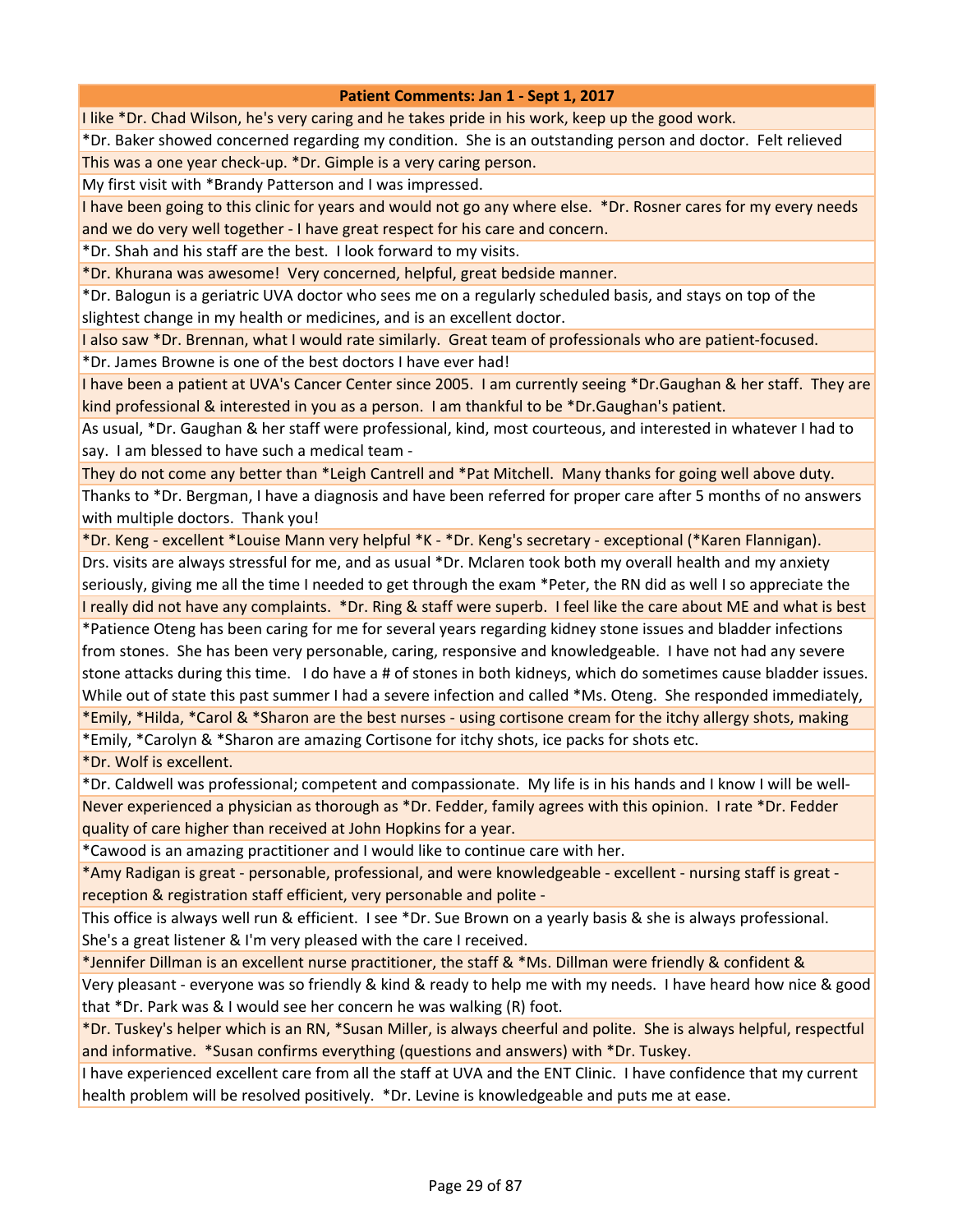I like \*Dr. Chad Wilson, he's very caring and he takes pride in his work, keep up the good work.

\*Dr. Baker showed concerned regarding my condition. She is an outstanding person and doctor. Felt relieved This was a one year check-up. \*Dr. Gimple is a very caring person.

My first visit with \*Brandy Patterson and I was impressed.

I have been going to this clinic for years and would not go any where else. \*Dr. Rosner cares for my every needs and we do very well together - I have great respect for his care and concern.

\*Dr. Shah and his staff are the best. I look forward to my visits.

\*Dr. Khurana was awesome! Very concerned, helpful, great bedside manner.

\*Dr. Balogun is a geriatric UVA doctor who sees me on a regularly scheduled basis, and stays on top of the slightest change in my health or medicines, and is an excellent doctor.

I also saw \*Dr. Brennan, what I would rate similarly. Great team of professionals who are patient-focused.

\*Dr. James Browne is one of the best doctors I have ever had!

I have been a patient at UVA's Cancer Center since 2005. I am currently seeing \*Dr.Gaughan & her staff. They are kind professional & interested in you as a person. I am thankful to be \*Dr.Gaughan's patient.

As usual, \*Dr. Gaughan & her staff were professional, kind, most courteous, and interested in whatever I had to say. I am blessed to have such a medical team -

They do not come any better than \*Leigh Cantrell and \*Pat Mitchell. Many thanks for going well above duty. Thanks to \*Dr. Bergman, I have a diagnosis and have been referred for proper care after 5 months of no answers with multiple doctors. Thank you!

\*Dr. Keng - excellent \*Louise Mann very helpful \*K - \*Dr. Keng's secretary - exceptional (\*Karen Flannigan).

Drs. visits are always stressful for me, and as usual \*Dr. Mclaren took both my overall health and my anxiety seriously, giving me all the time I needed to get through the exam \*Peter, the RN did as well I so appreciate the I really did not have any complaints. \*Dr. Ring & staff were superb. I feel like the care about ME and what is best

\*Patience Oteng has been caring for me for several years regarding kidney stone issues and bladder infections from stones. She has been very personable, caring, responsive and knowledgeable. I have not had any severe stone attacks during this time. I do have a # of stones in both kidneys, which do sometimes cause bladder issues. While out of state this past summer I had a severe infection and called \*Ms. Oteng. She responded immediately, \*Emily, \*Hilda, \*Carol & \*Sharon are the best nurses - using cortisone cream for the itchy allergy shots, making

\*Emily, \*Carolyn & \*Sharon are amazing Cortisone for itchy shots, ice packs for shots etc.

\*Dr. Wolf is excellent.

\*Dr. Caldwell was professional; competent and compassionate. My life is in his hands and I know I will be well-Never experienced a physician as thorough as \*Dr. Fedder, family agrees with this opinion. I rate \*Dr. Fedder quality of care higher than received at John Hopkins for a year.

\*Cawood is an amazing practitioner and I would like to continue care with her.

\*Amy Radigan is great - personable, professional, and were knowledgeable - excellent - nursing staff is great reception & registration staff efficient, very personable and polite -

This office is always well run & efficient. I see \*Dr. Sue Brown on a yearly basis & she is always professional. She's a great listener & I'm very pleased with the care I received.

\*Jennifer Dillman is an excellent nurse practitioner, the staff & \*Ms. Dillman were friendly & confident &

Very pleasant - everyone was so friendly & kind & ready to help me with my needs. I have heard how nice & good that \*Dr. Park was & I would see her concern he was walking (R) foot.

\*Dr. Tuskey's helper which is an RN, \*Susan Miller, is always cheerful and polite. She is always helpful, respectful and informative. \*Susan confirms everything (questions and answers) with \*Dr. Tuskey.

I have experienced excellent care from all the staff at UVA and the ENT Clinic. I have confidence that my current health problem will be resolved positively. \*Dr. Levine is knowledgeable and puts me at ease.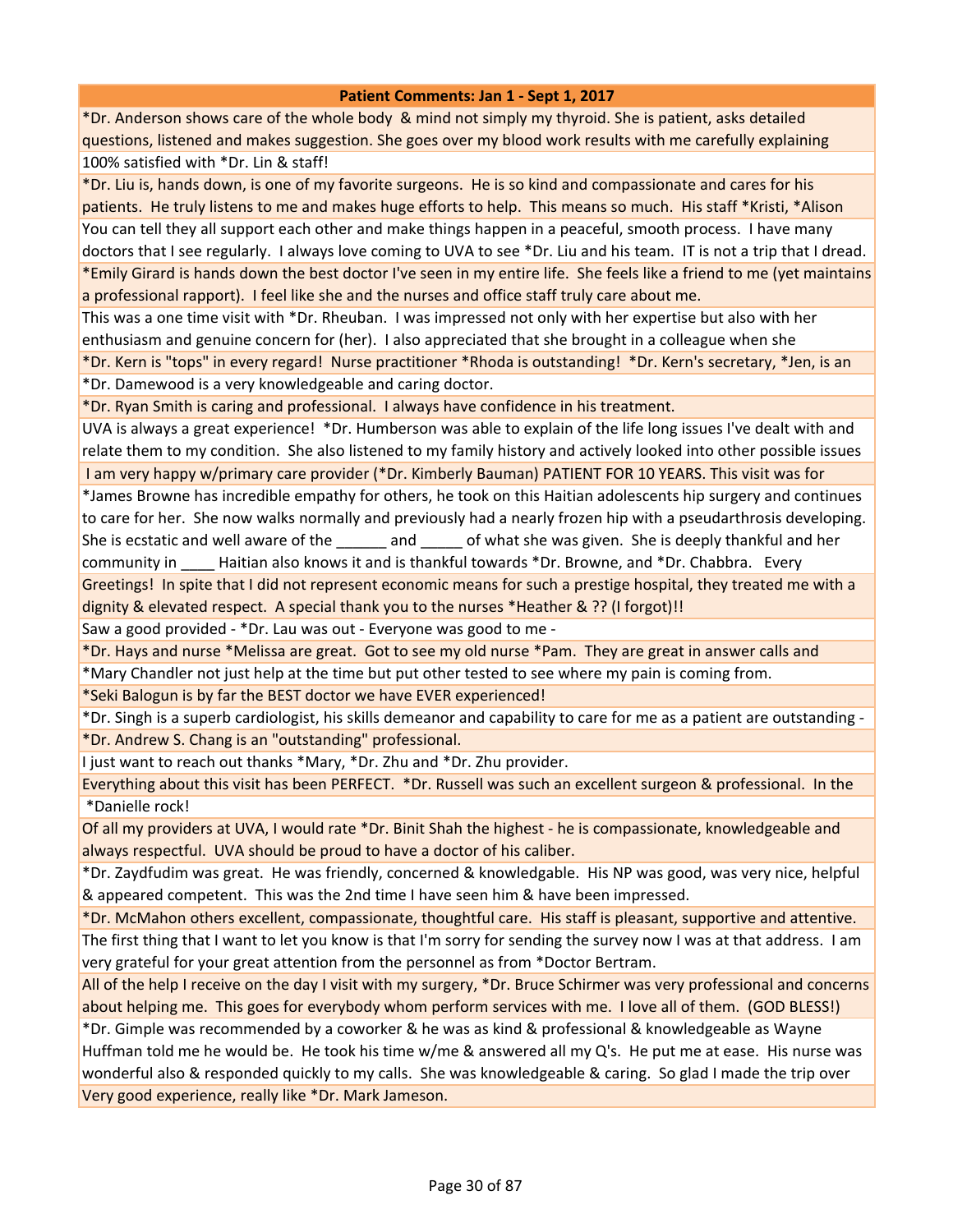\*Dr. Anderson shows care of the whole body & mind not simply my thyroid. She is patient, asks detailed questions, listened and makes suggestion. She goes over my blood work results with me carefully explaining 100% satisfied with \*Dr. Lin & staff!

\*Dr. Liu is, hands down, is one of my favorite surgeons. He is so kind and compassionate and cares for his patients. He truly listens to me and makes huge efforts to help. This means so much. His staff \*Kristi, \*Alison You can tell they all support each other and make things happen in a peaceful, smooth process. I have many doctors that I see regularly. I always love coming to UVA to see \*Dr. Liu and his team. IT is not a trip that I dread. \*Emily Girard is hands down the best doctor I've seen in my entire life. She feels like a friend to me (yet maintains a professional rapport). I feel like she and the nurses and office staff truly care about me.

This was a one time visit with \*Dr. Rheuban. I was impressed not only with her expertise but also with her enthusiasm and genuine concern for (her). I also appreciated that she brought in a colleague when she

\*Dr. Kern is "tops" in every regard! Nurse practitioner \*Rhoda is outstanding! \*Dr. Kern's secretary, \*Jen, is an \*Dr. Damewood is a very knowledgeable and caring doctor.

\*Dr. Ryan Smith is caring and professional. I always have confidence in his treatment.

UVA is always a great experience! \*Dr. Humberson was able to explain of the life long issues I've dealt with and relate them to my condition. She also listened to my family history and actively looked into other possible issues

I am very happy w/primary care provider (\*Dr. Kimberly Bauman) PATIENT FOR 10 YEARS. This visit was for

\*James Browne has incredible empathy for others, he took on this Haitian adolescents hip surgery and continues to care for her. She now walks normally and previously had a nearly frozen hip with a pseudarthrosis developing. She is ecstatic and well aware of the and cof what she was given. She is deeply thankful and her community in Haitian also knows it and is thankful towards \*Dr. Browne, and \*Dr. Chabbra. Every

Greetings! In spite that I did not represent economic means for such a prestige hospital, they treated me with a dignity & elevated respect. A special thank you to the nurses \*Heather & ?? (I forgot)!!

Saw a good provided - \*Dr. Lau was out - Everyone was good to me -

\*Dr. Hays and nurse \*Melissa are great. Got to see my old nurse \*Pam. They are great in answer calls and \*Mary Chandler not just help at the time but put other tested to see where my pain is coming from.

\*Seki Balogun is by far the BEST doctor we have EVER experienced!

\*Dr. Singh is a superb cardiologist, his skills demeanor and capability to care for me as a patient are outstanding - \*Dr. Andrew S. Chang is an "outstanding" professional.

I just want to reach out thanks \*Mary, \*Dr. Zhu and \*Dr. Zhu provider.

Everything about this visit has been PERFECT. \*Dr. Russell was such an excellent surgeon & professional. In the \*Danielle rock!

Of all my providers at UVA, I would rate \*Dr. Binit Shah the highest - he is compassionate, knowledgeable and always respectful. UVA should be proud to have a doctor of his caliber.

\*Dr. Zaydfudim was great. He was friendly, concerned & knowledgable. His NP was good, was very nice, helpful & appeared competent. This was the 2nd time I have seen him & have been impressed.

\*Dr. McMahon others excellent, compassionate, thoughtful care. His staff is pleasant, supportive and attentive. The first thing that I want to let you know is that I'm sorry for sending the survey now I was at that address. I am very grateful for your great attention from the personnel as from \*Doctor Bertram.

All of the help I receive on the day I visit with my surgery, \*Dr. Bruce Schirmer was very professional and concerns about helping me. This goes for everybody whom perform services with me. I love all of them. (GOD BLESS!)

\*Dr. Gimple was recommended by a coworker & he was as kind & professional & knowledgeable as Wayne Huffman told me he would be. He took his time w/me & answered all my Q's. He put me at ease. His nurse was wonderful also & responded quickly to my calls. She was knowledgeable & caring. So glad I made the trip over Very good experience, really like \*Dr. Mark Jameson.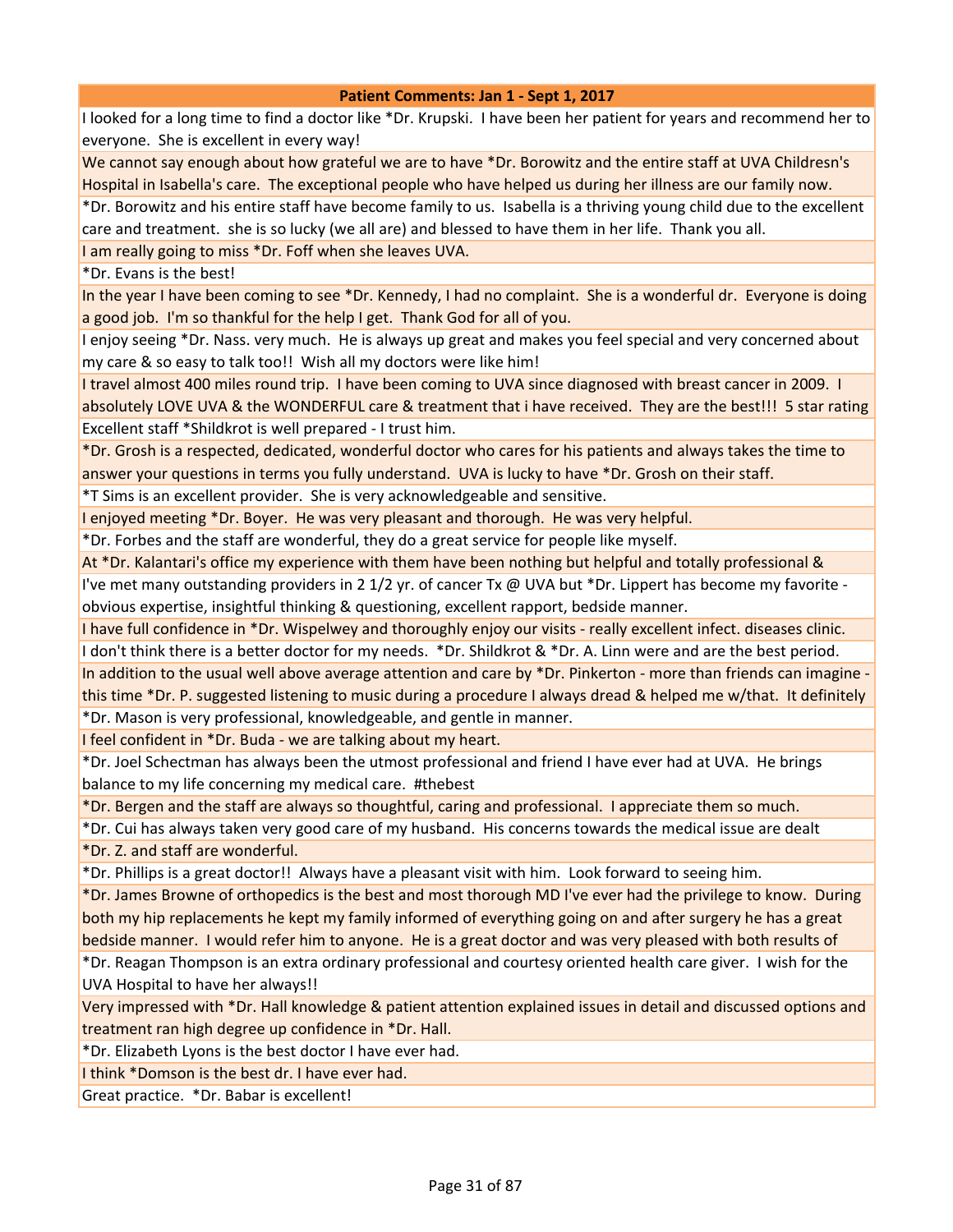I looked for a long time to find a doctor like \*Dr. Krupski. I have been her patient for years and recommend her to everyone. She is excellent in every way!

We cannot say enough about how grateful we are to have \*Dr. Borowitz and the entire staff at UVA Childresn's Hospital in Isabella's care. The exceptional people who have helped us during her illness are our family now.

\*Dr. Borowitz and his entire staff have become family to us. Isabella is a thriving young child due to the excellent care and treatment. she is so lucky (we all are) and blessed to have them in her life. Thank you all.

I am really going to miss \*Dr. Foff when she leaves UVA.

\*Dr. Evans is the best!

In the year I have been coming to see \*Dr. Kennedy, I had no complaint. She is a wonderful dr. Everyone is doing a good job. I'm so thankful for the help I get. Thank God for all of you.

I enjoy seeing \*Dr. Nass. very much. He is always up great and makes you feel special and very concerned about my care & so easy to talk too!! Wish all my doctors were like him!

I travel almost 400 miles round trip. I have been coming to UVA since diagnosed with breast cancer in 2009. I absolutely LOVE UVA & the WONDERFUL care & treatment that i have received. They are the best!!! 5 star rating Excellent staff \*Shildkrot is well prepared - I trust him.

\*Dr. Grosh is a respected, dedicated, wonderful doctor who cares for his patients and always takes the time to answer your questions in terms you fully understand. UVA is lucky to have \*Dr. Grosh on their staff.

\*T Sims is an excellent provider. She is very acknowledgeable and sensitive.

I enjoyed meeting \*Dr. Boyer. He was very pleasant and thorough. He was very helpful.

\*Dr. Forbes and the staff are wonderful, they do a great service for people like myself.

At \*Dr. Kalantari's office my experience with them have been nothing but helpful and totally professional &

I've met many outstanding providers in 2 1/2 yr. of cancer Tx @ UVA but \*Dr. Lippert has become my favorite obvious expertise, insightful thinking & questioning, excellent rapport, bedside manner.

I have full confidence in \*Dr. Wispelwey and thoroughly enjoy our visits - really excellent infect. diseases clinic.

I don't think there is a better doctor for my needs. \*Dr. Shildkrot & \*Dr. A. Linn were and are the best period.

In addition to the usual well above average attention and care by \*Dr. Pinkerton - more than friends can imagine this time \*Dr. P. suggested listening to music during a procedure I always dread & helped me w/that. It definitely \*Dr. Mason is very professional, knowledgeable, and gentle in manner.

I feel confident in \*Dr. Buda - we are talking about my heart.

\*Dr. Joel Schectman has always been the utmost professional and friend I have ever had at UVA. He brings balance to my life concerning my medical care. #thebest

\*Dr. Bergen and the staff are always so thoughtful, caring and professional. I appreciate them so much.

\*Dr. Cui has always taken very good care of my husband. His concerns towards the medical issue are dealt \*Dr. Z. and staff are wonderful.

\*Dr. Phillips is a great doctor!! Always have a pleasant visit with him. Look forward to seeing him.

\*Dr. James Browne of orthopedics is the best and most thorough MD I've ever had the privilege to know. During both my hip replacements he kept my family informed of everything going on and after surgery he has a great bedside manner. I would refer him to anyone. He is a great doctor and was very pleased with both results of

\*Dr. Reagan Thompson is an extra ordinary professional and courtesy oriented health care giver. I wish for the UVA Hospital to have her always!!

Very impressed with \*Dr. Hall knowledge & patient attention explained issues in detail and discussed options and treatment ran high degree up confidence in \*Dr. Hall.

\*Dr. Elizabeth Lyons is the best doctor I have ever had.

I think \*Domson is the best dr. I have ever had.

Great practice. \*Dr. Babar is excellent!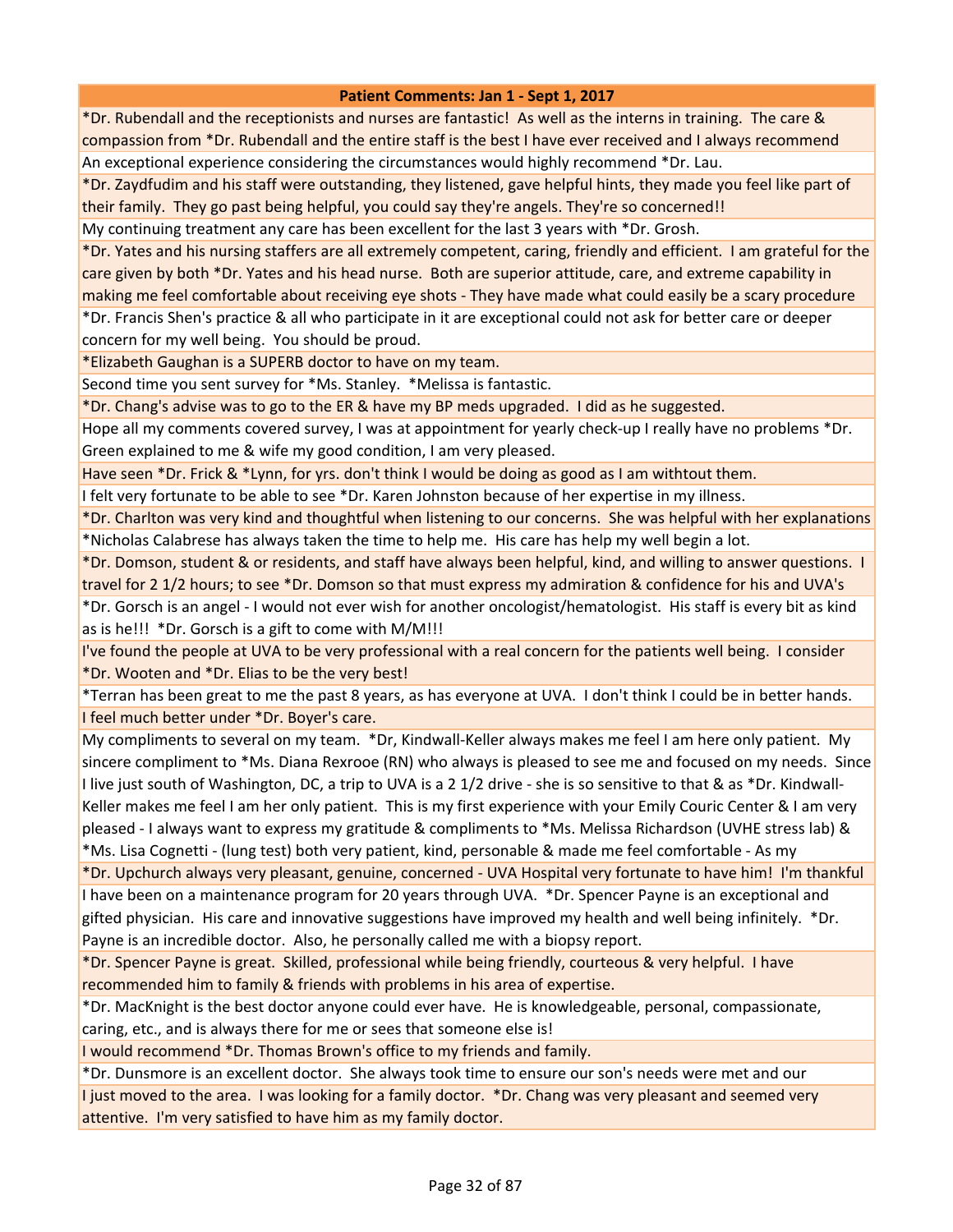\*Dr. Rubendall and the receptionists and nurses are fantastic! As well as the interns in training. The care & compassion from \*Dr. Rubendall and the entire staff is the best I have ever received and I always recommend An exceptional experience considering the circumstances would highly recommend \*Dr. Lau.

\*Dr. Zaydfudim and his staff were outstanding, they listened, gave helpful hints, they made you feel like part of their family. They go past being helpful, you could say they're angels. They're so concerned!!

My continuing treatment any care has been excellent for the last 3 years with \*Dr. Grosh.

\*Dr. Yates and his nursing staffers are all extremely competent, caring, friendly and efficient. I am grateful for the care given by both \*Dr. Yates and his head nurse. Both are superior attitude, care, and extreme capability in making me feel comfortable about receiving eye shots - They have made what could easily be a scary procedure \*Dr. Francis Shen's practice & all who participate in it are exceptional could not ask for better care or deeper concern for my well being. You should be proud.

\*Elizabeth Gaughan is a SUPERB doctor to have on my team.

Second time you sent survey for \*Ms. Stanley. \*Melissa is fantastic.

\*Dr. Chang's advise was to go to the ER & have my BP meds upgraded. I did as he suggested.

Hope all my comments covered survey, I was at appointment for yearly check-up I really have no problems \*Dr. Green explained to me & wife my good condition, I am very pleased.

Have seen \*Dr. Frick & \*Lynn, for yrs. don't think I would be doing as good as I am withtout them.

I felt very fortunate to be able to see \*Dr. Karen Johnston because of her expertise in my illness.

\*Dr. Charlton was very kind and thoughtful when listening to our concerns. She was helpful with her explanations \*Nicholas Calabrese has always taken the time to help me. His care has help my well begin a lot.

\*Dr. Domson, student & or residents, and staff have always been helpful, kind, and willing to answer questions. I travel for 2 1/2 hours; to see \*Dr. Domson so that must express my admiration & confidence for his and UVA's

\*Dr. Gorsch is an angel - I would not ever wish for another oncologist/hematologist. His staff is every bit as kind as is he!!! \*Dr. Gorsch is a gift to come with M/M!!!

I've found the people at UVA to be very professional with a real concern for the patients well being. I consider \*Dr. Wooten and \*Dr. Elias to be the very best!

\*Terran has been great to me the past 8 years, as has everyone at UVA. I don't think I could be in better hands. I feel much better under \*Dr. Boyer's care.

My compliments to several on my team. \*Dr, Kindwall-Keller always makes me feel I am here only patient. My sincere compliment to \*Ms. Diana Rexrooe (RN) who always is pleased to see me and focused on my needs. Since I live just south of Washington, DC, a trip to UVA is a 21/2 drive - she is so sensitive to that & as \*Dr. Kindwall-Keller makes me feel I am her only patient. This is my first experience with your Emily Couric Center & I am very pleased - I always want to express my gratitude & compliments to \*Ms. Melissa Richardson (UVHE stress lab) & \*Ms. Lisa Cognetti - (lung test) both very patient, kind, personable & made me feel comfortable - As my

\*Dr. Upchurch always very pleasant, genuine, concerned - UVA Hospital very fortunate to have him! I'm thankful I have been on a maintenance program for 20 years through UVA. \*Dr. Spencer Payne is an exceptional and gifted physician. His care and innovative suggestions have improved my health and well being infinitely. \*Dr. Payne is an incredible doctor. Also, he personally called me with a biopsy report.

\*Dr. Spencer Payne is great. Skilled, professional while being friendly, courteous & very helpful. I have recommended him to family & friends with problems in his area of expertise.

\*Dr. MacKnight is the best doctor anyone could ever have. He is knowledgeable, personal, compassionate, caring, etc., and is always there for me or sees that someone else is!

I would recommend \*Dr. Thomas Brown's office to my friends and family.

\*Dr. Dunsmore is an excellent doctor. She always took time to ensure our son's needs were met and our I just moved to the area. I was looking for a family doctor. \*Dr. Chang was very pleasant and seemed very attentive. I'm very satisfied to have him as my family doctor.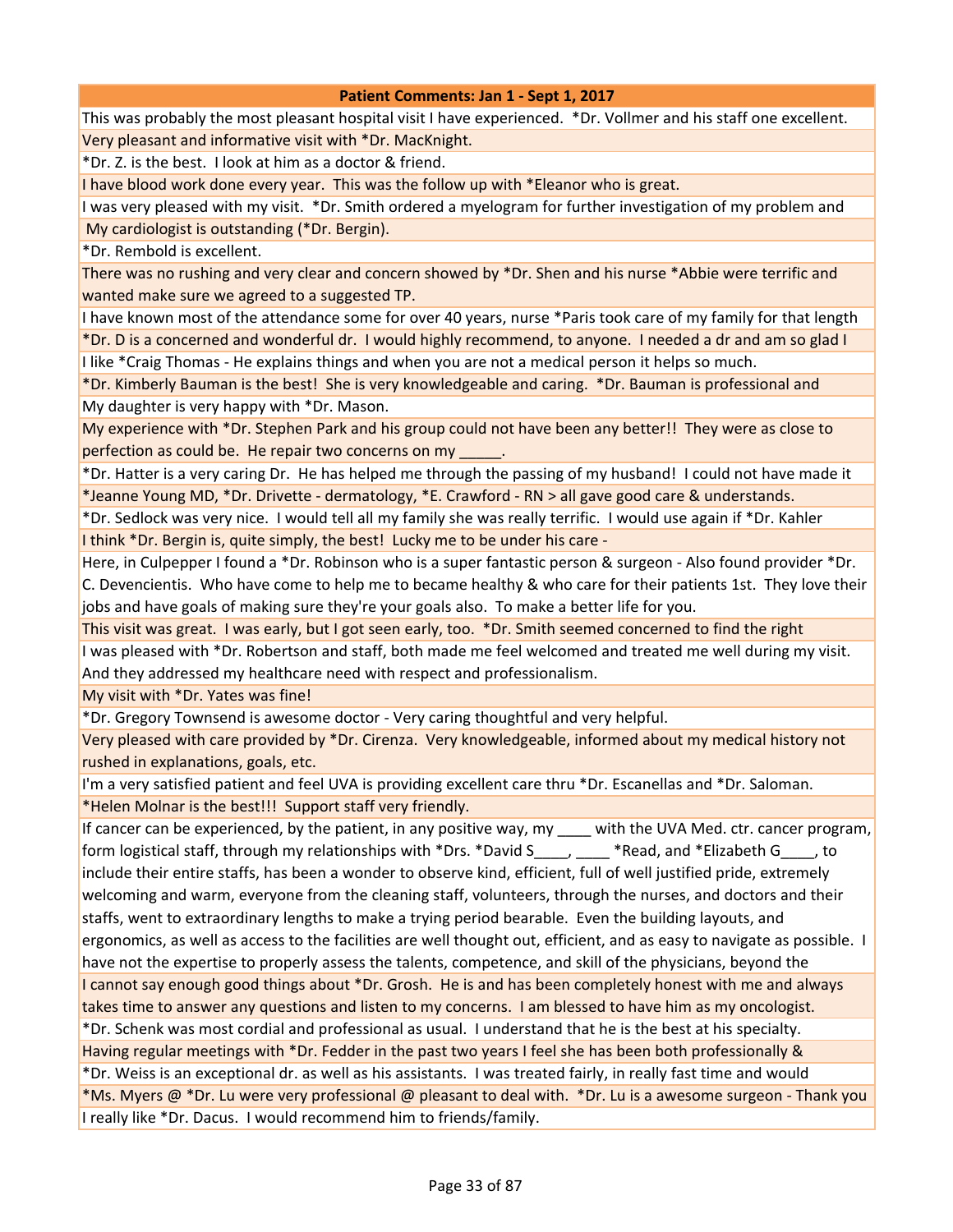This was probably the most pleasant hospital visit I have experienced. \*Dr. Vollmer and his staff one excellent. Very pleasant and informative visit with \*Dr. MacKnight.

\*Dr. Z. is the best. I look at him as a doctor & friend.

I have blood work done every year. This was the follow up with \*Eleanor who is great.

I was very pleased with my visit. \*Dr. Smith ordered a myelogram for further investigation of my problem and My cardiologist is outstanding (\*Dr. Bergin).

\*Dr. Rembold is excellent.

There was no rushing and very clear and concern showed by \*Dr. Shen and his nurse \*Abbie were terrific and wanted make sure we agreed to a suggested TP.

I have known most of the attendance some for over 40 years, nurse \*Paris took care of my family for that length \*Dr. D is a concerned and wonderful dr. I would highly recommend, to anyone. I needed a dr and am so glad I

I like \*Craig Thomas - He explains things and when you are not a medical person it helps so much.

\*Dr. Kimberly Bauman is the best! She is very knowledgeable and caring. \*Dr. Bauman is professional and My daughter is very happy with \*Dr. Mason.

My experience with \*Dr. Stephen Park and his group could not have been any better!! They were as close to perfection as could be. He repair two concerns on my

\*Dr. Hatter is a very caring Dr. He has helped me through the passing of my husband! I could not have made it \*Jeanne Young MD, \*Dr. Drivette - dermatology, \*E. Crawford - RN > all gave good care & understands.

\*Dr. Sedlock was very nice. I would tell all my family she was really terrific. I would use again if \*Dr. Kahler I think \*Dr. Bergin is, quite simply, the best! Lucky me to be under his care -

Here, in Culpepper I found a \*Dr. Robinson who is a super fantastic person & surgeon - Also found provider \*Dr. C. Devencientis. Who have come to help me to became healthy & who care for their patients 1st. They love their jobs and have goals of making sure they're your goals also. To make a better life for you.

This visit was great. I was early, but I got seen early, too. \*Dr. Smith seemed concerned to find the right

I was pleased with \*Dr. Robertson and staff, both made me feel welcomed and treated me well during my visit. And they addressed my healthcare need with respect and professionalism.

My visit with \*Dr. Yates was fine!

\*Dr. Gregory Townsend is awesome doctor - Very caring thoughtful and very helpful.

Very pleased with care provided by \*Dr. Cirenza. Very knowledgeable, informed about my medical history not rushed in explanations, goals, etc.

I'm a very satisfied patient and feel UVA is providing excellent care thru \*Dr. Escanellas and \*Dr. Saloman. \*Helen Molnar is the best!!! Support staff very friendly.

If cancer can be experienced, by the patient, in any positive way, my \_\_\_\_ with the UVA Med. ctr. cancer program, form logistical staff, through my relationships with \*Drs. \*David S\_\_\_\_, \_\_\_\_ \*Read, and \*Elizabeth G\_\_\_\_, to include their entire staffs, has been a wonder to observe kind, efficient, full of well justified pride, extremely welcoming and warm, everyone from the cleaning staff, volunteers, through the nurses, and doctors and their staffs, went to extraordinary lengths to make a trying period bearable. Even the building layouts, and ergonomics, as well as access to the facilities are well thought out, efficient, and as easy to navigate as possible. I have not the expertise to properly assess the talents, competence, and skill of the physicians, beyond the I cannot say enough good things about \*Dr. Grosh. He is and has been completely honest with me and always takes time to answer any questions and listen to my concerns. I am blessed to have him as my oncologist. \*Dr. Schenk was most cordial and professional as usual. I understand that he is the best at his specialty. Having regular meetings with \*Dr. Fedder in the past two years I feel she has been both professionally & \*Dr. Weiss is an exceptional dr. as well as his assistants. I was treated fairly, in really fast time and would \*Ms. Myers @ \*Dr. Lu were very professional @ pleasant to deal with. \*Dr. Lu is a awesome surgeon - Thank you

I really like \*Dr. Dacus. I would recommend him to friends/family.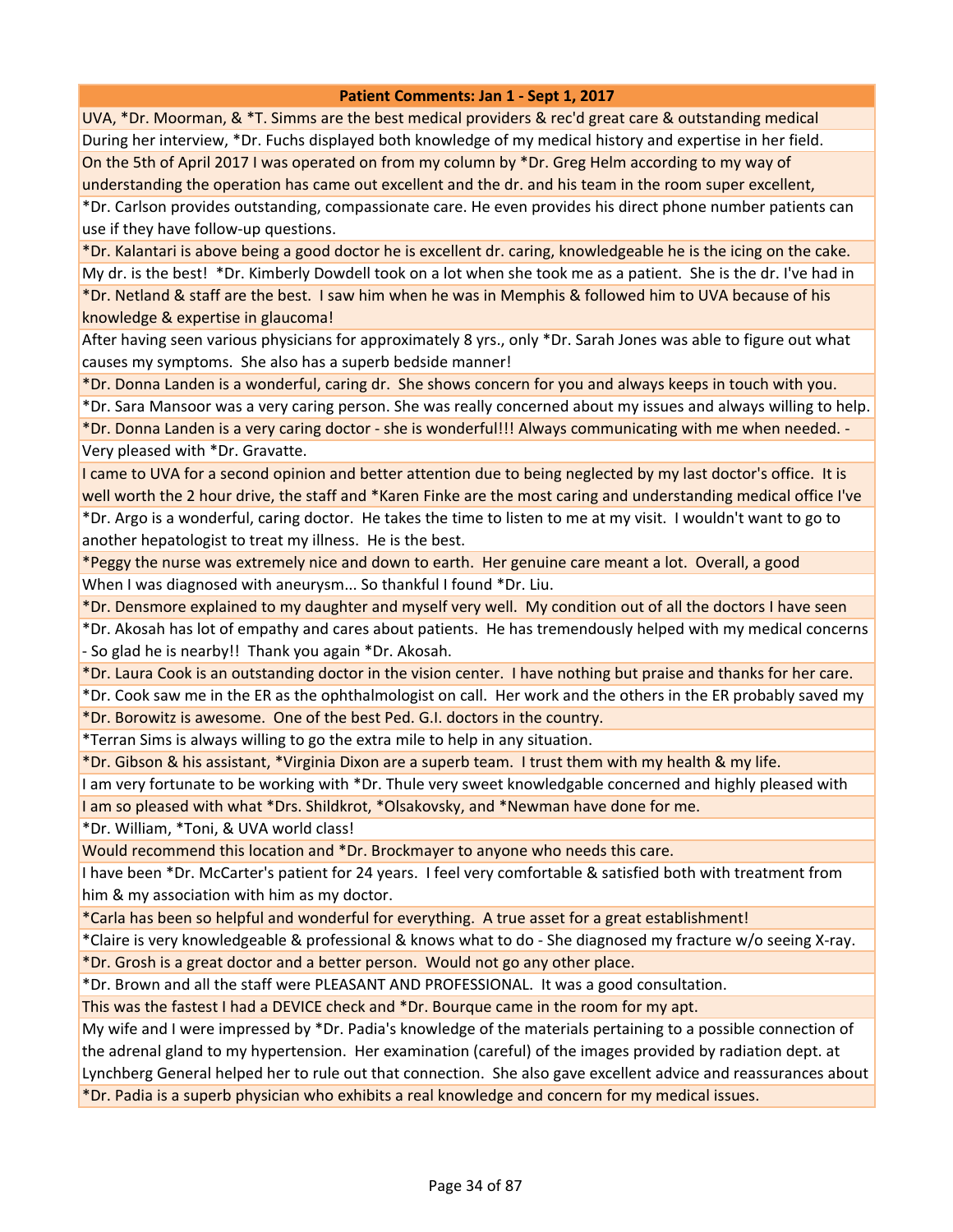UVA, \*Dr. Moorman, & \*T. Simms are the best medical providers & rec'd great care & outstanding medical During her interview, \*Dr. Fuchs displayed both knowledge of my medical history and expertise in her field. On the 5th of April 2017 I was operated on from my column by \*Dr. Greg Helm according to my way of understanding the operation has came out excellent and the dr. and his team in the room super excellent, \*Dr. Carlson provides outstanding, compassionate care. He even provides his direct phone number patients can

use if they have follow-up questions.

\*Dr. Kalantari is above being a good doctor he is excellent dr. caring, knowledgeable he is the icing on the cake. My dr. is the best! \*Dr. Kimberly Dowdell took on a lot when she took me as a patient. She is the dr. I've had in \*Dr. Netland & staff are the best. I saw him when he was in Memphis & followed him to UVA because of his knowledge & expertise in glaucoma!

After having seen various physicians for approximately 8 yrs., only \*Dr. Sarah Jones was able to figure out what causes my symptoms. She also has a superb bedside manner!

\*Dr. Donna Landen is a wonderful, caring dr. She shows concern for you and always keeps in touch with you.

\*Dr. Sara Mansoor was a very caring person. She was really concerned about my issues and always willing to help.

\*Dr. Donna Landen is a very caring doctor - she is wonderful!!! Always communicating with me when needed. - Very pleased with \*Dr. Gravatte.

I came to UVA for a second opinion and better attention due to being neglected by my last doctor's office. It is well worth the 2 hour drive, the staff and \*Karen Finke are the most caring and understanding medical office I've \*Dr. Argo is a wonderful, caring doctor. He takes the time to listen to me at my visit. I wouldn't want to go to another hepatologist to treat my illness. He is the best.

\*Peggy the nurse was extremely nice and down to earth. Her genuine care meant a lot. Overall, a good When I was diagnosed with aneurysm... So thankful I found \*Dr. Liu.

\*Dr. Densmore explained to my daughter and myself very well. My condition out of all the doctors I have seen

\*Dr. Akosah has lot of empathy and cares about patients. He has tremendously helped with my medical concerns - So glad he is nearby!! Thank you again \*Dr. Akosah.

\*Dr. Laura Cook is an outstanding doctor in the vision center. I have nothing but praise and thanks for her care.

\*Dr. Cook saw me in the ER as the ophthalmologist on call. Her work and the others in the ER probably saved my

\*Dr. Borowitz is awesome. One of the best Ped. G.I. doctors in the country.

\*Terran Sims is always willing to go the extra mile to help in any situation.

\*Dr. Gibson & his assistant, \*Virginia Dixon are a superb team. I trust them with my health & my life.

I am very fortunate to be working with \*Dr. Thule very sweet knowledgable concerned and highly pleased with I am so pleased with what \*Drs. Shildkrot, \*Olsakovsky, and \*Newman have done for me.

\*Dr. William, \*Toni, & UVA world class!

Would recommend this location and \*Dr. Brockmayer to anyone who needs this care.

I have been \*Dr. McCarter's patient for 24 years. I feel very comfortable & satisfied both with treatment from him & my association with him as my doctor.

\*Carla has been so helpful and wonderful for everything. A true asset for a great establishment!

\*Claire is very knowledgeable & professional & knows what to do - She diagnosed my fracture w/o seeing X-ray.

\*Dr. Grosh is a great doctor and a better person. Would not go any other place.

\*Dr. Brown and all the staff were PLEASANT AND PROFESSIONAL. It was a good consultation.

This was the fastest I had a DEVICE check and \*Dr. Bourque came in the room for my apt.

My wife and I were impressed by \*Dr. Padia's knowledge of the materials pertaining to a possible connection of the adrenal gland to my hypertension. Her examination (careful) of the images provided by radiation dept. at Lynchberg General helped her to rule out that connection. She also gave excellent advice and reassurances about \*Dr. Padia is a superb physician who exhibits a real knowledge and concern for my medical issues.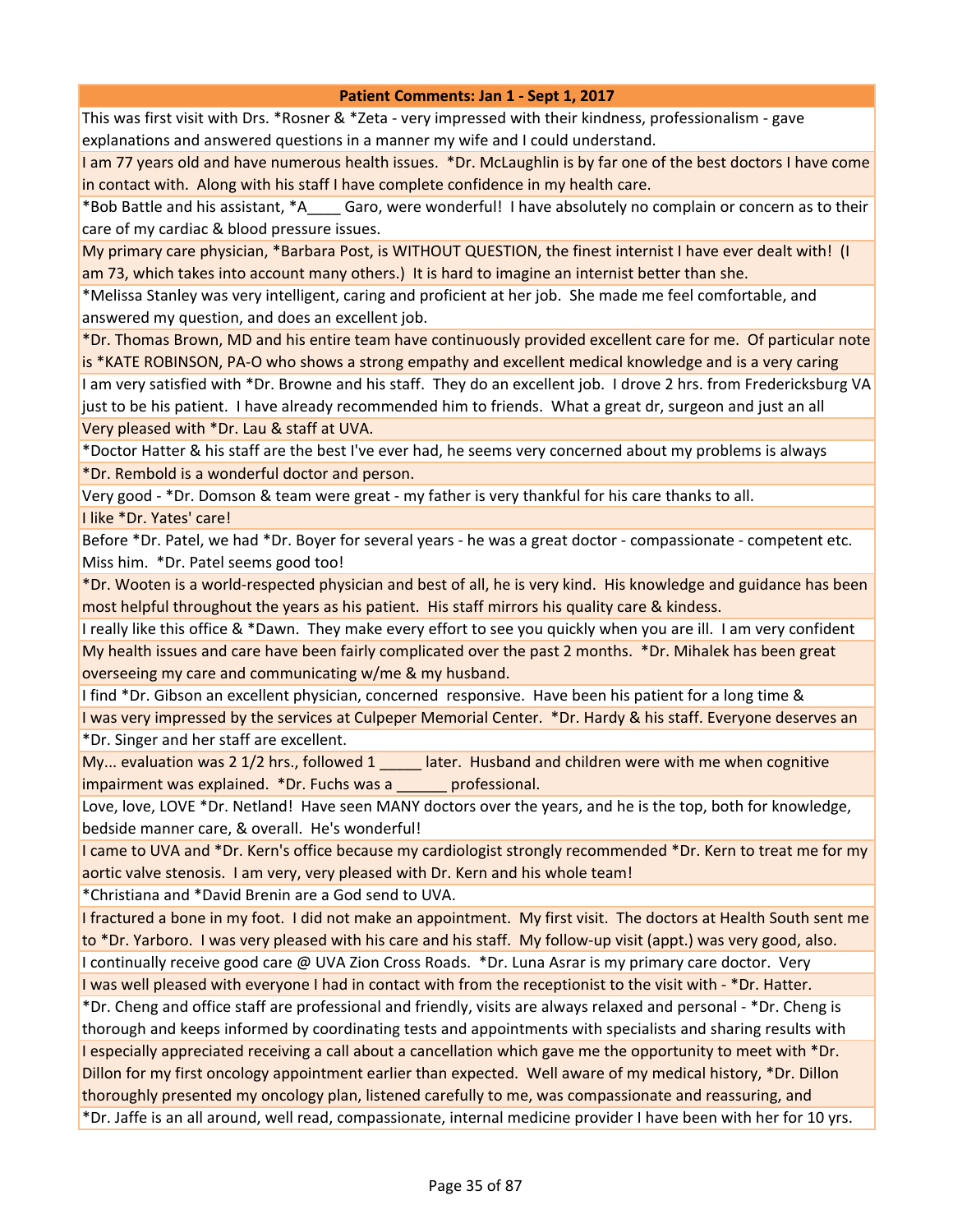This was first visit with Drs. \*Rosner & \*Zeta - very impressed with their kindness, professionalism - gave explanations and answered questions in a manner my wife and I could understand.

I am 77 years old and have numerous health issues. \*Dr. McLaughlin is by far one of the best doctors I have come in contact with. Along with his staff I have complete confidence in my health care.

\*Bob Battle and his assistant, \*A\_\_\_\_ Garo, were wonderful! I have absolutely no complain or concern as to their care of my cardiac & blood pressure issues.

My primary care physician, \*Barbara Post, is WITHOUT QUESTION, the finest internist I have ever dealt with! (I am 73, which takes into account many others.) It is hard to imagine an internist better than she.

\*Melissa Stanley was very intelligent, caring and proficient at her job. She made me feel comfortable, and answered my question, and does an excellent job.

\*Dr. Thomas Brown, MD and his entire team have continuously provided excellent care for me. Of particular note is \*KATE ROBINSON, PA-O who shows a strong empathy and excellent medical knowledge and is a very caring

I am very satisfied with \*Dr. Browne and his staff. They do an excellent job. I drove 2 hrs. from Fredericksburg VA just to be his patient. I have already recommended him to friends. What a great dr, surgeon and just an all Very pleased with \*Dr. Lau & staff at UVA.

\*Doctor Hatter & his staff are the best I've ever had, he seems very concerned about my problems is always \*Dr. Rembold is a wonderful doctor and person.

Very good - \*Dr. Domson & team were great - my father is very thankful for his care thanks to all.

I like \*Dr. Yates' care!

Before \*Dr. Patel, we had \*Dr. Boyer for several years - he was a great doctor - compassionate - competent etc. Miss him. \*Dr. Patel seems good too!

\*Dr. Wooten is a world-respected physician and best of all, he is very kind. His knowledge and guidance has been most helpful throughout the years as his patient. His staff mirrors his quality care & kindess.

I really like this office & \*Dawn. They make every effort to see you quickly when you are ill. I am very confident My health issues and care have been fairly complicated over the past 2 months. \*Dr. Mihalek has been great overseeing my care and communicating w/me & my husband.

I find \*Dr. Gibson an excellent physician, concerned responsive. Have been his patient for a long time &

I was very impressed by the services at Culpeper Memorial Center. \*Dr. Hardy & his staff. Everyone deserves an \*Dr. Singer and her staff are excellent.

My... evaluation was 2 1/2 hrs., followed 1 \_\_\_\_\_ later. Husband and children were with me when cognitive impairment was explained. \*Dr. Fuchs was a \_\_\_\_\_\_ professional.

Love, love, LOVE \*Dr. Netland! Have seen MANY doctors over the years, and he is the top, both for knowledge, bedside manner care, & overall. He's wonderful!

I came to UVA and \*Dr. Kern's office because my cardiologist strongly recommended \*Dr. Kern to treat me for my aortic valve stenosis. I am very, very pleased with Dr. Kern and his whole team!

\*Christiana and \*David Brenin are a God send to UVA.

I fractured a bone in my foot. I did not make an appointment. My first visit. The doctors at Health South sent me to \*Dr. Yarboro. I was very pleased with his care and his staff. My follow-up visit (appt.) was very good, also.

I continually receive good care @ UVA Zion Cross Roads. \*Dr. Luna Asrar is my primary care doctor. Very I was well pleased with everyone I had in contact with from the receptionist to the visit with - \*Dr. Hatter.

\*Dr. Cheng and office staff are professional and friendly, visits are always relaxed and personal - \*Dr. Cheng is thorough and keeps informed by coordinating tests and appointments with specialists and sharing results with I especially appreciated receiving a call about a cancellation which gave me the opportunity to meet with \*Dr. Dillon for my first oncology appointment earlier than expected. Well aware of my medical history, \*Dr. Dillon thoroughly presented my oncology plan, listened carefully to me, was compassionate and reassuring, and \*Dr. Jaffe is an all around, well read, compassionate, internal medicine provider I have been with her for 10 yrs.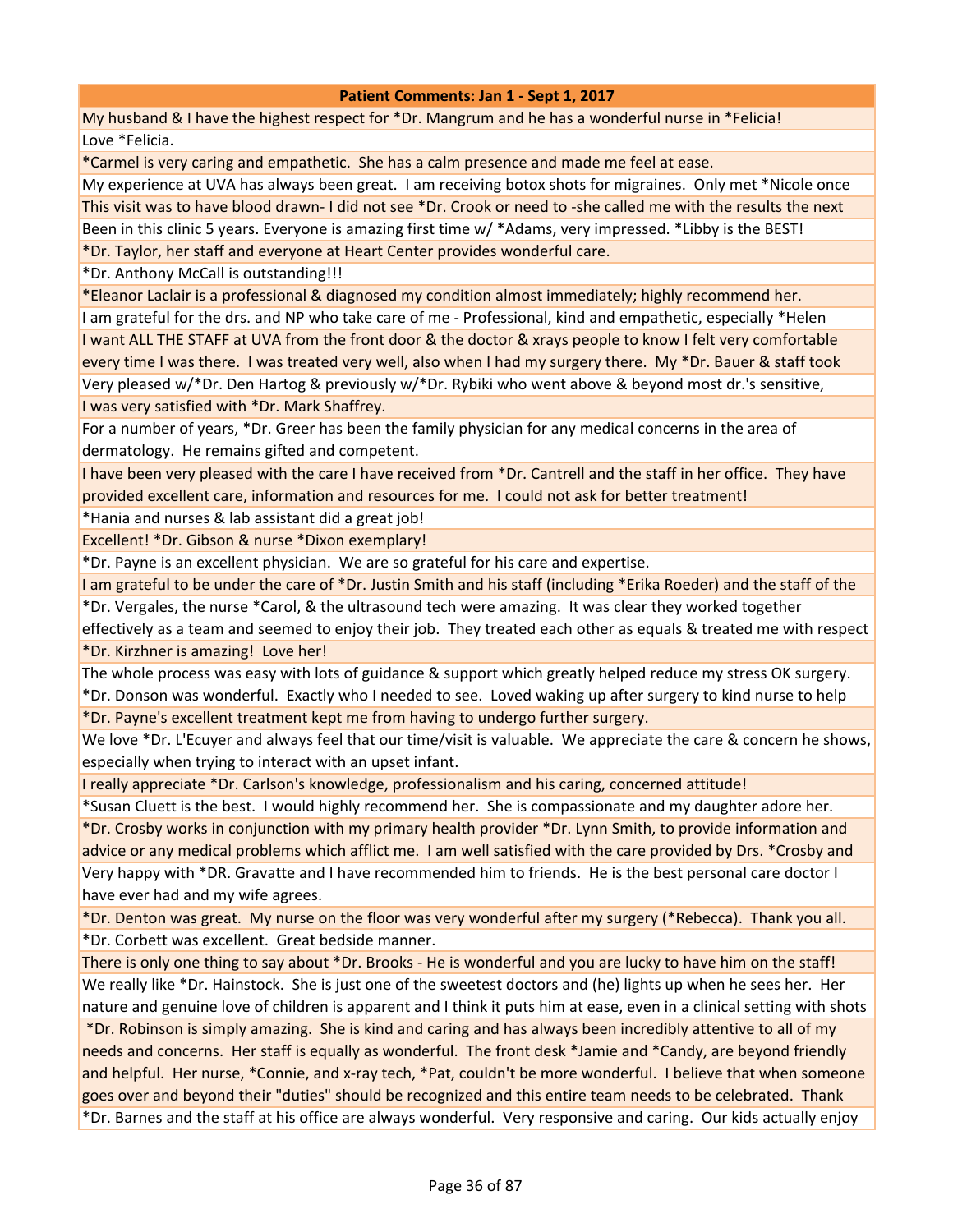My husband & I have the highest respect for \*Dr. Mangrum and he has a wonderful nurse in \*Felicia! Love \*Felicia.

\*Carmel is very caring and empathetic. She has a calm presence and made me feel at ease.

My experience at UVA has always been great. I am receiving botox shots for migraines. Only met \*Nicole once This visit was to have blood drawn- I did not see \*Dr. Crook or need to -she called me with the results the next Been in this clinic 5 years. Everyone is amazing first time w/ \*Adams, very impressed. \*Libby is the BEST! \*Dr. Taylor, her staff and everyone at Heart Center provides wonderful care.

\*Dr. Anthony McCall is outstanding!!!

\*Eleanor Laclair is a professional & diagnosed my condition almost immediately; highly recommend her. I am grateful for the drs. and NP who take care of me - Professional, kind and empathetic, especially \*Helen I want ALL THE STAFF at UVA from the front door & the doctor & xrays people to know I felt very comfortable every time I was there. I was treated very well, also when I had my surgery there. My \*Dr. Bauer & staff took Very pleased w/\*Dr. Den Hartog & previously w/\*Dr. Rybiki who went above & beyond most dr.'s sensitive,

I was very satisfied with \*Dr. Mark Shaffrey.

For a number of years, \*Dr. Greer has been the family physician for any medical concerns in the area of dermatology. He remains gifted and competent.

I have been very pleased with the care I have received from \*Dr. Cantrell and the staff in her office. They have provided excellent care, information and resources for me. I could not ask for better treatment!

\*Hania and nurses & lab assistant did a great job!

Excellent! \*Dr. Gibson & nurse \*Dixon exemplary!

\*Dr. Payne is an excellent physician. We are so grateful for his care and expertise.

I am grateful to be under the care of \*Dr. Justin Smith and his staff (including \*Erika Roeder) and the staff of the \*Dr. Vergales, the nurse \*Carol, & the ultrasound tech were amazing. It was clear they worked together

effectively as a team and seemed to enjoy their job. They treated each other as equals & treated me with respect \*Dr. Kirzhner is amazing! Love her!

The whole process was easy with lots of guidance & support which greatly helped reduce my stress OK surgery.

\*Dr. Donson was wonderful. Exactly who I needed to see. Loved waking up after surgery to kind nurse to help \*Dr. Payne's excellent treatment kept me from having to undergo further surgery.

We love \*Dr. L'Ecuyer and always feel that our time/visit is valuable. We appreciate the care & concern he shows, especially when trying to interact with an upset infant.

I really appreciate \*Dr. Carlson's knowledge, professionalism and his caring, concerned attitude!

\*Susan Cluett is the best. I would highly recommend her. She is compassionate and my daughter adore her.

\*Dr. Crosby works in conjunction with my primary health provider \*Dr. Lynn Smith, to provide information and advice or any medical problems which afflict me. I am well satisfied with the care provided by Drs. \*Crosby and Very happy with \*DR. Gravatte and I have recommended him to friends. He is the best personal care doctor I have ever had and my wife agrees.

\*Dr. Denton was great. My nurse on the floor was very wonderful after my surgery (\*Rebecca). Thank you all. \*Dr. Corbett was excellent. Great bedside manner.

There is only one thing to say about \*Dr. Brooks - He is wonderful and you are lucky to have him on the staff! We really like \*Dr. Hainstock. She is just one of the sweetest doctors and (he) lights up when he sees her. Her nature and genuine love of children is apparent and I think it puts him at ease, even in a clinical setting with shots

 \*Dr. Robinson is simply amazing. She is kind and caring and has always been incredibly attentive to all of my needs and concerns. Her staff is equally as wonderful. The front desk \*Jamie and \*Candy, are beyond friendly and helpful. Her nurse, \*Connie, and x-ray tech, \*Pat, couldn't be more wonderful. I believe that when someone goes over and beyond their "duties" should be recognized and this entire team needs to be celebrated. Thank \*Dr. Barnes and the staff at his office are always wonderful. Very responsive and caring. Our kids actually enjoy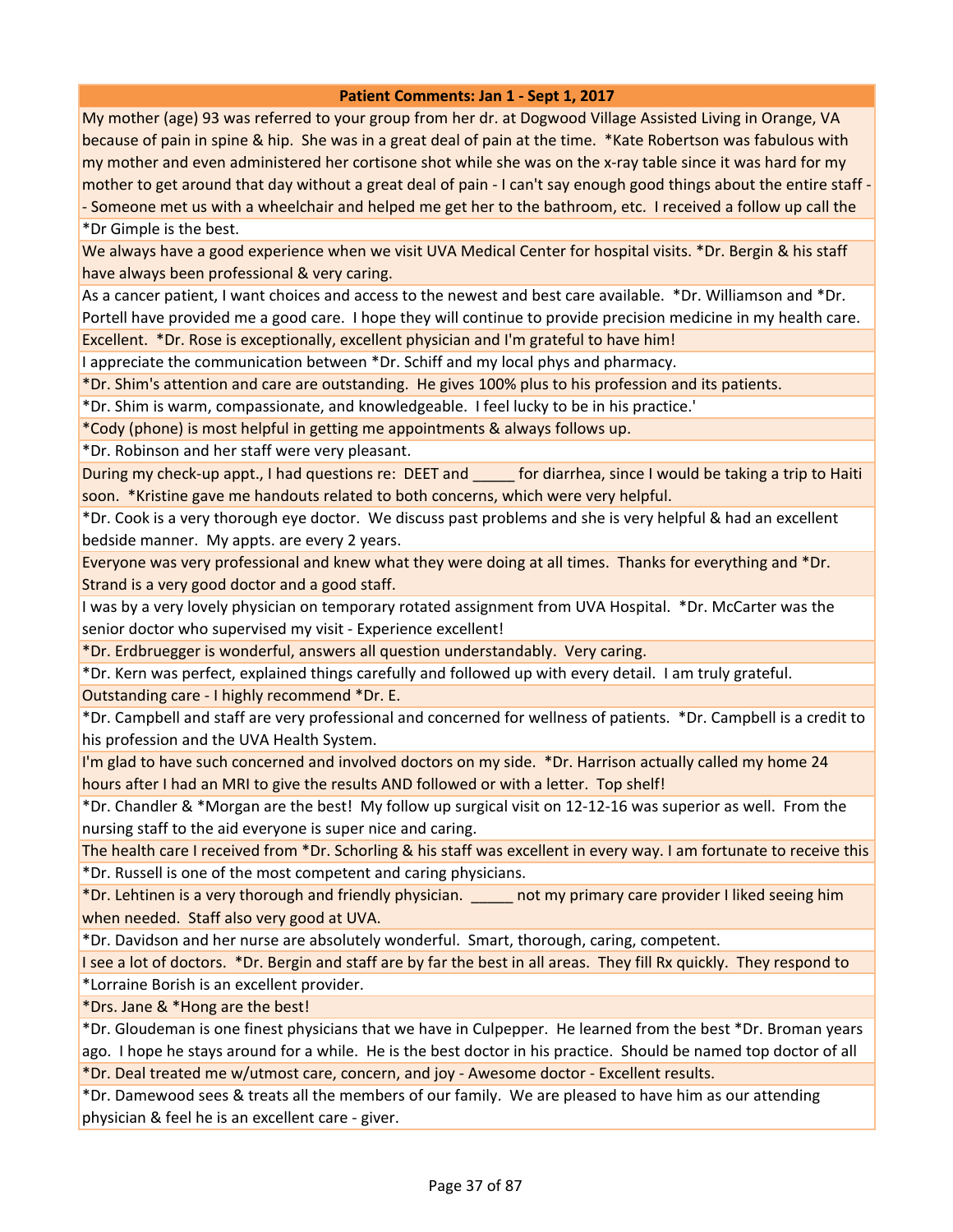My mother (age) 93 was referred to your group from her dr. at Dogwood Village Assisted Living in Orange, VA because of pain in spine & hip. She was in a great deal of pain at the time. \*Kate Robertson was fabulous with my mother and even administered her cortisone shot while she was on the x-ray table since it was hard for my mother to get around that day without a great deal of pain - I can't say enough good things about the entire staff -- Someone met us with a wheelchair and helped me get her to the bathroom, etc. I received a follow up call the

\*Dr Gimple is the best.

We always have a good experience when we visit UVA Medical Center for hospital visits. \*Dr. Bergin & his staff have always been professional & very caring.

As a cancer patient, I want choices and access to the newest and best care available. \*Dr. Williamson and \*Dr. Portell have provided me a good care. I hope they will continue to provide precision medicine in my health care. Excellent. \*Dr. Rose is exceptionally, excellent physician and I'm grateful to have him!

I appreciate the communication between \*Dr. Schiff and my local phys and pharmacy.

\*Dr. Shim's attention and care are outstanding. He gives 100% plus to his profession and its patients.

\*Dr. Shim is warm, compassionate, and knowledgeable. I feel lucky to be in his practice.'

\*Cody (phone) is most helpful in getting me appointments & always follows up.

\*Dr. Robinson and her staff were very pleasant.

During my check-up appt., I had questions re: DEET and \_\_\_\_\_ for diarrhea, since I would be taking a trip to Haiti soon. \*Kristine gave me handouts related to both concerns, which were very helpful.

\*Dr. Cook is a very thorough eye doctor. We discuss past problems and she is very helpful & had an excellent bedside manner. My appts. are every 2 years.

Everyone was very professional and knew what they were doing at all times. Thanks for everything and \*Dr. Strand is a very good doctor and a good staff.

I was by a very lovely physician on temporary rotated assignment from UVA Hospital. \*Dr. McCarter was the senior doctor who supervised my visit - Experience excellent!

\*Dr. Erdbruegger is wonderful, answers all question understandably. Very caring.

\*Dr. Kern was perfect, explained things carefully and followed up with every detail. I am truly grateful.

Outstanding care - I highly recommend \*Dr. E.

\*Dr. Campbell and staff are very professional and concerned for wellness of patients. \*Dr. Campbell is a credit to his profession and the UVA Health System.

I'm glad to have such concerned and involved doctors on my side. \*Dr. Harrison actually called my home 24 hours after I had an MRI to give the results AND followed or with a letter. Top shelf!

\*Dr. Chandler & \*Morgan are the best! My follow up surgical visit on 12-12-16 was superior as well. From the nursing staff to the aid everyone is super nice and caring.

The health care I received from \*Dr. Schorling & his staff was excellent in every way. I am fortunate to receive this \*Dr. Russell is one of the most competent and caring physicians.

\*Dr. Lehtinen is a very thorough and friendly physician. \_\_\_\_\_ not my primary care provider I liked seeing him when needed. Staff also very good at UVA.

\*Dr. Davidson and her nurse are absolutely wonderful. Smart, thorough, caring, competent.

I see a lot of doctors. \*Dr. Bergin and staff are by far the best in all areas. They fill Rx quickly. They respond to \*Lorraine Borish is an excellent provider.

\*Drs. Jane & \*Hong are the best!

\*Dr. Gloudeman is one finest physicians that we have in Culpepper. He learned from the best \*Dr. Broman years ago. I hope he stays around for a while. He is the best doctor in his practice. Should be named top doctor of all \*Dr. Deal treated me w/utmost care, concern, and joy - Awesome doctor - Excellent results.

\*Dr. Damewood sees & treats all the members of our family. We are pleased to have him as our attending physician & feel he is an excellent care - giver.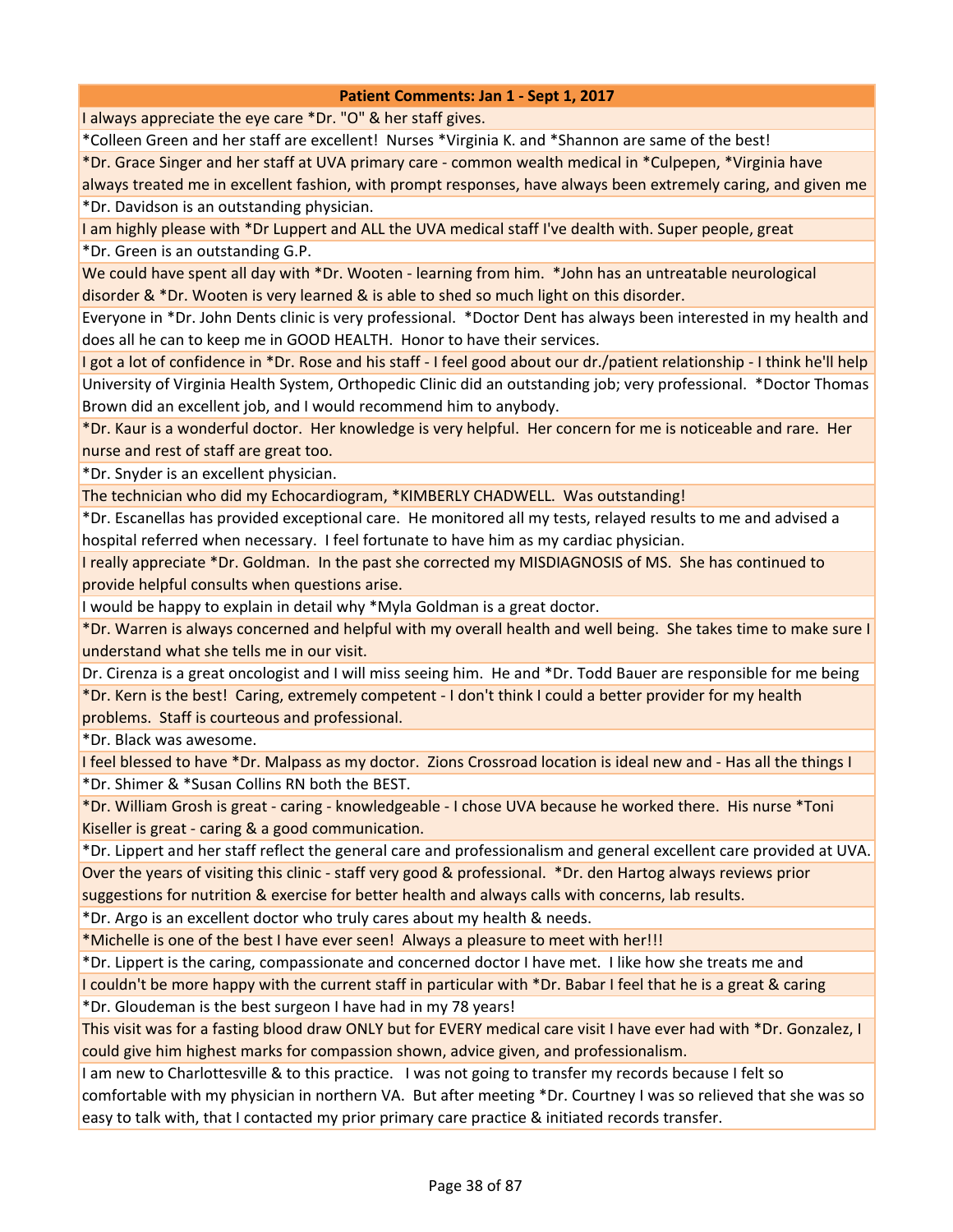I always appreciate the eye care \*Dr. "O" & her staff gives.

\*Colleen Green and her staff are excellent! Nurses \*Virginia K. and \*Shannon are same of the best!

\*Dr. Grace Singer and her staff at UVA primary care - common wealth medical in \*Culpepen, \*Virginia have

always treated me in excellent fashion, with prompt responses, have always been extremely caring, and given me \*Dr. Davidson is an outstanding physician.

I am highly please with \*Dr Luppert and ALL the UVA medical staff I've dealth with. Super people, great

\*Dr. Green is an outstanding G.P.

We could have spent all day with \*Dr. Wooten - learning from him. \*John has an untreatable neurological disorder & \*Dr. Wooten is very learned & is able to shed so much light on this disorder.

Everyone in \*Dr. John Dents clinic is very professional. \*Doctor Dent has always been interested in my health and does all he can to keep me in GOOD HEALTH. Honor to have their services.

I got a lot of confidence in \*Dr. Rose and his staff - I feel good about our dr./patient relationship - I think he'll help University of Virginia Health System, Orthopedic Clinic did an outstanding job; very professional. \*Doctor Thomas Brown did an excellent job, and I would recommend him to anybody.

\*Dr. Kaur is a wonderful doctor. Her knowledge is very helpful. Her concern for me is noticeable and rare. Her nurse and rest of staff are great too.

\*Dr. Snyder is an excellent physician.

The technician who did my Echocardiogram, \*KIMBERLY CHADWELL. Was outstanding!

\*Dr. Escanellas has provided exceptional care. He monitored all my tests, relayed results to me and advised a hospital referred when necessary. I feel fortunate to have him as my cardiac physician.

I really appreciate \*Dr. Goldman. In the past she corrected my MISDIAGNOSIS of MS. She has continued to provide helpful consults when questions arise.

I would be happy to explain in detail why \*Myla Goldman is a great doctor.

\*Dr. Warren is always concerned and helpful with my overall health and well being. She takes time to make sure I understand what she tells me in our visit.

Dr. Cirenza is a great oncologist and I will miss seeing him. He and \*Dr. Todd Bauer are responsible for me being \*Dr. Kern is the best! Caring, extremely competent - I don't think I could a better provider for my health problems. Staff is courteous and professional.

\*Dr. Black was awesome.

I feel blessed to have \*Dr. Malpass as my doctor. Zions Crossroad location is ideal new and - Has all the things I \*Dr. Shimer & \*Susan Collins RN both the BEST.

\*Dr. William Grosh is great - caring - knowledgeable - I chose UVA because he worked there. His nurse \*Toni Kiseller is great - caring & a good communication.

\*Dr. Lippert and her staff reflect the general care and professionalism and general excellent care provided at UVA. Over the years of visiting this clinic - staff very good & professional. \*Dr. den Hartog always reviews prior suggestions for nutrition & exercise for better health and always calls with concerns, lab results.

\*Dr. Argo is an excellent doctor who truly cares about my health & needs.

\*Michelle is one of the best I have ever seen! Always a pleasure to meet with her!!!

\*Dr. Lippert is the caring, compassionate and concerned doctor I have met. I like how she treats me and

I couldn't be more happy with the current staff in particular with \*Dr. Babar I feel that he is a great & caring

\*Dr. Gloudeman is the best surgeon I have had in my 78 years!

This visit was for a fasting blood draw ONLY but for EVERY medical care visit I have ever had with \*Dr. Gonzalez, I could give him highest marks for compassion shown, advice given, and professionalism.

I am new to Charlottesville & to this practice. I was not going to transfer my records because I felt so comfortable with my physician in northern VA. But after meeting \*Dr. Courtney I was so relieved that she was so easy to talk with, that I contacted my prior primary care practice & initiated records transfer.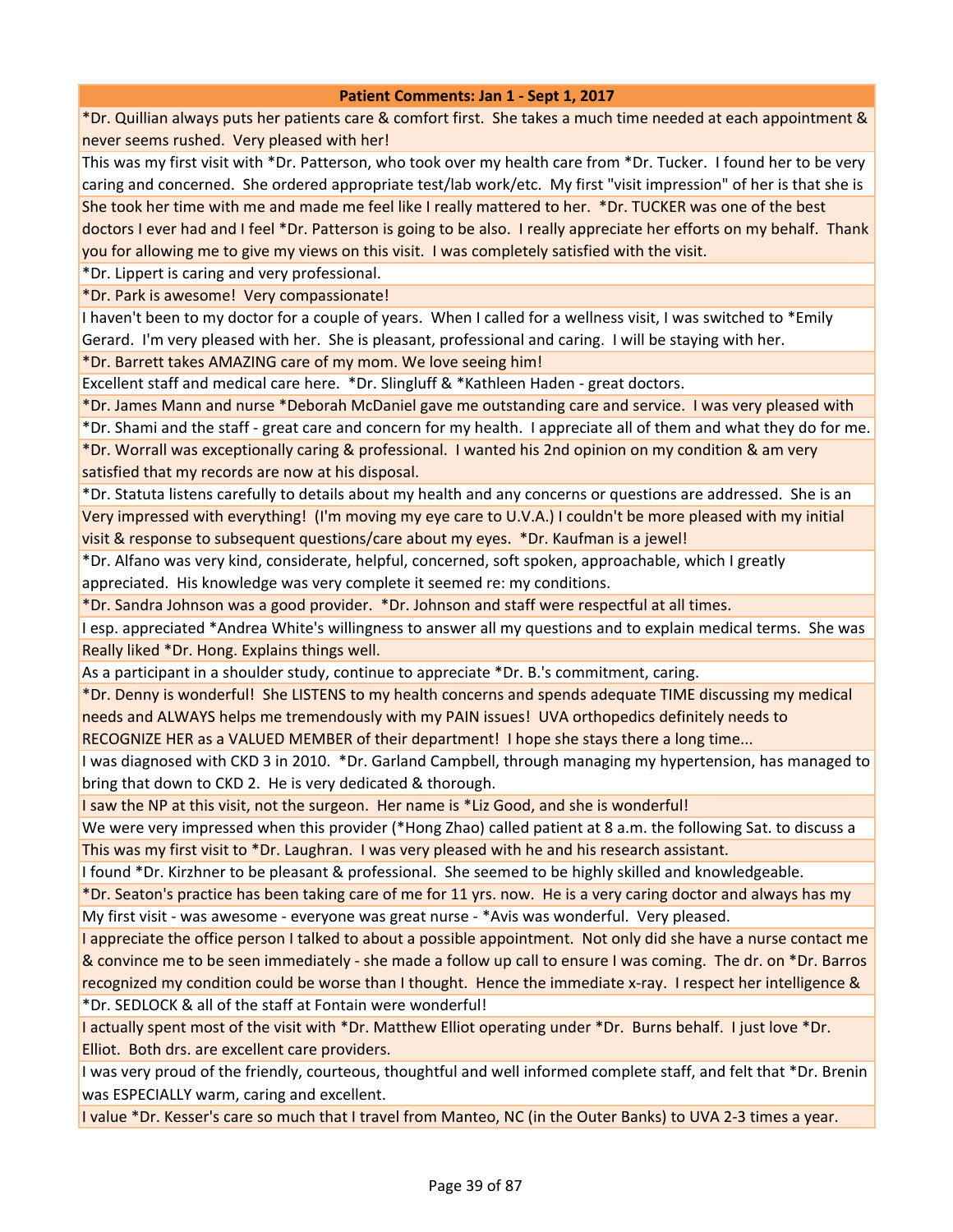\*Dr. Quillian always puts her patients care & comfort first. She takes a much time needed at each appointment & never seems rushed. Very pleased with her!

This was my first visit with \*Dr. Patterson, who took over my health care from \*Dr. Tucker. I found her to be very caring and concerned. She ordered appropriate test/lab work/etc. My first "visit impression" of her is that she is She took her time with me and made me feel like I really mattered to her. \*Dr. TUCKER was one of the best doctors I ever had and I feel \*Dr. Patterson is going to be also. I really appreciate her efforts on my behalf. Thank you for allowing me to give my views on this visit. I was completely satisfied with the visit.

\*Dr. Lippert is caring and very professional.

\*Dr. Park is awesome! Very compassionate!

I haven't been to my doctor for a couple of years. When I called for a wellness visit, I was switched to \*Emily Gerard. I'm very pleased with her. She is pleasant, professional and caring. I will be staying with her.

\*Dr. Barrett takes AMAZING care of my mom. We love seeing him!

Excellent staff and medical care here. \*Dr. Slingluff & \*Kathleen Haden - great doctors.

\*Dr. James Mann and nurse \*Deborah McDaniel gave me outstanding care and service. I was very pleased with

\*Dr. Shami and the staff - great care and concern for my health. I appreciate all of them and what they do for me. \*Dr. Worrall was exceptionally caring & professional. I wanted his 2nd opinion on my condition & am very satisfied that my records are now at his disposal.

\*Dr. Statuta listens carefully to details about my health and any concerns or questions are addressed. She is an Very impressed with everything! (I'm moving my eye care to U.V.A.) I couldn't be more pleased with my initial visit & response to subsequent questions/care about my eyes. \*Dr. Kaufman is a jewel!

\*Dr. Alfano was very kind, considerate, helpful, concerned, soft spoken, approachable, which I greatly appreciated. His knowledge was very complete it seemed re: my conditions.

\*Dr. Sandra Johnson was a good provider. \*Dr. Johnson and staff were respectful at all times.

I esp. appreciated \*Andrea White's willingness to answer all my questions and to explain medical terms. She was Really liked \*Dr. Hong. Explains things well.

As a participant in a shoulder study, continue to appreciate \*Dr. B.'s commitment, caring.

\*Dr. Denny is wonderful! She LISTENS to my health concerns and spends adequate TIME discussing my medical needs and ALWAYS helps me tremendously with my PAIN issues! UVA orthopedics definitely needs to

RECOGNIZE HER as a VALUED MEMBER of their department! I hope she stays there a long time...

I was diagnosed with CKD 3 in 2010. \*Dr. Garland Campbell, through managing my hypertension, has managed to bring that down to CKD 2. He is very dedicated & thorough.

I saw the NP at this visit, not the surgeon. Her name is \*Liz Good, and she is wonderful!

We were very impressed when this provider (\*Hong Zhao) called patient at 8 a.m. the following Sat. to discuss a This was my first visit to \*Dr. Laughran. I was very pleased with he and his research assistant.

I found \*Dr. Kirzhner to be pleasant & professional. She seemed to be highly skilled and knowledgeable.

\*Dr. Seaton's practice has been taking care of me for 11 yrs. now. He is a very caring doctor and always has my My first visit - was awesome - everyone was great nurse - \*Avis was wonderful. Very pleased.

I appreciate the office person I talked to about a possible appointment. Not only did she have a nurse contact me & convince me to be seen immediately - she made a follow up call to ensure I was coming. The dr. on \*Dr. Barros recognized my condition could be worse than I thought. Hence the immediate x-ray. I respect her intelligence & \*Dr. SEDLOCK & all of the staff at Fontain were wonderful!

I actually spent most of the visit with \*Dr. Matthew Elliot operating under \*Dr. Burns behalf. I just love \*Dr. Elliot. Both drs. are excellent care providers.

I was very proud of the friendly, courteous, thoughtful and well informed complete staff, and felt that \*Dr. Brenin was ESPECIALLY warm, caring and excellent.

I value \*Dr. Kesser's care so much that I travel from Manteo, NC (in the Outer Banks) to UVA 2-3 times a year.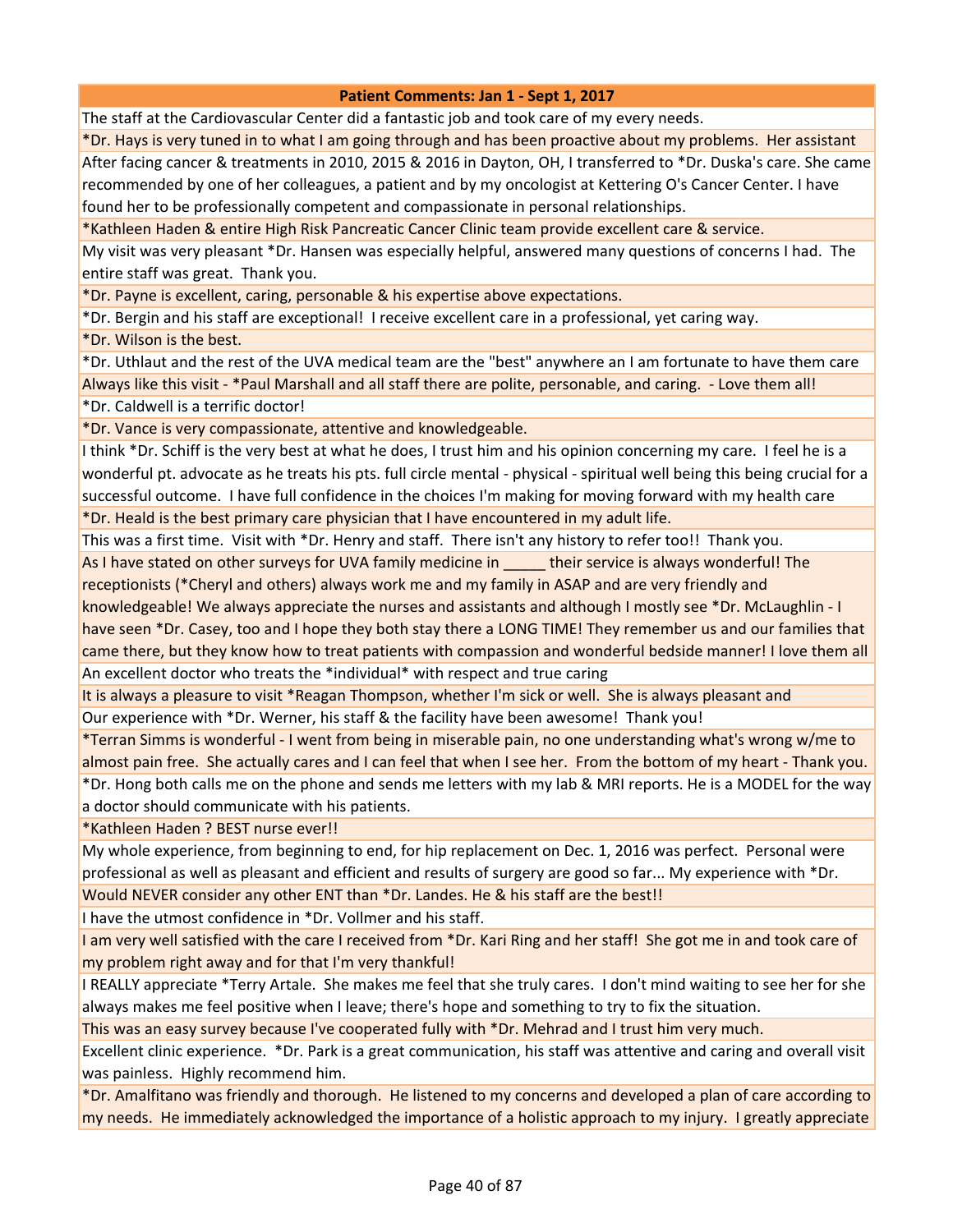The staff at the Cardiovascular Center did a fantastic job and took care of my every needs.

\*Dr. Hays is very tuned in to what I am going through and has been proactive about my problems. Her assistant After facing cancer & treatments in 2010, 2015 & 2016 in Dayton, OH, I transferred to \*Dr. Duska's care. She came recommended by one of her colleagues, a patient and by my oncologist at Kettering O's Cancer Center. I have found her to be professionally competent and compassionate in personal relationships.

\*Kathleen Haden & entire High Risk Pancreatic Cancer Clinic team provide excellent care & service.

My visit was very pleasant \*Dr. Hansen was especially helpful, answered many questions of concerns I had. The entire staff was great. Thank you.

\*Dr. Payne is excellent, caring, personable & his expertise above expectations.

\*Dr. Bergin and his staff are exceptional! I receive excellent care in a professional, yet caring way.

\*Dr. Wilson is the best.

\*Dr. Uthlaut and the rest of the UVA medical team are the "best" anywhere an I am fortunate to have them care Always like this visit - \*Paul Marshall and all staff there are polite, personable, and caring. - Love them all! \*Dr. Caldwell is a terrific doctor!

\*Dr. Vance is very compassionate, attentive and knowledgeable.

I think \*Dr. Schiff is the very best at what he does, I trust him and his opinion concerning my care. I feel he is a wonderful pt. advocate as he treats his pts. full circle mental - physical - spiritual well being this being crucial for a successful outcome. I have full confidence in the choices I'm making for moving forward with my health care

\*Dr. Heald is the best primary care physician that I have encountered in my adult life.

This was a first time. Visit with \*Dr. Henry and staff. There isn't any history to refer too!! Thank you.

As I have stated on other surveys for UVA family medicine in their service is always wonderful! The receptionists (\*Cheryl and others) always work me and my family in ASAP and are very friendly and

knowledgeable! We always appreciate the nurses and assistants and although I mostly see \*Dr. McLaughlin - I have seen \*Dr. Casey, too and I hope they both stay there a LONG TIME! They remember us and our families that came there, but they know how to treat patients with compassion and wonderful bedside manner! I love them all An excellent doctor who treats the \*individual\* with respect and true caring

It is always a pleasure to visit \*Reagan Thompson, whether I'm sick or well. She is always pleasant and Our experience with \*Dr. Werner, his staff & the facility have been awesome! Thank you!

\*Terran Simms is wonderful - I went from being in miserable pain, no one understanding what's wrong w/me to almost pain free. She actually cares and I can feel that when I see her. From the bottom of my heart - Thank you. \*Dr. Hong both calls me on the phone and sends me letters with my lab & MRI reports. He is a MODEL for the way a doctor should communicate with his patients.

\*Kathleen Haden ? BEST nurse ever!!

My whole experience, from beginning to end, for hip replacement on Dec. 1, 2016 was perfect. Personal were professional as well as pleasant and efficient and results of surgery are good so far... My experience with \*Dr.

Would NEVER consider any other ENT than \*Dr. Landes. He & his staff are the best!!

I have the utmost confidence in \*Dr. Vollmer and his staff.

I am very well satisfied with the care I received from \*Dr. Kari Ring and her staff! She got me in and took care of my problem right away and for that I'm very thankful!

I REALLY appreciate \*Terry Artale. She makes me feel that she truly cares. I don't mind waiting to see her for she always makes me feel positive when I leave; there's hope and something to try to fix the situation.

This was an easy survey because I've cooperated fully with \*Dr. Mehrad and I trust him very much.

Excellent clinic experience. \*Dr. Park is a great communication, his staff was attentive and caring and overall visit was painless. Highly recommend him.

\*Dr. Amalfitano was friendly and thorough. He listened to my concerns and developed a plan of care according to my needs. He immediately acknowledged the importance of a holistic approach to my injury. I greatly appreciate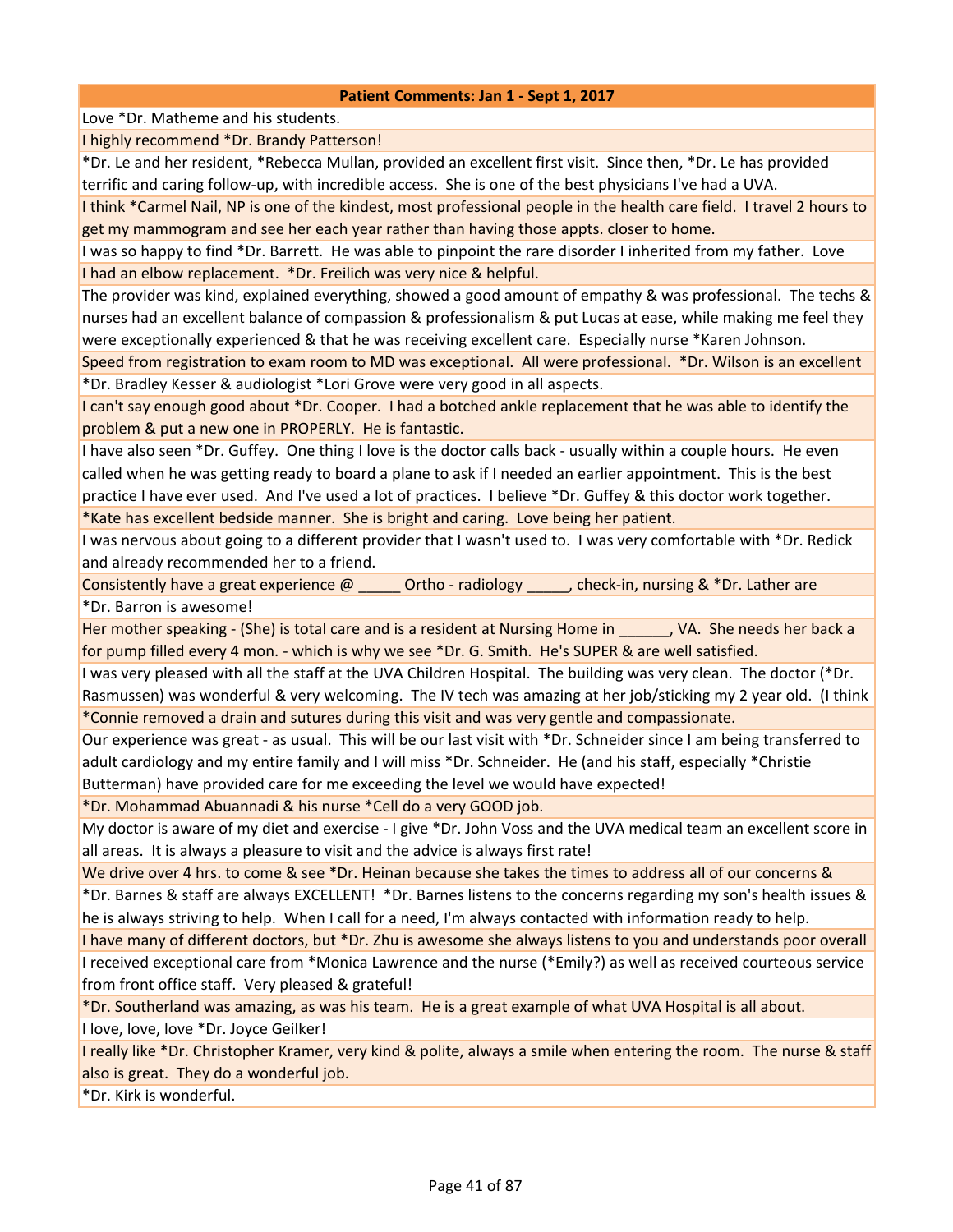Love \*Dr. Matheme and his students.

I highly recommend \*Dr. Brandy Patterson!

\*Dr. Le and her resident, \*Rebecca Mullan, provided an excellent first visit. Since then, \*Dr. Le has provided terrific and caring follow-up, with incredible access. She is one of the best physicians I've had a UVA.

I think \*Carmel Nail, NP is one of the kindest, most professional people in the health care field. I travel 2 hours to get my mammogram and see her each year rather than having those appts. closer to home.

I was so happy to find \*Dr. Barrett. He was able to pinpoint the rare disorder I inherited from my father. Love I had an elbow replacement. \*Dr. Freilich was very nice & helpful.

The provider was kind, explained everything, showed a good amount of empathy & was professional. The techs & nurses had an excellent balance of compassion & professionalism & put Lucas at ease, while making me feel they were exceptionally experienced & that he was receiving excellent care. Especially nurse \*Karen Johnson.

Speed from registration to exam room to MD was exceptional. All were professional. \*Dr. Wilson is an excellent \*Dr. Bradley Kesser & audiologist \*Lori Grove were very good in all aspects.

I can't say enough good about \*Dr. Cooper. I had a botched ankle replacement that he was able to identify the problem & put a new one in PROPERLY. He is fantastic.

I have also seen \*Dr. Guffey. One thing I love is the doctor calls back - usually within a couple hours. He even called when he was getting ready to board a plane to ask if I needed an earlier appointment. This is the best practice I have ever used. And I've used a lot of practices. I believe \*Dr. Guffey & this doctor work together.

\*Kate has excellent bedside manner. She is bright and caring. Love being her patient.

I was nervous about going to a different provider that I wasn't used to. I was very comfortable with \*Dr. Redick and already recommended her to a friend.

Consistently have a great experience  $\omega$  \_\_\_\_\_\_ Ortho - radiology \_\_\_\_\_, check-in, nursing & \*Dr. Lather are \*Dr. Barron is awesome!

Her mother speaking - (She) is total care and is a resident at Nursing Home in The Nursing Poles her back a for pump filled every 4 mon. - which is why we see \*Dr. G. Smith. He's SUPER & are well satisfied.

I was very pleased with all the staff at the UVA Children Hospital. The building was very clean. The doctor (\*Dr. Rasmussen) was wonderful & very welcoming. The IV tech was amazing at her job/sticking my 2 year old. (I think \*Connie removed a drain and sutures during this visit and was very gentle and compassionate.

Our experience was great - as usual. This will be our last visit with \*Dr. Schneider since I am being transferred to adult cardiology and my entire family and I will miss \*Dr. Schneider. He (and his staff, especially \*Christie Butterman) have provided care for me exceeding the level we would have expected!

\*Dr. Mohammad Abuannadi & his nurse \*Cell do a very GOOD job.

My doctor is aware of my diet and exercise - I give \*Dr. John Voss and the UVA medical team an excellent score in all areas. It is always a pleasure to visit and the advice is always first rate!

We drive over 4 hrs. to come & see \*Dr. Heinan because she takes the times to address all of our concerns & \*Dr. Barnes & staff are always EXCELLENT! \*Dr. Barnes listens to the concerns regarding my son's health issues & he is always striving to help. When I call for a need, I'm always contacted with information ready to help.

I have many of different doctors, but \*Dr. Zhu is awesome she always listens to you and understands poor overall I received exceptional care from \*Monica Lawrence and the nurse (\*Emily?) as well as received courteous service from front office staff. Very pleased & grateful!

\*Dr. Southerland was amazing, as was his team. He is a great example of what UVA Hospital is all about.

I love, love, love \*Dr. Joyce Geilker!

I really like \*Dr. Christopher Kramer, very kind & polite, always a smile when entering the room. The nurse & staff also is great. They do a wonderful job.

\*Dr. Kirk is wonderful.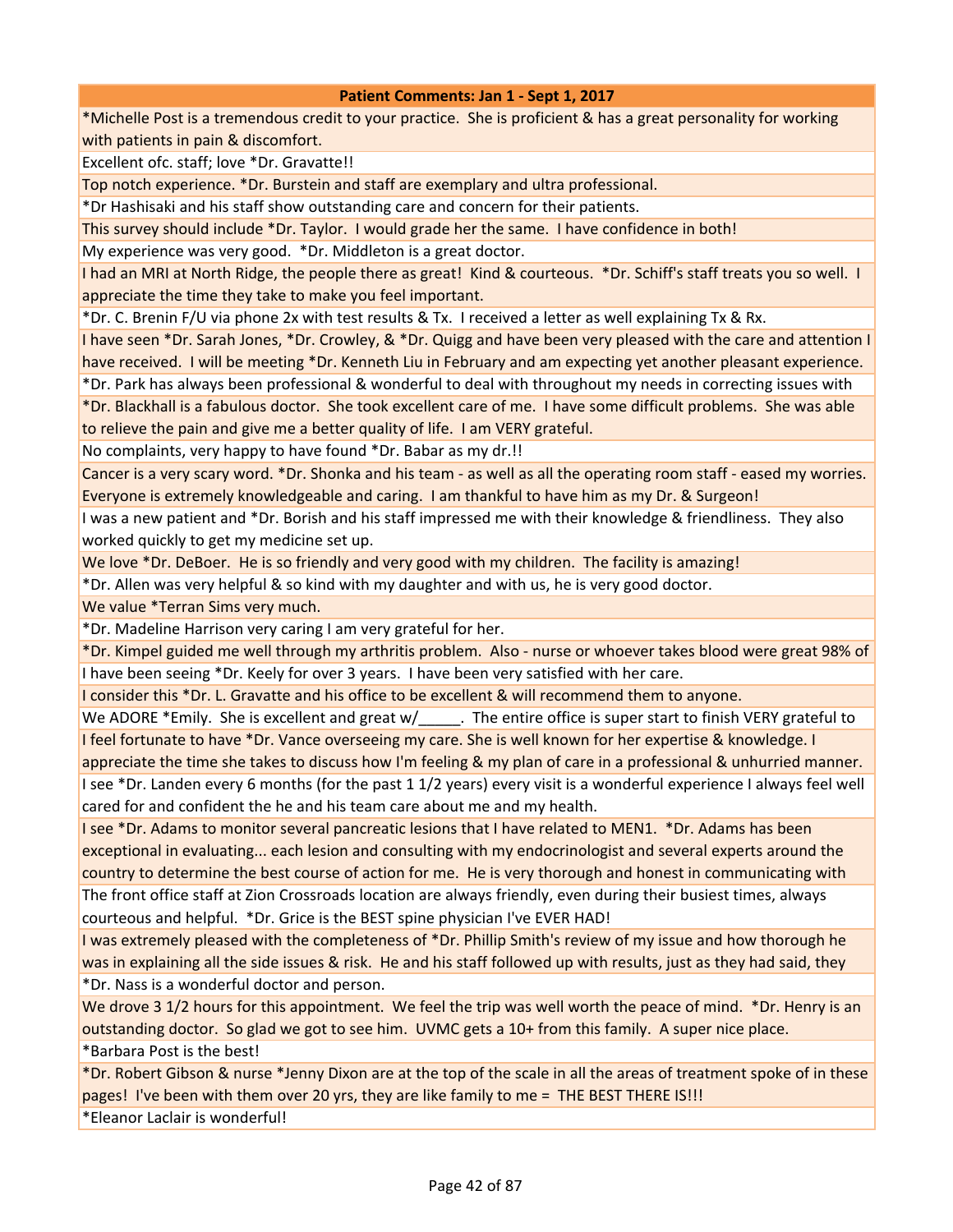\*Michelle Post is a tremendous credit to your practice. She is proficient & has a great personality for working with patients in pain & discomfort.

Excellent ofc. staff; love \*Dr. Gravatte!!

Top notch experience. \*Dr. Burstein and staff are exemplary and ultra professional.

\*Dr Hashisaki and his staff show outstanding care and concern for their patients.

This survey should include \*Dr. Taylor. I would grade her the same. I have confidence in both!

My experience was very good. \*Dr. Middleton is a great doctor.

I had an MRI at North Ridge, the people there as great! Kind & courteous. \*Dr. Schiff's staff treats you so well. I appreciate the time they take to make you feel important.

\*Dr. C. Brenin F/U via phone 2x with test results & Tx. I received a letter as well explaining Tx & Rx.

I have seen \*Dr. Sarah Jones, \*Dr. Crowley, & \*Dr. Quigg and have been very pleased with the care and attention I have received. I will be meeting \*Dr. Kenneth Liu in February and am expecting yet another pleasant experience.

\*Dr. Park has always been professional & wonderful to deal with throughout my needs in correcting issues with \*Dr. Blackhall is a fabulous doctor. She took excellent care of me. I have some difficult problems. She was able to relieve the pain and give me a better quality of life. I am VERY grateful.

No complaints, very happy to have found \*Dr. Babar as my dr.!!

Cancer is a very scary word. \*Dr. Shonka and his team - as well as all the operating room staff - eased my worries. Everyone is extremely knowledgeable and caring. I am thankful to have him as my Dr. & Surgeon!

I was a new patient and \*Dr. Borish and his staff impressed me with their knowledge & friendliness. They also worked quickly to get my medicine set up.

We love \*Dr. DeBoer. He is so friendly and very good with my children. The facility is amazing!

\*Dr. Allen was very helpful & so kind with my daughter and with us, he is very good doctor.

We value \*Terran Sims very much.

\*Dr. Madeline Harrison very caring I am very grateful for her.

\*Dr. Kimpel guided me well through my arthritis problem. Also - nurse or whoever takes blood were great 98% of I have been seeing \*Dr. Keely for over 3 years. I have been very satisfied with her care.

I consider this \*Dr. L. Gravatte and his office to be excellent & will recommend them to anyone.

We ADORE \*Emily. She is excellent and great w/\_\_\_\_\_\_. The entire office is super start to finish VERY grateful to I feel fortunate to have \*Dr. Vance overseeing my care. She is well known for her expertise & knowledge. I

appreciate the time she takes to discuss how I'm feeling & my plan of care in a professional & unhurried manner. I see \*Dr. Landen every 6 months (for the past 1 1/2 years) every visit is a wonderful experience I always feel well

cared for and confident the he and his team care about me and my health.

I see \*Dr. Adams to monitor several pancreatic lesions that I have related to MEN1. \*Dr. Adams has been exceptional in evaluating... each lesion and consulting with my endocrinologist and several experts around the country to determine the best course of action for me. He is very thorough and honest in communicating with The front office staff at Zion Crossroads location are always friendly, even during their busiest times, always courteous and helpful. \*Dr. Grice is the BEST spine physician I've EVER HAD!

I was extremely pleased with the completeness of \*Dr. Phillip Smith's review of my issue and how thorough he was in explaining all the side issues & risk. He and his staff followed up with results, just as they had said, they \*Dr. Nass is a wonderful doctor and person.

We drove 3 1/2 hours for this appointment. We feel the trip was well worth the peace of mind. \*Dr. Henry is an outstanding doctor. So glad we got to see him. UVMC gets a 10+ from this family. A super nice place. \*Barbara Post is the best!

\*Dr. Robert Gibson & nurse \*Jenny Dixon are at the top of the scale in all the areas of treatment spoke of in these pages! I've been with them over 20 yrs, they are like family to me = THE BEST THERE IS!!!

\*Eleanor Laclair is wonderful!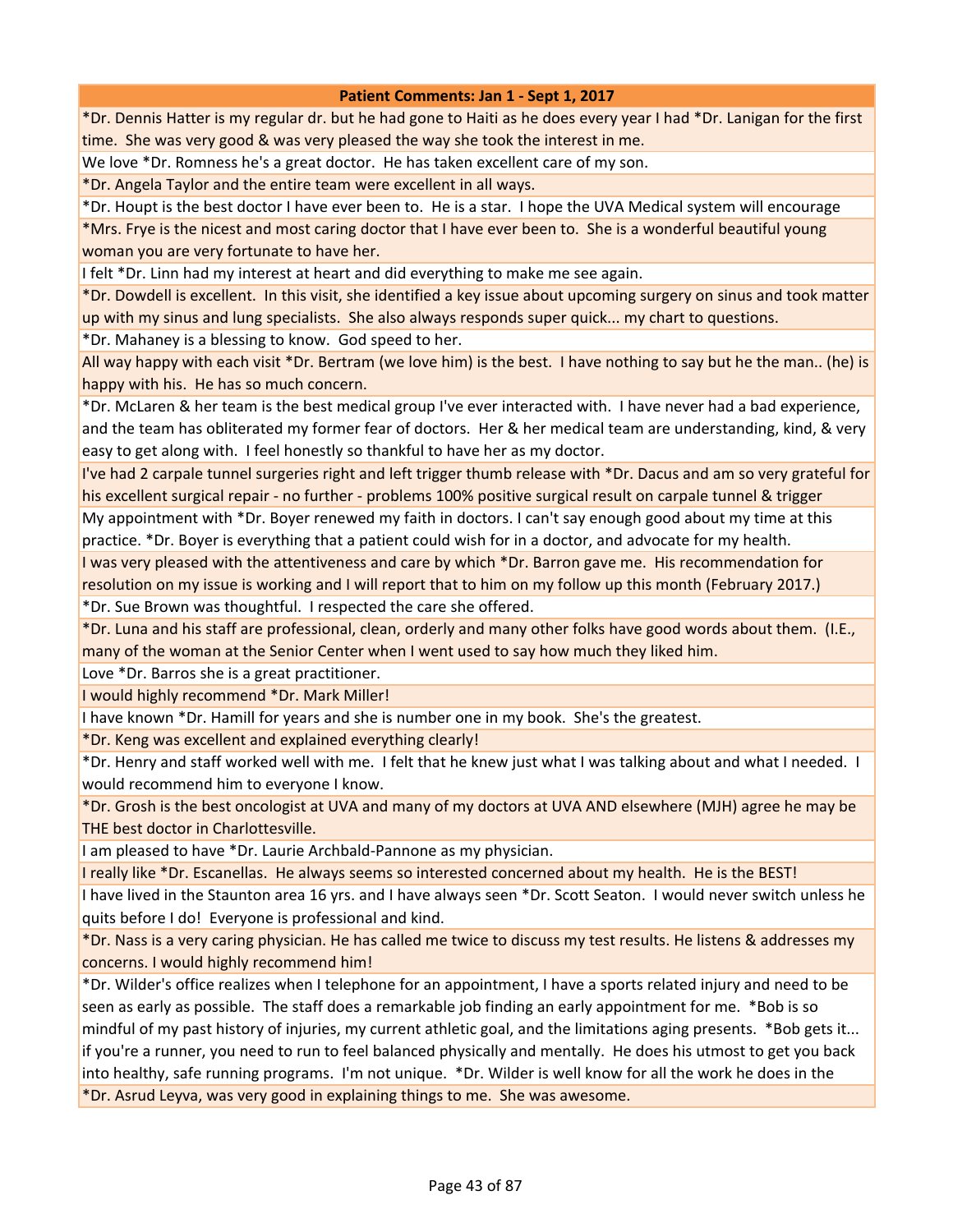\*Dr. Dennis Hatter is my regular dr. but he had gone to Haiti as he does every year I had \*Dr. Lanigan for the first time. She was very good & was very pleased the way she took the interest in me.

We love \*Dr. Romness he's a great doctor. He has taken excellent care of my son.

\*Dr. Angela Taylor and the entire team were excellent in all ways.

\*Dr. Houpt is the best doctor I have ever been to. He is a star. I hope the UVA Medical system will encourage \*Mrs. Frye is the nicest and most caring doctor that I have ever been to. She is a wonderful beautiful young woman you are very fortunate to have her.

I felt \*Dr. Linn had my interest at heart and did everything to make me see again.

\*Dr. Dowdell is excellent. In this visit, she identified a key issue about upcoming surgery on sinus and took matter up with my sinus and lung specialists. She also always responds super quick... my chart to questions.

\*Dr. Mahaney is a blessing to know. God speed to her.

All way happy with each visit \*Dr. Bertram (we love him) is the best. I have nothing to say but he the man.. (he) is happy with his. He has so much concern.

\*Dr. McLaren & her team is the best medical group I've ever interacted with. I have never had a bad experience, and the team has obliterated my former fear of doctors. Her & her medical team are understanding, kind, & very easy to get along with. I feel honestly so thankful to have her as my doctor.

I've had 2 carpale tunnel surgeries right and left trigger thumb release with \*Dr. Dacus and am so very grateful for his excellent surgical repair - no further - problems 100% positive surgical result on carpale tunnel & trigger

My appointment with \*Dr. Boyer renewed my faith in doctors. I can't say enough good about my time at this practice. \*Dr. Boyer is everything that a patient could wish for in a doctor, and advocate for my health.

I was very pleased with the attentiveness and care by which \*Dr. Barron gave me. His recommendation for resolution on my issue is working and I will report that to him on my follow up this month (February 2017.) \*Dr. Sue Brown was thoughtful. I respected the care she offered.

\*Dr. Luna and his staff are professional, clean, orderly and many other folks have good words about them. (I.E., many of the woman at the Senior Center when I went used to say how much they liked him.

Love \*Dr. Barros she is a great practitioner.

I would highly recommend \*Dr. Mark Miller!

I have known \*Dr. Hamill for years and she is number one in my book. She's the greatest.

\*Dr. Keng was excellent and explained everything clearly!

\*Dr. Henry and staff worked well with me. I felt that he knew just what I was talking about and what I needed. I would recommend him to everyone I know.

\*Dr. Grosh is the best oncologist at UVA and many of my doctors at UVA AND elsewhere (MJH) agree he may be THE best doctor in Charlottesville.

I am pleased to have \*Dr. Laurie Archbald-Pannone as my physician.

I really like \*Dr. Escanellas. He always seems so interested concerned about my health. He is the BEST!

I have lived in the Staunton area 16 yrs. and I have always seen \*Dr. Scott Seaton. I would never switch unless he quits before I do! Everyone is professional and kind.

\*Dr. Nass is a very caring physician. He has called me twice to discuss my test results. He listens & addresses my concerns. I would highly recommend him!

\*Dr. Wilder's office realizes when I telephone for an appointment, I have a sports related injury and need to be seen as early as possible. The staff does a remarkable job finding an early appointment for me. \*Bob is so mindful of my past history of injuries, my current athletic goal, and the limitations aging presents. \*Bob gets it... if you're a runner, you need to run to feel balanced physically and mentally. He does his utmost to get you back into healthy, safe running programs. I'm not unique. \*Dr. Wilder is well know for all the work he does in the \*Dr. Asrud Leyva, was very good in explaining things to me. She was awesome.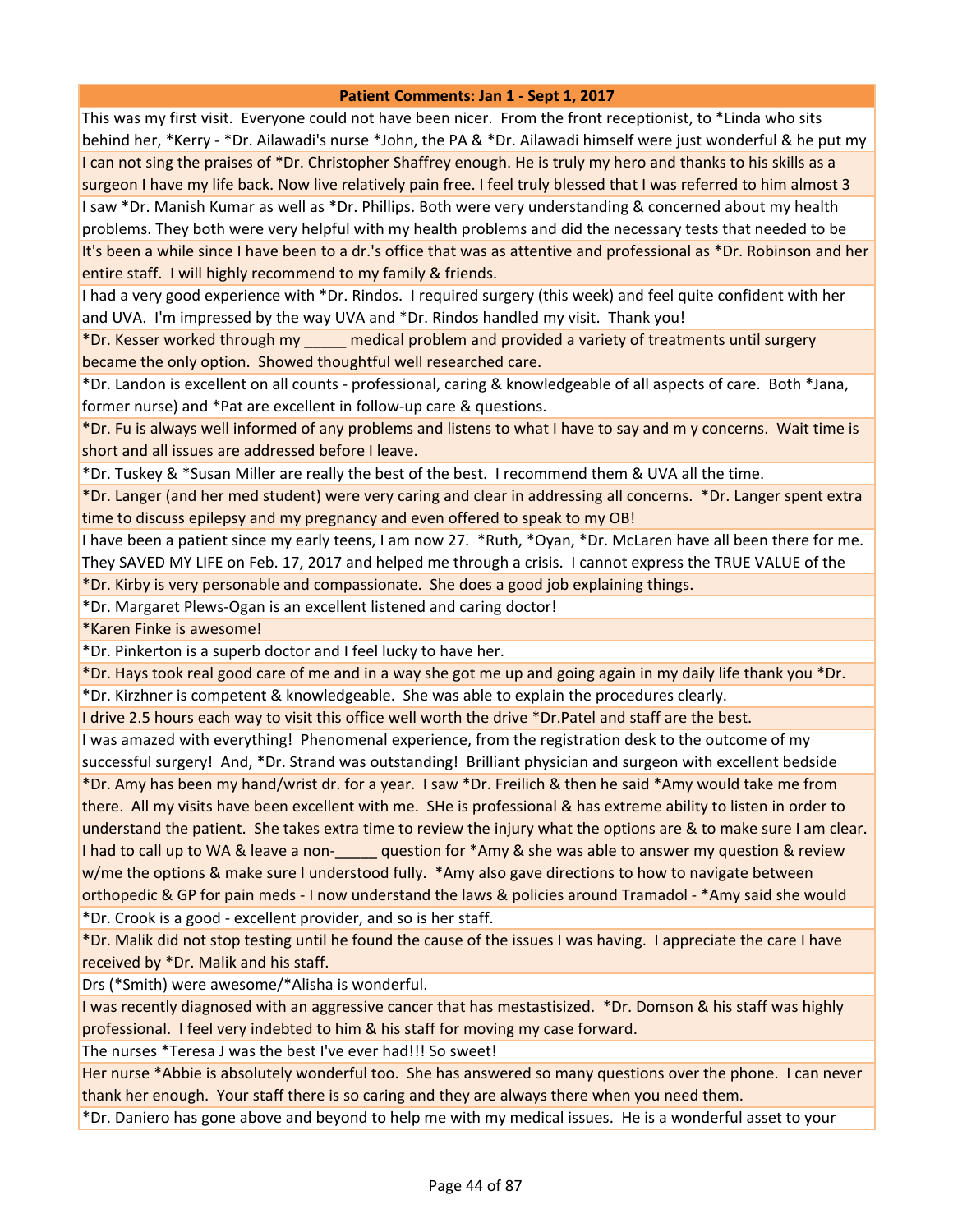This was my first visit. Everyone could not have been nicer. From the front receptionist, to \*Linda who sits behind her, \*Kerry - \*Dr. Ailawadi's nurse \*John, the PA & \*Dr. Ailawadi himself were just wonderful & he put my I can not sing the praises of \*Dr. Christopher Shaffrey enough. He is truly my hero and thanks to his skills as a surgeon I have my life back. Now live relatively pain free. I feel truly blessed that I was referred to him almost 3 I saw \*Dr. Manish Kumar as well as \*Dr. Phillips. Both were very understanding & concerned about my health problems. They both were very helpful with my health problems and did the necessary tests that needed to be It's been a while since I have been to a dr.'s office that was as attentive and professional as \*Dr. Robinson and her entire staff. I will highly recommend to my family & friends.

I had a very good experience with \*Dr. Rindos. I required surgery (this week) and feel quite confident with her and UVA. I'm impressed by the way UVA and \*Dr. Rindos handled my visit. Thank you!

\*Dr. Kesser worked through my \_\_\_\_\_ medical problem and provided a variety of treatments until surgery became the only option. Showed thoughtful well researched care.

\*Dr. Landon is excellent on all counts - professional, caring & knowledgeable of all aspects of care. Both \*Jana, former nurse) and \*Pat are excellent in follow-up care & questions.

\*Dr. Fu is always well informed of any problems and listens to what I have to say and m y concerns. Wait time is short and all issues are addressed before I leave.

\*Dr. Tuskey & \*Susan Miller are really the best of the best. I recommend them & UVA all the time.

\*Dr. Langer (and her med student) were very caring and clear in addressing all concerns. \*Dr. Langer spent extra time to discuss epilepsy and my pregnancy and even offered to speak to my OB!

I have been a patient since my early teens, I am now 27. \*Ruth, \*Oyan, \*Dr. McLaren have all been there for me. They SAVED MY LIFE on Feb. 17, 2017 and helped me through a crisis. I cannot express the TRUE VALUE of the

\*Dr. Kirby is very personable and compassionate. She does a good job explaining things.

\*Dr. Margaret Plews-Ogan is an excellent listened and caring doctor!

\*Karen Finke is awesome!

\*Dr. Pinkerton is a superb doctor and I feel lucky to have her.

\*Dr. Hays took real good care of me and in a way she got me up and going again in my daily life thank you \*Dr.

\*Dr. Kirzhner is competent & knowledgeable. She was able to explain the procedures clearly.

I drive 2.5 hours each way to visit this office well worth the drive \*Dr.Patel and staff are the best.

I was amazed with everything! Phenomenal experience, from the registration desk to the outcome of my successful surgery! And, \*Dr. Strand was outstanding! Brilliant physician and surgeon with excellent bedside \*Dr. Amy has been my hand/wrist dr. for a year. I saw \*Dr. Freilich & then he said \*Amy would take me from there. All my visits have been excellent with me. SHe is professional & has extreme ability to listen in order to understand the patient. She takes extra time to review the injury what the options are & to make sure I am clear. I had to call up to WA & leave a non-<br>question for \*Amy & she was able to answer my question & review w/me the options & make sure I understood fully. \*Amy also gave directions to how to navigate between orthopedic & GP for pain meds - I now understand the laws & policies around Tramadol - \*Amy said she would

\*Dr. Crook is a good - excellent provider, and so is her staff.

\*Dr. Malik did not stop testing until he found the cause of the issues I was having. I appreciate the care I have received by \*Dr. Malik and his staff.

Drs (\*Smith) were awesome/\*Alisha is wonderful.

I was recently diagnosed with an aggressive cancer that has mestastisized. \*Dr. Domson & his staff was highly professional. I feel very indebted to him & his staff for moving my case forward.

The nurses \*Teresa J was the best I've ever had!!! So sweet!

Her nurse \*Abbie is absolutely wonderful too. She has answered so many questions over the phone. I can never thank her enough. Your staff there is so caring and they are always there when you need them.

\*Dr. Daniero has gone above and beyond to help me with my medical issues. He is a wonderful asset to your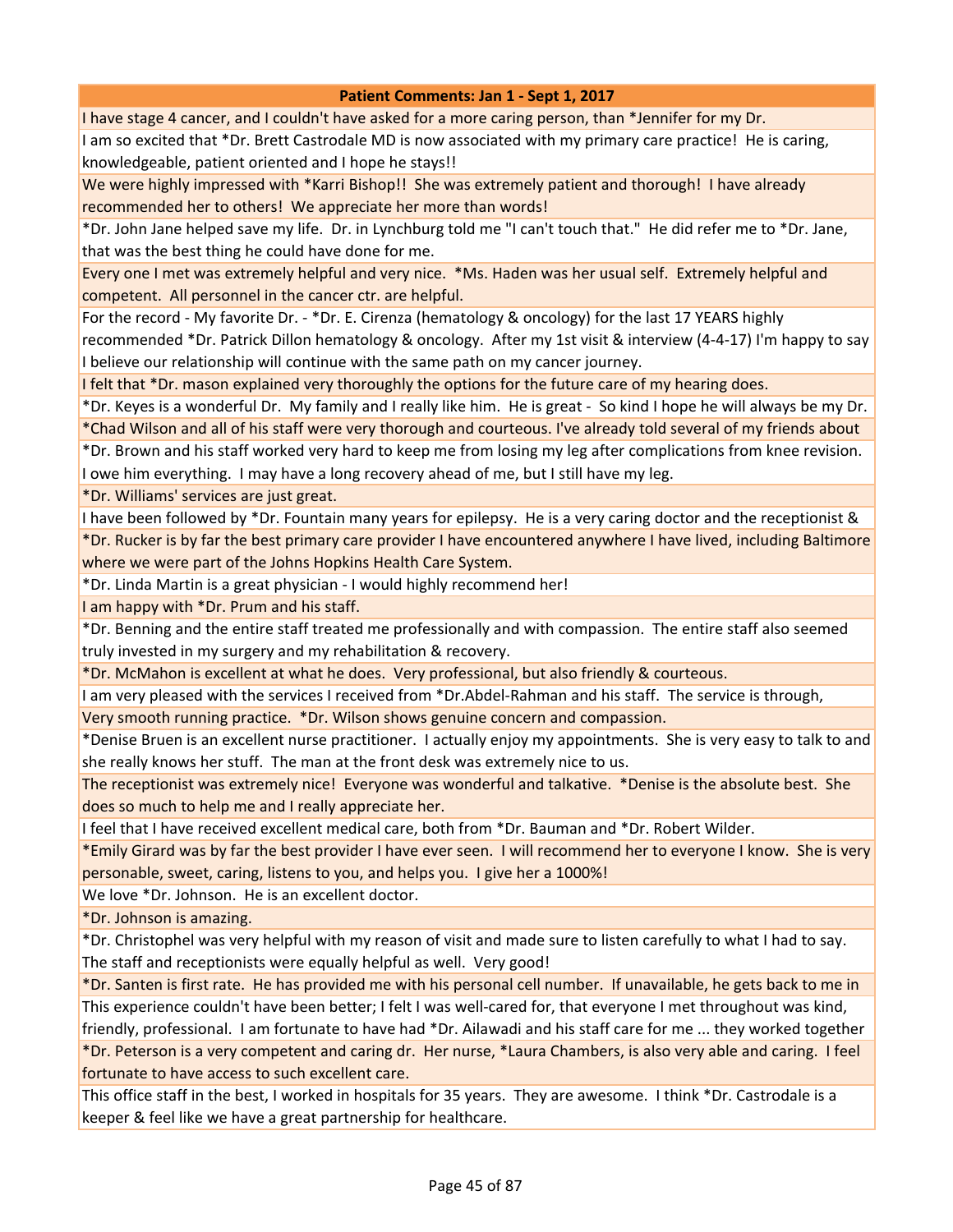I have stage 4 cancer, and I couldn't have asked for a more caring person, than \*Jennifer for my Dr.

I am so excited that \*Dr. Brett Castrodale MD is now associated with my primary care practice! He is caring, knowledgeable, patient oriented and I hope he stays!!

We were highly impressed with \*Karri Bishop!! She was extremely patient and thorough! I have already recommended her to others! We appreciate her more than words!

\*Dr. John Jane helped save my life. Dr. in Lynchburg told me "I can't touch that." He did refer me to \*Dr. Jane, that was the best thing he could have done for me.

Every one I met was extremely helpful and very nice. \*Ms. Haden was her usual self. Extremely helpful and competent. All personnel in the cancer ctr. are helpful.

For the record - My favorite Dr. - \*Dr. E. Cirenza (hematology & oncology) for the last 17 YEARS highly recommended \*Dr. Patrick Dillon hematology & oncology. After my 1st visit & interview (4-4-17) I'm happy to say I believe our relationship will continue with the same path on my cancer journey.

I felt that \*Dr. mason explained very thoroughly the options for the future care of my hearing does.

\*Dr. Keyes is a wonderful Dr. My family and I really like him. He is great - So kind I hope he will always be my Dr. \*Chad Wilson and all of his staff were very thorough and courteous. I've already told several of my friends about

\*Dr. Brown and his staff worked very hard to keep me from losing my leg after complications from knee revision. I owe him everything. I may have a long recovery ahead of me, but I still have my leg.

\*Dr. Williams' services are just great.

I have been followed by \*Dr. Fountain many years for epilepsy. He is a very caring doctor and the receptionist &

\*Dr. Rucker is by far the best primary care provider I have encountered anywhere I have lived, including Baltimore where we were part of the Johns Hopkins Health Care System.

\*Dr. Linda Martin is a great physician - I would highly recommend her!

I am happy with \*Dr. Prum and his staff.

\*Dr. Benning and the entire staff treated me professionally and with compassion. The entire staff also seemed truly invested in my surgery and my rehabilitation & recovery.

\*Dr. McMahon is excellent at what he does. Very professional, but also friendly & courteous.

I am very pleased with the services I received from \*Dr.Abdel-Rahman and his staff. The service is through,

Very smooth running practice. \*Dr. Wilson shows genuine concern and compassion.

\*Denise Bruen is an excellent nurse practitioner. I actually enjoy my appointments. She is very easy to talk to and she really knows her stuff. The man at the front desk was extremely nice to us.

The receptionist was extremely nice! Everyone was wonderful and talkative. \*Denise is the absolute best. She does so much to help me and I really appreciate her.

I feel that I have received excellent medical care, both from \*Dr. Bauman and \*Dr. Robert Wilder.

\*Emily Girard was by far the best provider I have ever seen. I will recommend her to everyone I know. She is very personable, sweet, caring, listens to you, and helps you. I give her a 1000%!

We love \*Dr. Johnson. He is an excellent doctor.

\*Dr. Johnson is amazing.

\*Dr. Christophel was very helpful with my reason of visit and made sure to listen carefully to what I had to say. The staff and receptionists were equally helpful as well. Very good!

\*Dr. Santen is first rate. He has provided me with his personal cell number. If unavailable, he gets back to me in This experience couldn't have been better; I felt I was well-cared for, that everyone I met throughout was kind,

friendly, professional. I am fortunate to have had \*Dr. Ailawadi and his staff care for me ... they worked together \*Dr. Peterson is a very competent and caring dr. Her nurse, \*Laura Chambers, is also very able and caring. I feel fortunate to have access to such excellent care.

This office staff in the best, I worked in hospitals for 35 years. They are awesome. I think \*Dr. Castrodale is a keeper & feel like we have a great partnership for healthcare.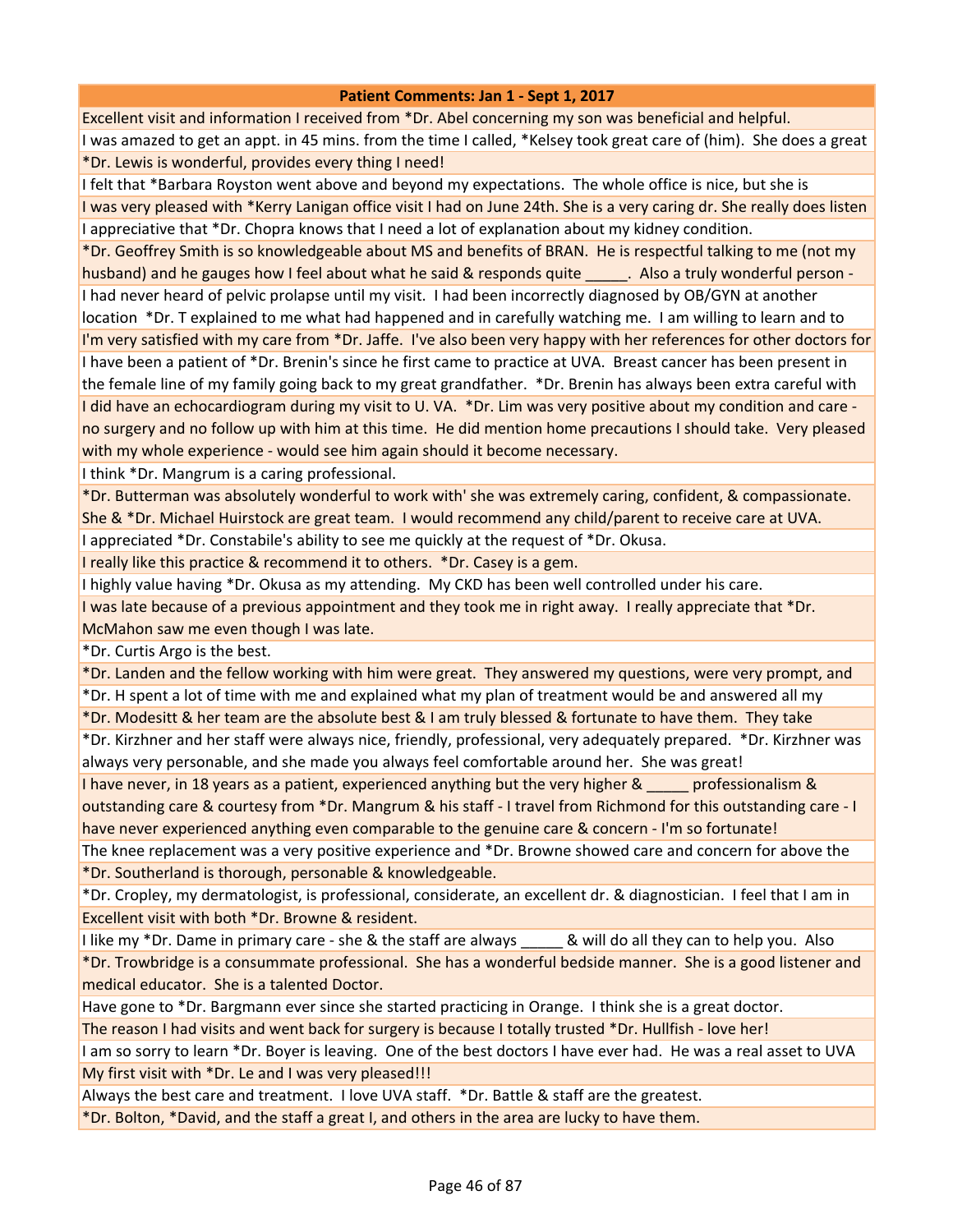Excellent visit and information I received from \*Dr. Abel concerning my son was beneficial and helpful. I was amazed to get an appt. in 45 mins. from the time I called, \*Kelsey took great care of (him). She does a great \*Dr. Lewis is wonderful, provides every thing I need!

I felt that \*Barbara Royston went above and beyond my expectations. The whole office is nice, but she is I was very pleased with \*Kerry Lanigan office visit I had on June 24th. She is a very caring dr. She really does listen I appreciative that \*Dr. Chopra knows that I need a lot of explanation about my kidney condition.

\*Dr. Geoffrey Smith is so knowledgeable about MS and benefits of BRAN. He is respectful talking to me (not my husband) and he gauges how I feel about what he said & responds quite all also a truly wonderful person -I had never heard of pelvic prolapse until my visit. I had been incorrectly diagnosed by OB/GYN at another location \*Dr. T explained to me what had happened and in carefully watching me. I am willing to learn and to I'm very satisfied with my care from \*Dr. Jaffe. I've also been very happy with her references for other doctors for I have been a patient of \*Dr. Brenin's since he first came to practice at UVA. Breast cancer has been present in the female line of my family going back to my great grandfather. \*Dr. Brenin has always been extra careful with I did have an echocardiogram during my visit to U. VA. \*Dr. Lim was very positive about my condition and care no surgery and no follow up with him at this time. He did mention home precautions I should take. Very pleased with my whole experience - would see him again should it become necessary.

I think \*Dr. Mangrum is a caring professional.

\*Dr. Butterman was absolutely wonderful to work with' she was extremely caring, confident, & compassionate. She & \*Dr. Michael Huirstock are great team. I would recommend any child/parent to receive care at UVA.

I appreciated \*Dr. Constabile's ability to see me quickly at the request of \*Dr. Okusa.

I really like this practice & recommend it to others. \*Dr. Casey is a gem.

I highly value having \*Dr. Okusa as my attending. My CKD has been well controlled under his care.

I was late because of a previous appointment and they took me in right away. I really appreciate that \*Dr. McMahon saw me even though I was late.

\*Dr. Curtis Argo is the best.

\*Dr. Landen and the fellow working with him were great. They answered my questions, were very prompt, and

\*Dr. H spent a lot of time with me and explained what my plan of treatment would be and answered all my \*Dr. Modesitt & her team are the absolute best & I am truly blessed & fortunate to have them. They take

\*Dr. Kirzhner and her staff were always nice, friendly, professional, very adequately prepared. \*Dr. Kirzhner was always very personable, and she made you always feel comfortable around her. She was great!

I have never, in 18 years as a patient, experienced anything but the very higher & \_\_\_\_\_ professionalism & outstanding care & courtesy from \*Dr. Mangrum & his staff - I travel from Richmond for this outstanding care - I have never experienced anything even comparable to the genuine care & concern - I'm so fortunate!

The knee replacement was a very positive experience and \*Dr. Browne showed care and concern for above the \*Dr. Southerland is thorough, personable & knowledgeable.

\*Dr. Cropley, my dermatologist, is professional, considerate, an excellent dr. & diagnostician. I feel that I am in Excellent visit with both \*Dr. Browne & resident.

I like my \*Dr. Dame in primary care - she & the staff are always equall do all they can to help you. Also \*Dr. Trowbridge is a consummate professional. She has a wonderful bedside manner. She is a good listener and medical educator. She is a talented Doctor.

Have gone to \*Dr. Bargmann ever since she started practicing in Orange. I think she is a great doctor.

The reason I had visits and went back for surgery is because I totally trusted \*Dr. Hullfish - love her!

I am so sorry to learn \*Dr. Boyer is leaving. One of the best doctors I have ever had. He was a real asset to UVA My first visit with \*Dr. Le and I was very pleased!!!

Always the best care and treatment. I love UVA staff. \*Dr. Battle & staff are the greatest.

\*Dr. Bolton, \*David, and the staff a great I, and others in the area are lucky to have them.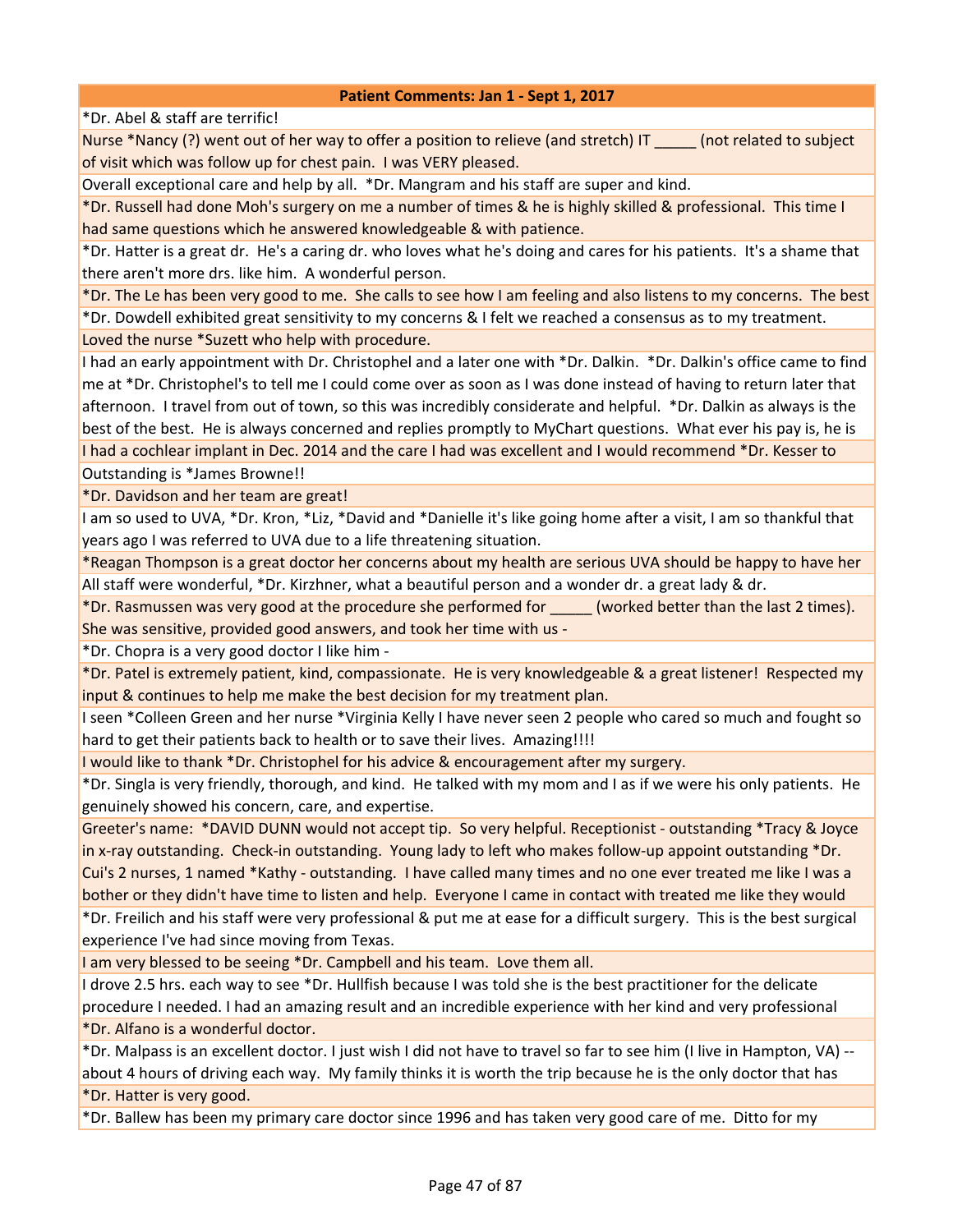\*Dr. Abel & staff are terrific!

Nurse \*Nancy (?) went out of her way to offer a position to relieve (and stretch) IT \_\_\_\_\_ (not related to subject of visit which was follow up for chest pain. I was VERY pleased.

Overall exceptional care and help by all. \*Dr. Mangram and his staff are super and kind.

\*Dr. Russell had done Moh's surgery on me a number of times & he is highly skilled & professional. This time I had same questions which he answered knowledgeable & with patience.

\*Dr. Hatter is a great dr. He's a caring dr. who loves what he's doing and cares for his patients. It's a shame that there aren't more drs. like him. A wonderful person.

\*Dr. The Le has been very good to me. She calls to see how I am feeling and also listens to my concerns. The best \*Dr. Dowdell exhibited great sensitivity to my concerns & I felt we reached a consensus as to my treatment. Loved the nurse \*Suzett who help with procedure.

I had an early appointment with Dr. Christophel and a later one with \*Dr. Dalkin. \*Dr. Dalkin's office came to find me at \*Dr. Christophel's to tell me I could come over as soon as I was done instead of having to return later that afternoon. I travel from out of town, so this was incredibly considerate and helpful. \*Dr. Dalkin as always is the best of the best. He is always concerned and replies promptly to MyChart questions. What ever his pay is, he is I had a cochlear implant in Dec. 2014 and the care I had was excellent and I would recommend \*Dr. Kesser to

Outstanding is \*James Browne!!

\*Dr. Davidson and her team are great!

I am so used to UVA, \*Dr. Kron, \*Liz, \*David and \*Danielle it's like going home after a visit, I am so thankful that years ago I was referred to UVA due to a life threatening situation.

\*Reagan Thompson is a great doctor her concerns about my health are serious UVA should be happy to have her All staff were wonderful, \*Dr. Kirzhner, what a beautiful person and a wonder dr. a great lady & dr.

\*Dr. Rasmussen was very good at the procedure she performed for \_\_\_\_\_ (worked better than the last 2 times). She was sensitive, provided good answers, and took her time with us -

\*Dr. Chopra is a very good doctor I like him -

\*Dr. Patel is extremely patient, kind, compassionate. He is very knowledgeable & a great listener! Respected my input & continues to help me make the best decision for my treatment plan.

I seen \*Colleen Green and her nurse \*Virginia Kelly I have never seen 2 people who cared so much and fought so hard to get their patients back to health or to save their lives. Amazing!!!!

I would like to thank \*Dr. Christophel for his advice & encouragement after my surgery.

\*Dr. Singla is very friendly, thorough, and kind. He talked with my mom and I as if we were his only patients. He genuinely showed his concern, care, and expertise.

Greeter's name: \*DAVID DUNN would not accept tip. So very helpful. Receptionist - outstanding \*Tracy & Joyce in x-ray outstanding. Check-in outstanding. Young lady to left who makes follow-up appoint outstanding \*Dr. Cui's 2 nurses, 1 named \*Kathy - outstanding. I have called many times and no one ever treated me like I was a bother or they didn't have time to listen and help. Everyone I came in contact with treated me like they would

\*Dr. Freilich and his staff were very professional & put me at ease for a difficult surgery. This is the best surgical experience I've had since moving from Texas.

I am very blessed to be seeing \*Dr. Campbell and his team. Love them all.

I drove 2.5 hrs. each way to see \*Dr. Hullfish because I was told she is the best practitioner for the delicate procedure I needed. I had an amazing result and an incredible experience with her kind and very professional \*Dr. Alfano is a wonderful doctor.

\*Dr. Malpass is an excellent doctor. I just wish I did not have to travel so far to see him (I live in Hampton, VA) - about 4 hours of driving each way. My family thinks it is worth the trip because he is the only doctor that has \*Dr. Hatter is very good.

\*Dr. Ballew has been my primary care doctor since 1996 and has taken very good care of me. Ditto for my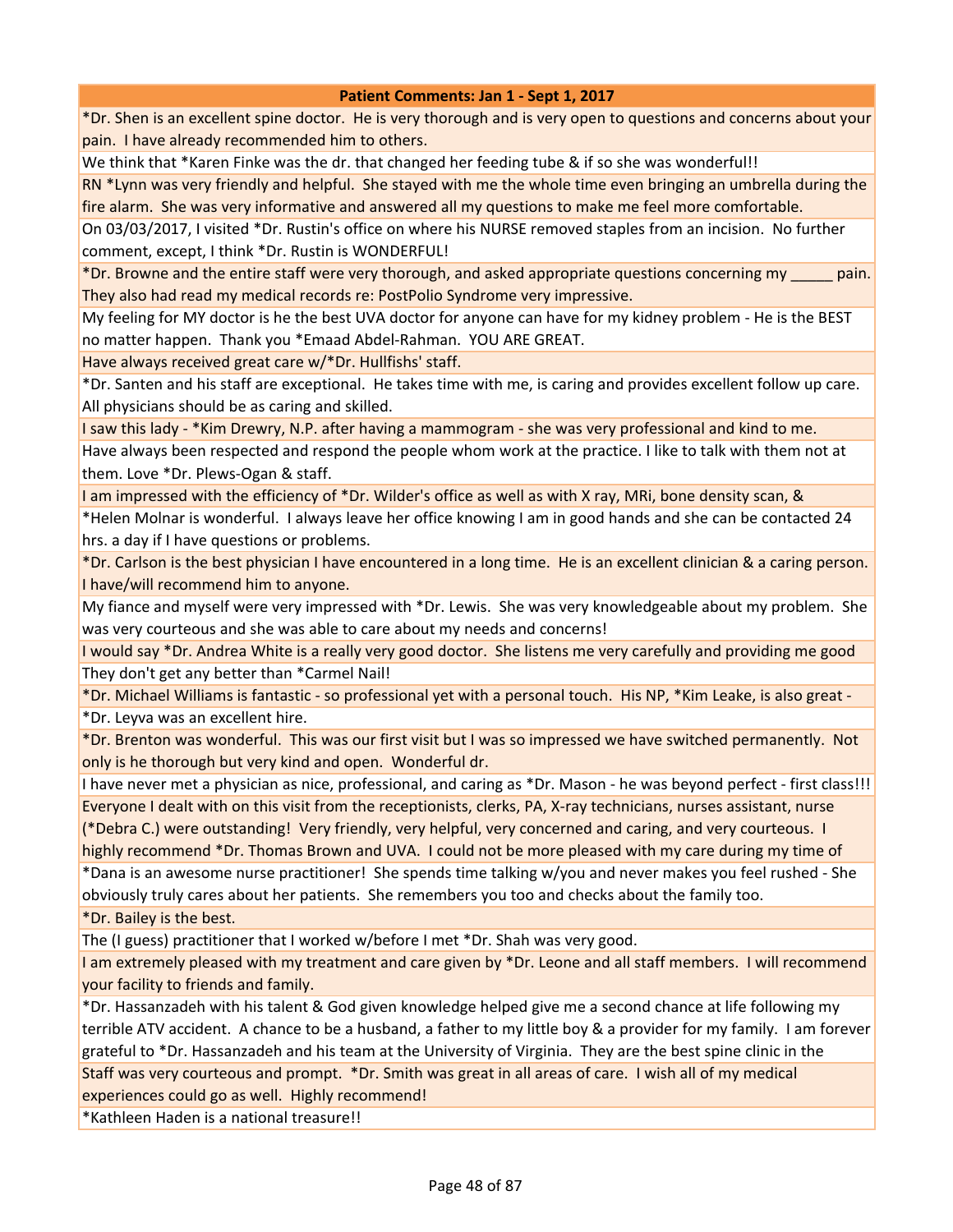\*Dr. Shen is an excellent spine doctor. He is very thorough and is very open to questions and concerns about your pain. I have already recommended him to others.

We think that \*Karen Finke was the dr. that changed her feeding tube & if so she was wonderful!!

RN \*Lynn was very friendly and helpful. She stayed with me the whole time even bringing an umbrella during the fire alarm. She was very informative and answered all my questions to make me feel more comfortable.

On 03/03/2017, I visited \*Dr. Rustin's office on where his NURSE removed staples from an incision. No further comment, except, I think \*Dr. Rustin is WONDERFUL!

\*Dr. Browne and the entire staff were very thorough, and asked appropriate questions concerning my \_\_\_\_\_ pain. They also had read my medical records re: PostPolio Syndrome very impressive.

My feeling for MY doctor is he the best UVA doctor for anyone can have for my kidney problem - He is the BEST no matter happen. Thank you \*Emaad Abdel-Rahman. YOU ARE GREAT.

Have always received great care w/\*Dr. Hullfishs' staff.

\*Dr. Santen and his staff are exceptional. He takes time with me, is caring and provides excellent follow up care. All physicians should be as caring and skilled.

I saw this lady - \*Kim Drewry, N.P. after having a mammogram - she was very professional and kind to me. Have always been respected and respond the people whom work at the practice. I like to talk with them not at them. Love \*Dr. Plews-Ogan & staff.

I am impressed with the efficiency of \*Dr. Wilder's office as well as with X ray, MRi, bone density scan, &

\*Helen Molnar is wonderful. I always leave her office knowing I am in good hands and she can be contacted 24 hrs. a day if I have questions or problems.

\*Dr. Carlson is the best physician I have encountered in a long time. He is an excellent clinician & a caring person. I have/will recommend him to anyone.

My fiance and myself were very impressed with \*Dr. Lewis. She was very knowledgeable about my problem. She was very courteous and she was able to care about my needs and concerns!

I would say \*Dr. Andrea White is a really very good doctor. She listens me very carefully and providing me good They don't get any better than \*Carmel Nail!

\*Dr. Michael Williams is fantastic - so professional yet with a personal touch. His NP, \*Kim Leake, is also great - \*Dr. Leyva was an excellent hire.

\*Dr. Brenton was wonderful. This was our first visit but I was so impressed we have switched permanently. Not only is he thorough but very kind and open. Wonderful dr.

I have never met a physician as nice, professional, and caring as \*Dr. Mason - he was beyond perfect - first class!!! Everyone I dealt with on this visit from the receptionists, clerks, PA, X-ray technicians, nurses assistant, nurse

(\*Debra C.) were outstanding! Very friendly, very helpful, very concerned and caring, and very courteous. I highly recommend \*Dr. Thomas Brown and UVA. I could not be more pleased with my care during my time of

\*Dana is an awesome nurse practitioner! She spends time talking w/you and never makes you feel rushed - She obviously truly cares about her patients. She remembers you too and checks about the family too.

\*Dr. Bailey is the best.

The (I guess) practitioner that I worked w/before I met \*Dr. Shah was very good.

I am extremely pleased with my treatment and care given by \*Dr. Leone and all staff members. I will recommend your facility to friends and family.

\*Dr. Hassanzadeh with his talent & God given knowledge helped give me a second chance at life following my terrible ATV accident. A chance to be a husband, a father to my little boy & a provider for my family. I am forever grateful to \*Dr. Hassanzadeh and his team at the University of Virginia. They are the best spine clinic in the Staff was very courteous and prompt. \*Dr. Smith was great in all areas of care. I wish all of my medical experiences could go as well. Highly recommend!

\*Kathleen Haden is a national treasure!!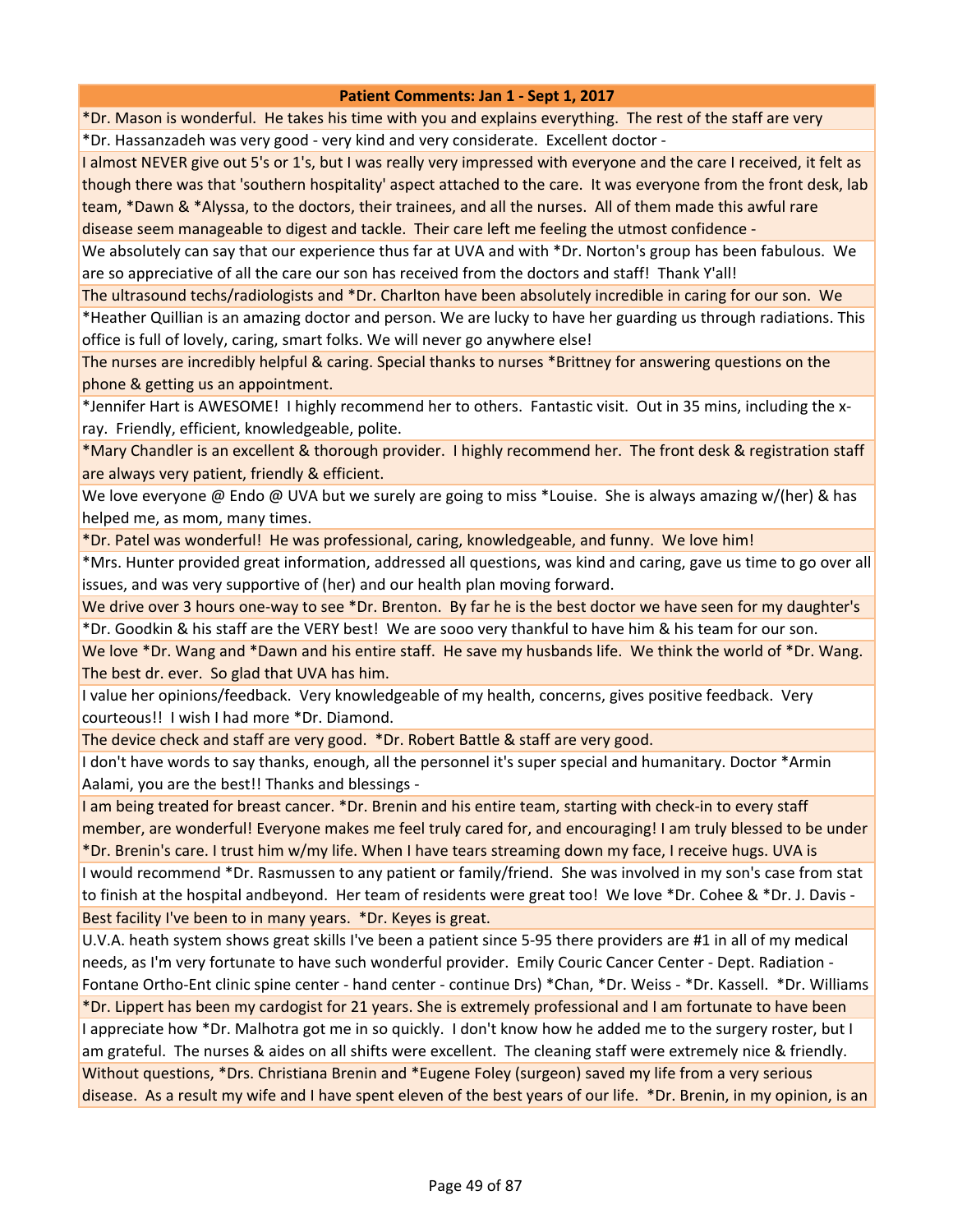\*Dr. Mason is wonderful. He takes his time with you and explains everything. The rest of the staff are very \*Dr. Hassanzadeh was very good - very kind and very considerate. Excellent doctor -

I almost NEVER give out 5's or 1's, but I was really very impressed with everyone and the care I received, it felt as though there was that 'southern hospitality' aspect attached to the care. It was everyone from the front desk, lab team, \*Dawn & \*Alyssa, to the doctors, their trainees, and all the nurses. All of them made this awful rare disease seem manageable to digest and tackle. Their care left me feeling the utmost confidence -

We absolutely can say that our experience thus far at UVA and with \*Dr. Norton's group has been fabulous. We are so appreciative of all the care our son has received from the doctors and staff! Thank Y'all!

The ultrasound techs/radiologists and \*Dr. Charlton have been absolutely incredible in caring for our son. We \*Heather Quillian is an amazing doctor and person. We are lucky to have her guarding us through radiations. This office is full of lovely, caring, smart folks. We will never go anywhere else!

The nurses are incredibly helpful & caring. Special thanks to nurses \*Brittney for answering questions on the phone & getting us an appointment.

\*Jennifer Hart is AWESOME! I highly recommend her to others. Fantastic visit. Out in 35 mins, including the xray. Friendly, efficient, knowledgeable, polite.

\*Mary Chandler is an excellent & thorough provider. I highly recommend her. The front desk & registration staff are always very patient, friendly & efficient.

We love everyone @ Endo @ UVA but we surely are going to miss \*Louise. She is always amazing w/(her) & has helped me, as mom, many times.

\*Dr. Patel was wonderful! He was professional, caring, knowledgeable, and funny. We love him!

\*Mrs. Hunter provided great information, addressed all questions, was kind and caring, gave us time to go over all issues, and was very supportive of (her) and our health plan moving forward.

We drive over 3 hours one-way to see \*Dr. Brenton. By far he is the best doctor we have seen for my daughter's \*Dr. Goodkin & his staff are the VERY best! We are sooo very thankful to have him & his team for our son.

We love \*Dr. Wang and \*Dawn and his entire staff. He save my husbands life. We think the world of \*Dr. Wang. The best dr. ever. So glad that UVA has him.

I value her opinions/feedback. Very knowledgeable of my health, concerns, gives positive feedback. Very courteous!! I wish I had more \*Dr. Diamond.

The device check and staff are very good. \*Dr. Robert Battle & staff are very good.

I don't have words to say thanks, enough, all the personnel it's super special and humanitary. Doctor \*Armin Aalami, you are the best!! Thanks and blessings -

I am being treated for breast cancer. \*Dr. Brenin and his entire team, starting with check-in to every staff member, are wonderful! Everyone makes me feel truly cared for, and encouraging! I am truly blessed to be under \*Dr. Brenin's care. I trust him w/my life. When I have tears streaming down my face, I receive hugs. UVA is

I would recommend \*Dr. Rasmussen to any patient or family/friend. She was involved in my son's case from stat to finish at the hospital andbeyond. Her team of residents were great too! We love \*Dr. Cohee & \*Dr. J. Davis - Best facility I've been to in many years. \*Dr. Keyes is great.

U.V.A. heath system shows great skills I've been a patient since 5-95 there providers are #1 in all of my medical needs, as I'm very fortunate to have such wonderful provider. Emily Couric Cancer Center - Dept. Radiation - Fontane Ortho-Ent clinic spine center - hand center - continue Drs) \*Chan, \*Dr. Weiss - \*Dr. Kassell. \*Dr. Williams

\*Dr. Lippert has been my cardogist for 21 years. She is extremely professional and I am fortunate to have been I appreciate how \*Dr. Malhotra got me in so quickly. I don't know how he added me to the surgery roster, but I am grateful. The nurses & aides on all shifts were excellent. The cleaning staff were extremely nice & friendly. Without questions, \*Drs. Christiana Brenin and \*Eugene Foley (surgeon) saved my life from a very serious disease. As a result my wife and I have spent eleven of the best years of our life. \*Dr. Brenin, in my opinion, is an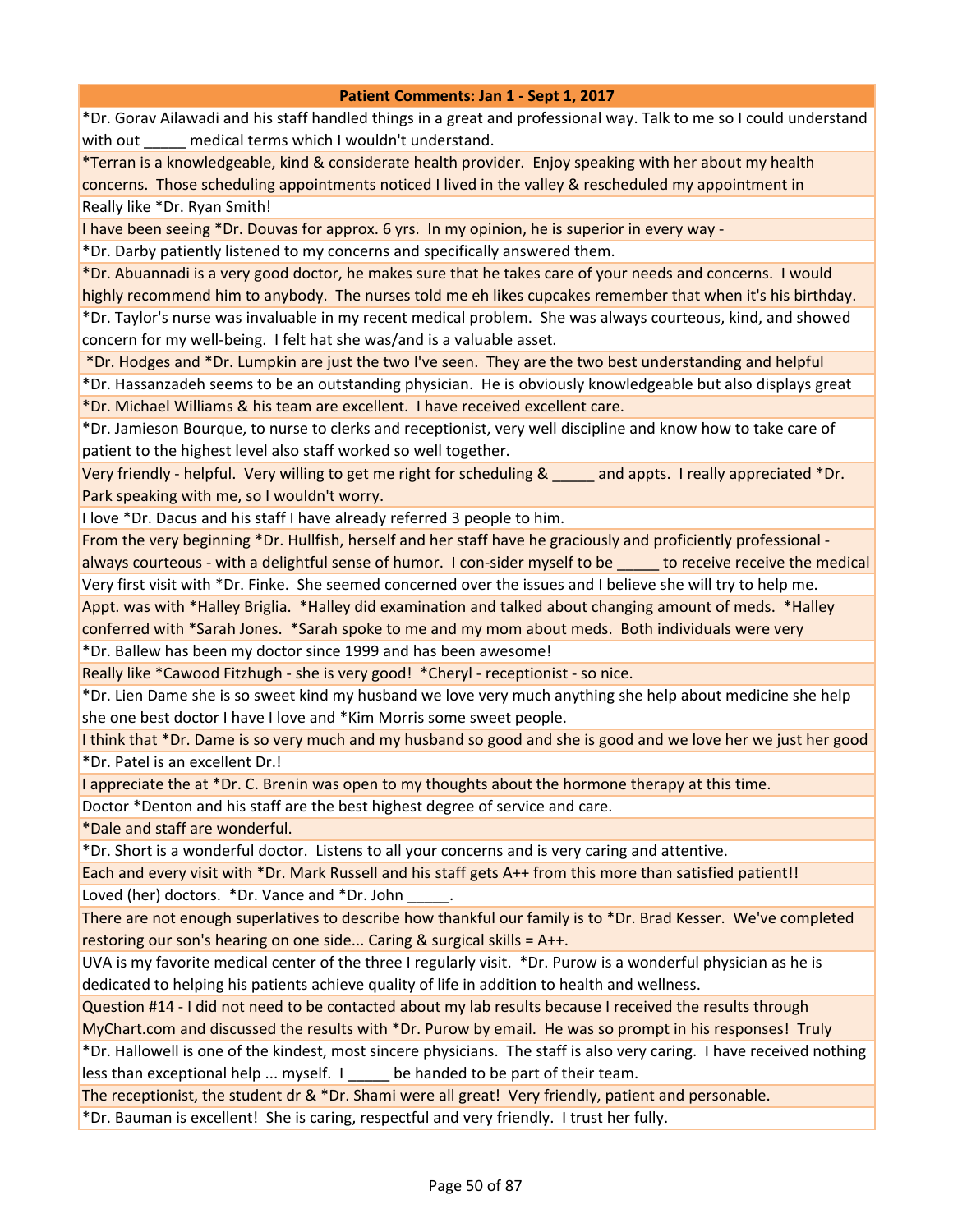\*Dr. Gorav Ailawadi and his staff handled things in a great and professional way. Talk to me so I could understand with out \_\_\_\_\_ medical terms which I wouldn't understand.

\*Terran is a knowledgeable, kind & considerate health provider. Enjoy speaking with her about my health concerns. Those scheduling appointments noticed I lived in the valley & rescheduled my appointment in Really like \*Dr. Ryan Smith!

I have been seeing \*Dr. Douvas for approx. 6 yrs. In my opinion, he is superior in every way -

\*Dr. Darby patiently listened to my concerns and specifically answered them.

\*Dr. Abuannadi is a very good doctor, he makes sure that he takes care of your needs and concerns. I would highly recommend him to anybody. The nurses told me eh likes cupcakes remember that when it's his birthday. \*Dr. Taylor's nurse was invaluable in my recent medical problem. She was always courteous, kind, and showed

concern for my well-being. I felt hat she was/and is a valuable asset.

\*Dr. Hodges and \*Dr. Lumpkin are just the two I've seen. They are the two best understanding and helpful

\*Dr. Hassanzadeh seems to be an outstanding physician. He is obviously knowledgeable but also displays great \*Dr. Michael Williams & his team are excellent. I have received excellent care.

\*Dr. Jamieson Bourque, to nurse to clerks and receptionist, very well discipline and know how to take care of patient to the highest level also staff worked so well together.

Very friendly - helpful. Very willing to get me right for scheduling & \_\_\_\_\_ and appts. I really appreciated \*Dr. Park speaking with me, so I wouldn't worry.

I love \*Dr. Dacus and his staff I have already referred 3 people to him.

From the very beginning \*Dr. Hullfish, herself and her staff have he graciously and proficiently professional always courteous - with a delightful sense of humor. I con-sider myself to be to receive receive the medical Very first visit with \*Dr. Finke. She seemed concerned over the issues and I believe she will try to help me.

Appt. was with \*Halley Briglia. \*Halley did examination and talked about changing amount of meds. \*Halley conferred with \*Sarah Jones. \*Sarah spoke to me and my mom about meds. Both individuals were very

\*Dr. Ballew has been my doctor since 1999 and has been awesome!

Really like \*Cawood Fitzhugh - she is very good! \*Cheryl - receptionist - so nice.

\*Dr. Lien Dame she is so sweet kind my husband we love very much anything she help about medicine she help she one best doctor I have I love and \*Kim Morris some sweet people.

I think that \*Dr. Dame is so very much and my husband so good and she is good and we love her we just her good \*Dr. Patel is an excellent Dr.!

I appreciate the at \*Dr. C. Brenin was open to my thoughts about the hormone therapy at this time.

Doctor \*Denton and his staff are the best highest degree of service and care.

\*Dale and staff are wonderful.

\*Dr. Short is a wonderful doctor. Listens to all your concerns and is very caring and attentive.

Each and every visit with \*Dr. Mark Russell and his staff gets A++ from this more than satisfied patient!! Loved (her) doctors. \*Dr. Vance and \*Dr. John

There are not enough superlatives to describe how thankful our family is to \*Dr. Brad Kesser. We've completed restoring our son's hearing on one side... Caring & surgical skills = A++.

UVA is my favorite medical center of the three I regularly visit. \*Dr. Purow is a wonderful physician as he is dedicated to helping his patients achieve quality of life in addition to health and wellness.

Question #14 - I did not need to be contacted about my lab results because I received the results through

MyChart.com and discussed the results with \*Dr. Purow by email. He was so prompt in his responses! Truly

\*Dr. Hallowell is one of the kindest, most sincere physicians. The staff is also very caring. I have received nothing less than exceptional help ... myself. I \_\_\_\_\_ be handed to be part of their team.

The receptionist, the student dr & \*Dr. Shami were all great! Very friendly, patient and personable.

\*Dr. Bauman is excellent! She is caring, respectful and very friendly. I trust her fully.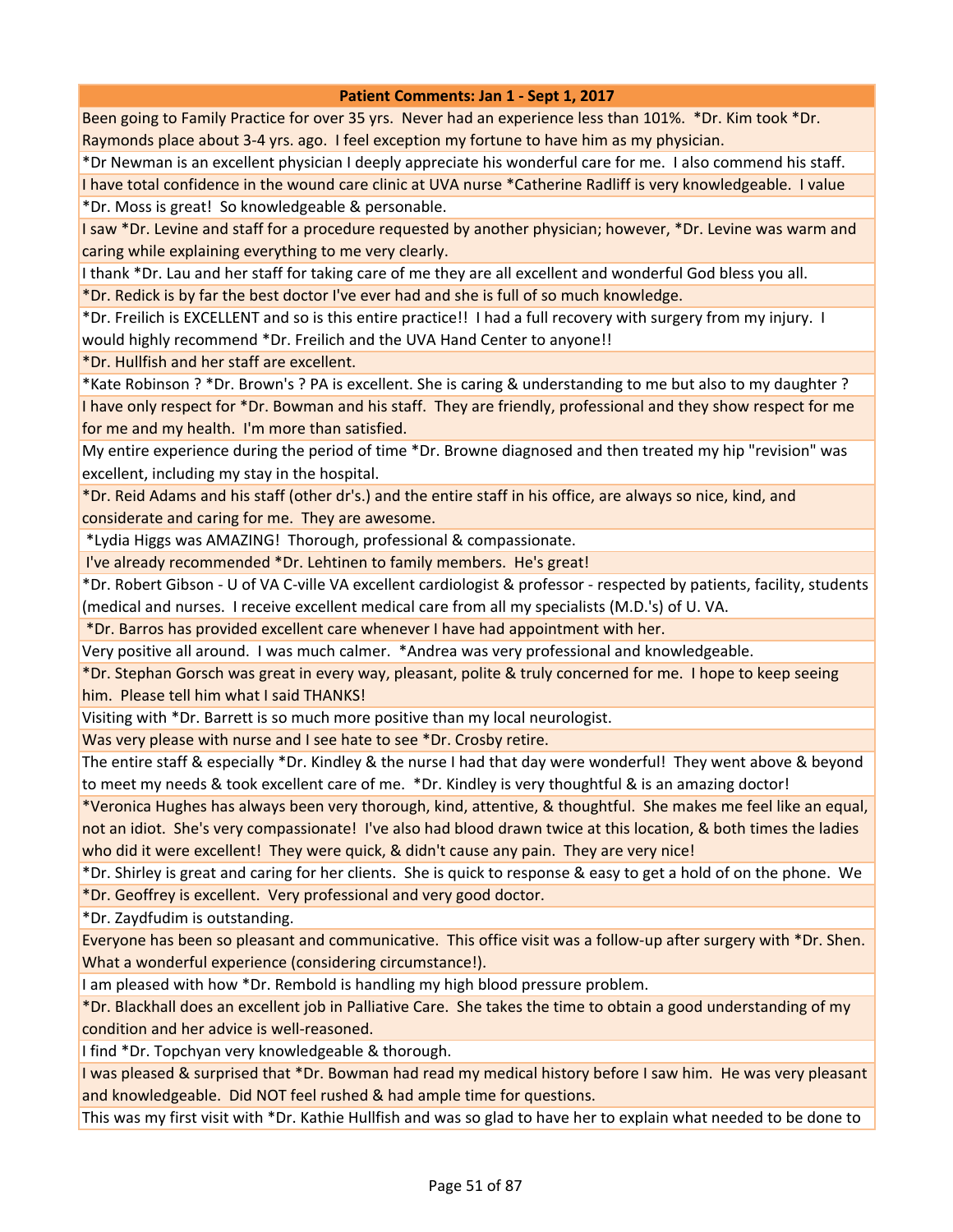Been going to Family Practice for over 35 yrs. Never had an experience less than 101%. \*Dr. Kim took \*Dr. Raymonds place about 3-4 yrs. ago. I feel exception my fortune to have him as my physician.

\*Dr Newman is an excellent physician I deeply appreciate his wonderful care for me. I also commend his staff.

I have total confidence in the wound care clinic at UVA nurse \*Catherine Radliff is very knowledgeable. I value \*Dr. Moss is great! So knowledgeable & personable.

I saw \*Dr. Levine and staff for a procedure requested by another physician; however, \*Dr. Levine was warm and caring while explaining everything to me very clearly.

I thank \*Dr. Lau and her staff for taking care of me they are all excellent and wonderful God bless you all.

\*Dr. Redick is by far the best doctor I've ever had and she is full of so much knowledge.

\*Dr. Freilich is EXCELLENT and so is this entire practice!! I had a full recovery with surgery from my injury. I would highly recommend \*Dr. Freilich and the UVA Hand Center to anyone!!

\*Dr. Hullfish and her staff are excellent.

\*Kate Robinson ? \*Dr. Brown's ? PA is excellent. She is caring & understanding to me but also to my daughter ? I have only respect for \*Dr. Bowman and his staff. They are friendly, professional and they show respect for me for me and my health. I'm more than satisfied.

My entire experience during the period of time \*Dr. Browne diagnosed and then treated my hip "revision" was excellent, including my stay in the hospital.

\*Dr. Reid Adams and his staff (other dr's.) and the entire staff in his office, are always so nice, kind, and considerate and caring for me. They are awesome.

\*Lydia Higgs was AMAZING! Thorough, professional & compassionate.

I've already recommended \*Dr. Lehtinen to family members. He's great!

\*Dr. Robert Gibson - U of VA C-ville VA excellent cardiologist & professor - respected by patients, facility, students (medical and nurses. I receive excellent medical care from all my specialists (M.D.'s) of U. VA.

\*Dr. Barros has provided excellent care whenever I have had appointment with her.

Very positive all around. I was much calmer. \*Andrea was very professional and knowledgeable.

\*Dr. Stephan Gorsch was great in every way, pleasant, polite & truly concerned for me. I hope to keep seeing him. Please tell him what I said THANKS!

Visiting with \*Dr. Barrett is so much more positive than my local neurologist.

Was very please with nurse and I see hate to see \*Dr. Crosby retire.

The entire staff & especially \*Dr. Kindley & the nurse I had that day were wonderful! They went above & beyond to meet my needs & took excellent care of me. \*Dr. Kindley is very thoughtful & is an amazing doctor!

\*Veronica Hughes has always been very thorough, kind, attentive, & thoughtful. She makes me feel like an equal, not an idiot. She's very compassionate! I've also had blood drawn twice at this location, & both times the ladies who did it were excellent! They were quick, & didn't cause any pain. They are very nice!

\*Dr. Shirley is great and caring for her clients. She is quick to response & easy to get a hold of on the phone. We \*Dr. Geoffrey is excellent. Very professional and very good doctor.

\*Dr. Zaydfudim is outstanding.

Everyone has been so pleasant and communicative. This office visit was a follow-up after surgery with \*Dr. Shen. What a wonderful experience (considering circumstance!).

I am pleased with how \*Dr. Rembold is handling my high blood pressure problem.

\*Dr. Blackhall does an excellent job in Palliative Care. She takes the time to obtain a good understanding of my condition and her advice is well-reasoned.

I find \*Dr. Topchyan very knowledgeable & thorough.

I was pleased & surprised that \*Dr. Bowman had read my medical history before I saw him. He was very pleasant and knowledgeable. Did NOT feel rushed & had ample time for questions.

This was my first visit with \*Dr. Kathie Hullfish and was so glad to have her to explain what needed to be done to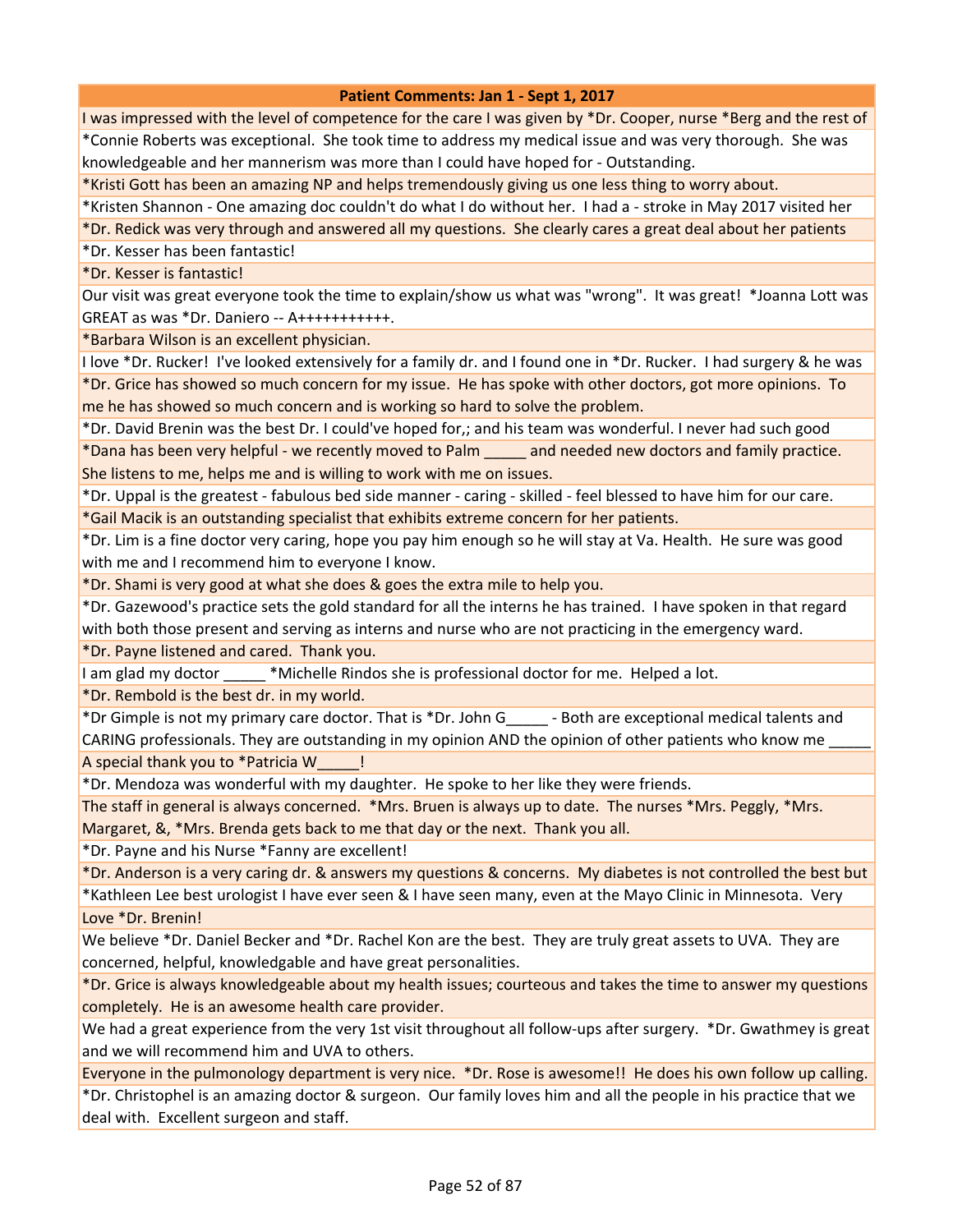I was impressed with the level of competence for the care I was given by \*Dr. Cooper, nurse \*Berg and the rest of \*Connie Roberts was exceptional. She took time to address my medical issue and was very thorough. She was knowledgeable and her mannerism was more than I could have hoped for - Outstanding.

\*Kristi Gott has been an amazing NP and helps tremendously giving us one less thing to worry about.

\*Kristen Shannon - One amazing doc couldn't do what I do without her. I had a - stroke in May 2017 visited her

\*Dr. Redick was very through and answered all my questions. She clearly cares a great deal about her patients

\*Dr. Kesser has been fantastic!

\*Dr. Kesser is fantastic!

Our visit was great everyone took the time to explain/show us what was "wrong". It was great! \*Joanna Lott was GREAT as was \*Dr. Daniero -- A+++++++++++.

\*Barbara Wilson is an excellent physician.

I love \*Dr. Rucker! I've looked extensively for a family dr. and I found one in \*Dr. Rucker. I had surgery & he was \*Dr. Grice has showed so much concern for my issue. He has spoke with other doctors, got more opinions. To me he has showed so much concern and is working so hard to solve the problem.

\*Dr. David Brenin was the best Dr. I could've hoped for,; and his team was wonderful. I never had such good \*Dana has been very helpful - we recently moved to Palm \_\_\_\_\_ and needed new doctors and family practice. She listens to me, helps me and is willing to work with me on issues.

\*Dr. Uppal is the greatest - fabulous bed side manner - caring - skilled - feel blessed to have him for our care. \*Gail Macik is an outstanding specialist that exhibits extreme concern for her patients.

\*Dr. Lim is a fine doctor very caring, hope you pay him enough so he will stay at Va. Health. He sure was good with me and I recommend him to everyone I know.

\*Dr. Shami is very good at what she does & goes the extra mile to help you.

\*Dr. Gazewood's practice sets the gold standard for all the interns he has trained. I have spoken in that regard with both those present and serving as interns and nurse who are not practicing in the emergency ward.

\*Dr. Payne listened and cared. Thank you.

I am glad my doctor **the "Michelle Rindos she is professional doctor for me.** Helped a lot.

\*Dr. Rembold is the best dr. in my world.

\*Dr Gimple is not my primary care doctor. That is \*Dr. John G\_\_\_\_\_ - Both are exceptional medical talents and CARING professionals. They are outstanding in my opinion AND the opinion of other patients who know me A special thank you to \*Patricia W\_\_\_\_\_!

\*Dr. Mendoza was wonderful with my daughter. He spoke to her like they were friends.

The staff in general is always concerned. \*Mrs. Bruen is always up to date. The nurses \*Mrs. Peggly, \*Mrs. Margaret, &, \*Mrs. Brenda gets back to me that day or the next. Thank you all.

\*Dr. Payne and his Nurse \*Fanny are excellent!

\*Dr. Anderson is a very caring dr. & answers my questions & concerns. My diabetes is not controlled the best but \*Kathleen Lee best urologist I have ever seen & I have seen many, even at the Mayo Clinic in Minnesota. Very Love \*Dr. Brenin!

We believe \*Dr. Daniel Becker and \*Dr. Rachel Kon are the best. They are truly great assets to UVA. They are concerned, helpful, knowledgable and have great personalities.

\*Dr. Grice is always knowledgeable about my health issues; courteous and takes the time to answer my questions completely. He is an awesome health care provider.

We had a great experience from the very 1st visit throughout all follow-ups after surgery. \*Dr. Gwathmey is great and we will recommend him and UVA to others.

Everyone in the pulmonology department is very nice. \*Dr. Rose is awesome!! He does his own follow up calling.

\*Dr. Christophel is an amazing doctor & surgeon. Our family loves him and all the people in his practice that we deal with. Excellent surgeon and staff.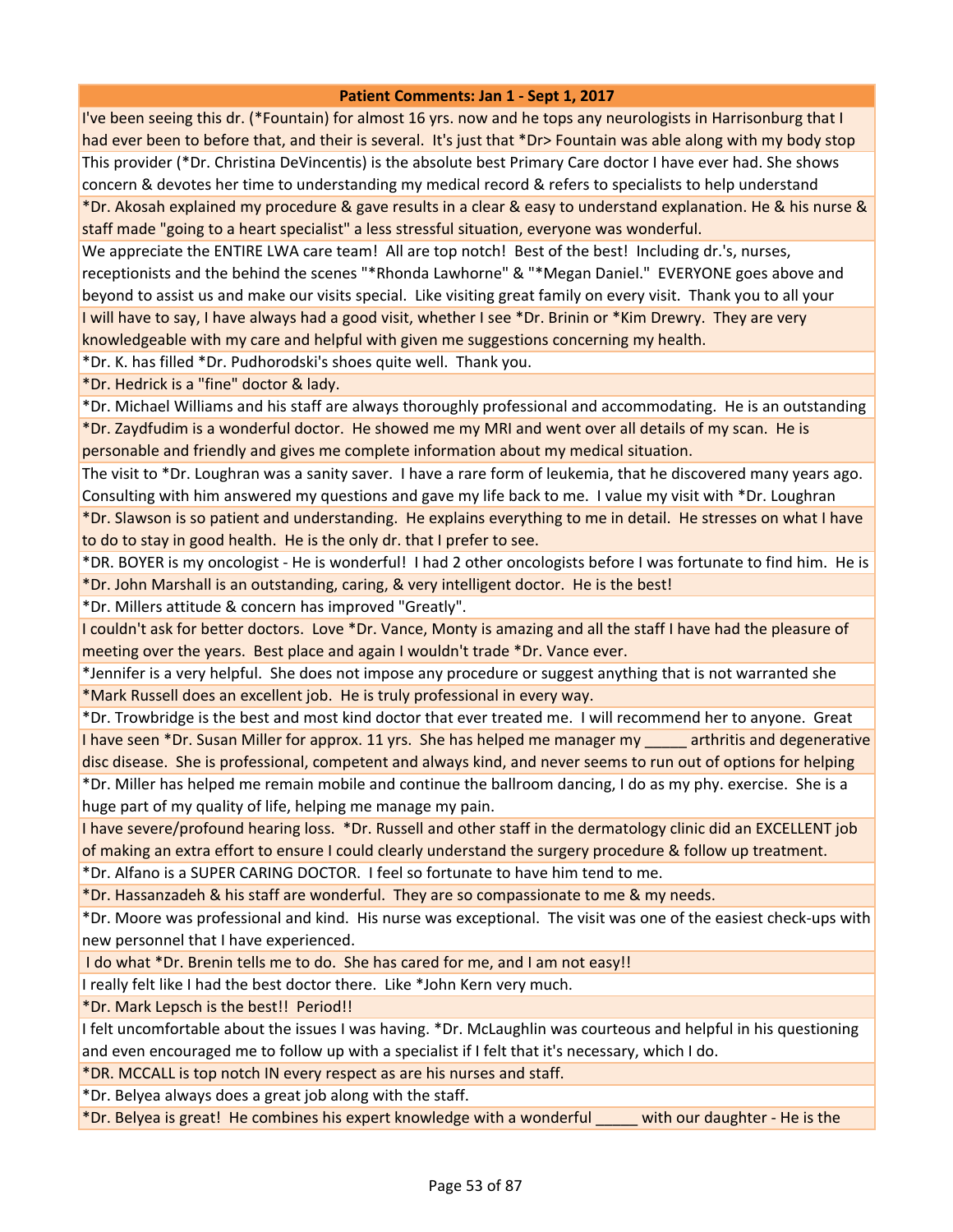I've been seeing this dr. (\*Fountain) for almost 16 yrs. now and he tops any neurologists in Harrisonburg that I had ever been to before that, and their is several. It's just that \*Dr> Fountain was able along with my body stop This provider (\*Dr. Christina DeVincentis) is the absolute best Primary Care doctor I have ever had. She shows concern & devotes her time to understanding my medical record & refers to specialists to help understand \*Dr. Akosah explained my procedure & gave results in a clear & easy to understand explanation. He & his nurse & staff made "going to a heart specialist" a less stressful situation, everyone was wonderful.

We appreciate the ENTIRE LWA care team! All are top notch! Best of the best! Including dr.'s, nurses, receptionists and the behind the scenes "\*Rhonda Lawhorne" & "\*Megan Daniel." EVERYONE goes above and beyond to assist us and make our visits special. Like visiting great family on every visit. Thank you to all your I will have to say, I have always had a good visit, whether I see \*Dr. Brinin or \*Kim Drewry. They are very knowledgeable with my care and helpful with given me suggestions concerning my health.

\*Dr. K. has filled \*Dr. Pudhorodski's shoes quite well. Thank you.

\*Dr. Hedrick is a "fine" doctor & lady.

\*Dr. Michael Williams and his staff are always thoroughly professional and accommodating. He is an outstanding \*Dr. Zaydfudim is a wonderful doctor. He showed me my MRI and went over all details of my scan. He is personable and friendly and gives me complete information about my medical situation.

The visit to \*Dr. Loughran was a sanity saver. I have a rare form of leukemia, that he discovered many years ago. Consulting with him answered my questions and gave my life back to me. I value my visit with \*Dr. Loughran

\*Dr. Slawson is so patient and understanding. He explains everything to me in detail. He stresses on what I have to do to stay in good health. He is the only dr. that I prefer to see.

\*DR. BOYER is my oncologist - He is wonderful! I had 2 other oncologists before I was fortunate to find him. He is \*Dr. John Marshall is an outstanding, caring, & very intelligent doctor. He is the best!

\*Dr. Millers attitude & concern has improved "Greatly".

I couldn't ask for better doctors. Love \*Dr. Vance, Monty is amazing and all the staff I have had the pleasure of meeting over the years. Best place and again I wouldn't trade \*Dr. Vance ever.

\*Jennifer is a very helpful. She does not impose any procedure or suggest anything that is not warranted she \*Mark Russell does an excellent job. He is truly professional in every way.

\*Dr. Trowbridge is the best and most kind doctor that ever treated me. I will recommend her to anyone. Great I have seen \*Dr. Susan Miller for approx. 11 yrs. She has helped me manager my \_\_\_\_\_ arthritis and degenerative disc disease. She is professional, competent and always kind, and never seems to run out of options for helping \*Dr. Miller has helped me remain mobile and continue the ballroom dancing, I do as my phy. exercise. She is a huge part of my quality of life, helping me manage my pain.

I have severe/profound hearing loss. \*Dr. Russell and other staff in the dermatology clinic did an EXCELLENT job of making an extra effort to ensure I could clearly understand the surgery procedure & follow up treatment.

\*Dr. Alfano is a SUPER CARING DOCTOR. I feel so fortunate to have him tend to me.

\*Dr. Hassanzadeh & his staff are wonderful. They are so compassionate to me & my needs.

\*Dr. Moore was professional and kind. His nurse was exceptional. The visit was one of the easiest check-ups with new personnel that I have experienced.

I do what \*Dr. Brenin tells me to do. She has cared for me, and I am not easy!!

I really felt like I had the best doctor there. Like \*John Kern very much.

\*Dr. Mark Lepsch is the best!! Period!!

I felt uncomfortable about the issues I was having. \*Dr. McLaughlin was courteous and helpful in his questioning and even encouraged me to follow up with a specialist if I felt that it's necessary, which I do.

\*DR. MCCALL is top notch IN every respect as are his nurses and staff.

\*Dr. Belyea always does a great job along with the staff.

\*Dr. Belyea is great! He combines his expert knowledge with a wonderful \_\_\_\_\_ with our daughter - He is the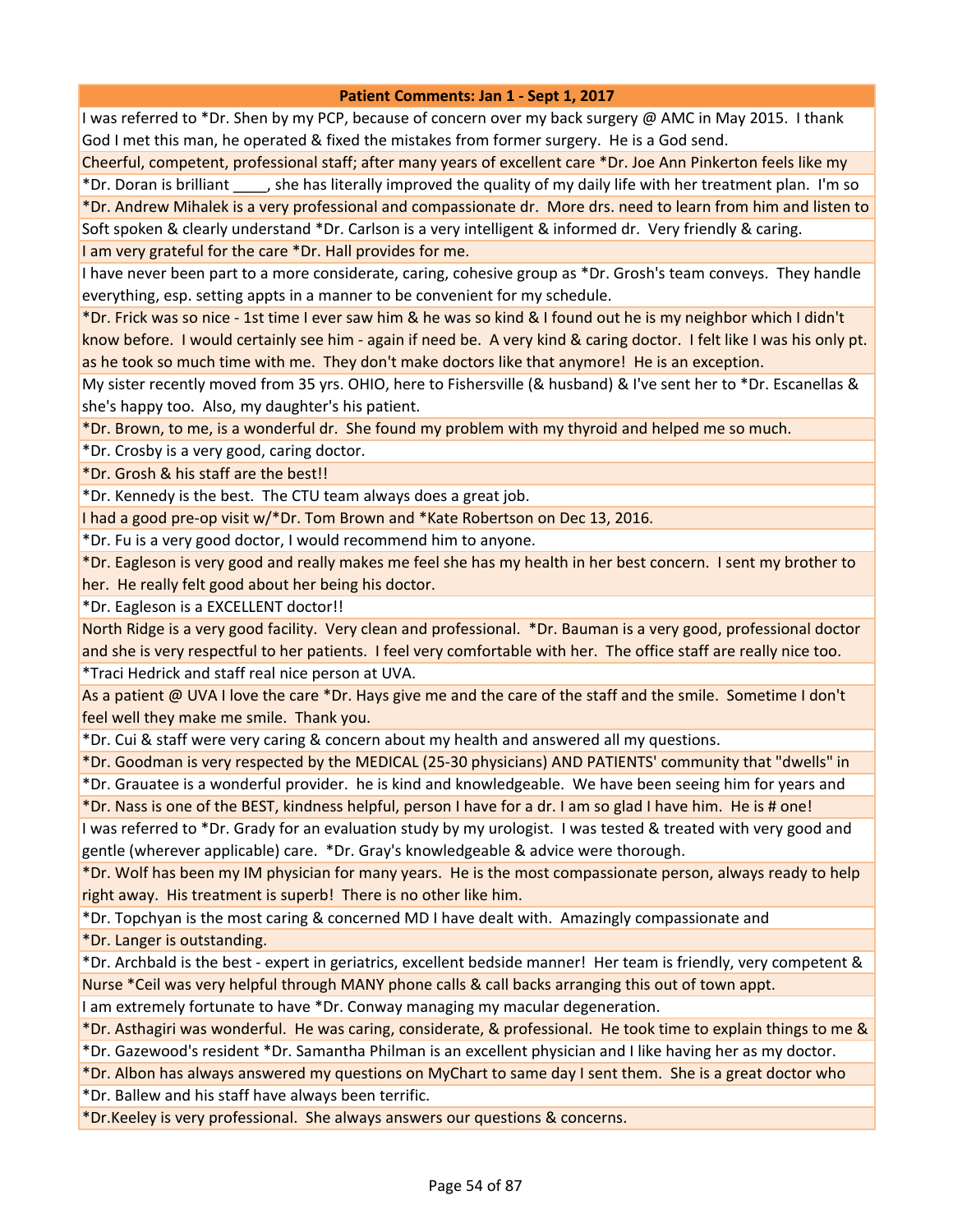I was referred to \*Dr. Shen by my PCP, because of concern over my back surgery @ AMC in May 2015. I thank God I met this man, he operated & fixed the mistakes from former surgery. He is a God send.

Cheerful, competent, professional staff; after many years of excellent care \*Dr. Joe Ann Pinkerton feels like my \*Dr. Doran is brilliant \_\_\_\_, she has literally improved the quality of my daily life with her treatment plan. I'm so

\*Dr. Andrew Mihalek is a very professional and compassionate dr. More drs. need to learn from him and listen to Soft spoken & clearly understand \*Dr. Carlson is a very intelligent & informed dr. Very friendly & caring.

I am very grateful for the care \*Dr. Hall provides for me.

I have never been part to a more considerate, caring, cohesive group as \*Dr. Grosh's team conveys. They handle everything, esp. setting appts in a manner to be convenient for my schedule.

\*Dr. Frick was so nice - 1st time I ever saw him & he was so kind & I found out he is my neighbor which I didn't know before. I would certainly see him - again if need be. A very kind & caring doctor. I felt like I was his only pt. as he took so much time with me. They don't make doctors like that anymore! He is an exception.

My sister recently moved from 35 yrs. OHIO, here to Fishersville (& husband) & I've sent her to \*Dr. Escanellas & she's happy too. Also, my daughter's his patient.

\*Dr. Brown, to me, is a wonderful dr. She found my problem with my thyroid and helped me so much.

\*Dr. Crosby is a very good, caring doctor.

\*Dr. Grosh & his staff are the best!!

\*Dr. Kennedy is the best. The CTU team always does a great job.

I had a good pre-op visit w/\*Dr. Tom Brown and \*Kate Robertson on Dec 13, 2016.

\*Dr. Fu is a very good doctor, I would recommend him to anyone.

\*Dr. Eagleson is very good and really makes me feel she has my health in her best concern. I sent my brother to her. He really felt good about her being his doctor.

\*Dr. Eagleson is a EXCELLENT doctor!!

North Ridge is a very good facility. Very clean and professional. \*Dr. Bauman is a very good, professional doctor and she is very respectful to her patients. I feel very comfortable with her. The office staff are really nice too.

\*Traci Hedrick and staff real nice person at UVA.

As a patient @ UVA I love the care \*Dr. Hays give me and the care of the staff and the smile. Sometime I don't feel well they make me smile. Thank you.

\*Dr. Cui & staff were very caring & concern about my health and answered all my questions.

\*Dr. Goodman is very respected by the MEDICAL (25-30 physicians) AND PATIENTS' community that "dwells" in

\*Dr. Grauatee is a wonderful provider. he is kind and knowledgeable. We have been seeing him for years and \*Dr. Nass is one of the BEST, kindness helpful, person I have for a dr. I am so glad I have him. He is # one!

I was referred to \*Dr. Grady for an evaluation study by my urologist. I was tested & treated with very good and gentle (wherever applicable) care. \*Dr. Gray's knowledgeable & advice were thorough.

\*Dr. Wolf has been my IM physician for many years. He is the most compassionate person, always ready to help right away. His treatment is superb! There is no other like him.

\*Dr. Topchyan is the most caring & concerned MD I have dealt with. Amazingly compassionate and

\*Dr. Langer is outstanding.

\*Dr. Archbald is the best - expert in geriatrics, excellent bedside manner! Her team is friendly, very competent & Nurse \*Ceil was very helpful through MANY phone calls & call backs arranging this out of town appt.

I am extremely fortunate to have \*Dr. Conway managing my macular degeneration.

\*Dr. Asthagiri was wonderful. He was caring, considerate, & professional. He took time to explain things to me & \*Dr. Gazewood's resident \*Dr. Samantha Philman is an excellent physician and I like having her as my doctor.

\*Dr. Albon has always answered my questions on MyChart to same day I sent them. She is a great doctor who

\*Dr. Ballew and his staff have always been terrific.

\*Dr.Keeley is very professional. She always answers our questions & concerns.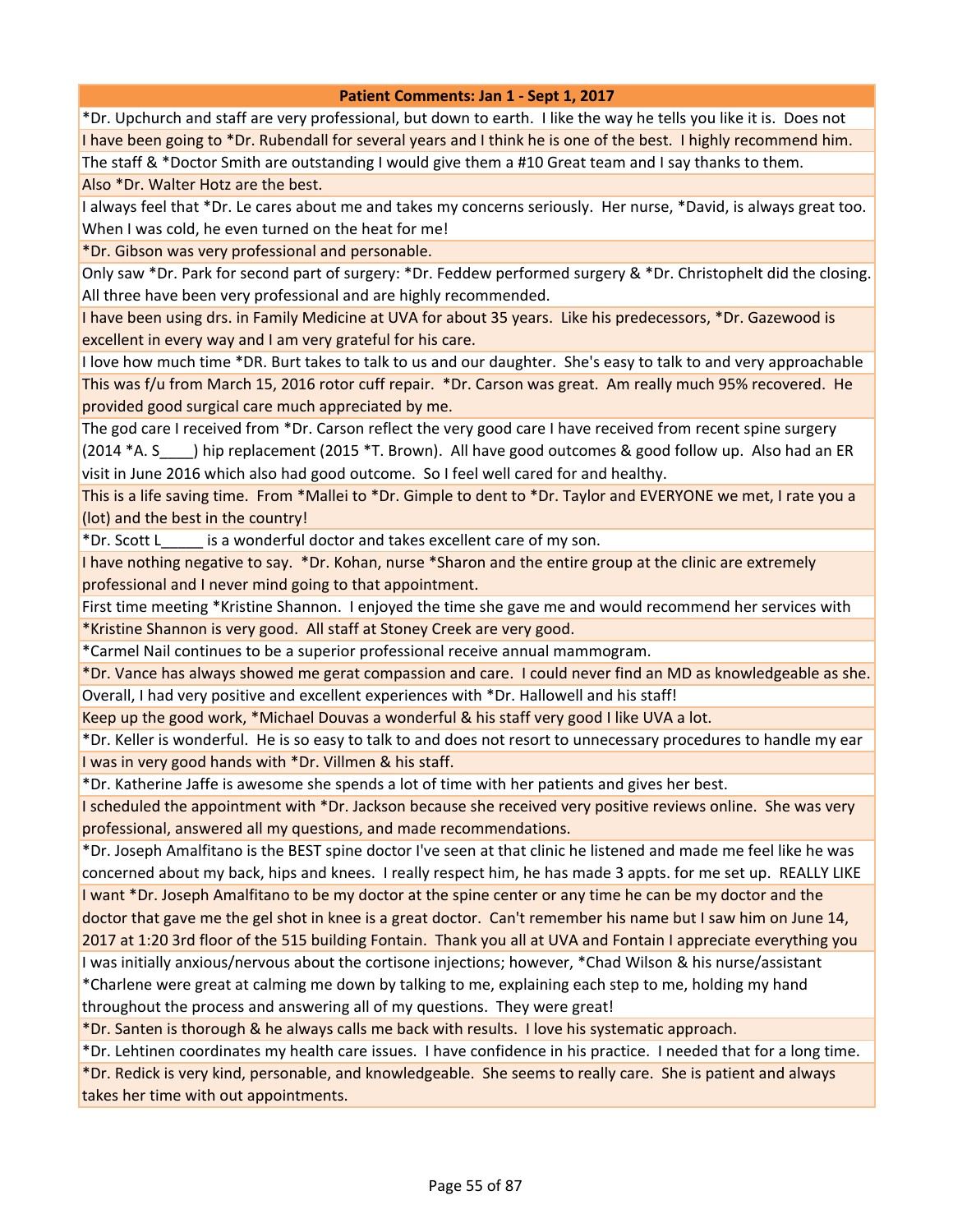\*Dr. Upchurch and staff are very professional, but down to earth. I like the way he tells you like it is. Does not I have been going to \*Dr. Rubendall for several years and I think he is one of the best. I highly recommend him. The staff & \*Doctor Smith are outstanding I would give them a #10 Great team and I say thanks to them.

Also \*Dr. Walter Hotz are the best.

I always feel that \*Dr. Le cares about me and takes my concerns seriously. Her nurse, \*David, is always great too. When I was cold, he even turned on the heat for me!

\*Dr. Gibson was very professional and personable.

Only saw \*Dr. Park for second part of surgery: \*Dr. Feddew performed surgery & \*Dr. Christophelt did the closing. All three have been very professional and are highly recommended.

I have been using drs. in Family Medicine at UVA for about 35 years. Like his predecessors, \*Dr. Gazewood is excellent in every way and I am very grateful for his care.

I love how much time \*DR. Burt takes to talk to us and our daughter. She's easy to talk to and very approachable This was f/u from March 15, 2016 rotor cuff repair. \*Dr. Carson was great. Am really much 95% recovered. He provided good surgical care much appreciated by me.

The god care I received from \*Dr. Carson reflect the very good care I have received from recent spine surgery (2014 \*A. S\_\_\_\_) hip replacement (2015 \*T. Brown). All have good outcomes & good follow up. Also had an ER visit in June 2016 which also had good outcome. So I feel well cared for and healthy.

This is a life saving time. From \*Mallei to \*Dr. Gimple to dent to \*Dr. Taylor and EVERYONE we met, I rate you a (lot) and the best in the country!

\*Dr. Scott L\_\_\_\_\_ is a wonderful doctor and takes excellent care of my son.

I have nothing negative to say. \*Dr. Kohan, nurse \*Sharon and the entire group at the clinic are extremely professional and I never mind going to that appointment.

First time meeting \*Kristine Shannon. I enjoyed the time she gave me and would recommend her services with \*Kristine Shannon is very good. All staff at Stoney Creek are very good.

\*Carmel Nail continues to be a superior professional receive annual mammogram.

\*Dr. Vance has always showed me gerat compassion and care. I could never find an MD as knowledgeable as she. Overall, I had very positive and excellent experiences with \*Dr. Hallowell and his staff!

Keep up the good work, \*Michael Douvas a wonderful & his staff very good I like UVA a lot.

\*Dr. Keller is wonderful. He is so easy to talk to and does not resort to unnecessary procedures to handle my ear I was in very good hands with \*Dr. Villmen & his staff.

\*Dr. Katherine Jaffe is awesome she spends a lot of time with her patients and gives her best.

I scheduled the appointment with \*Dr. Jackson because she received very positive reviews online. She was very professional, answered all my questions, and made recommendations.

\*Dr. Joseph Amalfitano is the BEST spine doctor I've seen at that clinic he listened and made me feel like he was concerned about my back, hips and knees. I really respect him, he has made 3 appts. for me set up. REALLY LIKE I want \*Dr. Joseph Amalfitano to be my doctor at the spine center or any time he can be my doctor and the

doctor that gave me the gel shot in knee is a great doctor. Can't remember his name but I saw him on June 14, 2017 at 1:20 3rd floor of the 515 building Fontain. Thank you all at UVA and Fontain I appreciate everything you

I was initially anxious/nervous about the cortisone injections; however, \*Chad Wilson & his nurse/assistant \*Charlene were great at calming me down by talking to me, explaining each step to me, holding my hand

throughout the process and answering all of my questions. They were great!

\*Dr. Santen is thorough & he always calls me back with results. I love his systematic approach.

\*Dr. Lehtinen coordinates my health care issues. I have confidence in his practice. I needed that for a long time.

\*Dr. Redick is very kind, personable, and knowledgeable. She seems to really care. She is patient and always takes her time with out appointments.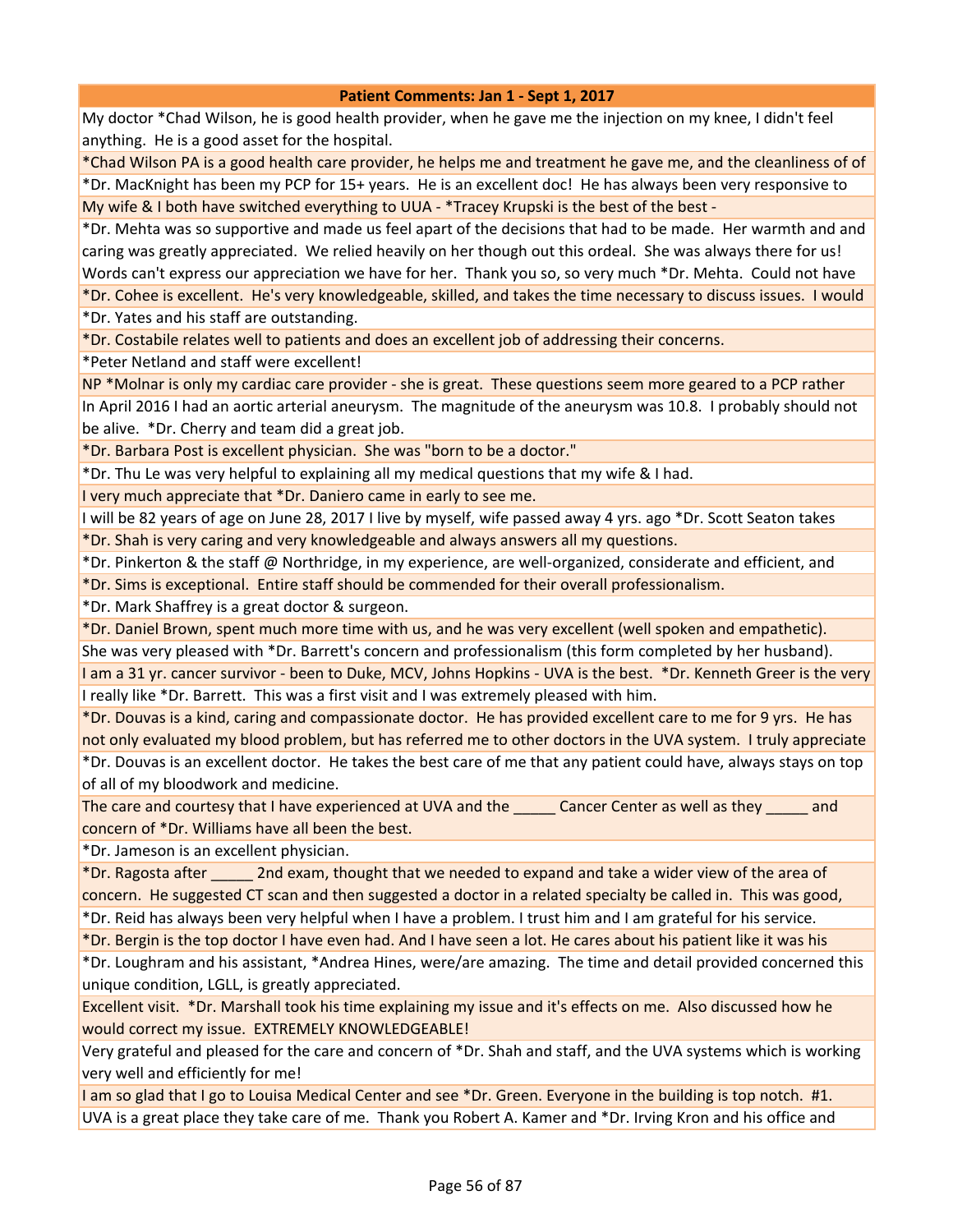My doctor \*Chad Wilson, he is good health provider, when he gave me the injection on my knee, I didn't feel anything. He is a good asset for the hospital.

\*Chad Wilson PA is a good health care provider, he helps me and treatment he gave me, and the cleanliness of of

\*Dr. MacKnight has been my PCP for 15+ years. He is an excellent doc! He has always been very responsive to My wife & I both have switched everything to UUA - \*Tracey Krupski is the best of the best -

\*Dr. Mehta was so supportive and made us feel apart of the decisions that had to be made. Her warmth and and caring was greatly appreciated. We relied heavily on her though out this ordeal. She was always there for us! Words can't express our appreciation we have for her. Thank you so, so very much \*Dr. Mehta. Could not have

\*Dr. Cohee is excellent. He's very knowledgeable, skilled, and takes the time necessary to discuss issues. I would \*Dr. Yates and his staff are outstanding.

\*Dr. Costabile relates well to patients and does an excellent job of addressing their concerns.

\*Peter Netland and staff were excellent!

NP \*Molnar is only my cardiac care provider - she is great. These questions seem more geared to a PCP rather In April 2016 I had an aortic arterial aneurysm. The magnitude of the aneurysm was 10.8. I probably should not be alive. \*Dr. Cherry and team did a great job.

\*Dr. Barbara Post is excellent physician. She was "born to be a doctor."

\*Dr. Thu Le was very helpful to explaining all my medical questions that my wife & I had.

I very much appreciate that \*Dr. Daniero came in early to see me.

I will be 82 years of age on June 28, 2017 I live by myself, wife passed away 4 yrs. ago \*Dr. Scott Seaton takes \*Dr. Shah is very caring and very knowledgeable and always answers all my questions.

\*Dr. Pinkerton & the staff @ Northridge, in my experience, are well-organized, considerate and efficient, and

\*Dr. Sims is exceptional. Entire staff should be commended for their overall professionalism.

\*Dr. Mark Shaffrey is a great doctor & surgeon.

\*Dr. Daniel Brown, spent much more time with us, and he was very excellent (well spoken and empathetic). She was very pleased with \*Dr. Barrett's concern and professionalism (this form completed by her husband).

I am a 31 yr. cancer survivor - been to Duke, MCV, Johns Hopkins - UVA is the best. \*Dr. Kenneth Greer is the very I really like \*Dr. Barrett. This was a first visit and I was extremely pleased with him.

\*Dr. Douvas is a kind, caring and compassionate doctor. He has provided excellent care to me for 9 yrs. He has not only evaluated my blood problem, but has referred me to other doctors in the UVA system. I truly appreciate \*Dr. Douvas is an excellent doctor. He takes the best care of me that any patient could have, always stays on top of all of my bloodwork and medicine.

The care and courtesy that I have experienced at UVA and the **Cancer Center as well as they** and concern of \*Dr. Williams have all been the best.

\*Dr. Jameson is an excellent physician.

\*Dr. Ragosta after \_\_\_\_\_ 2nd exam, thought that we needed to expand and take a wider view of the area of concern. He suggested CT scan and then suggested a doctor in a related specialty be called in. This was good, \*Dr. Reid has always been very helpful when I have a problem. I trust him and I am grateful for his service.

\*Dr. Bergin is the top doctor I have even had. And I have seen a lot. He cares about his patient like it was his

\*Dr. Loughram and his assistant, \*Andrea Hines, were/are amazing. The time and detail provided concerned this unique condition, LGLL, is greatly appreciated.

Excellent visit. \*Dr. Marshall took his time explaining my issue and it's effects on me. Also discussed how he would correct my issue. EXTREMELY KNOWLEDGEABLE!

Very grateful and pleased for the care and concern of \*Dr. Shah and staff, and the UVA systems which is working very well and efficiently for me!

I am so glad that I go to Louisa Medical Center and see \*Dr. Green. Everyone in the building is top notch. #1. UVA is a great place they take care of me. Thank you Robert A. Kamer and \*Dr. Irving Kron and his office and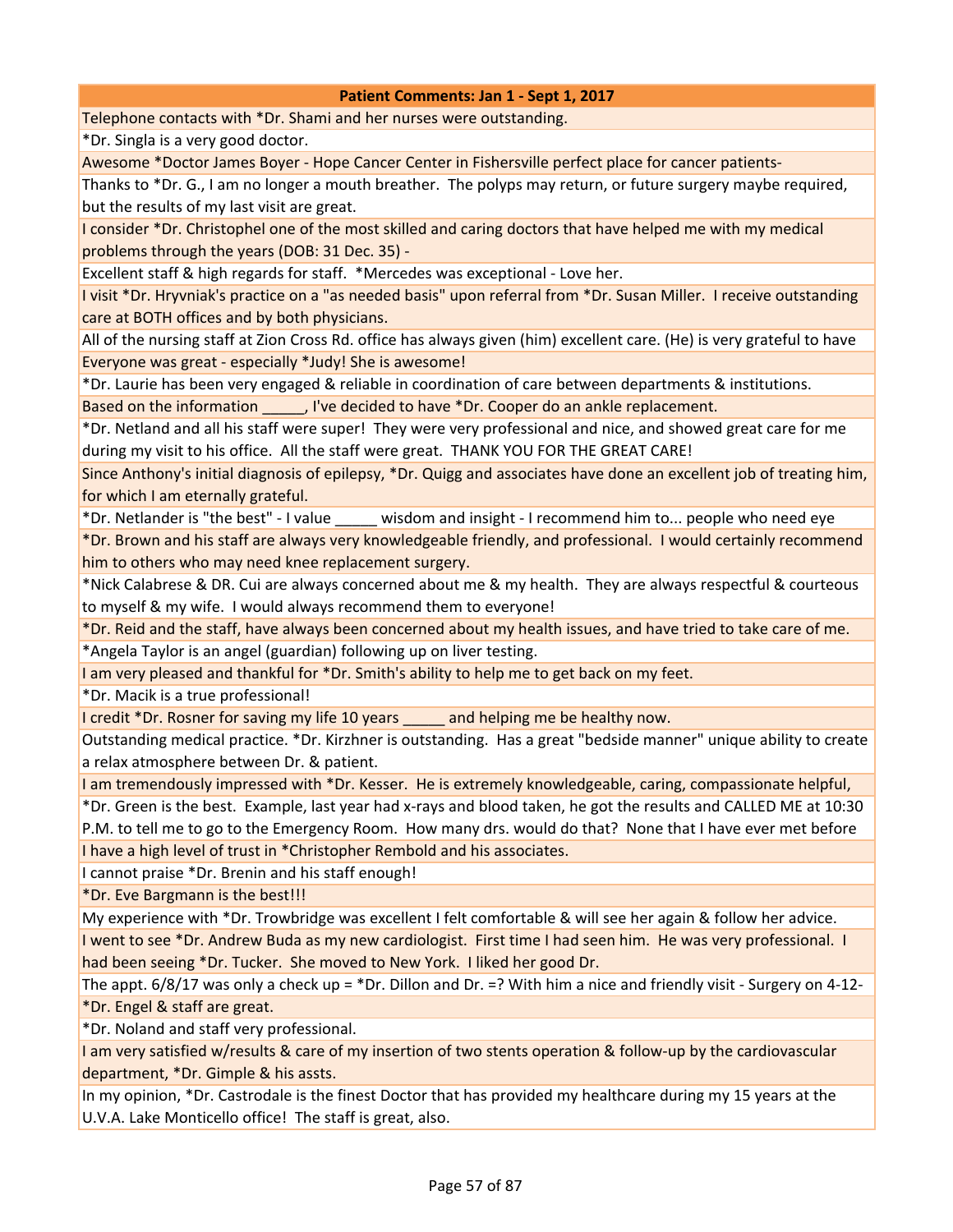Telephone contacts with \*Dr. Shami and her nurses were outstanding.

\*Dr. Singla is a very good doctor.

Awesome \*Doctor James Boyer - Hope Cancer Center in Fishersville perfect place for cancer patients-

Thanks to \*Dr. G., I am no longer a mouth breather. The polyps may return, or future surgery maybe required, but the results of my last visit are great.

I consider \*Dr. Christophel one of the most skilled and caring doctors that have helped me with my medical problems through the years (DOB: 31 Dec. 35) -

Excellent staff & high regards for staff. \*Mercedes was exceptional - Love her.

I visit \*Dr. Hryvniak's practice on a "as needed basis" upon referral from \*Dr. Susan Miller. I receive outstanding care at BOTH offices and by both physicians.

All of the nursing staff at Zion Cross Rd. office has always given (him) excellent care. (He) is very grateful to have Everyone was great - especially \*Judy! She is awesome!

\*Dr. Laurie has been very engaged & reliable in coordination of care between departments & institutions. Based on the information \_\_\_\_\_, I've decided to have \*Dr. Cooper do an ankle replacement.

\*Dr. Netland and all his staff were super! They were very professional and nice, and showed great care for me during my visit to his office. All the staff were great. THANK YOU FOR THE GREAT CARE!

Since Anthony's initial diagnosis of epilepsy, \*Dr. Quigg and associates have done an excellent job of treating him, for which I am eternally grateful.

\*Dr. Netlander is "the best" - I value \_\_\_\_\_ wisdom and insight - I recommend him to... people who need eye

\*Dr. Brown and his staff are always very knowledgeable friendly, and professional. I would certainly recommend him to others who may need knee replacement surgery.

\*Nick Calabrese & DR. Cui are always concerned about me & my health. They are always respectful & courteous to myself & my wife. I would always recommend them to everyone!

\*Dr. Reid and the staff, have always been concerned about my health issues, and have tried to take care of me.

\*Angela Taylor is an angel (guardian) following up on liver testing.

I am very pleased and thankful for \*Dr. Smith's ability to help me to get back on my feet.

\*Dr. Macik is a true professional!

I credit \*Dr. Rosner for saving my life 10 years \_\_\_\_\_ and helping me be healthy now.

Outstanding medical practice. \*Dr. Kirzhner is outstanding. Has a great "bedside manner" unique ability to create a relax atmosphere between Dr. & patient.

I am tremendously impressed with \*Dr. Kesser. He is extremely knowledgeable, caring, compassionate helpful,

\*Dr. Green is the best. Example, last year had x-rays and blood taken, he got the results and CALLED ME at 10:30 P.M. to tell me to go to the Emergency Room. How many drs. would do that? None that I have ever met before I have a high level of trust in \*Christopher Rembold and his associates.

I cannot praise \*Dr. Brenin and his staff enough!

\*Dr. Eve Bargmann is the best!!!

My experience with \*Dr. Trowbridge was excellent I felt comfortable & will see her again & follow her advice. I went to see \*Dr. Andrew Buda as my new cardiologist. First time I had seen him. He was very professional. I had been seeing \*Dr. Tucker. She moved to New York. I liked her good Dr.

The appt.  $6/8/17$  was only a check up =  $*$ Dr. Dillon and Dr. =? With him a nice and friendly visit - Surgery on 4-12-\*Dr. Engel & staff are great.

\*Dr. Noland and staff very professional.

I am very satisfied w/results & care of my insertion of two stents operation & follow-up by the cardiovascular department, \*Dr. Gimple & his assts.

In my opinion, \*Dr. Castrodale is the finest Doctor that has provided my healthcare during my 15 years at the U.V.A. Lake Monticello office! The staff is great, also.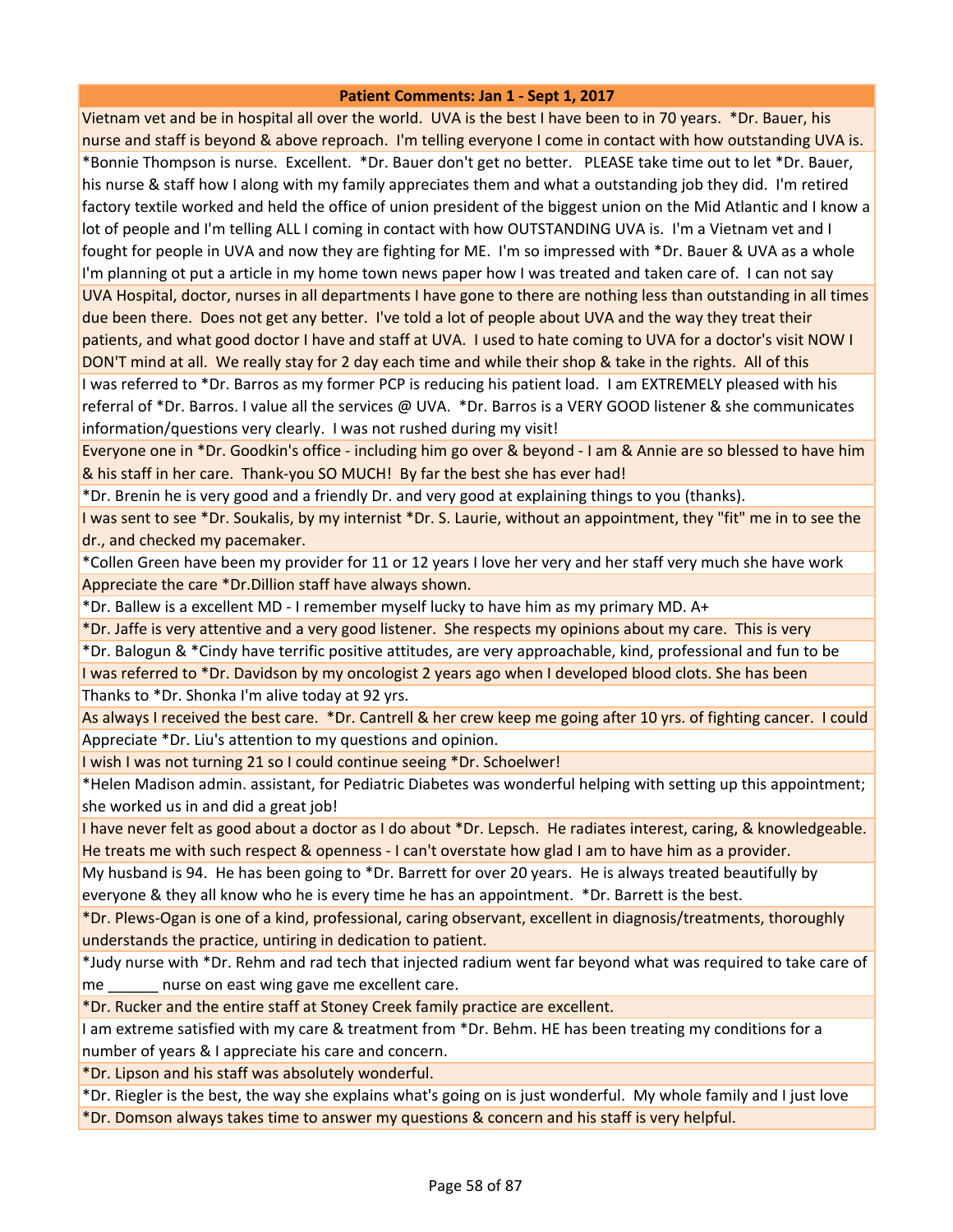Vietnam vet and be in hospital all over the world. UVA is the best I have been to in 70 years. \*Dr. Bauer, his nurse and staff is beyond & above reproach. I'm telling everyone I come in contact with how outstanding UVA is. \*Bonnie Thompson is nurse. Excellent. \*Dr. Bauer don't get no better. PLEASE take time out to let \*Dr. Bauer, his nurse & staff how I along with my family appreciates them and what a outstanding job they did. I'm retired factory textile worked and held the office of union president of the biggest union on the Mid Atlantic and I know a lot of people and I'm telling ALL I coming in contact with how OUTSTANDING UVA is. I'm a Vietnam vet and I fought for people in UVA and now they are fighting for ME. I'm so impressed with \*Dr. Bauer & UVA as a whole I'm planning ot put a article in my home town news paper how I was treated and taken care of. I can not say UVA Hospital, doctor, nurses in all departments I have gone to there are nothing less than outstanding in all times due been there. Does not get any better. I've told a lot of people about UVA and the way they treat their patients, and what good doctor I have and staff at UVA. I used to hate coming to UVA for a doctor's visit NOW I DON'T mind at all. We really stay for 2 day each time and while their shop & take in the rights. All of this I was referred to \*Dr. Barros as my former PCP is reducing his patient load. I am EXTREMELY pleased with his referral of \*Dr. Barros. I value all the services @ UVA. \*Dr. Barros is a VERY GOOD listener & she communicates

information/questions very clearly. I was not rushed during my visit!

Everyone one in \*Dr. Goodkin's office - including him go over & beyond - I am & Annie are so blessed to have him & his staff in her care. Thank-you SO MUCH! By far the best she has ever had!

\*Dr. Brenin he is very good and a friendly Dr. and very good at explaining things to you (thanks).

I was sent to see \*Dr. Soukalis, by my internist \*Dr. S. Laurie, without an appointment, they "fit" me in to see the dr., and checked my pacemaker.

\*Collen Green have been my provider for 11 or 12 years I love her very and her staff very much she have work Appreciate the care \*Dr.Dillion staff have always shown.

\*Dr. Ballew is a excellent MD - I remember myself lucky to have him as my primary MD. A+

\*Dr. Jaffe is very attentive and a very good listener. She respects my opinions about my care. This is very

\*Dr. Balogun & \*Cindy have terrific positive attitudes, are very approachable, kind, professional and fun to be I was referred to \*Dr. Davidson by my oncologist 2 years ago when I developed blood clots. She has been

Thanks to \*Dr. Shonka I'm alive today at 92 yrs.

As always I received the best care. \*Dr. Cantrell & her crew keep me going after 10 yrs. of fighting cancer. I could Appreciate \*Dr. Liu's attention to my questions and opinion.

I wish I was not turning 21 so I could continue seeing \*Dr. Schoelwer!

\*Helen Madison admin. assistant, for Pediatric Diabetes was wonderful helping with setting up this appointment; she worked us in and did a great job!

I have never felt as good about a doctor as I do about \*Dr. Lepsch. He radiates interest, caring, & knowledgeable. He treats me with such respect & openness - I can't overstate how glad I am to have him as a provider.

My husband is 94. He has been going to \*Dr. Barrett for over 20 years. He is always treated beautifully by everyone & they all know who he is every time he has an appointment. \*Dr. Barrett is the best.

\*Dr. Plews-Ogan is one of a kind, professional, caring observant, excellent in diagnosis/treatments, thoroughly understands the practice, untiring in dedication to patient.

\*Judy nurse with \*Dr. Rehm and rad tech that injected radium went far beyond what was required to take care of me murse on east wing gave me excellent care.

\*Dr. Rucker and the entire staff at Stoney Creek family practice are excellent.

I am extreme satisfied with my care & treatment from \*Dr. Behm. HE has been treating my conditions for a number of years & I appreciate his care and concern.

\*Dr. Lipson and his staff was absolutely wonderful.

\*Dr. Riegler is the best, the way she explains what's going on is just wonderful. My whole family and I just love \*Dr. Domson always takes time to answer my questions & concern and his staff is very helpful.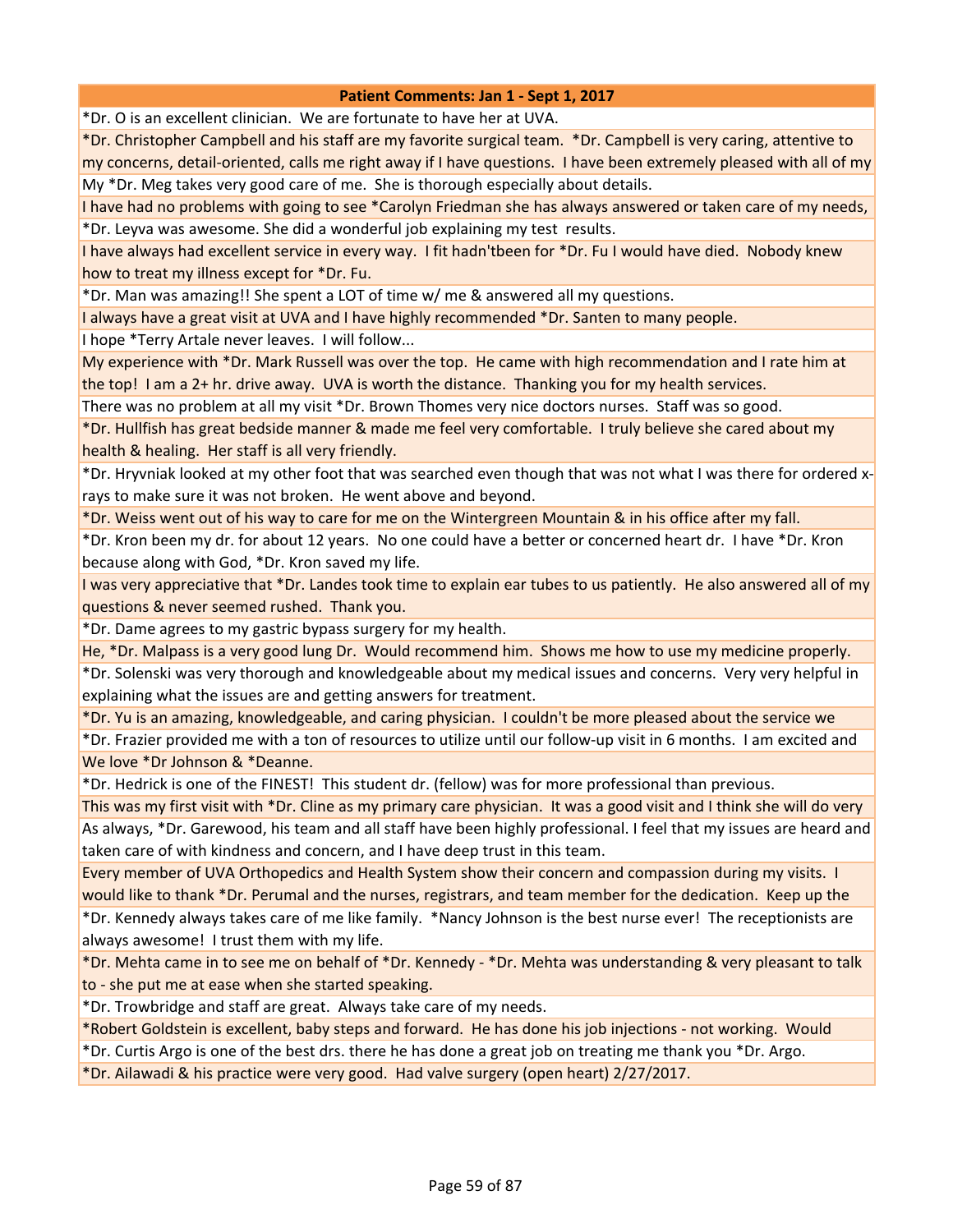\*Dr. O is an excellent clinician. We are fortunate to have her at UVA.

\*Dr. Christopher Campbell and his staff are my favorite surgical team. \*Dr. Campbell is very caring, attentive to my concerns, detail-oriented, calls me right away if I have questions. I have been extremely pleased with all of my My \*Dr. Meg takes very good care of me. She is thorough especially about details.

I have had no problems with going to see \*Carolyn Friedman she has always answered or taken care of my needs, \*Dr. Leyva was awesome. She did a wonderful job explaining my test results.

I have always had excellent service in every way. I fit hadn'tbeen for \*Dr. Fu I would have died. Nobody knew how to treat my illness except for \*Dr. Fu.

\*Dr. Man was amazing!! She spent a LOT of time w/ me & answered all my questions.

I always have a great visit at UVA and I have highly recommended \*Dr. Santen to many people.

I hope \*Terry Artale never leaves. I will follow...

My experience with \*Dr. Mark Russell was over the top. He came with high recommendation and I rate him at the top! I am a 2+ hr. drive away. UVA is worth the distance. Thanking you for my health services.

There was no problem at all my visit \*Dr. Brown Thomes very nice doctors nurses. Staff was so good.

\*Dr. Hullfish has great bedside manner & made me feel very comfortable. I truly believe she cared about my health & healing. Her staff is all very friendly.

\*Dr. Hryvniak looked at my other foot that was searched even though that was not what I was there for ordered xrays to make sure it was not broken. He went above and beyond.

\*Dr. Weiss went out of his way to care for me on the Wintergreen Mountain & in his office after my fall.

\*Dr. Kron been my dr. for about 12 years. No one could have a better or concerned heart dr. I have \*Dr. Kron because along with God, \*Dr. Kron saved my life.

I was very appreciative that \*Dr. Landes took time to explain ear tubes to us patiently. He also answered all of my questions & never seemed rushed. Thank you.

\*Dr. Dame agrees to my gastric bypass surgery for my health.

He, \*Dr. Malpass is a very good lung Dr. Would recommend him. Shows me how to use my medicine properly.

\*Dr. Solenski was very thorough and knowledgeable about my medical issues and concerns. Very very helpful in explaining what the issues are and getting answers for treatment.

\*Dr. Yu is an amazing, knowledgeable, and caring physician. I couldn't be more pleased about the service we

\*Dr. Frazier provided me with a ton of resources to utilize until our follow-up visit in 6 months. I am excited and We love \*Dr Johnson & \*Deanne.

\*Dr. Hedrick is one of the FINEST! This student dr. (fellow) was for more professional than previous.

This was my first visit with \*Dr. Cline as my primary care physician. It was a good visit and I think she will do very As always, \*Dr. Garewood, his team and all staff have been highly professional. I feel that my issues are heard and taken care of with kindness and concern, and I have deep trust in this team.

Every member of UVA Orthopedics and Health System show their concern and compassion during my visits. I would like to thank \*Dr. Perumal and the nurses, registrars, and team member for the dedication. Keep up the

\*Dr. Kennedy always takes care of me like family. \*Nancy Johnson is the best nurse ever! The receptionists are always awesome! I trust them with my life.

\*Dr. Mehta came in to see me on behalf of \*Dr. Kennedy - \*Dr. Mehta was understanding & very pleasant to talk to - she put me at ease when she started speaking.

\*Dr. Trowbridge and staff are great. Always take care of my needs.

\*Robert Goldstein is excellent, baby steps and forward. He has done his job injections - not working. Would

\*Dr. Curtis Argo is one of the best drs. there he has done a great job on treating me thank you \*Dr. Argo.

\*Dr. Ailawadi & his practice were very good. Had valve surgery (open heart) 2/27/2017.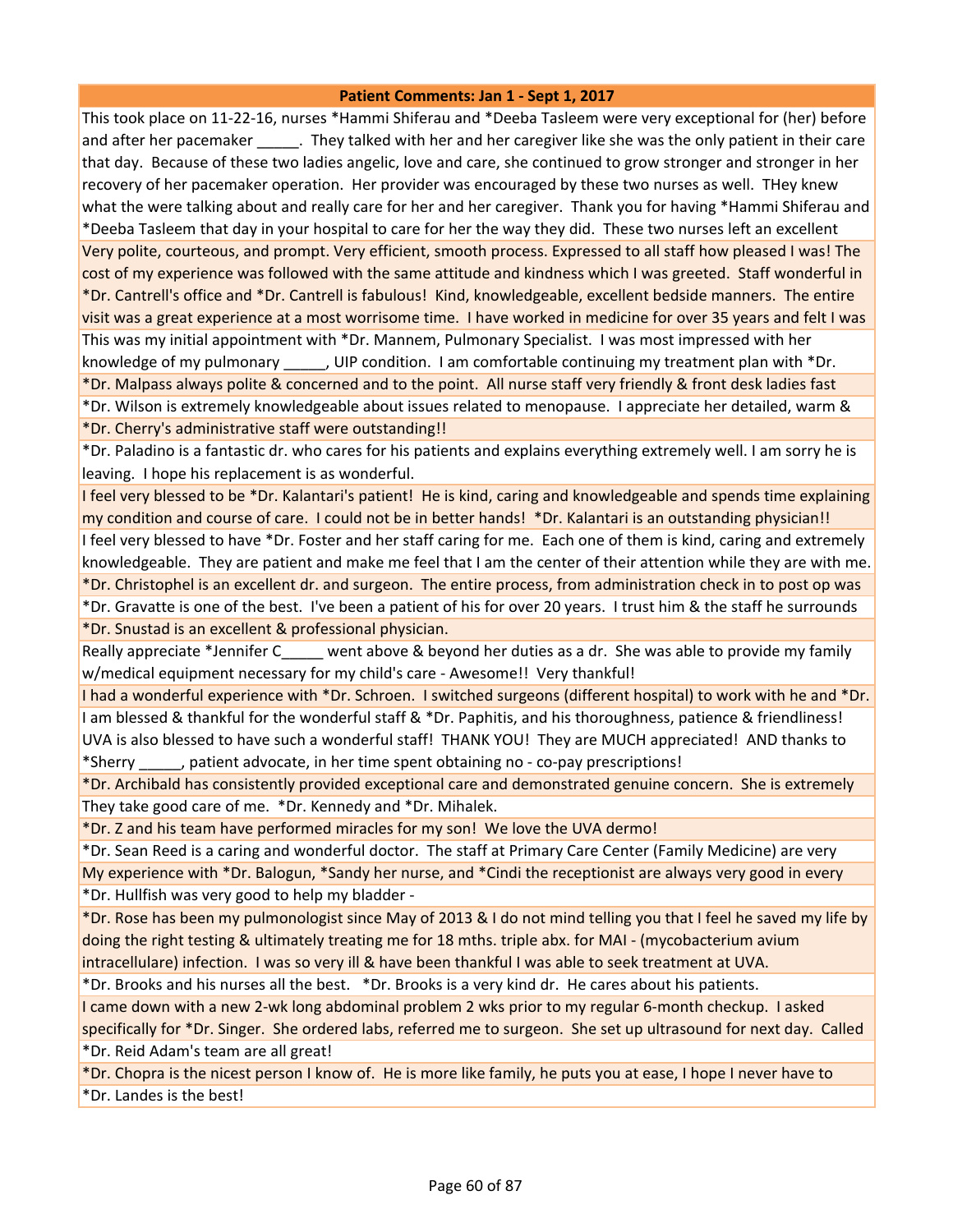This took place on 11-22-16, nurses \*Hammi Shiferau and \*Deeba Tasleem were very exceptional for (her) before and after her pacemaker \_\_\_\_\_\_. They talked with her and her caregiver like she was the only patient in their care that day. Because of these two ladies angelic, love and care, she continued to grow stronger and stronger in her recovery of her pacemaker operation. Her provider was encouraged by these two nurses as well. THey knew what the were talking about and really care for her and her caregiver. Thank you for having \*Hammi Shiferau and \*Deeba Tasleem that day in your hospital to care for her the way they did. These two nurses left an excellent Very polite, courteous, and prompt. Very efficient, smooth process. Expressed to all staff how pleased I was! The cost of my experience was followed with the same attitude and kindness which I was greeted. Staff wonderful in \*Dr. Cantrell's office and \*Dr. Cantrell is fabulous! Kind, knowledgeable, excellent bedside manners. The entire visit was a great experience at a most worrisome time. I have worked in medicine for over 35 years and felt I was This was my initial appointment with \*Dr. Mannem, Pulmonary Specialist. I was most impressed with her knowledge of my pulmonary [JIP condition. I am comfortable continuing my treatment plan with \*Dr. \*Dr. Malpass always polite & concerned and to the point. All nurse staff very friendly & front desk ladies fast

\*Dr. Wilson is extremely knowledgeable about issues related to menopause. I appreciate her detailed, warm & \*Dr. Cherry's administrative staff were outstanding!!

\*Dr. Paladino is a fantastic dr. who cares for his patients and explains everything extremely well. I am sorry he is leaving. I hope his replacement is as wonderful.

I feel very blessed to be \*Dr. Kalantari's patient! He is kind, caring and knowledgeable and spends time explaining my condition and course of care. I could not be in better hands! \*Dr. Kalantari is an outstanding physician!!

I feel very blessed to have \*Dr. Foster and her staff caring for me. Each one of them is kind, caring and extremely knowledgeable. They are patient and make me feel that I am the center of their attention while they are with me. \*Dr. Christophel is an excellent dr. and surgeon. The entire process, from administration check in to post op was

\*Dr. Gravatte is one of the best. I've been a patient of his for over 20 years. I trust him & the staff he surrounds \*Dr. Snustad is an excellent & professional physician.

Really appreciate \*Jennifer C went above & beyond her duties as a dr. She was able to provide my family w/medical equipment necessary for my child's care - Awesome!! Very thankful!

I had a wonderful experience with \*Dr. Schroen. I switched surgeons (different hospital) to work with he and \*Dr. I am blessed & thankful for the wonderful staff & \*Dr. Paphitis, and his thoroughness, patience & friendliness! UVA is also blessed to have such a wonderful staff! THANK YOU! They are MUCH appreciated! AND thanks to \*Sherry \_\_\_\_\_, patient advocate, in her time spent obtaining no - co-pay prescriptions!

\*Dr. Archibald has consistently provided exceptional care and demonstrated genuine concern. She is extremely They take good care of me. \*Dr. Kennedy and \*Dr. Mihalek.

\*Dr. Z and his team have performed miracles for my son! We love the UVA dermo!

\*Dr. Sean Reed is a caring and wonderful doctor. The staff at Primary Care Center (Family Medicine) are very My experience with \*Dr. Balogun, \*Sandy her nurse, and \*Cindi the receptionist are always very good in every \*Dr. Hullfish was very good to help my bladder -

\*Dr. Rose has been my pulmonologist since May of 2013 & I do not mind telling you that I feel he saved my life by doing the right testing & ultimately treating me for 18 mths. triple abx. for MAI - (mycobacterium avium intracellulare) infection. I was so very ill & have been thankful I was able to seek treatment at UVA.

\*Dr. Brooks and his nurses all the best. \*Dr. Brooks is a very kind dr. He cares about his patients.

I came down with a new 2-wk long abdominal problem 2 wks prior to my regular 6-month checkup. I asked specifically for \*Dr. Singer. She ordered labs, referred me to surgeon. She set up ultrasound for next day. Called \*Dr. Reid Adam's team are all great!

\*Dr. Chopra is the nicest person I know of. He is more like family, he puts you at ease, I hope I never have to \*Dr. Landes is the best!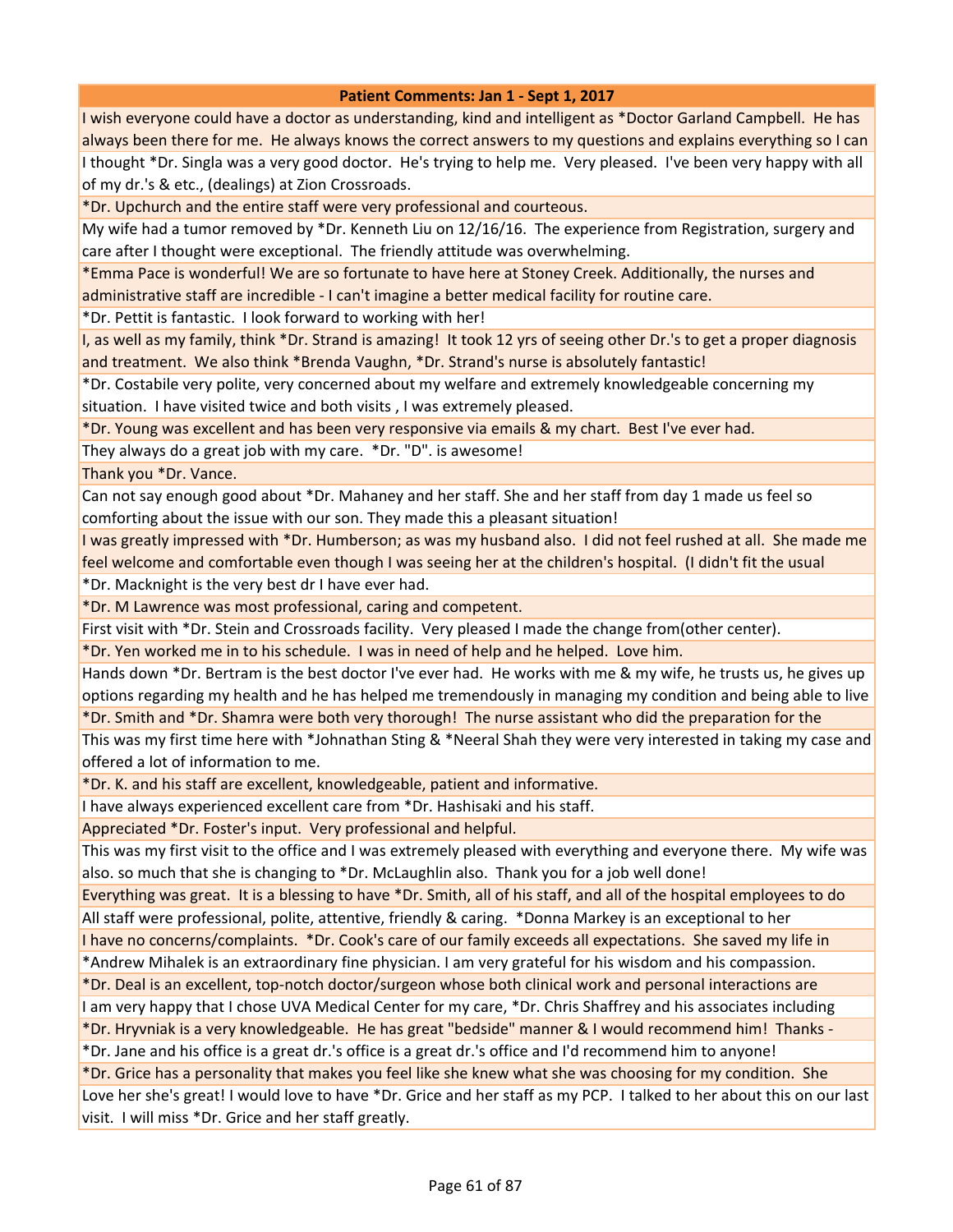I wish everyone could have a doctor as understanding, kind and intelligent as \*Doctor Garland Campbell. He has always been there for me. He always knows the correct answers to my questions and explains everything so I can I thought \*Dr. Singla was a very good doctor. He's trying to help me. Very pleased. I've been very happy with all of my dr.'s & etc., (dealings) at Zion Crossroads.

\*Dr. Upchurch and the entire staff were very professional and courteous.

My wife had a tumor removed by \*Dr. Kenneth Liu on 12/16/16. The experience from Registration, surgery and care after I thought were exceptional. The friendly attitude was overwhelming.

\*Emma Pace is wonderful! We are so fortunate to have here at Stoney Creek. Additionally, the nurses and administrative staff are incredible - I can't imagine a better medical facility for routine care.

\*Dr. Pettit is fantastic. I look forward to working with her!

I, as well as my family, think \*Dr. Strand is amazing! It took 12 yrs of seeing other Dr.'s to get a proper diagnosis and treatment. We also think \*Brenda Vaughn, \*Dr. Strand's nurse is absolutely fantastic!

\*Dr. Costabile very polite, very concerned about my welfare and extremely knowledgeable concerning my situation. I have visited twice and both visits , I was extremely pleased.

\*Dr. Young was excellent and has been very responsive via emails & my chart. Best I've ever had.

They always do a great job with my care. \*Dr. "D". is awesome!

Thank you \*Dr. Vance.

Can not say enough good about \*Dr. Mahaney and her staff. She and her staff from day 1 made us feel so comforting about the issue with our son. They made this a pleasant situation!

I was greatly impressed with \*Dr. Humberson; as was my husband also. I did not feel rushed at all. She made me feel welcome and comfortable even though I was seeing her at the children's hospital. (I didn't fit the usual

\*Dr. Macknight is the very best dr I have ever had.

\*Dr. M Lawrence was most professional, caring and competent.

First visit with \*Dr. Stein and Crossroads facility. Very pleased I made the change from(other center).

\*Dr. Yen worked me in to his schedule. I was in need of help and he helped. Love him.

Hands down \*Dr. Bertram is the best doctor I've ever had. He works with me & my wife, he trusts us, he gives up options regarding my health and he has helped me tremendously in managing my condition and being able to live \*Dr. Smith and \*Dr. Shamra were both very thorough! The nurse assistant who did the preparation for the

This was my first time here with \*Johnathan Sting & \*Neeral Shah they were very interested in taking my case and offered a lot of information to me.

\*Dr. K. and his staff are excellent, knowledgeable, patient and informative.

I have always experienced excellent care from \*Dr. Hashisaki and his staff.

Appreciated \*Dr. Foster's input. Very professional and helpful.

This was my first visit to the office and I was extremely pleased with everything and everyone there. My wife was also. so much that she is changing to \*Dr. McLaughlin also. Thank you for a job well done!

Everything was great. It is a blessing to have \*Dr. Smith, all of his staff, and all of the hospital employees to do

All staff were professional, polite, attentive, friendly & caring. \*Donna Markey is an exceptional to her I have no concerns/complaints. \*Dr. Cook's care of our family exceeds all expectations. She saved my life in

\*Andrew Mihalek is an extraordinary fine physician. I am very grateful for his wisdom and his compassion.

\*Dr. Deal is an excellent, top-notch doctor/surgeon whose both clinical work and personal interactions are

I am very happy that I chose UVA Medical Center for my care, \*Dr. Chris Shaffrey and his associates including

\*Dr. Hryvniak is a very knowledgeable. He has great "bedside" manner & I would recommend him! Thanks -

\*Dr. Jane and his office is a great dr.'s office is a great dr.'s office and I'd recommend him to anyone!

\*Dr. Grice has a personality that makes you feel like she knew what she was choosing for my condition. She

Love her she's great! I would love to have \*Dr. Grice and her staff as my PCP. I talked to her about this on our last visit. I will miss \*Dr. Grice and her staff greatly.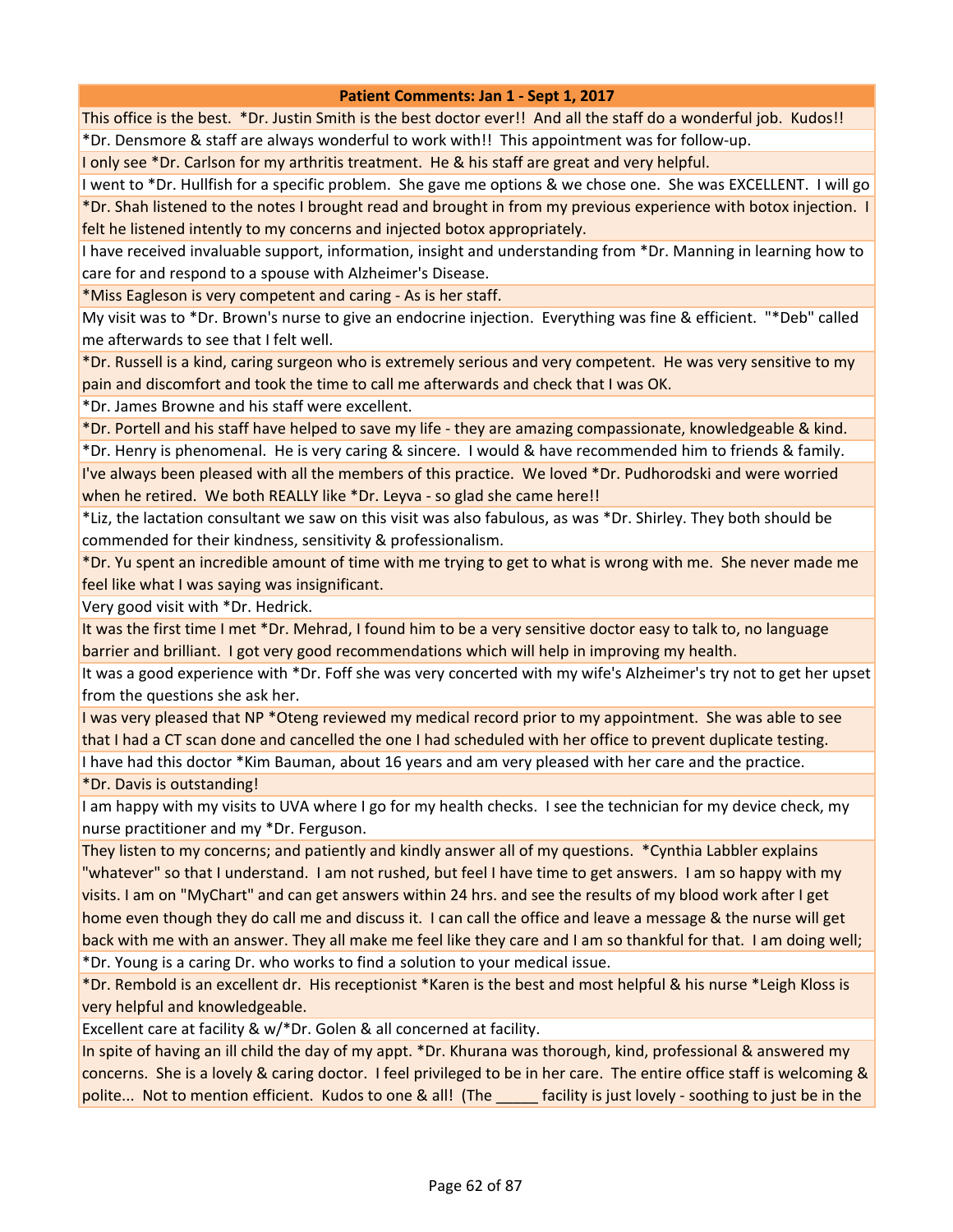This office is the best. \*Dr. Justin Smith is the best doctor ever!! And all the staff do a wonderful job. Kudos!! \*Dr. Densmore & staff are always wonderful to work with!! This appointment was for follow-up.

I only see \*Dr. Carlson for my arthritis treatment. He & his staff are great and very helpful.

I went to \*Dr. Hullfish for a specific problem. She gave me options & we chose one. She was EXCELLENT. I will go \*Dr. Shah listened to the notes I brought read and brought in from my previous experience with botox injection. I felt he listened intently to my concerns and injected botox appropriately.

I have received invaluable support, information, insight and understanding from \*Dr. Manning in learning how to care for and respond to a spouse with Alzheimer's Disease.

\*Miss Eagleson is very competent and caring - As is her staff.

My visit was to \*Dr. Brown's nurse to give an endocrine injection. Everything was fine & efficient. "\*Deb" called me afterwards to see that I felt well.

\*Dr. Russell is a kind, caring surgeon who is extremely serious and very competent. He was very sensitive to my pain and discomfort and took the time to call me afterwards and check that I was OK.

\*Dr. James Browne and his staff were excellent.

\*Dr. Portell and his staff have helped to save my life - they are amazing compassionate, knowledgeable & kind.

\*Dr. Henry is phenomenal. He is very caring & sincere. I would & have recommended him to friends & family. I've always been pleased with all the members of this practice. We loved \*Dr. Pudhorodski and were worried when he retired. We both REALLY like \*Dr. Leyva - so glad she came here!!

\*Liz, the lactation consultant we saw on this visit was also fabulous, as was \*Dr. Shirley. They both should be commended for their kindness, sensitivity & professionalism.

\*Dr. Yu spent an incredible amount of time with me trying to get to what is wrong with me. She never made me feel like what I was saying was insignificant.

Very good visit with \*Dr. Hedrick.

It was the first time I met \*Dr. Mehrad, I found him to be a very sensitive doctor easy to talk to, no language barrier and brilliant. I got very good recommendations which will help in improving my health.

It was a good experience with \*Dr. Foff she was very concerted with my wife's Alzheimer's try not to get her upset from the questions she ask her.

I was very pleased that NP \*Oteng reviewed my medical record prior to my appointment. She was able to see that I had a CT scan done and cancelled the one I had scheduled with her office to prevent duplicate testing.

I have had this doctor \*Kim Bauman, about 16 years and am very pleased with her care and the practice.

\*Dr. Davis is outstanding!

I am happy with my visits to UVA where I go for my health checks. I see the technician for my device check, my nurse practitioner and my \*Dr. Ferguson.

They listen to my concerns; and patiently and kindly answer all of my questions. \*Cynthia Labbler explains "whatever" so that I understand. I am not rushed, but feel I have time to get answers. I am so happy with my visits. I am on "MyChart" and can get answers within 24 hrs. and see the results of my blood work after I get home even though they do call me and discuss it. I can call the office and leave a message & the nurse will get back with me with an answer. They all make me feel like they care and I am so thankful for that. I am doing well; \*Dr. Young is a caring Dr. who works to find a solution to your medical issue.

\*Dr. Rembold is an excellent dr. His receptionist \*Karen is the best and most helpful & his nurse \*Leigh Kloss is very helpful and knowledgeable.

Excellent care at facility & w/\*Dr. Golen & all concerned at facility.

In spite of having an ill child the day of my appt. \*Dr. Khurana was thorough, kind, professional & answered my concerns. She is a lovely & caring doctor. I feel privileged to be in her care. The entire office staff is welcoming & polite... Not to mention efficient. Kudos to one & all! (The facility is just lovely - soothing to just be in the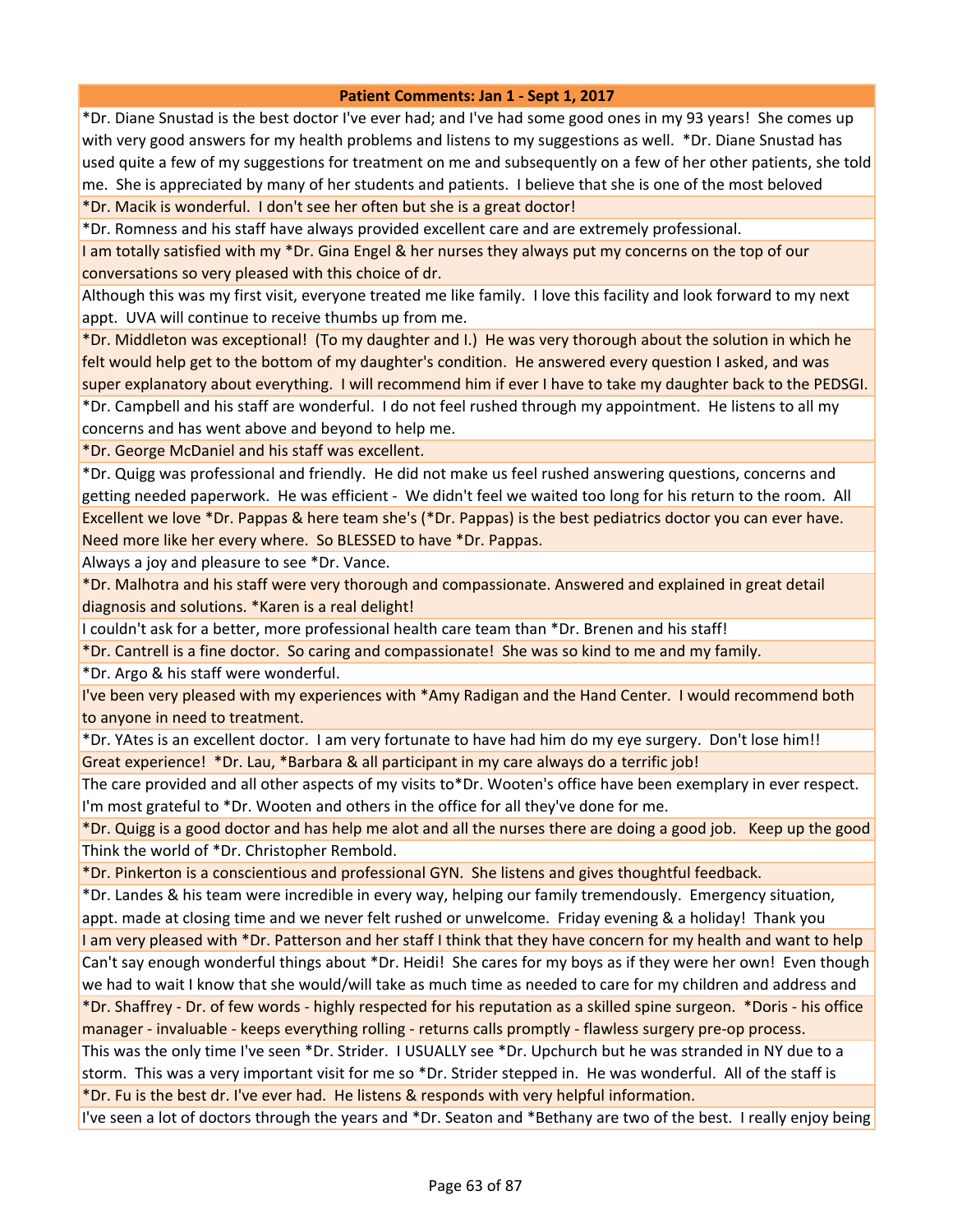\*Dr. Diane Snustad is the best doctor I've ever had; and I've had some good ones in my 93 years! She comes up with very good answers for my health problems and listens to my suggestions as well. \*Dr. Diane Snustad has used quite a few of my suggestions for treatment on me and subsequently on a few of her other patients, she told me. She is appreciated by many of her students and patients. I believe that she is one of the most beloved \*Dr. Macik is wonderful. I don't see her often but she is a great doctor!

\*Dr. Romness and his staff have always provided excellent care and are extremely professional.

I am totally satisfied with my \*Dr. Gina Engel & her nurses they always put my concerns on the top of our conversations so very pleased with this choice of dr.

Although this was my first visit, everyone treated me like family. I love this facility and look forward to my next appt. UVA will continue to receive thumbs up from me.

\*Dr. Middleton was exceptional! (To my daughter and I.) He was very thorough about the solution in which he felt would help get to the bottom of my daughter's condition. He answered every question I asked, and was super explanatory about everything. I will recommend him if ever I have to take my daughter back to the PEDSGI. \*Dr. Campbell and his staff are wonderful. I do not feel rushed through my appointment. He listens to all my concerns and has went above and beyond to help me.

\*Dr. George McDaniel and his staff was excellent.

\*Dr. Quigg was professional and friendly. He did not make us feel rushed answering questions, concerns and getting needed paperwork. He was efficient - We didn't feel we waited too long for his return to the room. All Excellent we love \*Dr. Pappas & here team she's (\*Dr. Pappas) is the best pediatrics doctor you can ever have. Need more like her every where. So BLESSED to have \*Dr. Pappas.

Always a joy and pleasure to see \*Dr. Vance.

\*Dr. Malhotra and his staff were very thorough and compassionate. Answered and explained in great detail diagnosis and solutions. \*Karen is a real delight!

I couldn't ask for a better, more professional health care team than \*Dr. Brenen and his staff!

\*Dr. Cantrell is a fine doctor. So caring and compassionate! She was so kind to me and my family.

\*Dr. Argo & his staff were wonderful.

I've been very pleased with my experiences with \*Amy Radigan and the Hand Center. I would recommend both to anyone in need to treatment.

\*Dr. YAtes is an excellent doctor. I am very fortunate to have had him do my eye surgery. Don't lose him!! Great experience! \*Dr. Lau, \*Barbara & all participant in my care always do a terrific job!

The care provided and all other aspects of my visits to\*Dr. Wooten's office have been exemplary in ever respect. I'm most grateful to \*Dr. Wooten and others in the office for all they've done for me.

\*Dr. Quigg is a good doctor and has help me alot and all the nurses there are doing a good job. Keep up the good Think the world of \*Dr. Christopher Rembold.

\*Dr. Pinkerton is a conscientious and professional GYN. She listens and gives thoughtful feedback.

\*Dr. Landes & his team were incredible in every way, helping our family tremendously. Emergency situation, appt. made at closing time and we never felt rushed or unwelcome. Friday evening & a holiday! Thank you

I am very pleased with \*Dr. Patterson and her staff I think that they have concern for my health and want to help Can't say enough wonderful things about \*Dr. Heidi! She cares for my boys as if they were her own! Even though we had to wait I know that she would/will take as much time as needed to care for my children and address and

\*Dr. Shaffrey - Dr. of few words - highly respected for his reputation as a skilled spine surgeon. \*Doris - his office manager - invaluable - keeps everything rolling - returns calls promptly - flawless surgery pre-op process.

This was the only time I've seen \*Dr. Strider. I USUALLY see \*Dr. Upchurch but he was stranded in NY due to a storm. This was a very important visit for me so \*Dr. Strider stepped in. He was wonderful. All of the staff is \*Dr. Fu is the best dr. I've ever had. He listens & responds with very helpful information.

I've seen a lot of doctors through the years and \*Dr. Seaton and \*Bethany are two of the best. I really enjoy being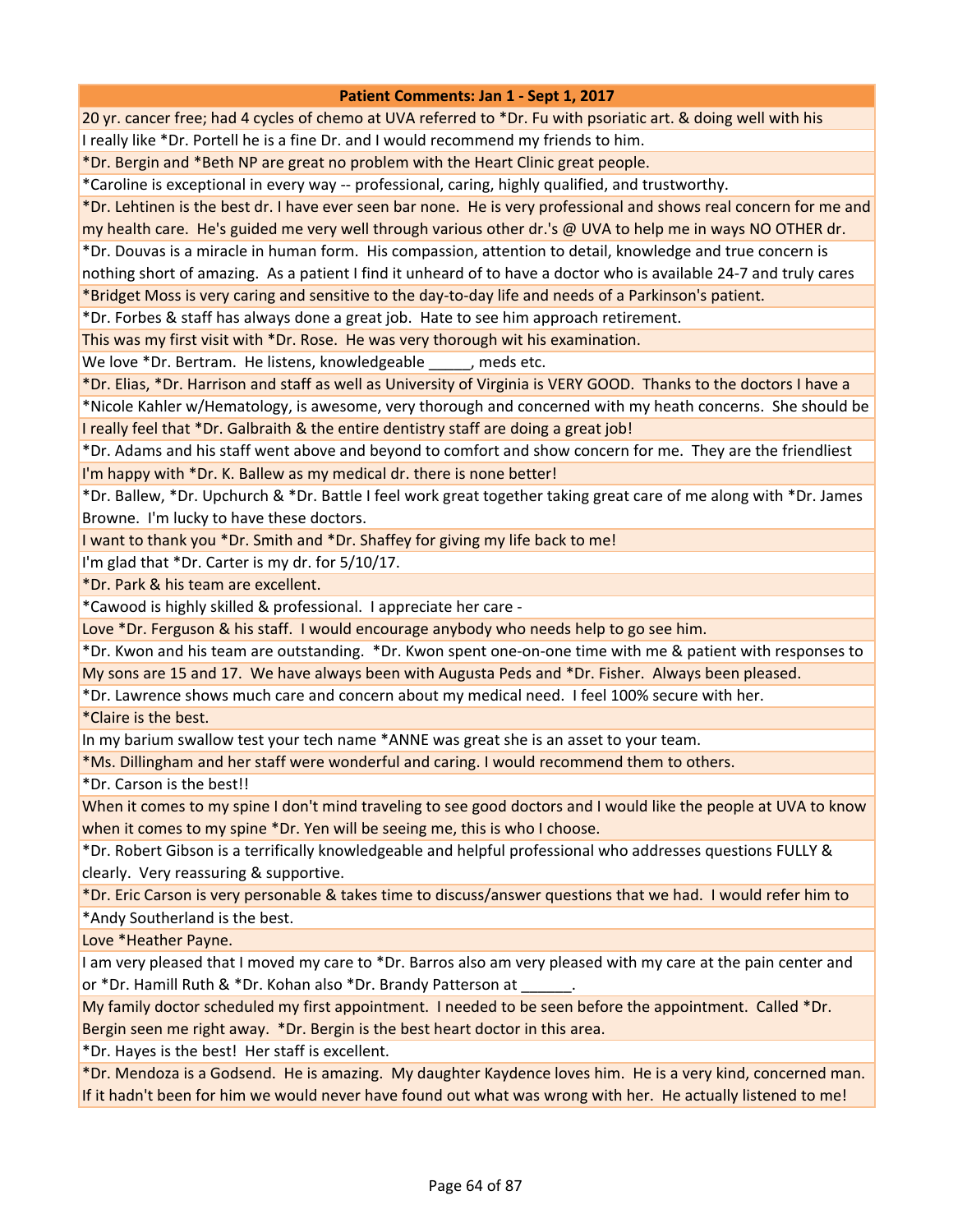20 yr. cancer free; had 4 cycles of chemo at UVA referred to \*Dr. Fu with psoriatic art. & doing well with his I really like \*Dr. Portell he is a fine Dr. and I would recommend my friends to him.

\*Dr. Bergin and \*Beth NP are great no problem with the Heart Clinic great people.

\*Caroline is exceptional in every way -- professional, caring, highly qualified, and trustworthy.

\*Dr. Lehtinen is the best dr. I have ever seen bar none. He is very professional and shows real concern for me and my health care. He's guided me very well through various other dr.'s @ UVA to help me in ways NO OTHER dr.

\*Dr. Douvas is a miracle in human form. His compassion, attention to detail, knowledge and true concern is

nothing short of amazing. As a patient I find it unheard of to have a doctor who is available 24-7 and truly cares

\*Bridget Moss is very caring and sensitive to the day-to-day life and needs of a Parkinson's patient.

\*Dr. Forbes & staff has always done a great job. Hate to see him approach retirement.

This was my first visit with \*Dr. Rose. He was very thorough wit his examination.

We love \*Dr. Bertram. He listens, knowledgeable free performance free.

\*Dr. Elias, \*Dr. Harrison and staff as well as University of Virginia is VERY GOOD. Thanks to the doctors I have a

\*Nicole Kahler w/Hematology, is awesome, very thorough and concerned with my heath concerns. She should be I really feel that \*Dr. Galbraith & the entire dentistry staff are doing a great job!

\*Dr. Adams and his staff went above and beyond to comfort and show concern for me. They are the friendliest I'm happy with \*Dr. K. Ballew as my medical dr. there is none better!

\*Dr. Ballew, \*Dr. Upchurch & \*Dr. Battle I feel work great together taking great care of me along with \*Dr. James Browne. I'm lucky to have these doctors.

I want to thank you \*Dr. Smith and \*Dr. Shaffey for giving my life back to me!

I'm glad that \*Dr. Carter is my dr. for 5/10/17.

\*Dr. Park & his team are excellent.

\*Cawood is highly skilled & professional. I appreciate her care -

Love \*Dr. Ferguson & his staff. I would encourage anybody who needs help to go see him.

\*Dr. Kwon and his team are outstanding. \*Dr. Kwon spent one-on-one time with me & patient with responses to My sons are 15 and 17. We have always been with Augusta Peds and \*Dr. Fisher. Always been pleased.

\*Dr. Lawrence shows much care and concern about my medical need. I feel 100% secure with her.

\*Claire is the best.

In my barium swallow test your tech name \*ANNE was great she is an asset to your team.

\*Ms. Dillingham and her staff were wonderful and caring. I would recommend them to others.

\*Dr. Carson is the best!!

When it comes to my spine I don't mind traveling to see good doctors and I would like the people at UVA to know when it comes to my spine \*Dr. Yen will be seeing me, this is who I choose.

\*Dr. Robert Gibson is a terrifically knowledgeable and helpful professional who addresses questions FULLY & clearly. Very reassuring & supportive.

\*Dr. Eric Carson is very personable & takes time to discuss/answer questions that we had. I would refer him to

\*Andy Southerland is the best.

Love \*Heather Payne.

I am very pleased that I moved my care to \*Dr. Barros also am very pleased with my care at the pain center and or \*Dr. Hamill Ruth & \*Dr. Kohan also \*Dr. Brandy Patterson at

My family doctor scheduled my first appointment. I needed to be seen before the appointment. Called \*Dr. Bergin seen me right away. \*Dr. Bergin is the best heart doctor in this area.

\*Dr. Hayes is the best! Her staff is excellent.

\*Dr. Mendoza is a Godsend. He is amazing. My daughter Kaydence loves him. He is a very kind, concerned man. If it hadn't been for him we would never have found out what was wrong with her. He actually listened to me!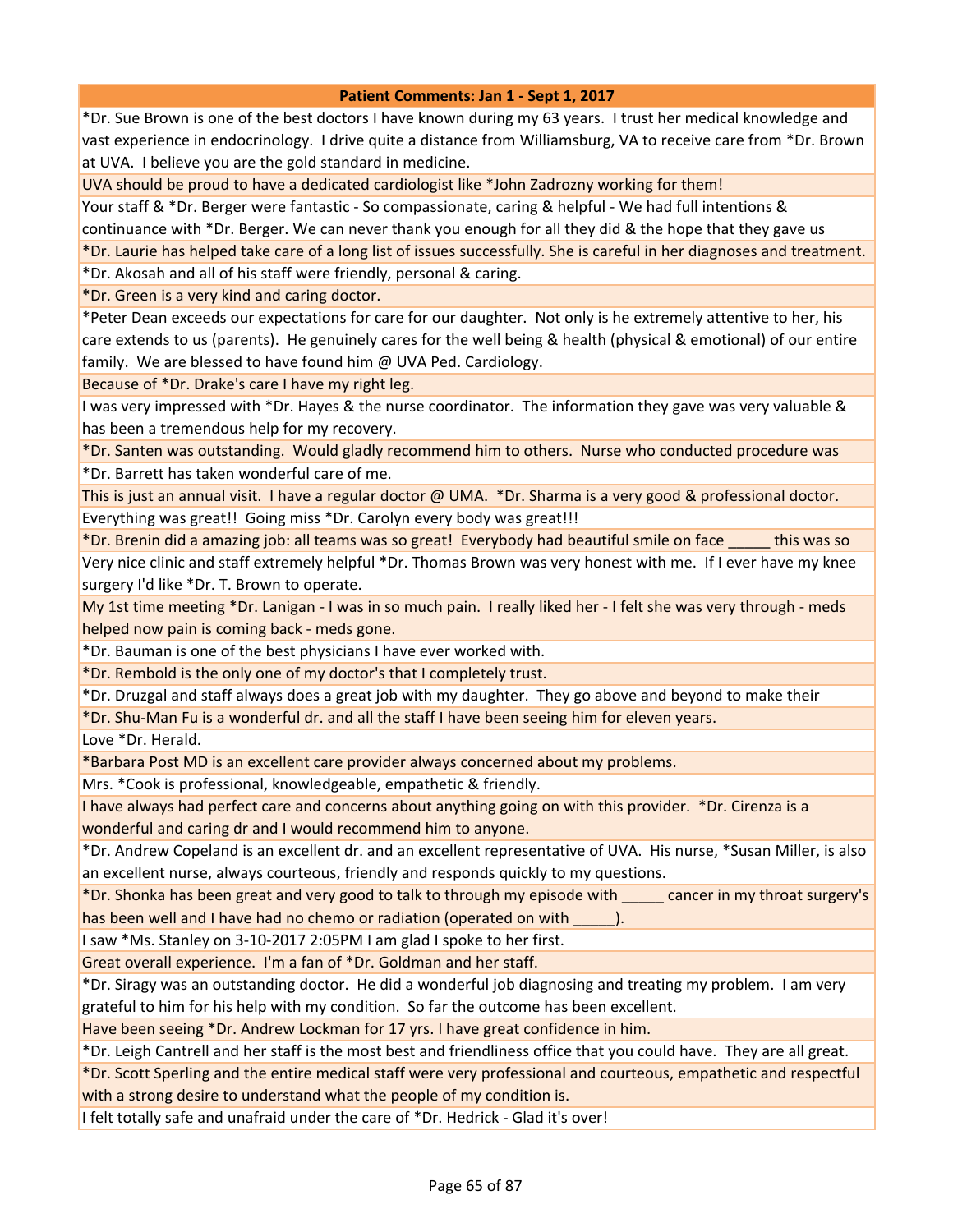\*Dr. Sue Brown is one of the best doctors I have known during my 63 years. I trust her medical knowledge and vast experience in endocrinology. I drive quite a distance from Williamsburg, VA to receive care from \*Dr. Brown at UVA. I believe you are the gold standard in medicine.

UVA should be proud to have a dedicated cardiologist like \*John Zadrozny working for them!

Your staff & \*Dr. Berger were fantastic - So compassionate, caring & helpful - We had full intentions & continuance with \*Dr. Berger. We can never thank you enough for all they did & the hope that they gave us

\*Dr. Laurie has helped take care of a long list of issues successfully. She is careful in her diagnoses and treatment.

\*Dr. Akosah and all of his staff were friendly, personal & caring.

\*Dr. Green is a very kind and caring doctor.

\*Peter Dean exceeds our expectations for care for our daughter. Not only is he extremely attentive to her, his care extends to us (parents). He genuinely cares for the well being & health (physical & emotional) of our entire family. We are blessed to have found him @ UVA Ped. Cardiology.

Because of \*Dr. Drake's care I have my right leg.

I was very impressed with \*Dr. Hayes & the nurse coordinator. The information they gave was very valuable & has been a tremendous help for my recovery.

\*Dr. Santen was outstanding. Would gladly recommend him to others. Nurse who conducted procedure was \*Dr. Barrett has taken wonderful care of me.

This is just an annual visit. I have a regular doctor @ UMA. \*Dr. Sharma is a very good & professional doctor. Everything was great!! Going miss \*Dr. Carolyn every body was great!!!

\*Dr. Brenin did a amazing job: all teams was so great! Everybody had beautiful smile on face \_\_\_\_\_ this was so

Very nice clinic and staff extremely helpful \*Dr. Thomas Brown was very honest with me. If I ever have my knee surgery I'd like \*Dr. T. Brown to operate.

My 1st time meeting \*Dr. Lanigan - I was in so much pain. I really liked her - I felt she was very through - meds helped now pain is coming back - meds gone.

\*Dr. Bauman is one of the best physicians I have ever worked with.

\*Dr. Rembold is the only one of my doctor's that I completely trust.

\*Dr. Druzgal and staff always does a great job with my daughter. They go above and beyond to make their

\*Dr. Shu-Man Fu is a wonderful dr. and all the staff I have been seeing him for eleven years.

Love \*Dr. Herald.

\*Barbara Post MD is an excellent care provider always concerned about my problems.

Mrs. \*Cook is professional, knowledgeable, empathetic & friendly.

I have always had perfect care and concerns about anything going on with this provider. \*Dr. Cirenza is a wonderful and caring dr and I would recommend him to anyone.

\*Dr. Andrew Copeland is an excellent dr. and an excellent representative of UVA. His nurse, \*Susan Miller, is also an excellent nurse, always courteous, friendly and responds quickly to my questions.

\*Dr. Shonka has been great and very good to talk to through my episode with \_\_\_\_\_ cancer in my throat surgery's has been well and I have had no chemo or radiation (operated on with \_\_\_\_\_).

I saw \*Ms. Stanley on 3-10-2017 2:05PM I am glad I spoke to her first.

Great overall experience. I'm a fan of \*Dr. Goldman and her staff.

\*Dr. Siragy was an outstanding doctor. He did a wonderful job diagnosing and treating my problem. I am very grateful to him for his help with my condition. So far the outcome has been excellent.

Have been seeing \*Dr. Andrew Lockman for 17 yrs. I have great confidence in him.

\*Dr. Leigh Cantrell and her staff is the most best and friendliness office that you could have. They are all great.

\*Dr. Scott Sperling and the entire medical staff were very professional and courteous, empathetic and respectful with a strong desire to understand what the people of my condition is.

I felt totally safe and unafraid under the care of \*Dr. Hedrick - Glad it's over!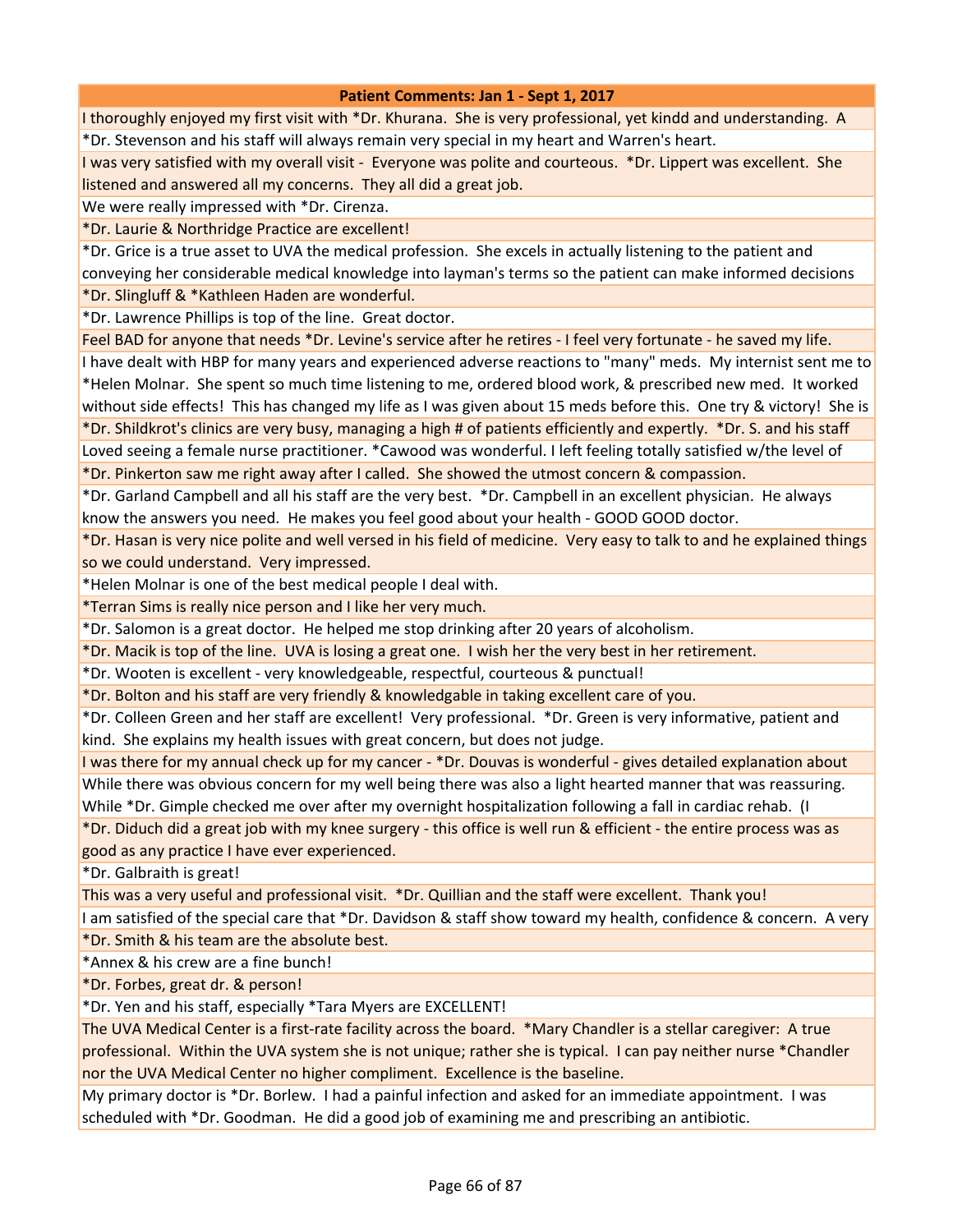I thoroughly enjoyed my first visit with \*Dr. Khurana. She is very professional, yet kindd and understanding. A \*Dr. Stevenson and his staff will always remain very special in my heart and Warren's heart.

I was very satisfied with my overall visit - Everyone was polite and courteous. \*Dr. Lippert was excellent. She listened and answered all my concerns. They all did a great job.

We were really impressed with \*Dr. Cirenza.

\*Dr. Laurie & Northridge Practice are excellent!

\*Dr. Grice is a true asset to UVA the medical profession. She excels in actually listening to the patient and

conveying her considerable medical knowledge into layman's terms so the patient can make informed decisions \*Dr. Slingluff & \*Kathleen Haden are wonderful.

\*Dr. Lawrence Phillips is top of the line. Great doctor.

Feel BAD for anyone that needs \*Dr. Levine's service after he retires - I feel very fortunate - he saved my life.

I have dealt with HBP for many years and experienced adverse reactions to "many" meds. My internist sent me to \*Helen Molnar. She spent so much time listening to me, ordered blood work, & prescribed new med. It worked without side effects! This has changed my life as I was given about 15 meds before this. One try & victory! She is \*Dr. Shildkrot's clinics are very busy, managing a high # of patients efficiently and expertly. \*Dr. S. and his staff Loved seeing a female nurse practitioner. \*Cawood was wonderful. I left feeling totally satisfied w/the level of

\*Dr. Pinkerton saw me right away after I called. She showed the utmost concern & compassion.

\*Dr. Garland Campbell and all his staff are the very best. \*Dr. Campbell in an excellent physician. He always know the answers you need. He makes you feel good about your health - GOOD GOOD doctor.

\*Dr. Hasan is very nice polite and well versed in his field of medicine. Very easy to talk to and he explained things so we could understand. Very impressed.

\*Helen Molnar is one of the best medical people I deal with.

\*Terran Sims is really nice person and I like her very much.

\*Dr. Salomon is a great doctor. He helped me stop drinking after 20 years of alcoholism.

\*Dr. Macik is top of the line. UVA is losing a great one. I wish her the very best in her retirement.

\*Dr. Wooten is excellent - very knowledgeable, respectful, courteous & punctual!

\*Dr. Bolton and his staff are very friendly & knowledgable in taking excellent care of you.

\*Dr. Colleen Green and her staff are excellent! Very professional. \*Dr. Green is very informative, patient and kind. She explains my health issues with great concern, but does not judge.

I was there for my annual check up for my cancer - \*Dr. Douvas is wonderful - gives detailed explanation about

While there was obvious concern for my well being there was also a light hearted manner that was reassuring. While \*Dr. Gimple checked me over after my overnight hospitalization following a fall in cardiac rehab. (I

\*Dr. Diduch did a great job with my knee surgery - this office is well run & efficient - the entire process was as good as any practice I have ever experienced.

\*Dr. Galbraith is great!

This was a very useful and professional visit. \*Dr. Quillian and the staff were excellent. Thank you!

I am satisfied of the special care that \*Dr. Davidson & staff show toward my health, confidence & concern. A very \*Dr. Smith & his team are the absolute best.

\*Annex & his crew are a fine bunch!

\*Dr. Forbes, great dr. & person!

\*Dr. Yen and his staff, especially \*Tara Myers are EXCELLENT!

The UVA Medical Center is a first-rate facility across the board. \*Mary Chandler is a stellar caregiver: A true professional. Within the UVA system she is not unique; rather she is typical. I can pay neither nurse \*Chandler nor the UVA Medical Center no higher compliment. Excellence is the baseline.

My primary doctor is \*Dr. Borlew. I had a painful infection and asked for an immediate appointment. I was scheduled with \*Dr. Goodman. He did a good job of examining me and prescribing an antibiotic.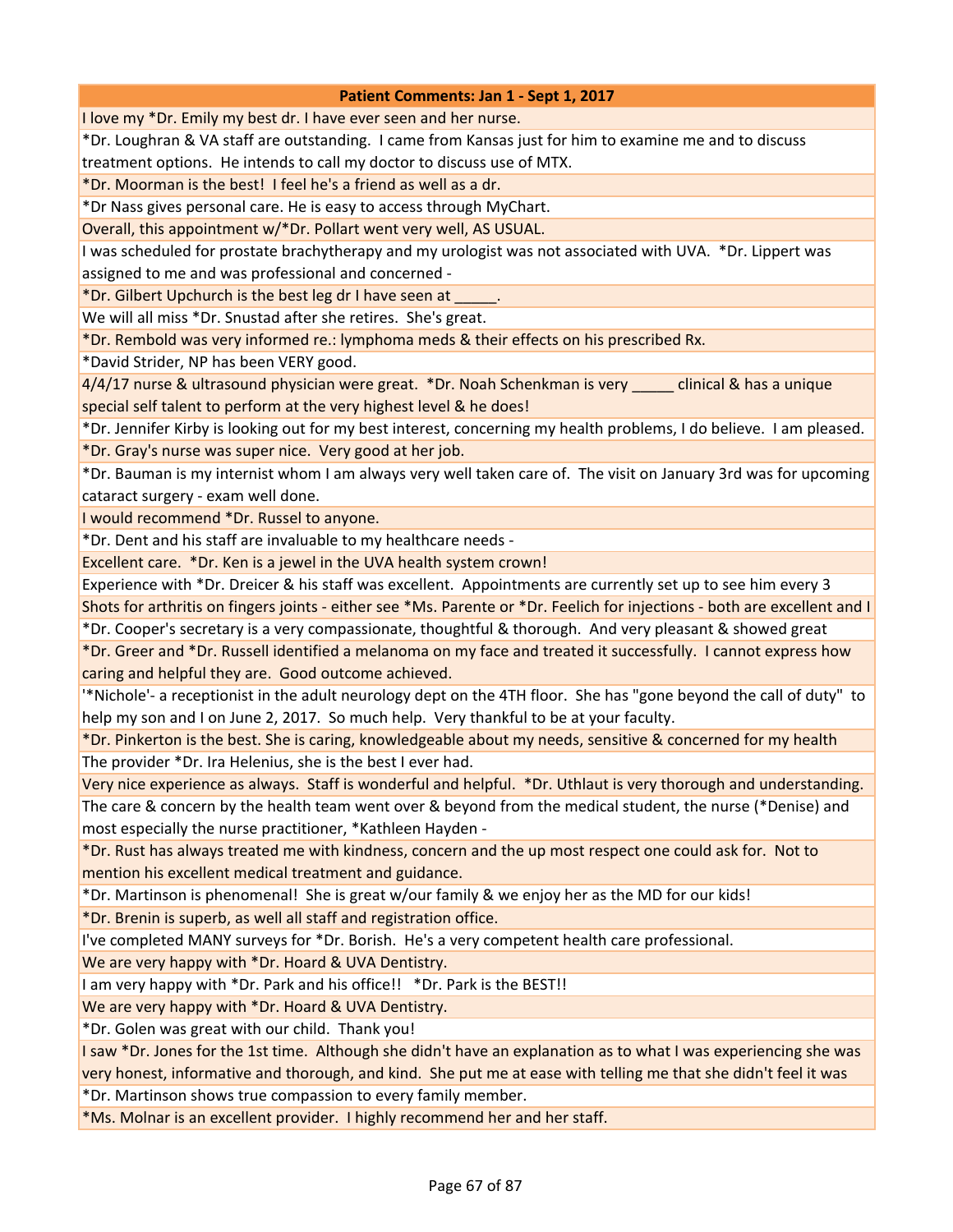I love my \*Dr. Emily my best dr. I have ever seen and her nurse.

\*Dr. Loughran & VA staff are outstanding. I came from Kansas just for him to examine me and to discuss treatment options. He intends to call my doctor to discuss use of MTX.

\*Dr. Moorman is the best! I feel he's a friend as well as a dr.

\*Dr Nass gives personal care. He is easy to access through MyChart.

Overall, this appointment w/\*Dr. Pollart went very well, AS USUAL.

I was scheduled for prostate brachytherapy and my urologist was not associated with UVA. \*Dr. Lippert was assigned to me and was professional and concerned -

\*Dr. Gilbert Upchurch is the best leg dr I have seen at \_\_\_\_\_.

We will all miss \*Dr. Snustad after she retires. She's great.

\*Dr. Rembold was very informed re.: lymphoma meds & their effects on his prescribed Rx.

\*David Strider, NP has been VERY good.

4/4/17 nurse & ultrasound physician were great. \*Dr. Noah Schenkman is very \_\_\_\_\_ clinical & has a unique special self talent to perform at the very highest level & he does!

\*Dr. Jennifer Kirby is looking out for my best interest, concerning my health problems, I do believe. I am pleased. \*Dr. Gray's nurse was super nice. Very good at her job.

\*Dr. Bauman is my internist whom I am always very well taken care of. The visit on January 3rd was for upcoming cataract surgery - exam well done.

I would recommend \*Dr. Russel to anyone.

\*Dr. Dent and his staff are invaluable to my healthcare needs -

Excellent care. \*Dr. Ken is a jewel in the UVA health system crown!

Experience with \*Dr. Dreicer & his staff was excellent. Appointments are currently set up to see him every 3

Shots for arthritis on fingers joints - either see \*Ms. Parente or \*Dr. Feelich for injections - both are excellent and I \*Dr. Cooper's secretary is a very compassionate, thoughtful & thorough. And very pleasant & showed great

\*Dr. Greer and \*Dr. Russell identified a melanoma on my face and treated it successfully. I cannot express how caring and helpful they are. Good outcome achieved.

'\*Nichole'- a receptionist in the adult neurology dept on the 4TH floor. She has "gone beyond the call of duty" to help my son and I on June 2, 2017. So much help. Very thankful to be at your faculty.

\*Dr. Pinkerton is the best. She is caring, knowledgeable about my needs, sensitive & concerned for my health The provider \*Dr. Ira Helenius, she is the best I ever had.

Very nice experience as always. Staff is wonderful and helpful. \*Dr. Uthlaut is very thorough and understanding.

The care & concern by the health team went over & beyond from the medical student, the nurse (\*Denise) and most especially the nurse practitioner, \*Kathleen Hayden -

\*Dr. Rust has always treated me with kindness, concern and the up most respect one could ask for. Not to mention his excellent medical treatment and guidance.

\*Dr. Martinson is phenomenal! She is great w/our family & we enjoy her as the MD for our kids!

\*Dr. Brenin is superb, as well all staff and registration office.

I've completed MANY surveys for \*Dr. Borish. He's a very competent health care professional.

We are very happy with \*Dr. Hoard & UVA Dentistry.

I am very happy with \*Dr. Park and his office!! \*Dr. Park is the BEST!!

We are very happy with \*Dr. Hoard & UVA Dentistry.

\*Dr. Golen was great with our child. Thank you!

I saw \*Dr. Jones for the 1st time. Although she didn't have an explanation as to what I was experiencing she was very honest, informative and thorough, and kind. She put me at ease with telling me that she didn't feel it was \*Dr. Martinson shows true compassion to every family member.

\*Ms. Molnar is an excellent provider. I highly recommend her and her staff.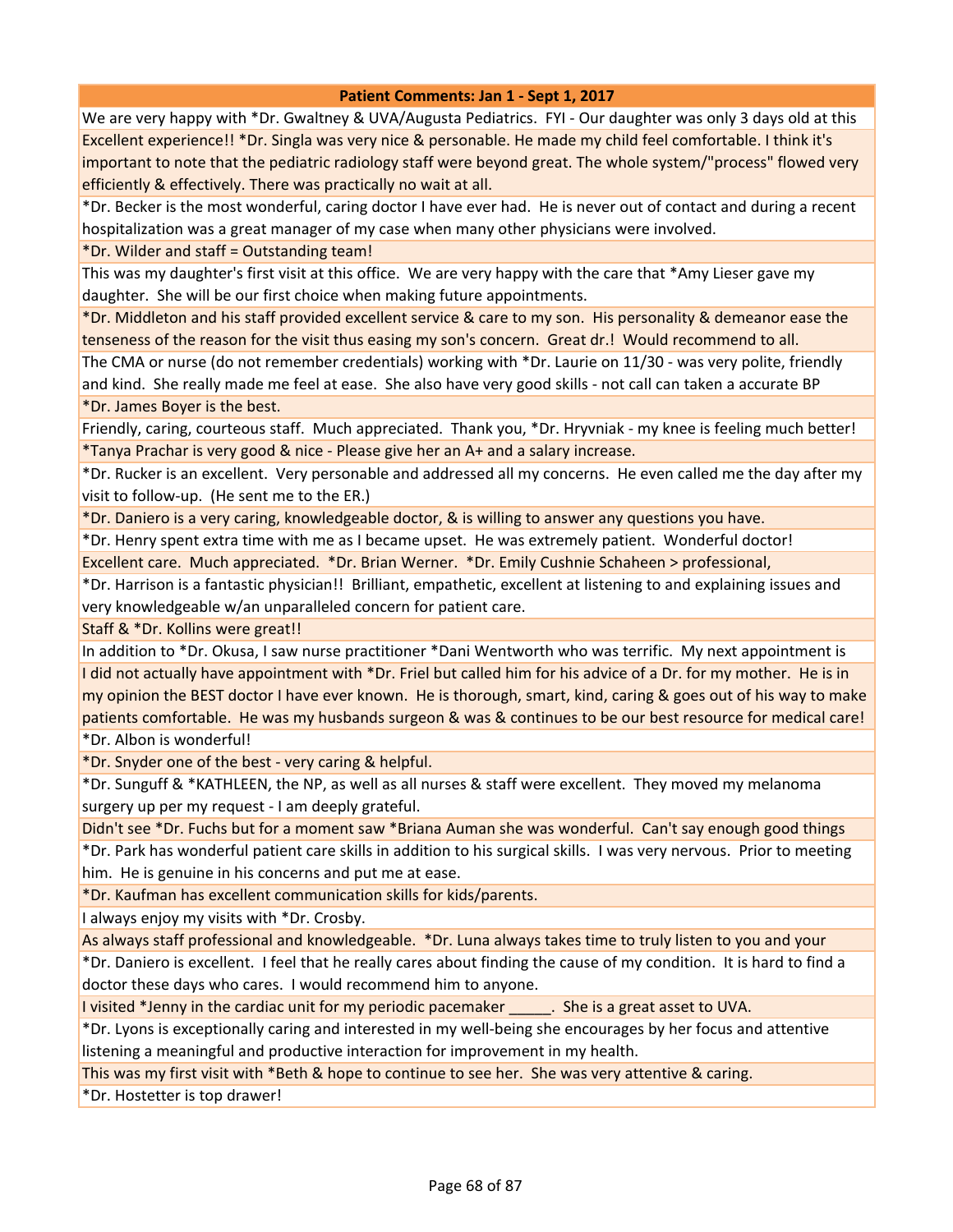We are very happy with \*Dr. Gwaltney & UVA/Augusta Pediatrics. FYI - Our daughter was only 3 days old at this Excellent experience!! \*Dr. Singla was very nice & personable. He made my child feel comfortable. I think it's important to note that the pediatric radiology staff were beyond great. The whole system/"process" flowed very efficiently & effectively. There was practically no wait at all.

\*Dr. Becker is the most wonderful, caring doctor I have ever had. He is never out of contact and during a recent hospitalization was a great manager of my case when many other physicians were involved.

\*Dr. Wilder and staff = Outstanding team!

This was my daughter's first visit at this office. We are very happy with the care that \*Amy Lieser gave my daughter. She will be our first choice when making future appointments.

\*Dr. Middleton and his staff provided excellent service & care to my son. His personality & demeanor ease the tenseness of the reason for the visit thus easing my son's concern. Great dr.! Would recommend to all.

The CMA or nurse (do not remember credentials) working with \*Dr. Laurie on 11/30 - was very polite, friendly and kind. She really made me feel at ease. She also have very good skills - not call can taken a accurate BP \*Dr. James Boyer is the best.

Friendly, caring, courteous staff. Much appreciated. Thank you, \*Dr. Hryvniak - my knee is feeling much better! \*Tanya Prachar is very good & nice - Please give her an A+ and a salary increase.

\*Dr. Rucker is an excellent. Very personable and addressed all my concerns. He even called me the day after my visit to follow-up. (He sent me to the ER.)

\*Dr. Daniero is a very caring, knowledgeable doctor, & is willing to answer any questions you have.

\*Dr. Henry spent extra time with me as I became upset. He was extremely patient. Wonderful doctor!

Excellent care. Much appreciated. \*Dr. Brian Werner. \*Dr. Emily Cushnie Schaheen > professional,

\*Dr. Harrison is a fantastic physician!! Brilliant, empathetic, excellent at listening to and explaining issues and very knowledgeable w/an unparalleled concern for patient care.

Staff & \*Dr. Kollins were great!!

In addition to \*Dr. Okusa, I saw nurse practitioner \*Dani Wentworth who was terrific. My next appointment is I did not actually have appointment with \*Dr. Friel but called him for his advice of a Dr. for my mother. He is in my opinion the BEST doctor I have ever known. He is thorough, smart, kind, caring & goes out of his way to make patients comfortable. He was my husbands surgeon & was & continues to be our best resource for medical care! \*Dr. Albon is wonderful!

\*Dr. Snyder one of the best - very caring & helpful.

\*Dr. Sunguff & \*KATHLEEN, the NP, as well as all nurses & staff were excellent. They moved my melanoma surgery up per my request - I am deeply grateful.

Didn't see \*Dr. Fuchs but for a moment saw \*Briana Auman she was wonderful. Can't say enough good things

\*Dr. Park has wonderful patient care skills in addition to his surgical skills. I was very nervous. Prior to meeting him. He is genuine in his concerns and put me at ease.

\*Dr. Kaufman has excellent communication skills for kids/parents.

I always enjoy my visits with \*Dr. Crosby.

As always staff professional and knowledgeable. \*Dr. Luna always takes time to truly listen to you and your

\*Dr. Daniero is excellent. I feel that he really cares about finding the cause of my condition. It is hard to find a doctor these days who cares. I would recommend him to anyone.

I visited \*Jenny in the cardiac unit for my periodic pacemaker \_\_\_\_\_\_. She is a great asset to UVA.

\*Dr. Lyons is exceptionally caring and interested in my well-being she encourages by her focus and attentive listening a meaningful and productive interaction for improvement in my health.

This was my first visit with \*Beth & hope to continue to see her. She was very attentive & caring.

\*Dr. Hostetter is top drawer!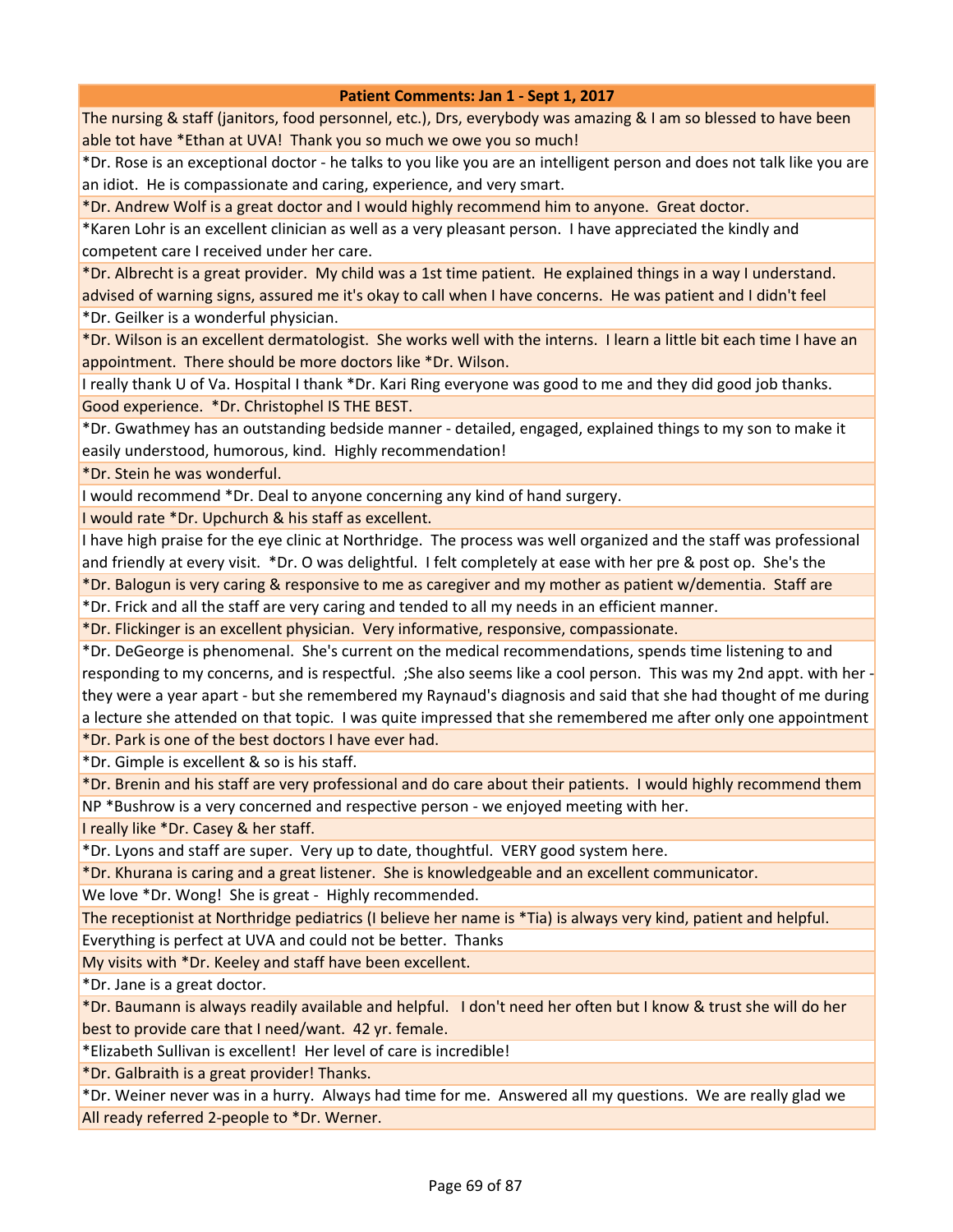The nursing & staff (janitors, food personnel, etc.), Drs, everybody was amazing & I am so blessed to have been able tot have \*Ethan at UVA! Thank you so much we owe you so much!

\*Dr. Rose is an exceptional doctor - he talks to you like you are an intelligent person and does not talk like you are an idiot. He is compassionate and caring, experience, and very smart.

\*Dr. Andrew Wolf is a great doctor and I would highly recommend him to anyone. Great doctor.

\*Karen Lohr is an excellent clinician as well as a very pleasant person. I have appreciated the kindly and competent care I received under her care.

\*Dr. Albrecht is a great provider. My child was a 1st time patient. He explained things in a way I understand. advised of warning signs, assured me it's okay to call when I have concerns. He was patient and I didn't feel \*Dr. Geilker is a wonderful physician.

\*Dr. Wilson is an excellent dermatologist. She works well with the interns. I learn a little bit each time I have an

appointment. There should be more doctors like \*Dr. Wilson.

I really thank U of Va. Hospital I thank \*Dr. Kari Ring everyone was good to me and they did good job thanks. Good experience. \*Dr. Christophel IS THE BEST.

\*Dr. Gwathmey has an outstanding bedside manner - detailed, engaged, explained things to my son to make it easily understood, humorous, kind. Highly recommendation!

\*Dr. Stein he was wonderful.

I would recommend \*Dr. Deal to anyone concerning any kind of hand surgery.

I would rate \*Dr. Upchurch & his staff as excellent.

I have high praise for the eye clinic at Northridge. The process was well organized and the staff was professional and friendly at every visit. \*Dr. O was delightful. I felt completely at ease with her pre & post op. She's the

\*Dr. Balogun is very caring & responsive to me as caregiver and my mother as patient w/dementia. Staff are

\*Dr. Frick and all the staff are very caring and tended to all my needs in an efficient manner.

\*Dr. Flickinger is an excellent physician. Very informative, responsive, compassionate.

\*Dr. DeGeorge is phenomenal. She's current on the medical recommendations, spends time listening to and responding to my concerns, and is respectful. ;She also seems like a cool person. This was my 2nd appt. with her they were a year apart - but she remembered my Raynaud's diagnosis and said that she had thought of me during a lecture she attended on that topic. I was quite impressed that she remembered me after only one appointment

\*Dr. Park is one of the best doctors I have ever had.

\*Dr. Gimple is excellent & so is his staff.

\*Dr. Brenin and his staff are very professional and do care about their patients. I would highly recommend them NP \*Bushrow is a very concerned and respective person - we enjoyed meeting with her.

I really like \*Dr. Casey & her staff.

\*Dr. Lyons and staff are super. Very up to date, thoughtful. VERY good system here.

\*Dr. Khurana is caring and a great listener. She is knowledgeable and an excellent communicator.

We love \*Dr. Wong! She is great - Highly recommended.

The receptionist at Northridge pediatrics (I believe her name is \*Tia) is always very kind, patient and helpful.

Everything is perfect at UVA and could not be better. Thanks

My visits with \*Dr. Keeley and staff have been excellent.

\*Dr. Jane is a great doctor.

\*Dr. Baumann is always readily available and helpful. I don't need her often but I know & trust she will do her best to provide care that I need/want. 42 yr. female.

\*Elizabeth Sullivan is excellent! Her level of care is incredible!

\*Dr. Galbraith is a great provider! Thanks.

\*Dr. Weiner never was in a hurry. Always had time for me. Answered all my questions. We are really glad we All ready referred 2-people to \*Dr. Werner.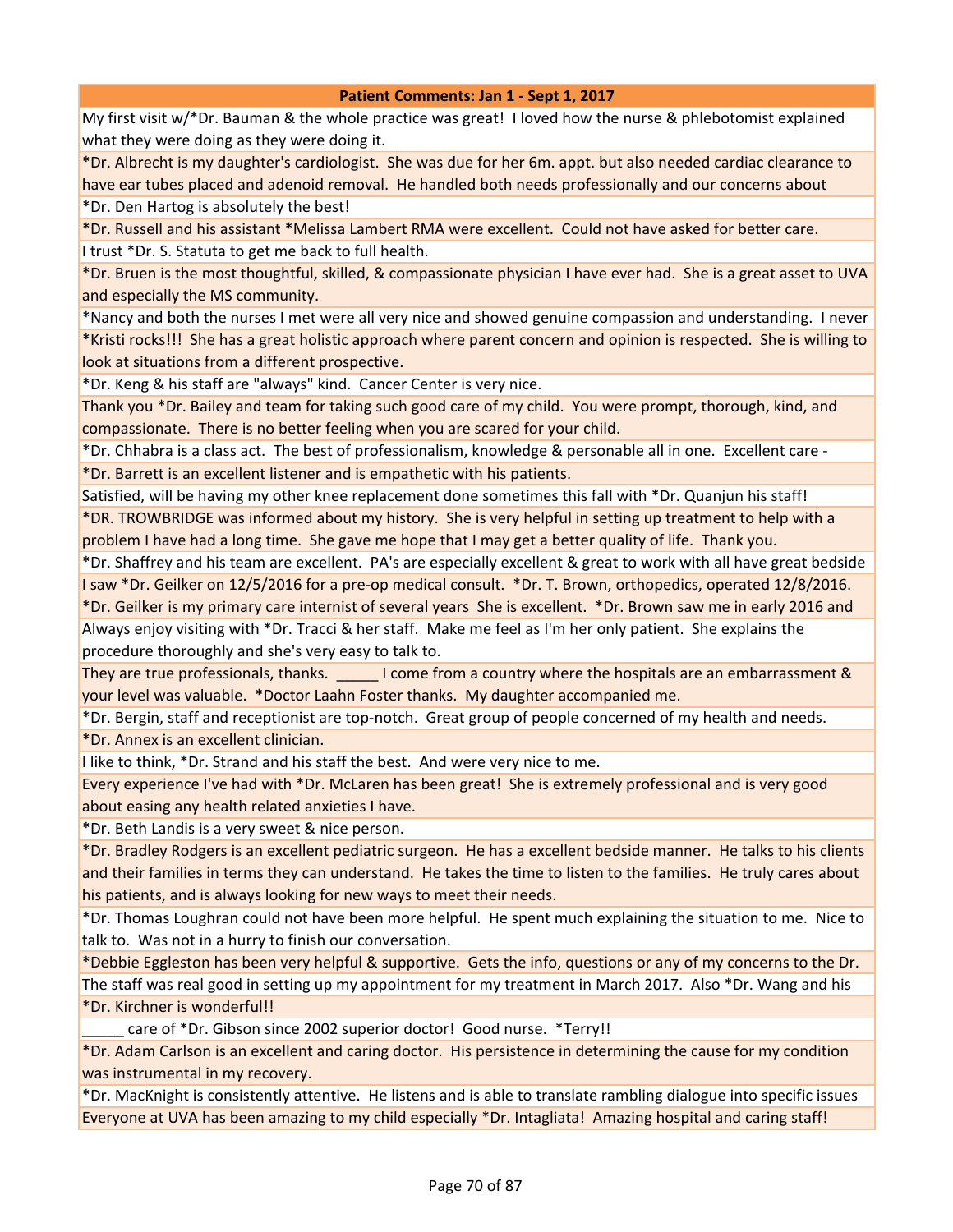My first visit w/\*Dr. Bauman & the whole practice was great! I loved how the nurse & phlebotomist explained what they were doing as they were doing it.

\*Dr. Albrecht is my daughter's cardiologist. She was due for her 6m. appt. but also needed cardiac clearance to have ear tubes placed and adenoid removal. He handled both needs professionally and our concerns about \*Dr. Den Hartog is absolutely the best!

\*Dr. Russell and his assistant \*Melissa Lambert RMA were excellent. Could not have asked for better care.

I trust \*Dr. S. Statuta to get me back to full health.

\*Dr. Bruen is the most thoughtful, skilled, & compassionate physician I have ever had. She is a great asset to UVA and especially the MS community.

\*Nancy and both the nurses I met were all very nice and showed genuine compassion and understanding. I never \*Kristi rocks!!! She has a great holistic approach where parent concern and opinion is respected. She is willing to look at situations from a different prospective.

\*Dr. Keng & his staff are "always" kind. Cancer Center is very nice.

Thank you \*Dr. Bailey and team for taking such good care of my child. You were prompt, thorough, kind, and compassionate. There is no better feeling when you are scared for your child.

\*Dr. Chhabra is a class act. The best of professionalism, knowledge & personable all in one. Excellent care - \*Dr. Barrett is an excellent listener and is empathetic with his patients.

Satisfied, will be having my other knee replacement done sometimes this fall with \*Dr. Quanjun his staff!

\*DR. TROWBRIDGE was informed about my history. She is very helpful in setting up treatment to help with a problem I have had a long time. She gave me hope that I may get a better quality of life. Thank you.

\*Dr. Shaffrey and his team are excellent. PA's are especially excellent & great to work with all have great bedside

I saw \*Dr. Geilker on 12/5/2016 for a pre-op medical consult. \*Dr. T. Brown, orthopedics, operated 12/8/2016.

\*Dr. Geilker is my primary care internist of several years She is excellent. \*Dr. Brown saw me in early 2016 and Always enjoy visiting with \*Dr. Tracci & her staff. Make me feel as I'm her only patient. She explains the procedure thoroughly and she's very easy to talk to.

They are true professionals, thanks. **Income from a country where the hospitals are an embarrassment &** your level was valuable. \*Doctor Laahn Foster thanks. My daughter accompanied me.

\*Dr. Bergin, staff and receptionist are top-notch. Great group of people concerned of my health and needs.

\*Dr. Annex is an excellent clinician.

I like to think, \*Dr. Strand and his staff the best. And were very nice to me.

Every experience I've had with \*Dr. McLaren has been great! She is extremely professional and is very good about easing any health related anxieties I have.

\*Dr. Beth Landis is a very sweet & nice person.

\*Dr. Bradley Rodgers is an excellent pediatric surgeon. He has a excellent bedside manner. He talks to his clients and their families in terms they can understand. He takes the time to listen to the families. He truly cares about his patients, and is always looking for new ways to meet their needs.

\*Dr. Thomas Loughran could not have been more helpful. He spent much explaining the situation to me. Nice to talk to. Was not in a hurry to finish our conversation.

\*Debbie Eggleston has been very helpful & supportive. Gets the info, questions or any of my concerns to the Dr. The staff was real good in setting up my appointment for my treatment in March 2017. Also \*Dr. Wang and his \*Dr. Kirchner is wonderful!!

care of \*Dr. Gibson since 2002 superior doctor! Good nurse. \*Terry!!

\*Dr. Adam Carlson is an excellent and caring doctor. His persistence in determining the cause for my condition was instrumental in my recovery.

\*Dr. MacKnight is consistently attentive. He listens and is able to translate rambling dialogue into specific issues Everyone at UVA has been amazing to my child especially \*Dr. Intagliata! Amazing hospital and caring staff!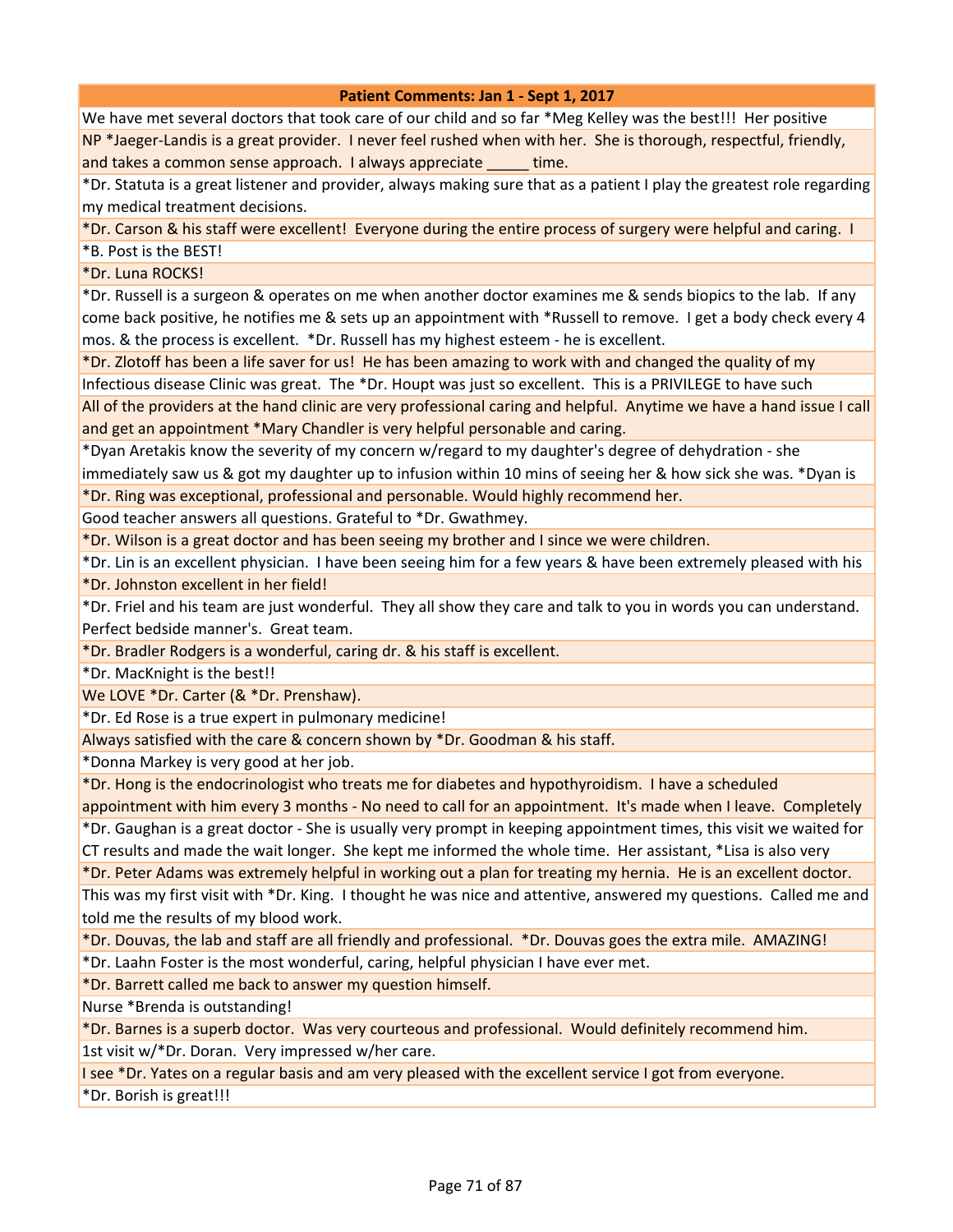We have met several doctors that took care of our child and so far \*Meg Kelley was the best!!! Her positive NP \*Jaeger-Landis is a great provider. I never feel rushed when with her. She is thorough, respectful, friendly, and takes a common sense approach. I always appreciate time.

\*Dr. Statuta is a great listener and provider, always making sure that as a patient I play the greatest role regarding my medical treatment decisions.

\*Dr. Carson & his staff were excellent! Everyone during the entire process of surgery were helpful and caring. I

\*B. Post is the BEST!

\*Dr. Luna ROCKS!

\*Dr. Russell is a surgeon & operates on me when another doctor examines me & sends biopics to the lab. If any come back positive, he notifies me & sets up an appointment with \*Russell to remove. I get a body check every 4 mos. & the process is excellent. \*Dr. Russell has my highest esteem - he is excellent.

\*Dr. Zlotoff has been a life saver for us! He has been amazing to work with and changed the quality of my Infectious disease Clinic was great. The \*Dr. Houpt was just so excellent. This is a PRIVILEGE to have such

All of the providers at the hand clinic are very professional caring and helpful. Anytime we have a hand issue I call and get an appointment \*Mary Chandler is very helpful personable and caring.

\*Dyan Aretakis know the severity of my concern w/regard to my daughter's degree of dehydration - she

immediately saw us & got my daughter up to infusion within 10 mins of seeing her & how sick she was. \*Dyan is \*Dr. Ring was exceptional, professional and personable. Would highly recommend her.

Good teacher answers all questions. Grateful to \*Dr. Gwathmey.

\*Dr. Wilson is a great doctor and has been seeing my brother and I since we were children.

\*Dr. Lin is an excellent physician. I have been seeing him for a few years & have been extremely pleased with his

\*Dr. Johnston excellent in her field!

\*Dr. Friel and his team are just wonderful. They all show they care and talk to you in words you can understand. Perfect bedside manner's. Great team.

\*Dr. Bradler Rodgers is a wonderful, caring dr. & his staff is excellent.

\*Dr. MacKnight is the best!!

We LOVE \*Dr. Carter (& \*Dr. Prenshaw).

\*Dr. Ed Rose is a true expert in pulmonary medicine!

Always satisfied with the care & concern shown by \*Dr. Goodman & his staff.

\*Donna Markey is very good at her job.

\*Dr. Hong is the endocrinologist who treats me for diabetes and hypothyroidism. I have a scheduled

appointment with him every 3 months - No need to call for an appointment. It's made when I leave. Completely \*Dr. Gaughan is a great doctor - She is usually very prompt in keeping appointment times, this visit we waited for CT results and made the wait longer. She kept me informed the whole time. Her assistant, \*Lisa is also very

\*Dr. Peter Adams was extremely helpful in working out a plan for treating my hernia. He is an excellent doctor.

This was my first visit with \*Dr. King. I thought he was nice and attentive, answered my questions. Called me and told me the results of my blood work.

\*Dr. Douvas, the lab and staff are all friendly and professional. \*Dr. Douvas goes the extra mile. AMAZING!

\*Dr. Laahn Foster is the most wonderful, caring, helpful physician I have ever met.

\*Dr. Barrett called me back to answer my question himself.

Nurse \*Brenda is outstanding!

\*Dr. Barnes is a superb doctor. Was very courteous and professional. Would definitely recommend him. 1st visit w/\*Dr. Doran. Very impressed w/her care.

I see \*Dr. Yates on a regular basis and am very pleased with the excellent service I got from everyone.

\*Dr. Borish is great!!!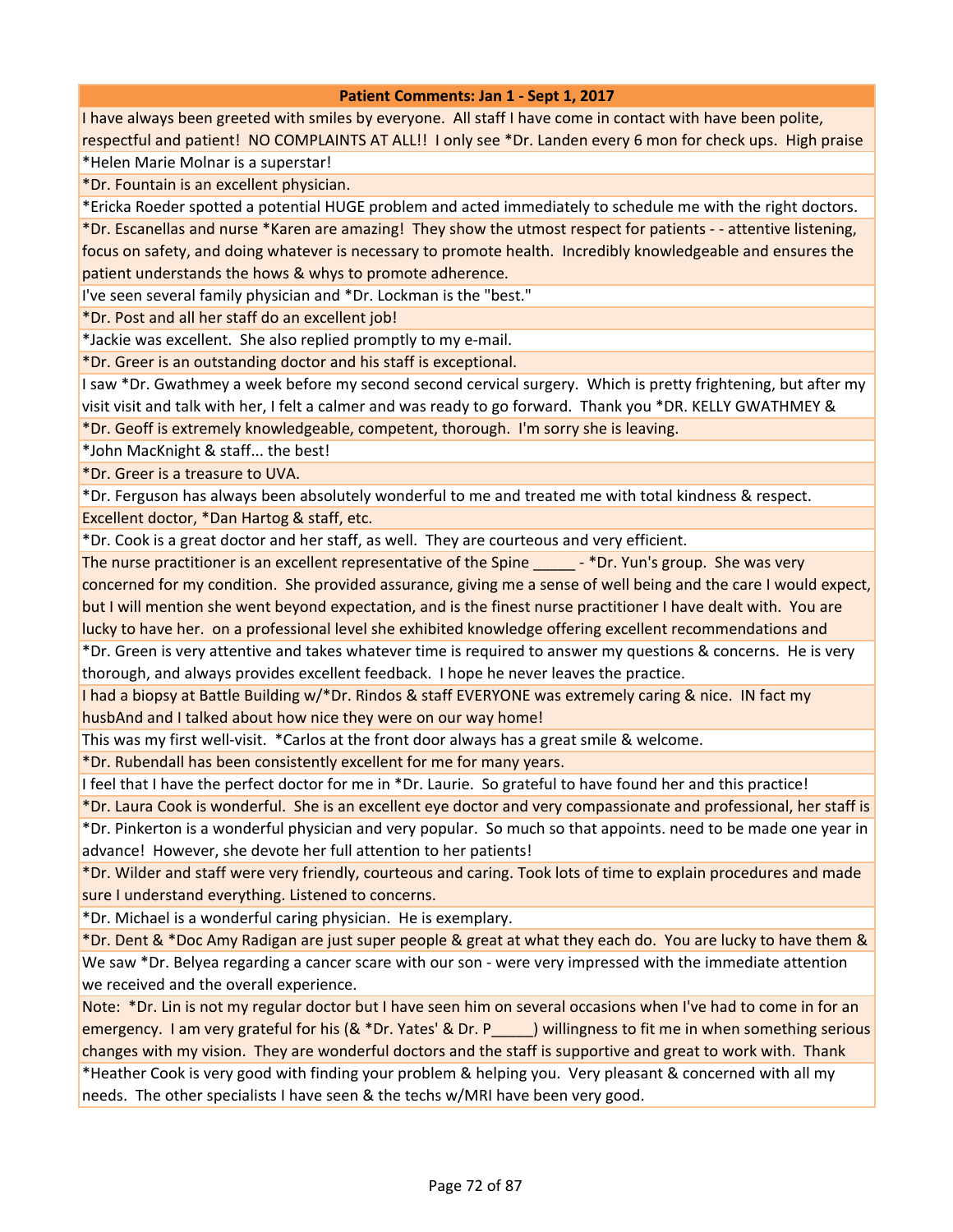I have always been greeted with smiles by everyone. All staff I have come in contact with have been polite, respectful and patient! NO COMPLAINTS AT ALL!! I only see \*Dr. Landen every 6 mon for check ups. High praise

\*Helen Marie Molnar is a superstar!

\*Dr. Fountain is an excellent physician.

\*Ericka Roeder spotted a potential HUGE problem and acted immediately to schedule me with the right doctors.

\*Dr. Escanellas and nurse \*Karen are amazing! They show the utmost respect for patients - - attentive listening, focus on safety, and doing whatever is necessary to promote health. Incredibly knowledgeable and ensures the patient understands the hows & whys to promote adherence.

I've seen several family physician and \*Dr. Lockman is the "best."

\*Dr. Post and all her staff do an excellent job!

\*Jackie was excellent. She also replied promptly to my e-mail.

\*Dr. Greer is an outstanding doctor and his staff is exceptional.

I saw \*Dr. Gwathmey a week before my second second cervical surgery. Which is pretty frightening, but after my visit visit and talk with her, I felt a calmer and was ready to go forward. Thank you \*DR. KELLY GWATHMEY &

\*Dr. Geoff is extremely knowledgeable, competent, thorough. I'm sorry she is leaving.

\*John MacKnight & staff... the best!

\*Dr. Greer is a treasure to UVA.

\*Dr. Ferguson has always been absolutely wonderful to me and treated me with total kindness & respect. Excellent doctor, \*Dan Hartog & staff, etc.

\*Dr. Cook is a great doctor and her staff, as well. They are courteous and very efficient.

The nurse practitioner is an excellent representative of the Spine \_\_\_\_\_\_ - \*Dr. Yun's group. She was very concerned for my condition. She provided assurance, giving me a sense of well being and the care I would expect, but I will mention she went beyond expectation, and is the finest nurse practitioner I have dealt with. You are lucky to have her. on a professional level she exhibited knowledge offering excellent recommendations and

\*Dr. Green is very attentive and takes whatever time is required to answer my questions & concerns. He is very thorough, and always provides excellent feedback. I hope he never leaves the practice.

I had a biopsy at Battle Building w/\*Dr. Rindos & staff EVERYONE was extremely caring & nice. IN fact my husbAnd and I talked about how nice they were on our way home!

This was my first well-visit. \*Carlos at the front door always has a great smile & welcome.

\*Dr. Rubendall has been consistently excellent for me for many years.

I feel that I have the perfect doctor for me in \*Dr. Laurie. So grateful to have found her and this practice!

\*Dr. Laura Cook is wonderful. She is an excellent eye doctor and very compassionate and professional, her staff is \*Dr. Pinkerton is a wonderful physician and very popular. So much so that appoints. need to be made one year in

advance! However, she devote her full attention to her patients!

\*Dr. Wilder and staff were very friendly, courteous and caring. Took lots of time to explain procedures and made sure I understand everything. Listened to concerns.

\*Dr. Michael is a wonderful caring physician. He is exemplary.

\*Dr. Dent & \*Doc Amy Radigan are just super people & great at what they each do. You are lucky to have them & We saw \*Dr. Belyea regarding a cancer scare with our son - were very impressed with the immediate attention we received and the overall experience.

Note: \*Dr. Lin is not my regular doctor but I have seen him on several occasions when I've had to come in for an emergency. I am very grateful for his (& \*Dr. Yates' & Dr. P\_\_\_\_\_) willingness to fit me in when something serious changes with my vision. They are wonderful doctors and the staff is supportive and great to work with. Thank \*Heather Cook is very good with finding your problem & helping you. Very pleasant & concerned with all my needs. The other specialists I have seen & the techs w/MRI have been very good.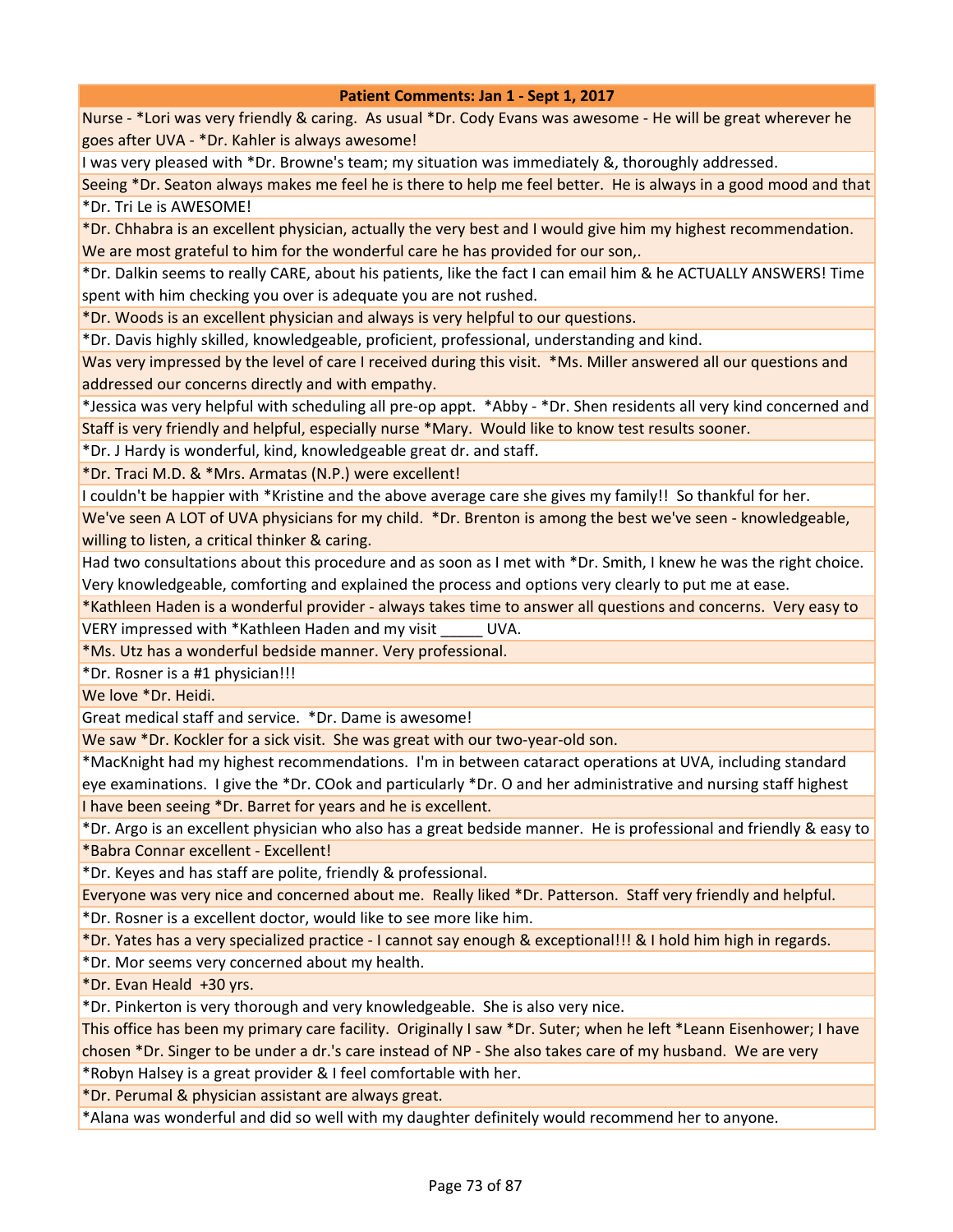Nurse - \*Lori was very friendly & caring. As usual \*Dr. Cody Evans was awesome - He will be great wherever he goes after UVA - \*Dr. Kahler is always awesome!

I was very pleased with \*Dr. Browne's team; my situation was immediately &, thoroughly addressed.

Seeing \*Dr. Seaton always makes me feel he is there to help me feel better. He is always in a good mood and that \*Dr. Tri Le is AWESOME!

\*Dr. Chhabra is an excellent physician, actually the very best and I would give him my highest recommendation. We are most grateful to him for the wonderful care he has provided for our son,.

\*Dr. Dalkin seems to really CARE, about his patients, like the fact I can email him & he ACTUALLY ANSWERS! Time spent with him checking you over is adequate you are not rushed.

\*Dr. Woods is an excellent physician and always is very helpful to our questions.

\*Dr. Davis highly skilled, knowledgeable, proficient, professional, understanding and kind.

Was very impressed by the level of care I received during this visit. \*Ms. Miller answered all our questions and addressed our concerns directly and with empathy.

\*Jessica was very helpful with scheduling all pre-op appt. \*Abby - \*Dr. Shen residents all very kind concerned and Staff is very friendly and helpful, especially nurse \*Mary. Would like to know test results sooner.

\*Dr. J Hardy is wonderful, kind, knowledgeable great dr. and staff.

\*Dr. Traci M.D. & \*Mrs. Armatas (N.P.) were excellent!

I couldn't be happier with \*Kristine and the above average care she gives my family!! So thankful for her.

We've seen A LOT of UVA physicians for my child. \*Dr. Brenton is among the best we've seen - knowledgeable, willing to listen, a critical thinker & caring.

Had two consultations about this procedure and as soon as I met with \*Dr. Smith, I knew he was the right choice. Very knowledgeable, comforting and explained the process and options very clearly to put me at ease.

\*Kathleen Haden is a wonderful provider - always takes time to answer all questions and concerns. Very easy to VERY impressed with \*Kathleen Haden and my visit \_\_\_\_\_ UVA.

\*Ms. Utz has a wonderful bedside manner. Very professional.

\*Dr. Rosner is a #1 physician!!!

We love \*Dr. Heidi.

Great medical staff and service. \*Dr. Dame is awesome!

We saw \*Dr. Kockler for a sick visit. She was great with our two-year-old son.

\*MacKnight had my highest recommendations. I'm in between cataract operations at UVA, including standard eye examinations. I give the \*Dr. COok and particularly \*Dr. O and her administrative and nursing staff highest I have been seeing \*Dr. Barret for years and he is excellent.

\*Dr. Argo is an excellent physician who also has a great bedside manner. He is professional and friendly & easy to \*Babra Connar excellent - Excellent!

\*Dr. Keyes and has staff are polite, friendly & professional.

Everyone was very nice and concerned about me. Really liked \*Dr. Patterson. Staff very friendly and helpful.

\*Dr. Rosner is a excellent doctor, would like to see more like him.

\*Dr. Yates has a very specialized practice - I cannot say enough & exceptional!!! & I hold him high in regards.

\*Dr. Mor seems very concerned about my health.

\*Dr. Evan Heald +30 yrs.

\*Dr. Pinkerton is very thorough and very knowledgeable. She is also very nice.

This office has been my primary care facility. Originally I saw \*Dr. Suter; when he left \*Leann Eisenhower; I have chosen \*Dr. Singer to be under a dr.'s care instead of NP - She also takes care of my husband. We are very \*Robyn Halsey is a great provider & I feel comfortable with her.

\*Dr. Perumal & physician assistant are always great.

\*Alana was wonderful and did so well with my daughter definitely would recommend her to anyone.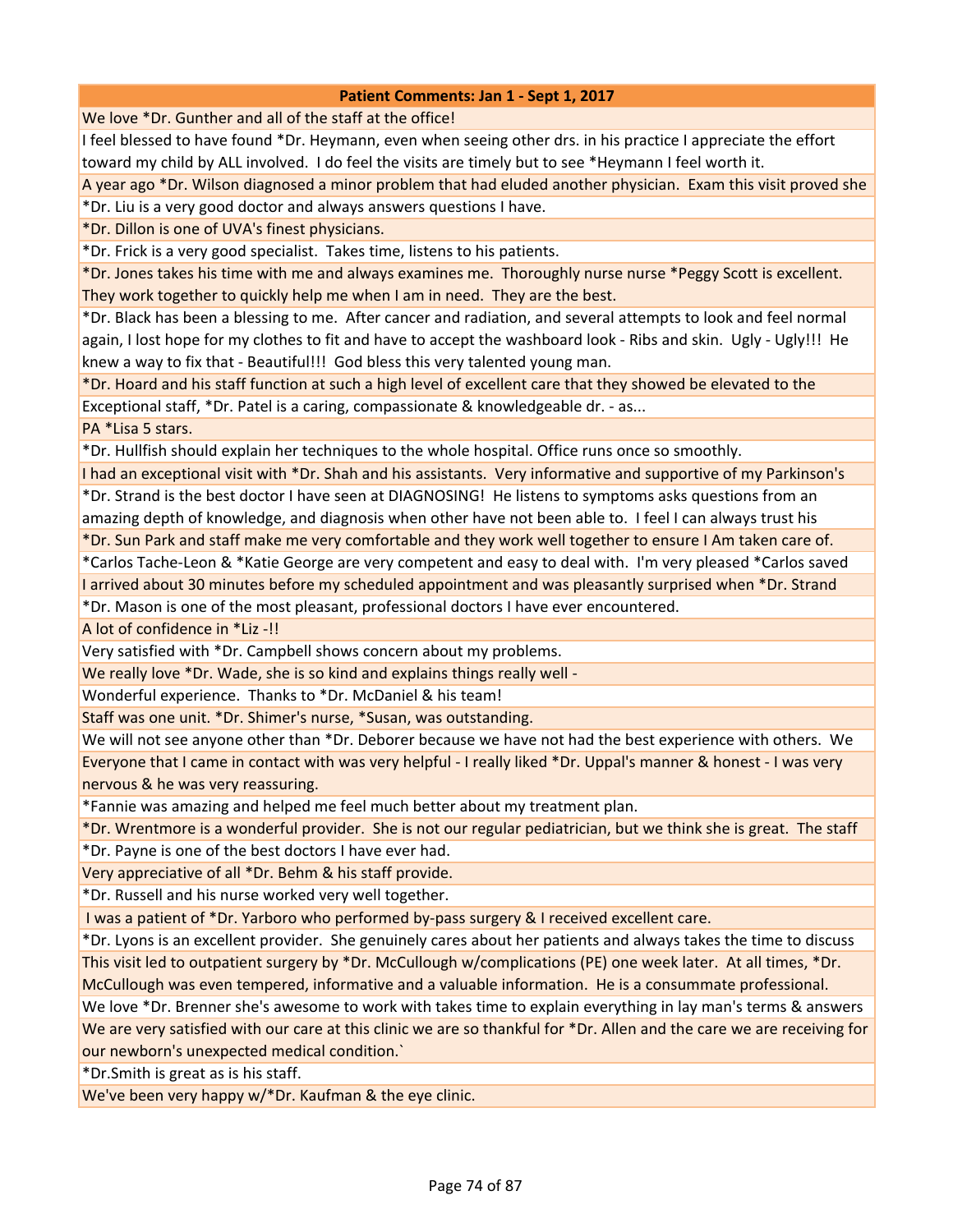We love \*Dr. Gunther and all of the staff at the office!

I feel blessed to have found \*Dr. Heymann, even when seeing other drs. in his practice I appreciate the effort toward my child by ALL involved. I do feel the visits are timely but to see \*Heymann I feel worth it.

A year ago \*Dr. Wilson diagnosed a minor problem that had eluded another physician. Exam this visit proved she \*Dr. Liu is a very good doctor and always answers questions I have.

\*Dr. Dillon is one of UVA's finest physicians.

\*Dr. Frick is a very good specialist. Takes time, listens to his patients.

\*Dr. Jones takes his time with me and always examines me. Thoroughly nurse nurse \*Peggy Scott is excellent. They work together to quickly help me when I am in need. They are the best.

\*Dr. Black has been a blessing to me. After cancer and radiation, and several attempts to look and feel normal again, I lost hope for my clothes to fit and have to accept the washboard look - Ribs and skin. Ugly - Ugly!!! He knew a way to fix that - Beautiful!!! God bless this very talented young man.

\*Dr. Hoard and his staff function at such a high level of excellent care that they showed be elevated to the Exceptional staff, \*Dr. Patel is a caring, compassionate & knowledgeable dr. - as...

PA \*Lisa 5 stars.

\*Dr. Hullfish should explain her techniques to the whole hospital. Office runs once so smoothly.

I had an exceptional visit with \*Dr. Shah and his assistants. Very informative and supportive of my Parkinson's \*Dr. Strand is the best doctor I have seen at DIAGNOSING! He listens to symptoms asks questions from an

amazing depth of knowledge, and diagnosis when other have not been able to. I feel I can always trust his

\*Dr. Sun Park and staff make me very comfortable and they work well together to ensure I Am taken care of.

\*Carlos Tache-Leon & \*Katie George are very competent and easy to deal with. I'm very pleased \*Carlos saved I arrived about 30 minutes before my scheduled appointment and was pleasantly surprised when \*Dr. Strand

\*Dr. Mason is one of the most pleasant, professional doctors I have ever encountered.

A lot of confidence in \*Liz -!!

Very satisfied with \*Dr. Campbell shows concern about my problems.

We really love \*Dr. Wade, she is so kind and explains things really well -

Wonderful experience. Thanks to \*Dr. McDaniel & his team!

Staff was one unit. \*Dr. Shimer's nurse, \*Susan, was outstanding.

We will not see anyone other than \*Dr. Deborer because we have not had the best experience with others. We Everyone that I came in contact with was very helpful - I really liked \*Dr. Uppal's manner & honest - I was very nervous & he was very reassuring.

\*Fannie was amazing and helped me feel much better about my treatment plan.

\*Dr. Wrentmore is a wonderful provider. She is not our regular pediatrician, but we think she is great. The staff

\*Dr. Payne is one of the best doctors I have ever had.

Very appreciative of all \*Dr. Behm & his staff provide.

\*Dr. Russell and his nurse worked very well together.

I was a patient of \*Dr. Yarboro who performed by-pass surgery & I received excellent care.

\*Dr. Lyons is an excellent provider. She genuinely cares about her patients and always takes the time to discuss This visit led to outpatient surgery by \*Dr. McCullough w/complications (PE) one week later. At all times, \*Dr.

McCullough was even tempered, informative and a valuable information. He is a consummate professional.

We love \*Dr. Brenner she's awesome to work with takes time to explain everything in lay man's terms & answers We are very satisfied with our care at this clinic we are so thankful for \*Dr. Allen and the care we are receiving for our newborn's unexpected medical condition.`

\*Dr.Smith is great as is his staff.

We've been very happy w/\*Dr. Kaufman & the eye clinic.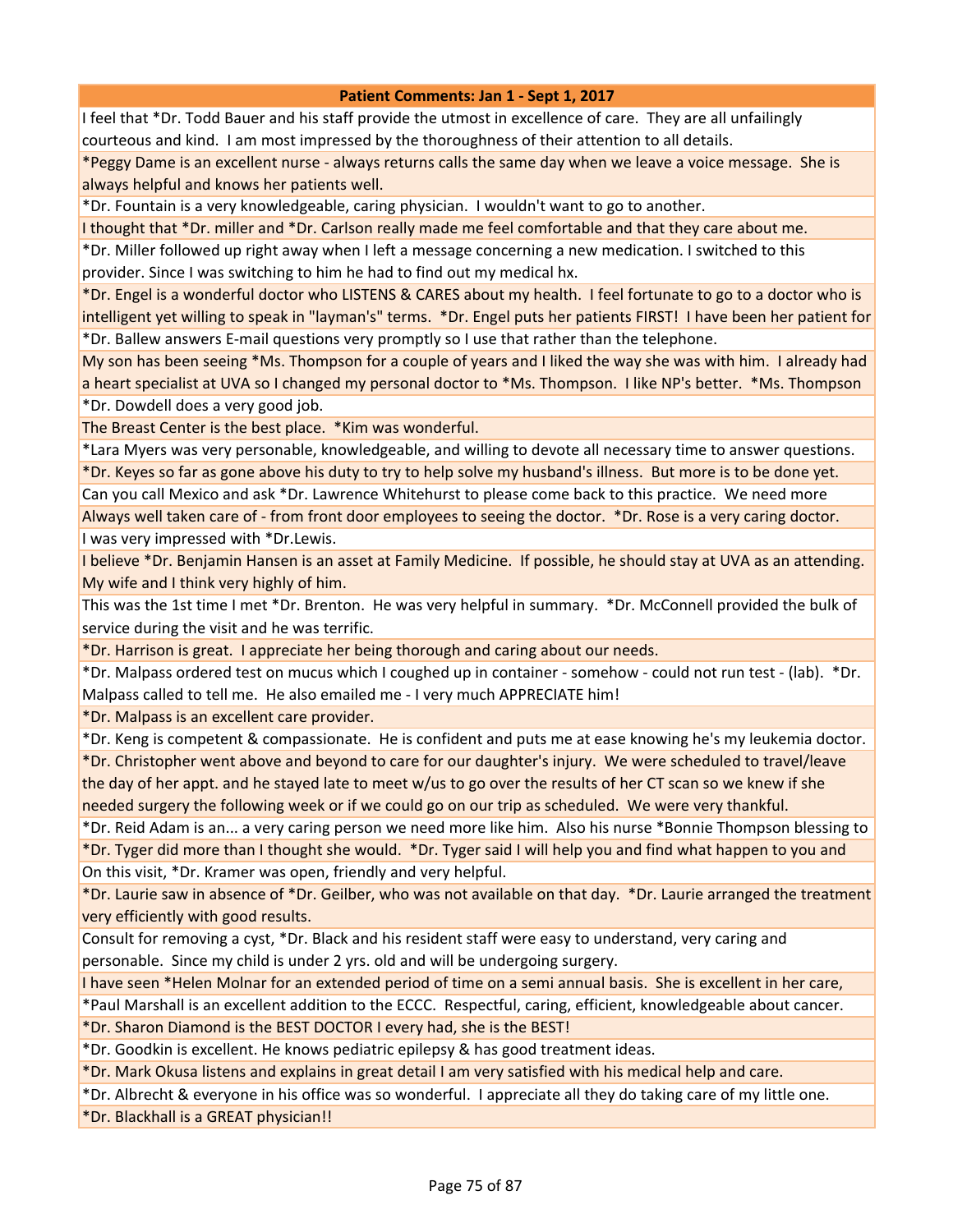I feel that \*Dr. Todd Bauer and his staff provide the utmost in excellence of care. They are all unfailingly courteous and kind. I am most impressed by the thoroughness of their attention to all details.

\*Peggy Dame is an excellent nurse - always returns calls the same day when we leave a voice message. She is always helpful and knows her patients well.

\*Dr. Fountain is a very knowledgeable, caring physician. I wouldn't want to go to another.

I thought that \*Dr. miller and \*Dr. Carlson really made me feel comfortable and that they care about me.

\*Dr. Miller followed up right away when I left a message concerning a new medication. I switched to this

provider. Since I was switching to him he had to find out my medical hx.

\*Dr. Engel is a wonderful doctor who LISTENS & CARES about my health. I feel fortunate to go to a doctor who is intelligent yet willing to speak in "layman's" terms. \*Dr. Engel puts her patients FIRST! I have been her patient for \*Dr. Ballew answers E-mail questions very promptly so I use that rather than the telephone.

My son has been seeing \*Ms. Thompson for a couple of years and I liked the way she was with him. I already had a heart specialist at UVA so I changed my personal doctor to \*Ms. Thompson. I like NP's better. \*Ms. Thompson \*Dr. Dowdell does a very good job.

The Breast Center is the best place. \*Kim was wonderful.

\*Lara Myers was very personable, knowledgeable, and willing to devote all necessary time to answer questions. \*Dr. Keyes so far as gone above his duty to try to help solve my husband's illness. But more is to be done yet.

Can you call Mexico and ask \*Dr. Lawrence Whitehurst to please come back to this practice. We need more Always well taken care of - from front door employees to seeing the doctor. \*Dr. Rose is a very caring doctor. I was very impressed with \*Dr.Lewis.

I believe \*Dr. Benjamin Hansen is an asset at Family Medicine. If possible, he should stay at UVA as an attending. My wife and I think very highly of him.

This was the 1st time I met \*Dr. Brenton. He was very helpful in summary. \*Dr. McConnell provided the bulk of service during the visit and he was terrific.

\*Dr. Harrison is great. I appreciate her being thorough and caring about our needs.

\*Dr. Malpass ordered test on mucus which I coughed up in container - somehow - could not run test - (lab). \*Dr. Malpass called to tell me. He also emailed me - I very much APPRECIATE him!

\*Dr. Malpass is an excellent care provider.

\*Dr. Keng is competent & compassionate. He is confident and puts me at ease knowing he's my leukemia doctor.

\*Dr. Christopher went above and beyond to care for our daughter's injury. We were scheduled to travel/leave the day of her appt. and he stayed late to meet w/us to go over the results of her CT scan so we knew if she needed surgery the following week or if we could go on our trip as scheduled. We were very thankful.

\*Dr. Reid Adam is an... a very caring person we need more like him. Also his nurse \*Bonnie Thompson blessing to \*Dr. Tyger did more than I thought she would. \*Dr. Tyger said I will help you and find what happen to you and On this visit, \*Dr. Kramer was open, friendly and very helpful.

\*Dr. Laurie saw in absence of \*Dr. Geilber, who was not available on that day. \*Dr. Laurie arranged the treatment very efficiently with good results.

Consult for removing a cyst, \*Dr. Black and his resident staff were easy to understand, very caring and personable. Since my child is under 2 yrs. old and will be undergoing surgery.

I have seen \*Helen Molnar for an extended period of time on a semi annual basis. She is excellent in her care,

\*Paul Marshall is an excellent addition to the ECCC. Respectful, caring, efficient, knowledgeable about cancer.

\*Dr. Sharon Diamond is the BEST DOCTOR I every had, she is the BEST!

\*Dr. Goodkin is excellent. He knows pediatric epilepsy & has good treatment ideas.

\*Dr. Mark Okusa listens and explains in great detail I am very satisfied with his medical help and care.

\*Dr. Albrecht & everyone in his office was so wonderful. I appreciate all they do taking care of my little one.

\*Dr. Blackhall is a GREAT physician!!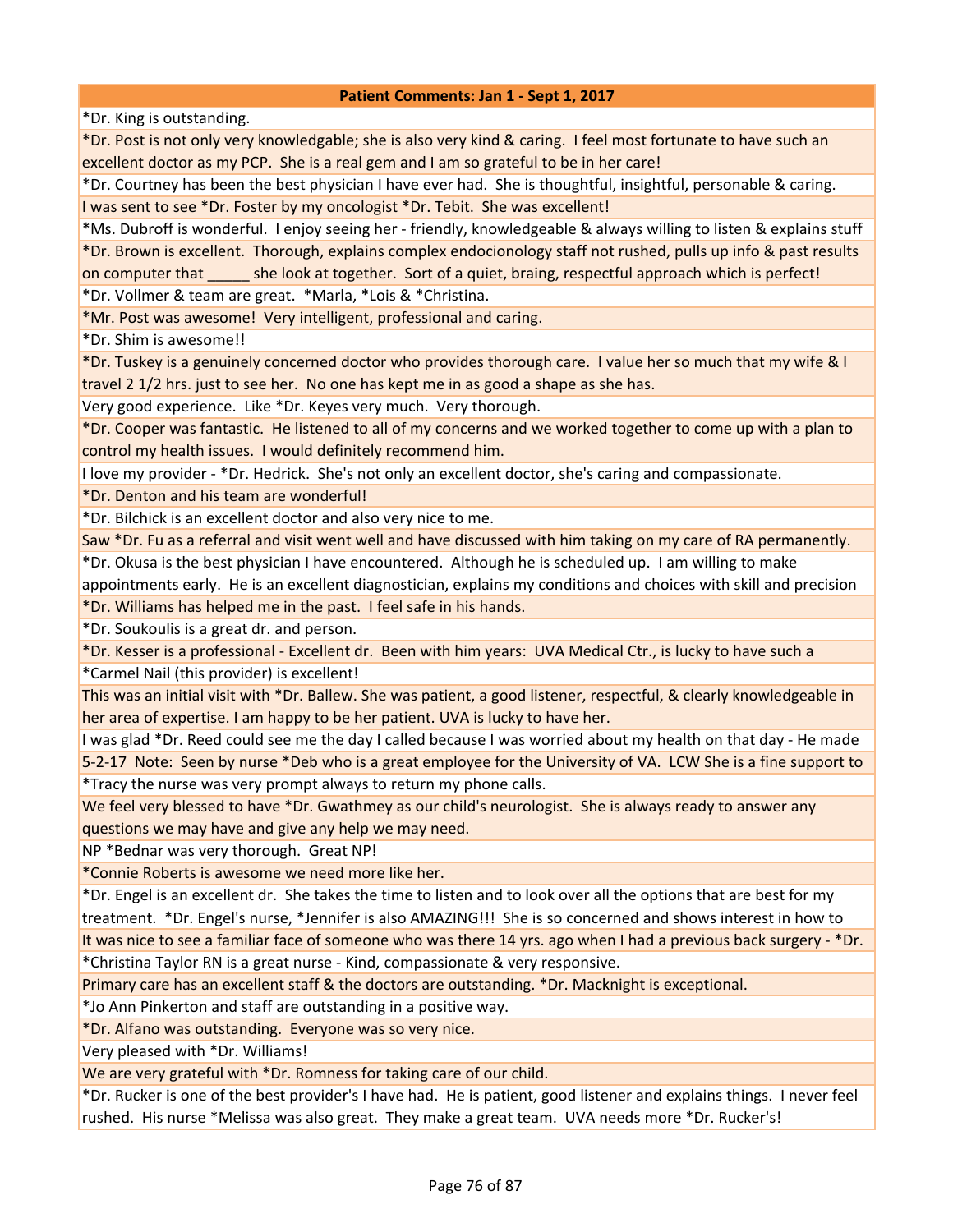\*Dr. King is outstanding.

\*Dr. Post is not only very knowledgable; she is also very kind & caring. I feel most fortunate to have such an excellent doctor as my PCP. She is a real gem and I am so grateful to be in her care!

\*Dr. Courtney has been the best physician I have ever had. She is thoughtful, insightful, personable & caring. I was sent to see \*Dr. Foster by my oncologist \*Dr. Tebit. She was excellent!

\*Ms. Dubroff is wonderful. I enjoy seeing her - friendly, knowledgeable & always willing to listen & explains stuff \*Dr. Brown is excellent. Thorough, explains complex endocionology staff not rushed, pulls up info & past results on computer that she look at together. Sort of a quiet, braing, respectful approach which is perfect!

\*Dr. Vollmer & team are great. \*Marla, \*Lois & \*Christina.

\*Mr. Post was awesome! Very intelligent, professional and caring.

\*Dr. Shim is awesome!!

\*Dr. Tuskey is a genuinely concerned doctor who provides thorough care. I value her so much that my wife & I travel 2 1/2 hrs. just to see her. No one has kept me in as good a shape as she has.

Very good experience. Like \*Dr. Keyes very much. Very thorough.

\*Dr. Cooper was fantastic. He listened to all of my concerns and we worked together to come up with a plan to control my health issues. I would definitely recommend him.

I love my provider - \*Dr. Hedrick. She's not only an excellent doctor, she's caring and compassionate.

\*Dr. Denton and his team are wonderful!

\*Dr. Bilchick is an excellent doctor and also very nice to me.

Saw \*Dr. Fu as a referral and visit went well and have discussed with him taking on my care of RA permanently.

\*Dr. Okusa is the best physician I have encountered. Although he is scheduled up. I am willing to make

appointments early. He is an excellent diagnostician, explains my conditions and choices with skill and precision \*Dr. Williams has helped me in the past. I feel safe in his hands.

\*Dr. Soukoulis is a great dr. and person.

\*Dr. Kesser is a professional - Excellent dr. Been with him years: UVA Medical Ctr., is lucky to have such a \*Carmel Nail (this provider) is excellent!

This was an initial visit with \*Dr. Ballew. She was patient, a good listener, respectful, & clearly knowledgeable in her area of expertise. I am happy to be her patient. UVA is lucky to have her.

I was glad \*Dr. Reed could see me the day I called because I was worried about my health on that day - He made 5-2-17 Note: Seen by nurse \*Deb who is a great employee for the University of VA. LCW She is a fine support to \*Tracy the nurse was very prompt always to return my phone calls.

We feel very blessed to have \*Dr. Gwathmey as our child's neurologist. She is always ready to answer any questions we may have and give any help we may need.

NP \*Bednar was very thorough. Great NP!

\*Connie Roberts is awesome we need more like her.

\*Dr. Engel is an excellent dr. She takes the time to listen and to look over all the options that are best for my treatment. \*Dr. Engel's nurse, \*Jennifer is also AMAZING!!! She is so concerned and shows interest in how to

It was nice to see a familiar face of someone who was there 14 yrs. ago when I had a previous back surgery - \*Dr. \*Christina Taylor RN is a great nurse - Kind, compassionate & very responsive.

Primary care has an excellent staff & the doctors are outstanding. \*Dr. Macknight is exceptional.

\*Jo Ann Pinkerton and staff are outstanding in a positive way.

\*Dr. Alfano was outstanding. Everyone was so very nice.

Very pleased with \*Dr. Williams!

We are very grateful with \*Dr. Romness for taking care of our child.

\*Dr. Rucker is one of the best provider's I have had. He is patient, good listener and explains things. I never feel rushed. His nurse \*Melissa was also great. They make a great team. UVA needs more \*Dr. Rucker's!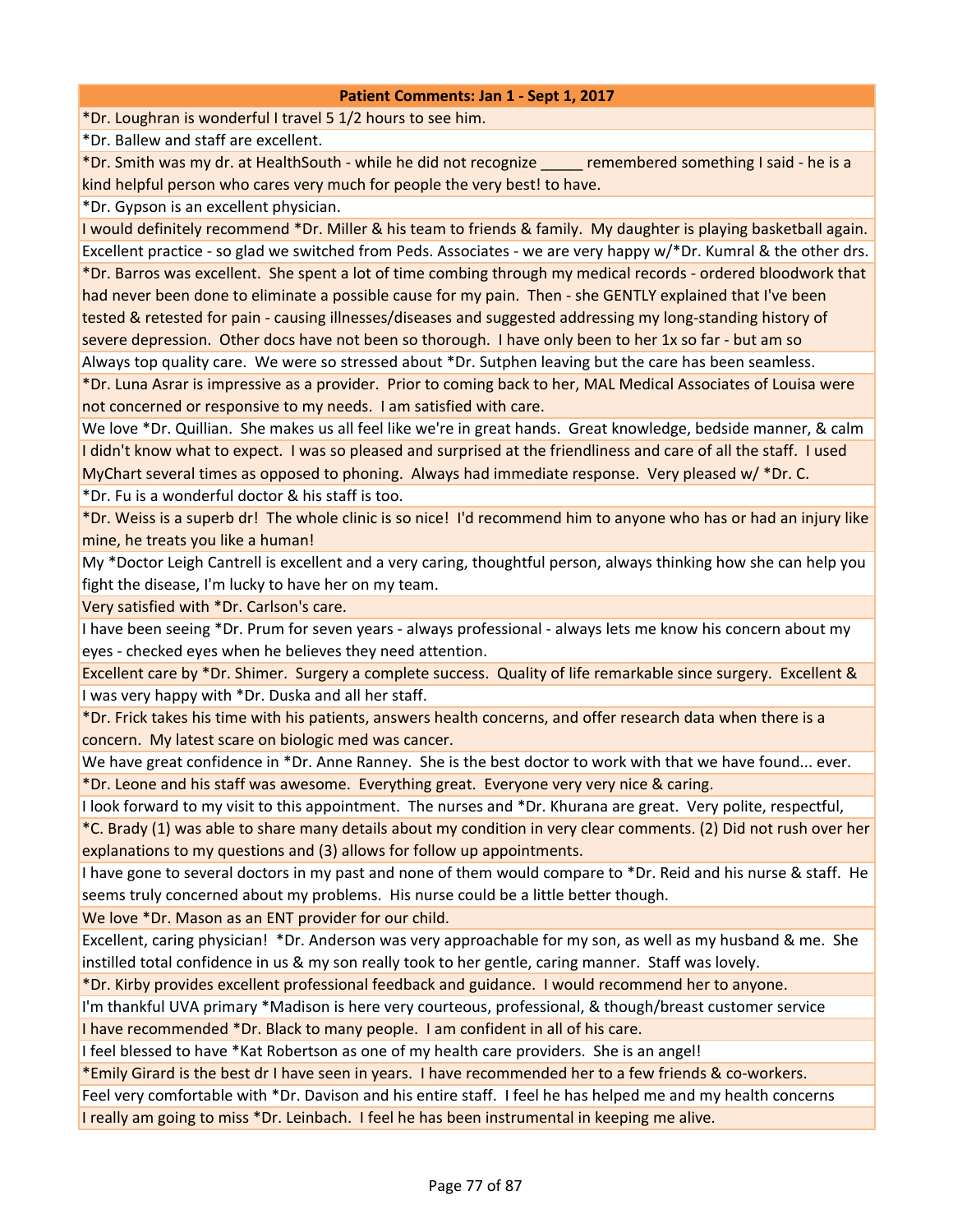\*Dr. Loughran is wonderful I travel 5 1/2 hours to see him.

\*Dr. Ballew and staff are excellent.

\*Dr. Smith was my dr. at HealthSouth - while he did not recognize \_\_\_\_\_ remembered something I said - he is a kind helpful person who cares very much for people the very best! to have.

\*Dr. Gypson is an excellent physician.

I would definitely recommend \*Dr. Miller & his team to friends & family. My daughter is playing basketball again. Excellent practice - so glad we switched from Peds. Associates - we are very happy w/\*Dr. Kumral & the other drs.

\*Dr. Barros was excellent. She spent a lot of time combing through my medical records - ordered bloodwork that had never been done to eliminate a possible cause for my pain. Then - she GENTLY explained that I've been tested & retested for pain - causing illnesses/diseases and suggested addressing my long-standing history of severe depression. Other docs have not been so thorough. I have only been to her 1x so far - but am so

Always top quality care. We were so stressed about \*Dr. Sutphen leaving but the care has been seamless.

\*Dr. Luna Asrar is impressive as a provider. Prior to coming back to her, MAL Medical Associates of Louisa were not concerned or responsive to my needs. I am satisfied with care.

We love \*Dr. Quillian. She makes us all feel like we're in great hands. Great knowledge, bedside manner, & calm I didn't know what to expect. I was so pleased and surprised at the friendliness and care of all the staff. I used MyChart several times as opposed to phoning. Always had immediate response. Very pleased w/ \*Dr. C.

\*Dr. Fu is a wonderful doctor & his staff is too.

\*Dr. Weiss is a superb dr! The whole clinic is so nice! I'd recommend him to anyone who has or had an injury like mine, he treats you like a human!

My \*Doctor Leigh Cantrell is excellent and a very caring, thoughtful person, always thinking how she can help you fight the disease, I'm lucky to have her on my team.

Very satisfied with \*Dr. Carlson's care.

I have been seeing \*Dr. Prum for seven years - always professional - always lets me know his concern about my eyes - checked eyes when he believes they need attention.

Excellent care by \*Dr. Shimer. Surgery a complete success. Quality of life remarkable since surgery. Excellent & I was very happy with \*Dr. Duska and all her staff.

\*Dr. Frick takes his time with his patients, answers health concerns, and offer research data when there is a concern. My latest scare on biologic med was cancer.

We have great confidence in \*Dr. Anne Ranney. She is the best doctor to work with that we have found... ever. \*Dr. Leone and his staff was awesome. Everything great. Everyone very very nice & caring.

I look forward to my visit to this appointment. The nurses and \*Dr. Khurana are great. Very polite, respectful,

\*C. Brady (1) was able to share many details about my condition in very clear comments. (2) Did not rush over her explanations to my questions and (3) allows for follow up appointments.

I have gone to several doctors in my past and none of them would compare to \*Dr. Reid and his nurse & staff. He seems truly concerned about my problems. His nurse could be a little better though.

We love \*Dr. Mason as an ENT provider for our child.

Excellent, caring physician! \*Dr. Anderson was very approachable for my son, as well as my husband & me. She instilled total confidence in us & my son really took to her gentle, caring manner. Staff was lovely.

\*Dr. Kirby provides excellent professional feedback and guidance. I would recommend her to anyone.

I'm thankful UVA primary \*Madison is here very courteous, professional, & though/breast customer service

I have recommended \*Dr. Black to many people. I am confident in all of his care.

I feel blessed to have \*Kat Robertson as one of my health care providers. She is an angel!

\*Emily Girard is the best dr I have seen in years. I have recommended her to a few friends & co-workers.

Feel very comfortable with \*Dr. Davison and his entire staff. I feel he has helped me and my health concerns

I really am going to miss \*Dr. Leinbach. I feel he has been instrumental in keeping me alive.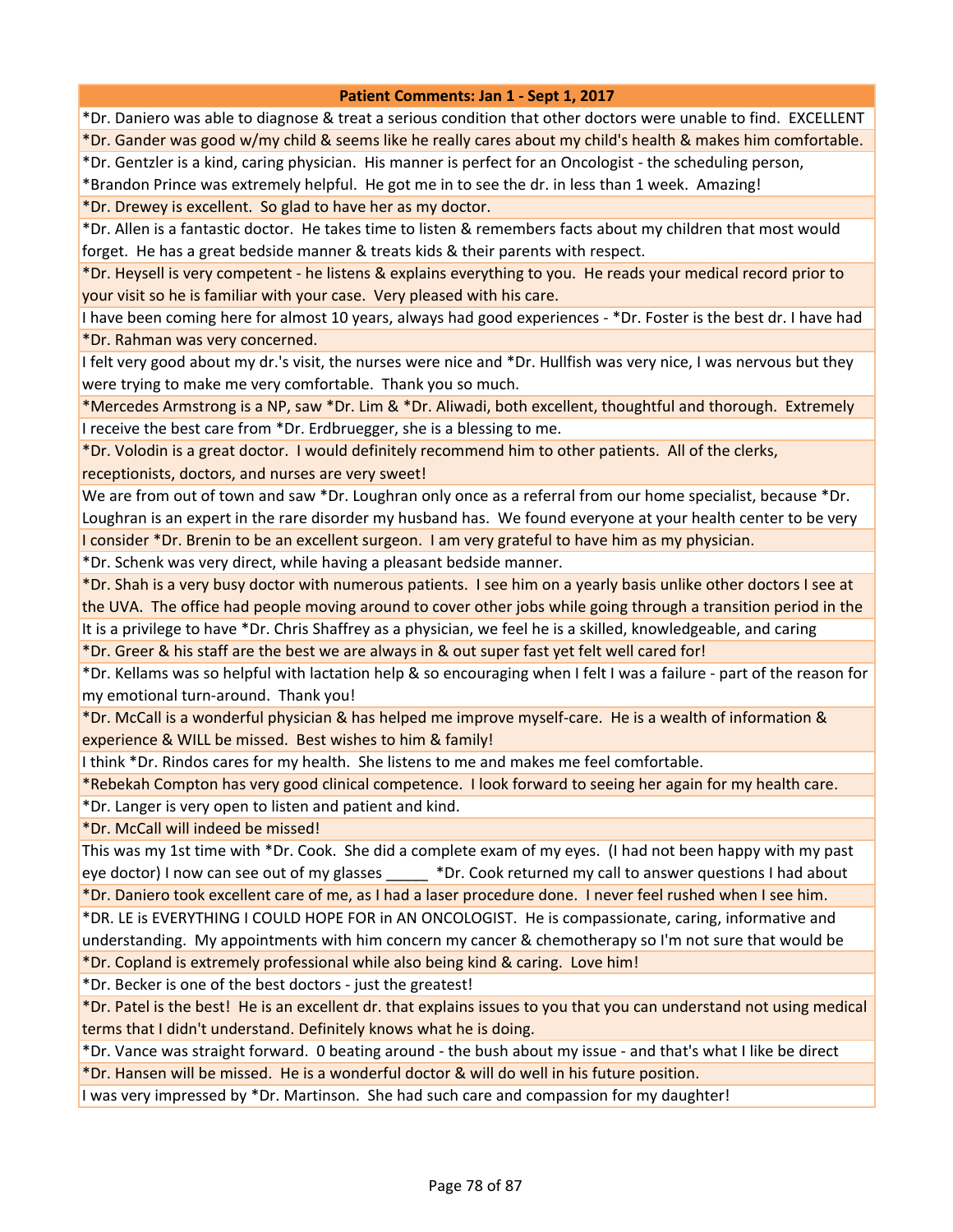\*Dr. Daniero was able to diagnose & treat a serious condition that other doctors were unable to find. EXCELLENT \*Dr. Gander was good w/my child & seems like he really cares about my child's health & makes him comfortable.

\*Dr. Gentzler is a kind, caring physician. His manner is perfect for an Oncologist - the scheduling person,

\*Brandon Prince was extremely helpful. He got me in to see the dr. in less than 1 week. Amazing!

\*Dr. Drewey is excellent. So glad to have her as my doctor.

\*Dr. Allen is a fantastic doctor. He takes time to listen & remembers facts about my children that most would forget. He has a great bedside manner & treats kids & their parents with respect.

\*Dr. Heysell is very competent - he listens & explains everything to you. He reads your medical record prior to your visit so he is familiar with your case. Very pleased with his care.

I have been coming here for almost 10 years, always had good experiences - \*Dr. Foster is the best dr. I have had \*Dr. Rahman was very concerned.

I felt very good about my dr.'s visit, the nurses were nice and \*Dr. Hullfish was very nice, I was nervous but they were trying to make me very comfortable. Thank you so much.

\*Mercedes Armstrong is a NP, saw \*Dr. Lim & \*Dr. Aliwadi, both excellent, thoughtful and thorough. Extremely I receive the best care from \*Dr. Erdbruegger, she is a blessing to me.

\*Dr. Volodin is a great doctor. I would definitely recommend him to other patients. All of the clerks, receptionists, doctors, and nurses are very sweet!

We are from out of town and saw \*Dr. Loughran only once as a referral from our home specialist, because \*Dr. Loughran is an expert in the rare disorder my husband has. We found everyone at your health center to be very

I consider \*Dr. Brenin to be an excellent surgeon. I am very grateful to have him as my physician.

\*Dr. Schenk was very direct, while having a pleasant bedside manner.

\*Dr. Shah is a very busy doctor with numerous patients. I see him on a yearly basis unlike other doctors I see at the UVA. The office had people moving around to cover other jobs while going through a transition period in the

It is a privilege to have \*Dr. Chris Shaffrey as a physician, we feel he is a skilled, knowledgeable, and caring

\*Dr. Greer & his staff are the best we are always in & out super fast yet felt well cared for!

\*Dr. Kellams was so helpful with lactation help & so encouraging when I felt I was a failure - part of the reason for my emotional turn-around. Thank you!

\*Dr. McCall is a wonderful physician & has helped me improve myself-care. He is a wealth of information & experience & WILL be missed. Best wishes to him & family!

I think \*Dr. Rindos cares for my health. She listens to me and makes me feel comfortable.

\*Rebekah Compton has very good clinical competence. I look forward to seeing her again for my health care.

\*Dr. Langer is very open to listen and patient and kind.

\*Dr. McCall will indeed be missed!

This was my 1st time with \*Dr. Cook. She did a complete exam of my eyes. (I had not been happy with my past eye doctor) I now can see out of my glasses  $\bullet$  \*Dr. Cook returned my call to answer questions I had about

\*Dr. Daniero took excellent care of me, as I had a laser procedure done. I never feel rushed when I see him. \*DR. LE is EVERYTHING I COULD HOPE FOR in AN ONCOLOGIST. He is compassionate, caring, informative and understanding. My appointments with him concern my cancer & chemotherapy so I'm not sure that would be

\*Dr. Copland is extremely professional while also being kind & caring. Love him!

\*Dr. Becker is one of the best doctors - just the greatest!

\*Dr. Patel is the best! He is an excellent dr. that explains issues to you that you can understand not using medical terms that I didn't understand. Definitely knows what he is doing.

\*Dr. Vance was straight forward. 0 beating around - the bush about my issue - and that's what I like be direct \*Dr. Hansen will be missed. He is a wonderful doctor & will do well in his future position.

I was very impressed by \*Dr. Martinson. She had such care and compassion for my daughter!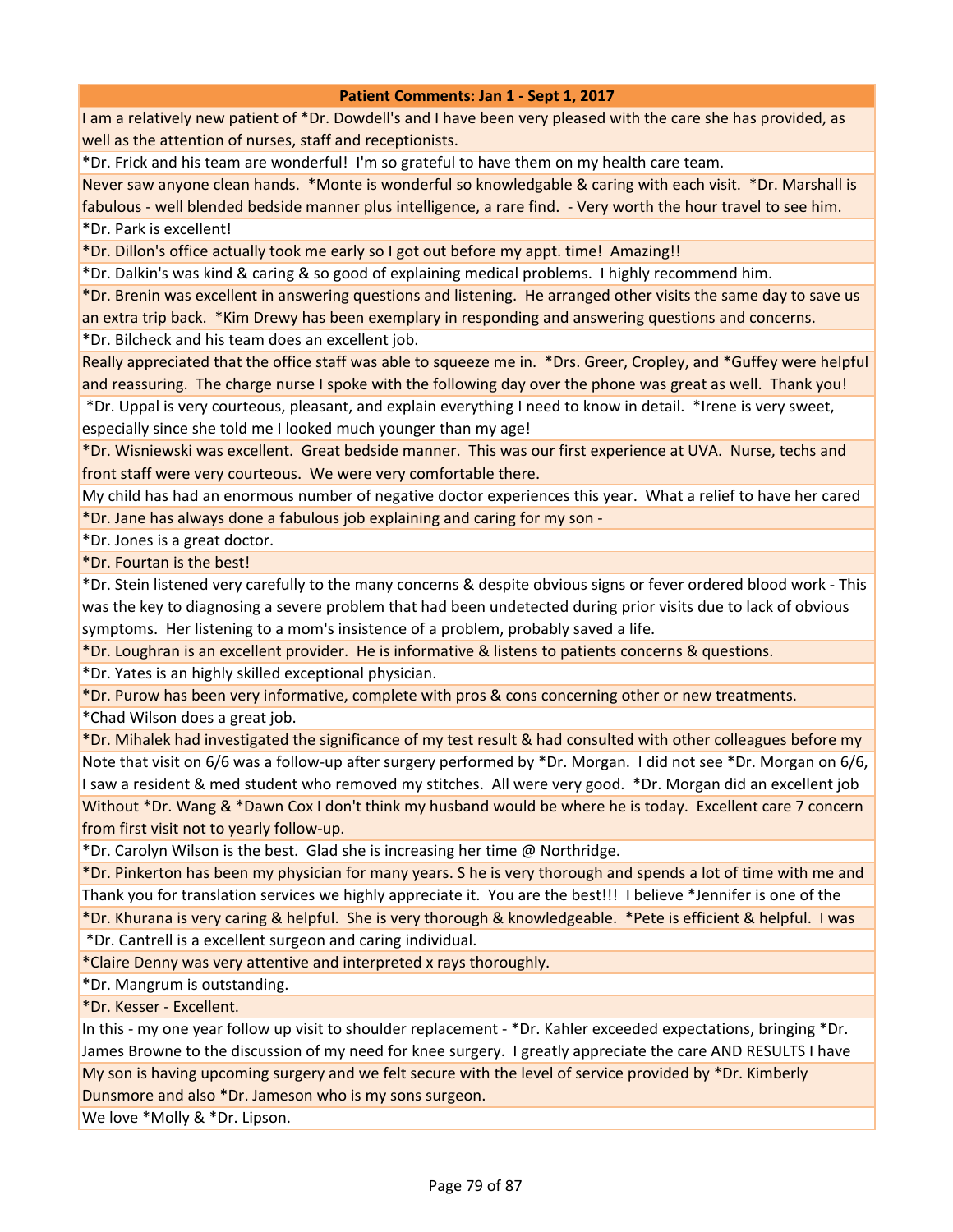I am a relatively new patient of \*Dr. Dowdell's and I have been very pleased with the care she has provided, as well as the attention of nurses, staff and receptionists.

\*Dr. Frick and his team are wonderful! I'm so grateful to have them on my health care team.

Never saw anyone clean hands. \*Monte is wonderful so knowledgable & caring with each visit. \*Dr. Marshall is fabulous - well blended bedside manner plus intelligence, a rare find. - Very worth the hour travel to see him. \*Dr. Park is excellent!

\*Dr. Dillon's office actually took me early so I got out before my appt. time! Amazing!!

\*Dr. Dalkin's was kind & caring & so good of explaining medical problems. I highly recommend him.

\*Dr. Brenin was excellent in answering questions and listening. He arranged other visits the same day to save us an extra trip back. \*Kim Drewy has been exemplary in responding and answering questions and concerns.

\*Dr. Bilcheck and his team does an excellent job.

Really appreciated that the office staff was able to squeeze me in. \*Drs. Greer, Cropley, and \*Guffey were helpful and reassuring. The charge nurse I spoke with the following day over the phone was great as well. Thank you! \*Dr. Uppal is very courteous, pleasant, and explain everything I need to know in detail. \*Irene is very sweet,

especially since she told me I looked much younger than my age!

\*Dr. Wisniewski was excellent. Great bedside manner. This was our first experience at UVA. Nurse, techs and front staff were very courteous. We were very comfortable there.

My child has had an enormous number of negative doctor experiences this year. What a relief to have her cared \*Dr. Jane has always done a fabulous job explaining and caring for my son -

\*Dr. Jones is a great doctor.

\*Dr. Fourtan is the best!

\*Dr. Stein listened very carefully to the many concerns & despite obvious signs or fever ordered blood work - This was the key to diagnosing a severe problem that had been undetected during prior visits due to lack of obvious symptoms. Her listening to a mom's insistence of a problem, probably saved a life.

\*Dr. Loughran is an excellent provider. He is informative & listens to patients concerns & questions.

\*Dr. Yates is an highly skilled exceptional physician.

\*Dr. Purow has been very informative, complete with pros & cons concerning other or new treatments. \*Chad Wilson does a great job.

\*Dr. Mihalek had investigated the significance of my test result & had consulted with other colleagues before my Note that visit on 6/6 was a follow-up after surgery performed by \*Dr. Morgan. I did not see \*Dr. Morgan on 6/6, I saw a resident & med student who removed my stitches. All were very good. \*Dr. Morgan did an excellent job Without \*Dr. Wang & \*Dawn Cox I don't think my husband would be where he is today. Excellent care 7 concern from first visit not to yearly follow-up.

\*Dr. Carolyn Wilson is the best. Glad she is increasing her time @ Northridge.

\*Dr. Pinkerton has been my physician for many years. S he is very thorough and spends a lot of time with me and Thank you for translation services we highly appreciate it. You are the best!!! I believe \*Jennifer is one of the \*Dr. Khurana is very caring & helpful. She is very thorough & knowledgeable. \*Pete is efficient & helpful. I was

\*Dr. Cantrell is a excellent surgeon and caring individual.

\*Claire Denny was very attentive and interpreted x rays thoroughly.

\*Dr. Mangrum is outstanding.

\*Dr. Kesser - Excellent.

In this - my one year follow up visit to shoulder replacement - \*Dr. Kahler exceeded expectations, bringing \*Dr. James Browne to the discussion of my need for knee surgery. I greatly appreciate the care AND RESULTS I have My son is having upcoming surgery and we felt secure with the level of service provided by \*Dr. Kimberly Dunsmore and also \*Dr. Jameson who is my sons surgeon.

We love \*Molly & \*Dr. Lipson.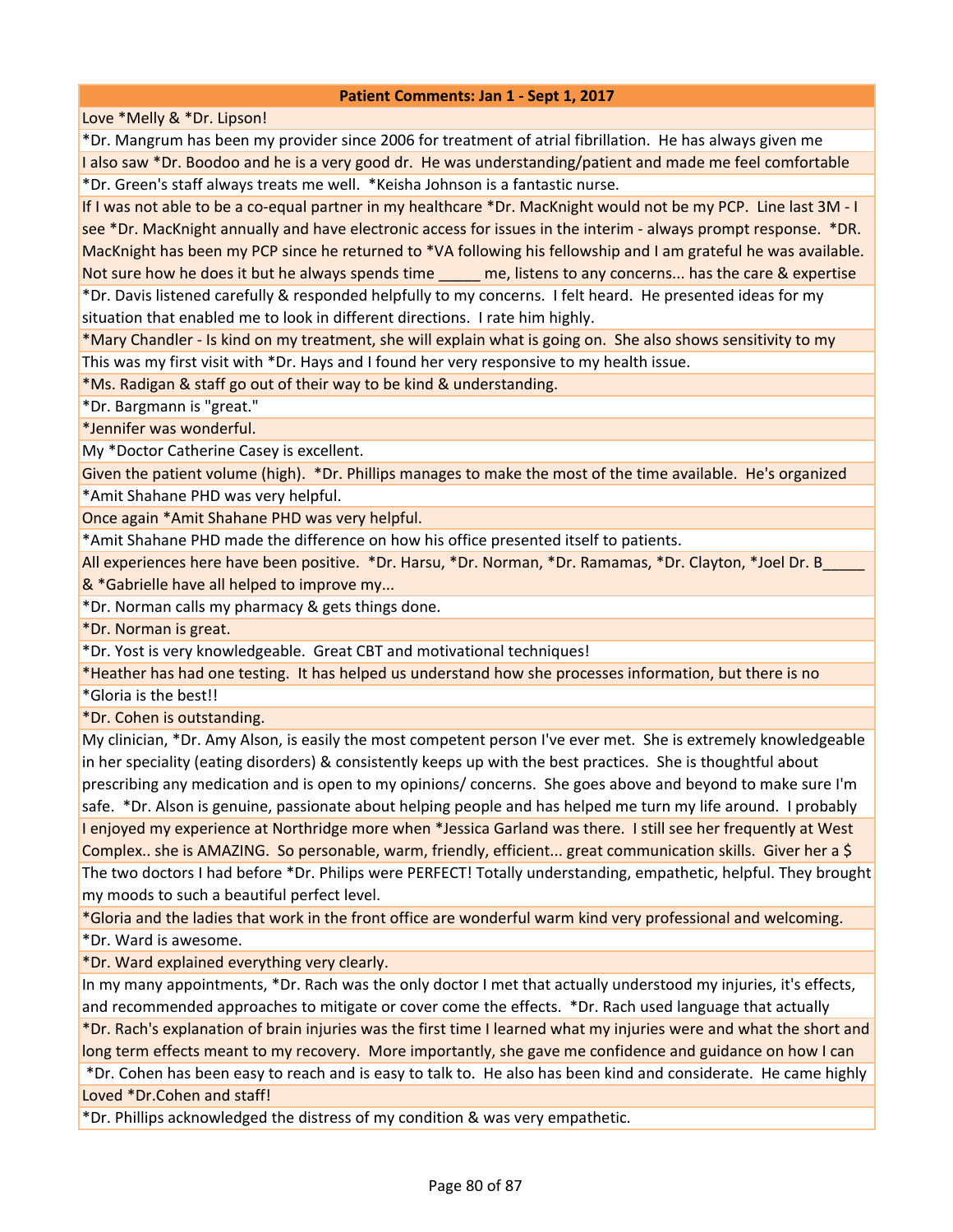Love \*Melly & \*Dr. Lipson!

\*Dr. Mangrum has been my provider since 2006 for treatment of atrial fibrillation. He has always given me I also saw \*Dr. Boodoo and he is a very good dr. He was understanding/patient and made me feel comfortable \*Dr. Green's staff always treats me well. \*Keisha Johnson is a fantastic nurse.

If I was not able to be a co-equal partner in my healthcare \*Dr. MacKnight would not be my PCP. Line last 3M - I see \*Dr. MacKnight annually and have electronic access for issues in the interim - always prompt response. \*DR. MacKnight has been my PCP since he returned to \*VA following his fellowship and I am grateful he was available. Not sure how he does it but he always spends time all me, listens to any concerns... has the care & expertise \*Dr. Davis listened carefully & responded helpfully to my concerns. I felt heard. He presented ideas for my

situation that enabled me to look in different directions. I rate him highly.

\*Mary Chandler - Is kind on my treatment, she will explain what is going on. She also shows sensitivity to my This was my first visit with \*Dr. Hays and I found her very responsive to my health issue.

\*Ms. Radigan & staff go out of their way to be kind & understanding.

\*Dr. Bargmann is "great."

\*Jennifer was wonderful.

My \*Doctor Catherine Casey is excellent.

Given the patient volume (high). \*Dr. Phillips manages to make the most of the time available. He's organized \*Amit Shahane PHD was very helpful.

Once again \*Amit Shahane PHD was very helpful.

\*Amit Shahane PHD made the difference on how his office presented itself to patients.

All experiences here have been positive. \*Dr. Harsu, \*Dr. Norman, \*Dr. Ramamas, \*Dr. Clayton, \*Joel Dr. B\_ & \*Gabrielle have all helped to improve my...

\*Dr. Norman calls my pharmacy & gets things done.

\*Dr. Norman is great.

\*Dr. Yost is very knowledgeable. Great CBT and motivational techniques!

\*Heather has had one testing. It has helped us understand how she processes information, but there is no

\*Gloria is the best!!

\*Dr. Cohen is outstanding.

My clinician, \*Dr. Amy Alson, is easily the most competent person I've ever met. She is extremely knowledgeable in her speciality (eating disorders) & consistently keeps up with the best practices. She is thoughtful about prescribing any medication and is open to my opinions/ concerns. She goes above and beyond to make sure I'm safe. \*Dr. Alson is genuine, passionate about helping people and has helped me turn my life around. I probably I enjoyed my experience at Northridge more when \*Jessica Garland was there. I still see her frequently at West Complex.. she is AMAZING. So personable, warm, friendly, efficient... great communication skills. Giver her a \$ The two doctors I had before \*Dr. Philips were PERFECT! Totally understanding, empathetic, helpful. They brought my moods to such a beautiful perfect level.

\*Gloria and the ladies that work in the front office are wonderful warm kind very professional and welcoming.

\*Dr. Ward is awesome.

\*Dr. Ward explained everything very clearly.

In my many appointments, \*Dr. Rach was the only doctor I met that actually understood my injuries, it's effects, and recommended approaches to mitigate or cover come the effects. \*Dr. Rach used language that actually \*Dr. Rach's explanation of brain injuries was the first time I learned what my injuries were and what the short and long term effects meant to my recovery. More importantly, she gave me confidence and guidance on how I can \*Dr. Cohen has been easy to reach and is easy to talk to. He also has been kind and considerate. He came highly

Loved \*Dr.Cohen and staff!

\*Dr. Phillips acknowledged the distress of my condition & was very empathetic.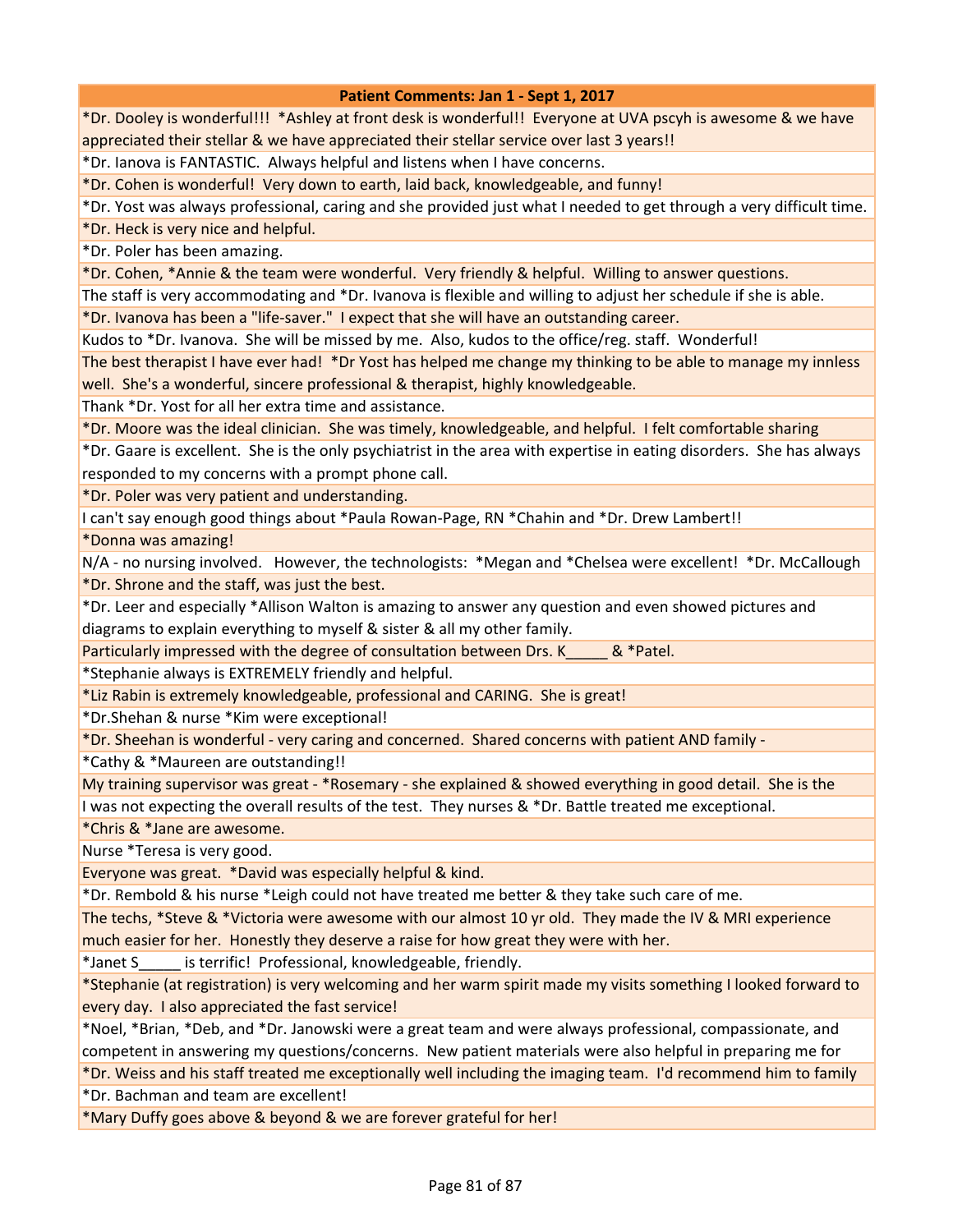\*Dr. Dooley is wonderful!!! \*Ashley at front desk is wonderful!! Everyone at UVA pscyh is awesome & we have appreciated their stellar & we have appreciated their stellar service over last 3 years!!

\*Dr. Ianova is FANTASTIC. Always helpful and listens when I have concerns.

\*Dr. Cohen is wonderful! Very down to earth, laid back, knowledgeable, and funny!

\*Dr. Yost was always professional, caring and she provided just what I needed to get through a very difficult time.

\*Dr. Heck is very nice and helpful.

\*Dr. Poler has been amazing.

\*Dr. Cohen, \*Annie & the team were wonderful. Very friendly & helpful. Willing to answer questions.

The staff is very accommodating and \*Dr. Ivanova is flexible and willing to adjust her schedule if she is able.

\*Dr. Ivanova has been a "life-saver." I expect that she will have an outstanding career.

Kudos to \*Dr. Ivanova. She will be missed by me. Also, kudos to the office/reg. staff. Wonderful!

The best therapist I have ever had! \*Dr Yost has helped me change my thinking to be able to manage my innless well. She's a wonderful, sincere professional & therapist, highly knowledgeable.

Thank \*Dr. Yost for all her extra time and assistance.

\*Dr. Moore was the ideal clinician. She was timely, knowledgeable, and helpful. I felt comfortable sharing

\*Dr. Gaare is excellent. She is the only psychiatrist in the area with expertise in eating disorders. She has always responded to my concerns with a prompt phone call.

\*Dr. Poler was very patient and understanding.

I can't say enough good things about \*Paula Rowan-Page, RN \*Chahin and \*Dr. Drew Lambert!!

\*Donna was amazing!

N/A - no nursing involved. However, the technologists: \*Megan and \*Chelsea were excellent! \*Dr. McCallough \*Dr. Shrone and the staff, was just the best.

\*Dr. Leer and especially \*Allison Walton is amazing to answer any question and even showed pictures and diagrams to explain everything to myself & sister & all my other family.

Particularly impressed with the degree of consultation between Drs. K  $\&$  \*Patel.

\*Stephanie always is EXTREMELY friendly and helpful.

\*Liz Rabin is extremely knowledgeable, professional and CARING. She is great!

\*Dr.Shehan & nurse \*Kim were exceptional!

\*Dr. Sheehan is wonderful - very caring and concerned. Shared concerns with patient AND family -

\*Cathy & \*Maureen are outstanding!!

My training supervisor was great - \*Rosemary - she explained & showed everything in good detail. She is the I was not expecting the overall results of the test. They nurses & \*Dr. Battle treated me exceptional.

\*Chris & \*Jane are awesome.

Nurse \*Teresa is very good.

Everyone was great. \*David was especially helpful & kind.

\*Dr. Rembold & his nurse \*Leigh could not have treated me better & they take such care of me.

The techs, \*Steve & \*Victoria were awesome with our almost 10 yr old. They made the IV & MRI experience much easier for her. Honestly they deserve a raise for how great they were with her.

\*Janet S\_\_\_\_\_ is terrific! Professional, knowledgeable, friendly.

\*Stephanie (at registration) is very welcoming and her warm spirit made my visits something I looked forward to every day. I also appreciated the fast service!

\*Noel, \*Brian, \*Deb, and \*Dr. Janowski were a great team and were always professional, compassionate, and competent in answering my questions/concerns. New patient materials were also helpful in preparing me for

\*Dr. Weiss and his staff treated me exceptionally well including the imaging team. I'd recommend him to family \*Dr. Bachman and team are excellent!

\*Mary Duffy goes above & beyond & we are forever grateful for her!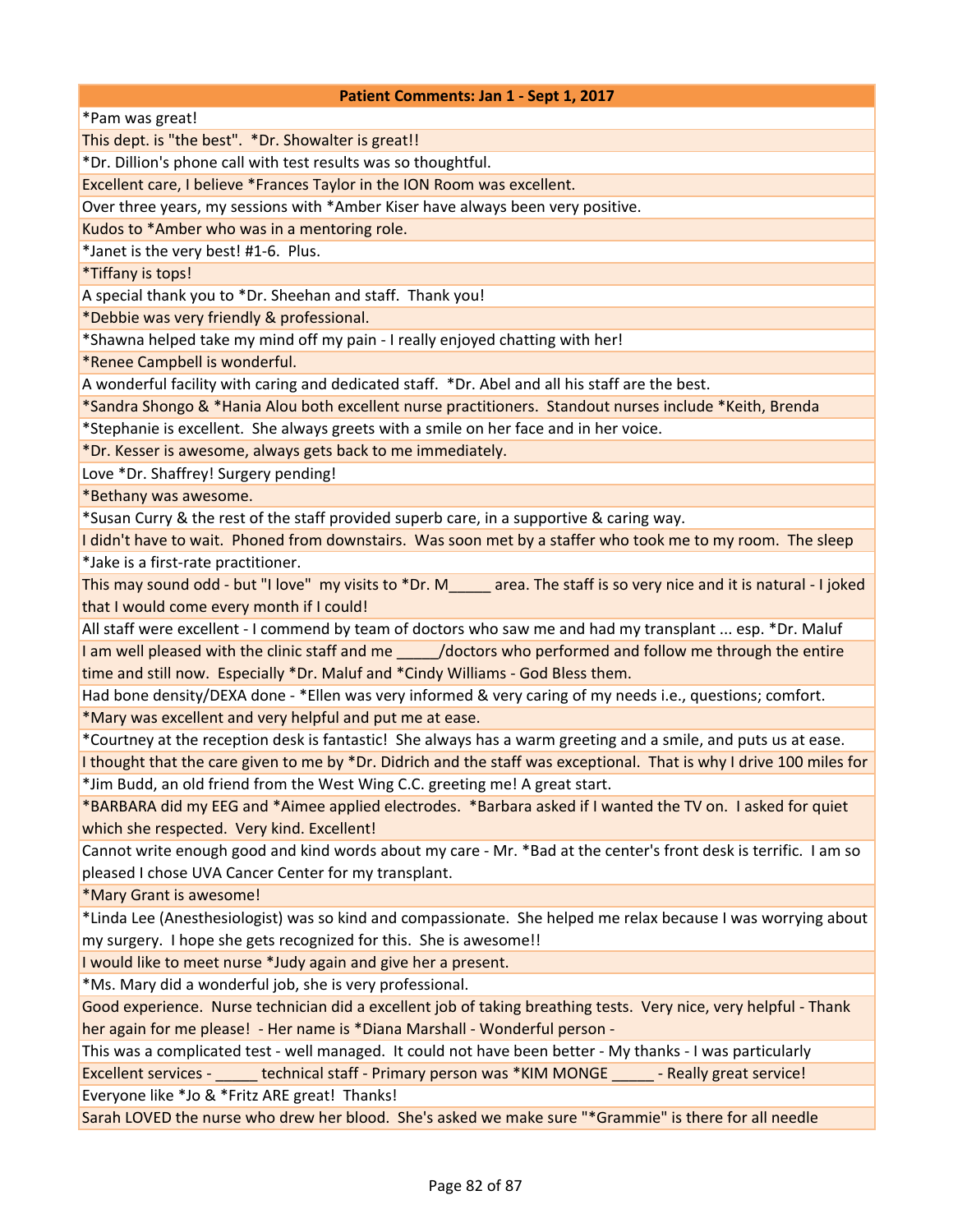\*Pam was great!

This dept. is "the best". \*Dr. Showalter is great!!

\*Dr. Dillion's phone call with test results was so thoughtful.

Excellent care, I believe \*Frances Taylor in the ION Room was excellent.

Over three years, my sessions with \*Amber Kiser have always been very positive.

Kudos to \*Amber who was in a mentoring role.

\*Janet is the very best! #1-6. Plus.

\*Tiffany is tops!

A special thank you to \*Dr. Sheehan and staff. Thank you!

\*Debbie was very friendly & professional.

\*Shawna helped take my mind off my pain - I really enjoyed chatting with her!

\*Renee Campbell is wonderful.

A wonderful facility with caring and dedicated staff. \*Dr. Abel and all his staff are the best.

\*Sandra Shongo & \*Hania Alou both excellent nurse practitioners. Standout nurses include \*Keith, Brenda

\*Stephanie is excellent. She always greets with a smile on her face and in her voice.

\*Dr. Kesser is awesome, always gets back to me immediately.

Love \*Dr. Shaffrey! Surgery pending!

\*Bethany was awesome.

\*Susan Curry & the rest of the staff provided superb care, in a supportive & caring way.

I didn't have to wait. Phoned from downstairs. Was soon met by a staffer who took me to my room. The sleep

\*Jake is a first-rate practitioner.

This may sound odd - but "I love" my visits to \*Dr. M\_\_\_\_\_ area. The staff is so very nice and it is natural - I joked that I would come every month if I could!

All staff were excellent - I commend by team of doctors who saw me and had my transplant ... esp. \*Dr. Maluf I am well pleased with the clinic staff and me  $\frac{1}{2}$  /doctors who performed and follow me through the entire time and still now. Especially \*Dr. Maluf and \*Cindy Williams - God Bless them.

Had bone density/DEXA done - \*Ellen was very informed & very caring of my needs i.e., questions; comfort. \*Mary was excellent and very helpful and put me at ease.

\*Courtney at the reception desk is fantastic! She always has a warm greeting and a smile, and puts us at ease. I thought that the care given to me by \*Dr. Didrich and the staff was exceptional. That is why I drive 100 miles for \*Jim Budd, an old friend from the West Wing C.C. greeting me! A great start.

\*BARBARA did my EEG and \*Aimee applied electrodes. \*Barbara asked if I wanted the TV on. I asked for quiet which she respected. Very kind. Excellent!

Cannot write enough good and kind words about my care - Mr. \*Bad at the center's front desk is terrific. I am so pleased I chose UVA Cancer Center for my transplant.

\*Mary Grant is awesome!

\*Linda Lee (Anesthesiologist) was so kind and compassionate. She helped me relax because I was worrying about my surgery. I hope she gets recognized for this. She is awesome!!

I would like to meet nurse \*Judy again and give her a present.

\*Ms. Mary did a wonderful job, she is very professional.

Good experience. Nurse technician did a excellent job of taking breathing tests. Very nice, very helpful - Thank her again for me please! - Her name is \*Diana Marshall - Wonderful person -

This was a complicated test - well managed. It could not have been better - My thanks - I was particularly Excellent services - \_\_\_\_\_ technical staff - Primary person was \*KIM MONGE \_\_\_\_\_ - Really great service!

Everyone like \*Jo & \*Fritz ARE great! Thanks!

Sarah LOVED the nurse who drew her blood. She's asked we make sure "\*Grammie" is there for all needle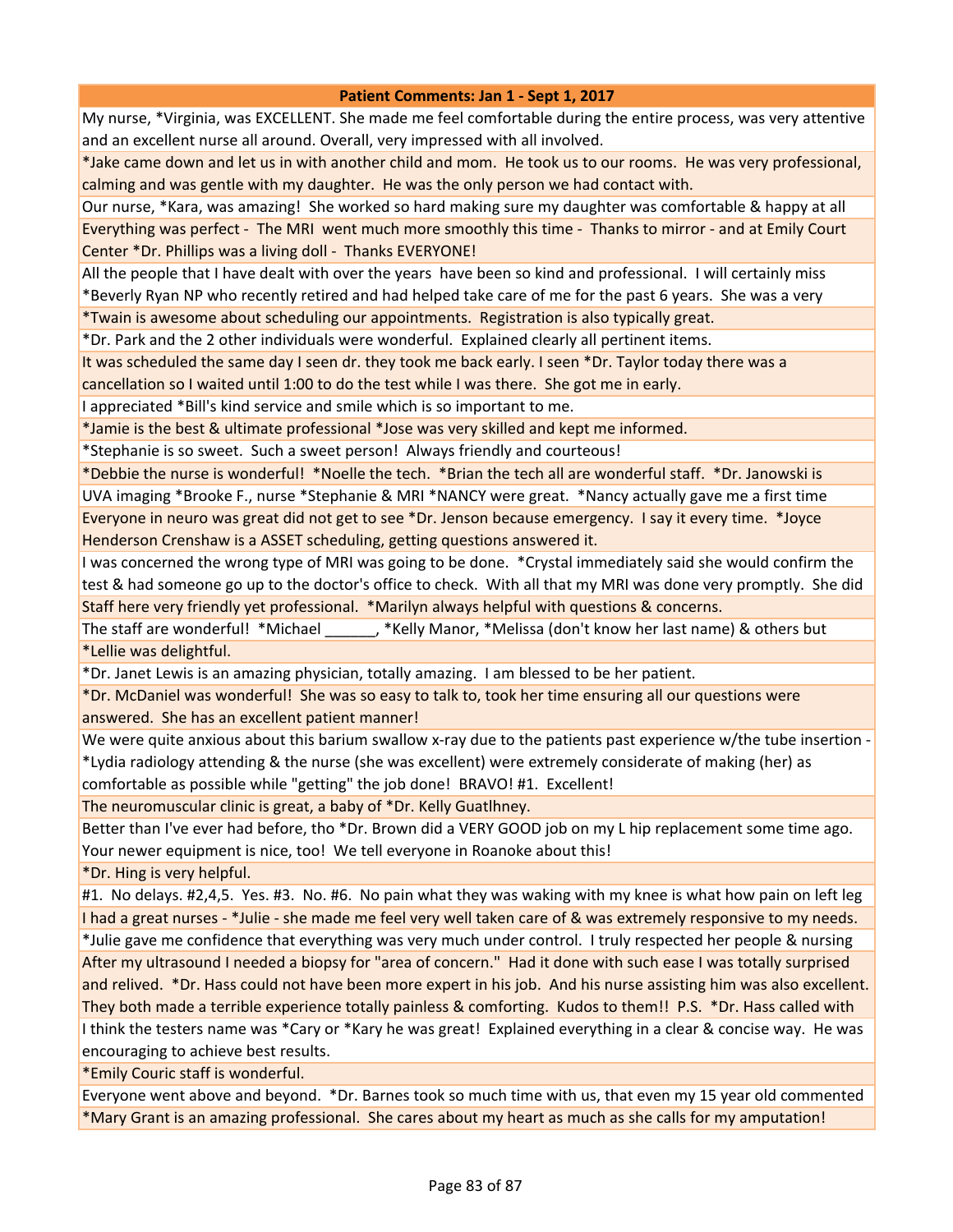My nurse, \*Virginia, was EXCELLENT. She made me feel comfortable during the entire process, was very attentive and an excellent nurse all around. Overall, very impressed with all involved.

\*Jake came down and let us in with another child and mom. He took us to our rooms. He was very professional, calming and was gentle with my daughter. He was the only person we had contact with.

Our nurse, \*Kara, was amazing! She worked so hard making sure my daughter was comfortable & happy at all Everything was perfect - The MRI went much more smoothly this time - Thanks to mirror - and at Emily Court Center \*Dr. Phillips was a living doll - Thanks EVERYONE!

All the people that I have dealt with over the years have been so kind and professional. I will certainly miss \*Beverly Ryan NP who recently retired and had helped take care of me for the past 6 years. She was a very

\*Twain is awesome about scheduling our appointments. Registration is also typically great.

\*Dr. Park and the 2 other individuals were wonderful. Explained clearly all pertinent items.

It was scheduled the same day I seen dr. they took me back early. I seen \*Dr. Taylor today there was a

cancellation so I waited until 1:00 to do the test while I was there. She got me in early.

I appreciated \*Bill's kind service and smile which is so important to me.

\*Jamie is the best & ultimate professional \*Jose was very skilled and kept me informed.

\*Stephanie is so sweet. Such a sweet person! Always friendly and courteous!

\*Debbie the nurse is wonderful! \*Noelle the tech. \*Brian the tech all are wonderful staff. \*Dr. Janowski is UVA imaging \*Brooke F., nurse \*Stephanie & MRI \*NANCY were great. \*Nancy actually gave me a first time Everyone in neuro was great did not get to see \*Dr. Jenson because emergency. I say it every time. \*Joyce Henderson Crenshaw is a ASSET scheduling, getting questions answered it.

I was concerned the wrong type of MRI was going to be done. \*Crystal immediately said she would confirm the test & had someone go up to the doctor's office to check. With all that my MRI was done very promptly. She did Staff here very friendly yet professional. \*Marilyn always helpful with questions & concerns.

The staff are wonderful! \*Michael \_\_\_\_\_\_, \*Kelly Manor, \*Melissa (don't know her last name) & others but \*Lellie was delightful.

\*Dr. Janet Lewis is an amazing physician, totally amazing. I am blessed to be her patient.

\*Dr. McDaniel was wonderful! She was so easy to talk to, took her time ensuring all our questions were answered. She has an excellent patient manner!

We were quite anxious about this barium swallow x-ray due to the patients past experience w/the tube insertion -\*Lydia radiology attending & the nurse (she was excellent) were extremely considerate of making (her) as comfortable as possible while "getting" the job done! BRAVO! #1. Excellent!

The neuromuscular clinic is great, a baby of \*Dr. Kelly Guatlhney.

Better than I've ever had before, tho \*Dr. Brown did a VERY GOOD job on my L hip replacement some time ago. Your newer equipment is nice, too! We tell everyone in Roanoke about this!

\*Dr. Hing is very helpful.

#1. No delays. #2,4,5. Yes. #3. No. #6. No pain what they was waking with my knee is what how pain on left leg I had a great nurses - \*Julie - she made me feel very well taken care of & was extremely responsive to my needs. \*Julie gave me confidence that everything was very much under control. I truly respected her people & nursing After my ultrasound I needed a biopsy for "area of concern." Had it done with such ease I was totally surprised and relived. \*Dr. Hass could not have been more expert in his job. And his nurse assisting him was also excellent. They both made a terrible experience totally painless & comforting. Kudos to them!! P.S. \*Dr. Hass called with I think the testers name was \*Cary or \*Kary he was great! Explained everything in a clear & concise way. He was encouraging to achieve best results.

\*Emily Couric staff is wonderful.

Everyone went above and beyond. \*Dr. Barnes took so much time with us, that even my 15 year old commented \*Mary Grant is an amazing professional. She cares about my heart as much as she calls for my amputation!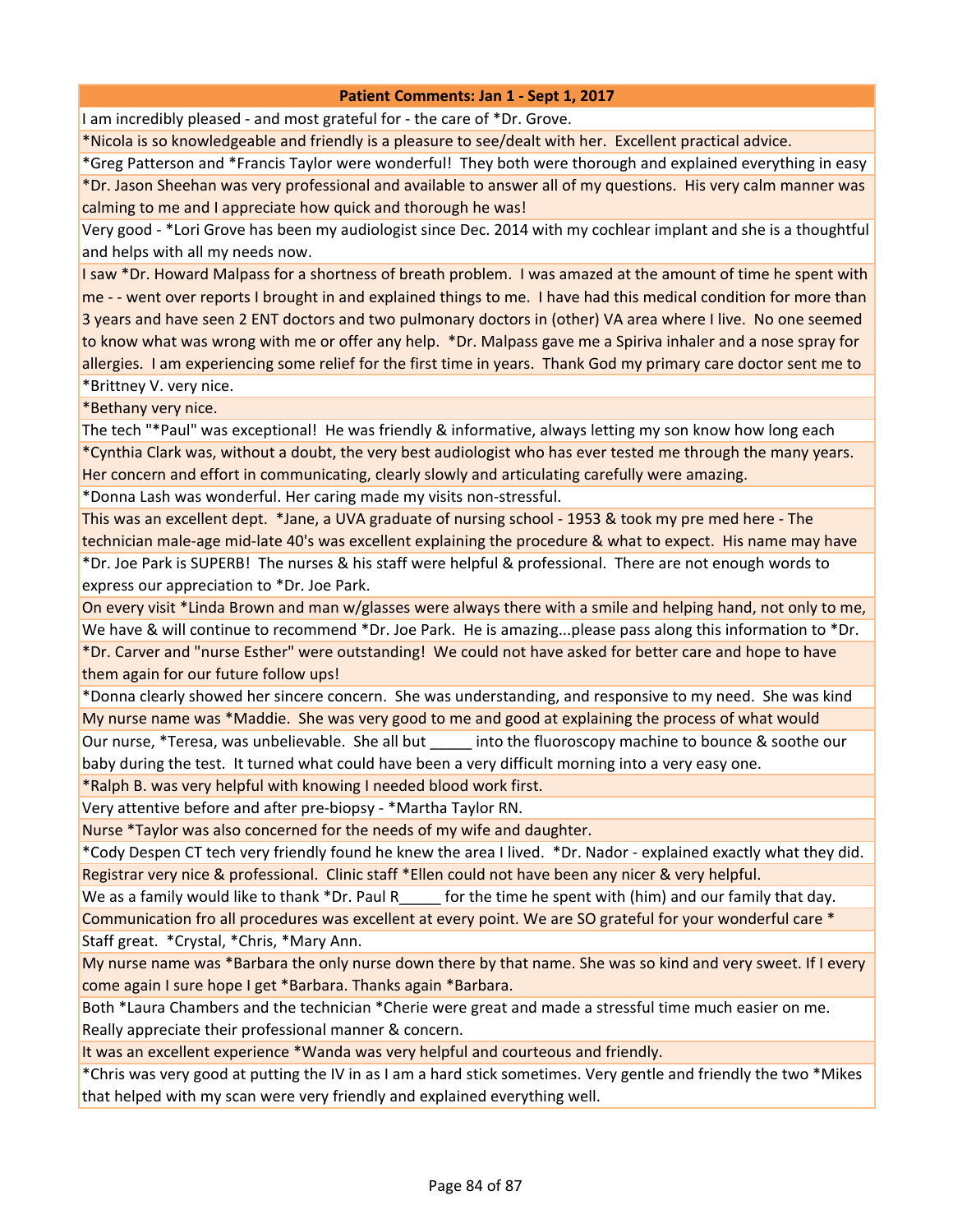I am incredibly pleased - and most grateful for - the care of \*Dr. Grove.

\*Nicola is so knowledgeable and friendly is a pleasure to see/dealt with her. Excellent practical advice.

\*Greg Patterson and \*Francis Taylor were wonderful! They both were thorough and explained everything in easy

\*Dr. Jason Sheehan was very professional and available to answer all of my questions. His very calm manner was calming to me and I appreciate how quick and thorough he was!

Very good - \*Lori Grove has been my audiologist since Dec. 2014 with my cochlear implant and she is a thoughtful and helps with all my needs now.

I saw \*Dr. Howard Malpass for a shortness of breath problem. I was amazed at the amount of time he spent with me - - went over reports I brought in and explained things to me. I have had this medical condition for more than 3 years and have seen 2 ENT doctors and two pulmonary doctors in (other) VA area where I live. No one seemed to know what was wrong with me or offer any help. \*Dr. Malpass gave me a Spiriva inhaler and a nose spray for allergies. I am experiencing some relief for the first time in years. Thank God my primary care doctor sent me to

\*Brittney V. very nice.

\*Bethany very nice.

The tech "\*Paul" was exceptional! He was friendly & informative, always letting my son know how long each \*Cynthia Clark was, without a doubt, the very best audiologist who has ever tested me through the many years.

Her concern and effort in communicating, clearly slowly and articulating carefully were amazing.

\*Donna Lash was wonderful. Her caring made my visits non-stressful.

This was an excellent dept. \*Jane, a UVA graduate of nursing school - 1953 & took my pre med here - The technician male-age mid-late 40's was excellent explaining the procedure & what to expect. His name may have

\*Dr. Joe Park is SUPERB! The nurses & his staff were helpful & professional. There are not enough words to express our appreciation to \*Dr. Joe Park.

On every visit \*Linda Brown and man w/glasses were always there with a smile and helping hand, not only to me, We have & will continue to recommend \*Dr. Joe Park. He is amazing...please pass along this information to \*Dr.

\*Dr. Carver and "nurse Esther" were outstanding! We could not have asked for better care and hope to have them again for our future follow ups!

\*Donna clearly showed her sincere concern. She was understanding, and responsive to my need. She was kind My nurse name was \*Maddie. She was very good to me and good at explaining the process of what would Our nurse, \*Teresa, was unbelievable. She all but \_\_\_\_\_ into the fluoroscopy machine to bounce & soothe our baby during the test. It turned what could have been a very difficult morning into a very easy one.

\*Ralph B. was very helpful with knowing I needed blood work first.

Very attentive before and after pre-biopsy - \*Martha Taylor RN.

Nurse \*Taylor was also concerned for the needs of my wife and daughter.

\*Cody Despen CT tech very friendly found he knew the area I lived. \*Dr. Nador - explained exactly what they did. Registrar very nice & professional. Clinic staff \*Ellen could not have been any nicer & very helpful.

We as a family would like to thank \*Dr. Paul R  $\qquad$  for the time he spent with (him) and our family that day.

Communication fro all procedures was excellent at every point. We are SO grateful for your wonderful care \* Staff great. \*Crystal, \*Chris, \*Mary Ann.

My nurse name was \*Barbara the only nurse down there by that name. She was so kind and very sweet. If I every come again I sure hope I get \*Barbara. Thanks again \*Barbara.

Both \*Laura Chambers and the technician \*Cherie were great and made a stressful time much easier on me. Really appreciate their professional manner & concern.

It was an excellent experience \*Wanda was very helpful and courteous and friendly.

\*Chris was very good at putting the IV in as I am a hard stick sometimes. Very gentle and friendly the two \*Mikes that helped with my scan were very friendly and explained everything well.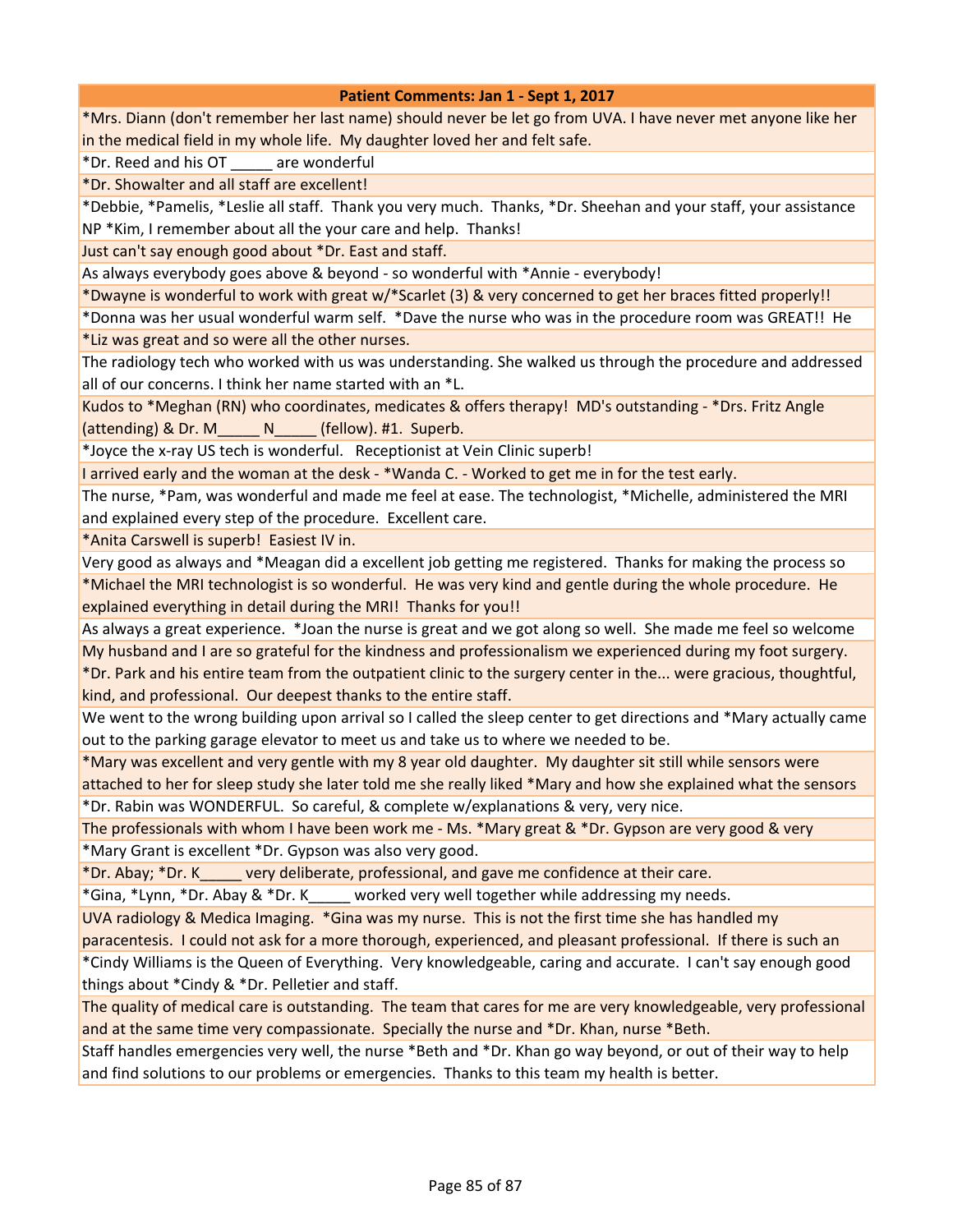| Patient Comments: Jan 1 - Sept 1, 2017                                                                            |
|-------------------------------------------------------------------------------------------------------------------|
| *Mrs. Diann (don't remember her last name) should never be let go from UVA. I have never met anyone like her      |
| in the medical field in my whole life. My daughter loved her and felt safe.                                       |
| *Dr. Reed and his OT are wonderful                                                                                |
| *Dr. Showalter and all staff are excellent!                                                                       |
| *Debbie, *Pamelis, *Leslie all staff. Thank you very much. Thanks, *Dr. Sheehan and your staff, your assistance   |
| NP *Kim, I remember about all the your care and help. Thanks!                                                     |
| Just can't say enough good about *Dr. East and staff.                                                             |
| As always everybody goes above & beyond - so wonderful with *Annie - everybody!                                   |
| *Dwayne is wonderful to work with great w/*Scarlet (3) & very concerned to get her braces fitted properly!!       |
| *Donna was her usual wonderful warm self. *Dave the nurse who was in the procedure room was GREAT!! He            |
| *Liz was great and so were all the other nurses.                                                                  |
| The radiology tech who worked with us was understanding. She walked us through the procedure and addressed        |
| all of our concerns. I think her name started with an *L.                                                         |
| Kudos to *Meghan (RN) who coordinates, medicates & offers therapy! MD's outstanding - *Drs. Fritz Angle           |
| (attending) & Dr. M______ N_____ (fellow). #1. Superb.                                                            |
| *Joyce the x-ray US tech is wonderful. Receptionist at Vein Clinic superb!                                        |
| I arrived early and the woman at the desk - *Wanda C. - Worked to get me in for the test early.                   |
| The nurse, *Pam, was wonderful and made me feel at ease. The technologist, *Michelle, administered the MRI        |
| and explained every step of the procedure. Excellent care.                                                        |
| *Anita Carswell is superb! Easiest IV in.                                                                         |
| Very good as always and *Meagan did a excellent job getting me registered. Thanks for making the process so       |
| *Michael the MRI technologist is so wonderful. He was very kind and gentle during the whole procedure. He         |
| explained everything in detail during the MRI! Thanks for you!!                                                   |
| As always a great experience. *Joan the nurse is great and we got along so well. She made me feel so welcome      |
| My husband and I are so grateful for the kindness and professionalism we experienced during my foot surgery.      |
| *Dr. Park and his entire team from the outpatient clinic to the surgery center in the were gracious, thoughtful,  |
| kind, and professional. Our deepest thanks to the entire staff.                                                   |
| We went to the wrong building upon arrival so I called the sleep center to get directions and *Mary actually came |
| out to the parking garage elevator to meet us and take us to where we needed to be.                               |
| *Mary was excellent and very gentle with my 8 year old daughter. My daughter sit still while sensors were         |
| attached to her for sleep study she later told me she really liked *Mary and how she explained what the sensors   |
| *Dr. Rabin was WONDERFUL. So careful, & complete w/explanations & very, very nice.                                |
| The professionals with whom I have been work me - Ms. *Mary great & *Dr. Gypson are very good & very              |
| *Mary Grant is excellent *Dr. Gypson was also very good.                                                          |
| *Dr. Abay; *Dr. K _____ very deliberate, professional, and gave me confidence at their care.                      |
| *Gina, *Lynn, *Dr. Abay & *Dr. K_____ worked very well together while addressing my needs.                        |
| UVA radiology & Medica Imaging. *Gina was my nurse. This is not the first time she has handled my                 |
| paracentesis. I could not ask for a more thorough, experienced, and pleasant professional. If there is such an    |
| *Cindy Williams is the Queen of Everything. Very knowledgeable, caring and accurate. I can't say enough good      |

things about \*Cindy & \*Dr. Pelletier and staff.

The quality of medical care is outstanding. The team that cares for me are very knowledgeable, very professional and at the same time very compassionate. Specially the nurse and \*Dr. Khan, nurse \*Beth.

Staff handles emergencies very well, the nurse \*Beth and \*Dr. Khan go way beyond, or out of their way to help and find solutions to our problems or emergencies. Thanks to this team my health is better.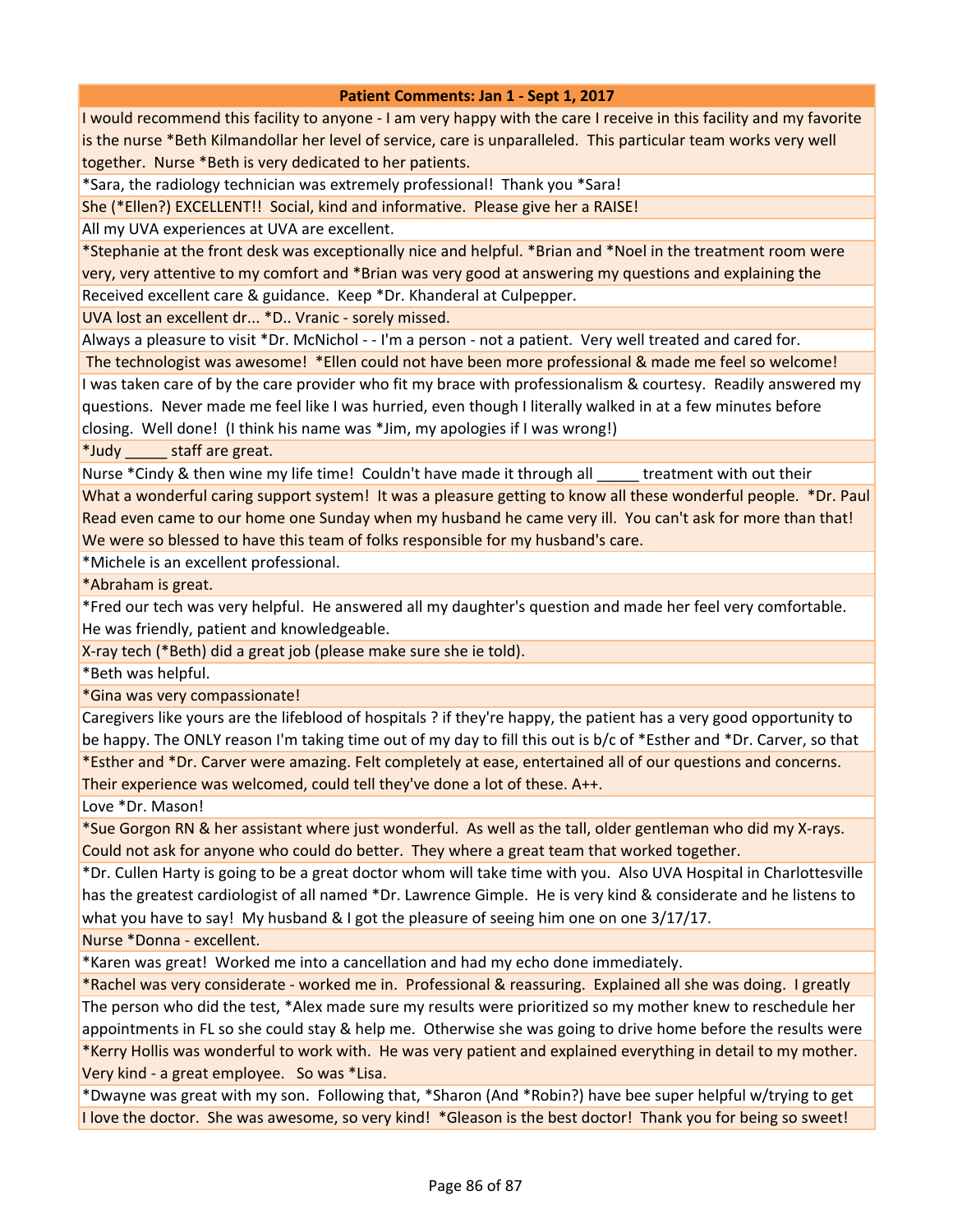I would recommend this facility to anyone - I am very happy with the care I receive in this facility and my favorite is the nurse \*Beth Kilmandollar her level of service, care is unparalleled. This particular team works very well together. Nurse \*Beth is very dedicated to her patients.

\*Sara, the radiology technician was extremely professional! Thank you \*Sara!

She (\*Ellen?) EXCELLENT!! Social, kind and informative. Please give her a RAISE!

All my UVA experiences at UVA are excellent.

\*Stephanie at the front desk was exceptionally nice and helpful. \*Brian and \*Noel in the treatment room were very, very attentive to my comfort and \*Brian was very good at answering my questions and explaining the Received excellent care & guidance. Keep \*Dr. Khanderal at Culpepper.

UVA lost an excellent dr... \*D.. Vranic - sorely missed.

Always a pleasure to visit \*Dr. McNichol - - I'm a person - not a patient. Very well treated and cared for.

 The technologist was awesome! \*Ellen could not have been more professional & made me feel so welcome! I was taken care of by the care provider who fit my brace with professionalism & courtesy. Readily answered my questions. Never made me feel like I was hurried, even though I literally walked in at a few minutes before closing. Well done! (I think his name was \*Jim, my apologies if I was wrong!)

\*Judy \_\_\_\_\_ staff are great.

Nurse \*Cindy & then wine my life time! Couldn't have made it through all \_\_\_\_\_ treatment with out their What a wonderful caring support system! It was a pleasure getting to know all these wonderful people. \*Dr. Paul Read even came to our home one Sunday when my husband he came very ill. You can't ask for more than that!

We were so blessed to have this team of folks responsible for my husband's care.

\*Michele is an excellent professional.

\*Abraham is great.

\*Fred our tech was very helpful. He answered all my daughter's question and made her feel very comfortable. He was friendly, patient and knowledgeable.

X-ray tech (\*Beth) did a great job (please make sure she ie told).

\*Beth was helpful.

\*Gina was very compassionate!

Caregivers like yours are the lifeblood of hospitals ? if they're happy, the patient has a very good opportunity to be happy. The ONLY reason I'm taking time out of my day to fill this out is b/c of \*Esther and \*Dr. Carver, so that \*Esther and \*Dr. Carver were amazing. Felt completely at ease, entertained all of our questions and concerns. Their experience was welcomed, could tell they've done a lot of these. A++.

Love \*Dr. Mason!

\*Sue Gorgon RN & her assistant where just wonderful. As well as the tall, older gentleman who did my X-rays. Could not ask for anyone who could do better. They where a great team that worked together.

\*Dr. Cullen Harty is going to be a great doctor whom will take time with you. Also UVA Hospital in Charlottesville has the greatest cardiologist of all named \*Dr. Lawrence Gimple. He is very kind & considerate and he listens to what you have to say! My husband & I got the pleasure of seeing him one on one 3/17/17.

Nurse \*Donna - excellent.

\*Karen was great! Worked me into a cancellation and had my echo done immediately.

\*Rachel was very considerate - worked me in. Professional & reassuring. Explained all she was doing. I greatly The person who did the test, \*Alex made sure my results were prioritized so my mother knew to reschedule her appointments in FL so she could stay & help me. Otherwise she was going to drive home before the results were \*Kerry Hollis was wonderful to work with. He was very patient and explained everything in detail to my mother. Very kind - a great employee. So was \*Lisa.

\*Dwayne was great with my son. Following that, \*Sharon (And \*Robin?) have bee super helpful w/trying to get I love the doctor. She was awesome, so very kind! \*Gleason is the best doctor! Thank you for being so sweet!